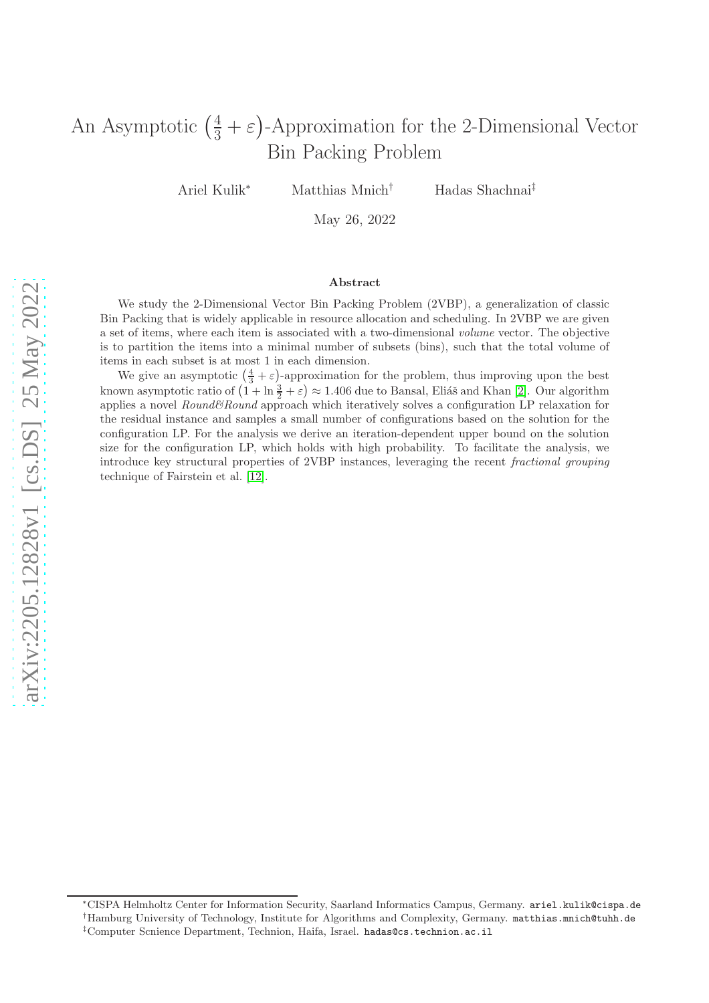# An Asymptotic  $(\frac{4}{3} + \varepsilon)$ -Approximation for the 2-Dimensional Vector Bin Packing Problem

Ariel Kulik<sup>∗</sup> Matthias Mnich† Hadas Shachnai‡

May 26, 2022

#### Abstract

We study the 2-Dimensional Vector Bin Packing Problem (2VBP), a generalization of classic Bin Packing that is widely applicable in resource allocation and scheduling. In 2VBP we are given a set of items, where each item is associated with a two-dimensional volume vector. The objective is to partition the items into a minimal number of subsets (bins), such that the total volume of items in each subset is at most 1 in each dimension.

We give an asymptotic  $(\frac{4}{3} + \varepsilon)$ -approximation for the problem, thus improving upon the best known asymptotic ratio of  $(1 + \ln \frac{3}{2} + \varepsilon) \approx 1.406$  due to Bansal, Eliáš and Khan [\[2\]](#page-46-0). Our algorithm applies a novel  $Round\&Round$  approach which iteratively solves a configuration LP relaxation for the residual instance and samples a small number of configurations based on the solution for the configuration LP. For the analysis we derive an iteration-dependent upper bound on the solution size for the configuration LP, which holds with high probability. To facilitate the analysis, we introduce key structural properties of 2VBP instances, leveraging the recent fractional grouping technique of Fairstein et al. [\[12\]](#page-46-1).

<sup>∗</sup>CISPA Helmholtz Center for Information Security, Saarland Informatics Campus, Germany. ariel.kulik@cispa.de <sup>†</sup>Hamburg University of Technology, Institute for Algorithms and Complexity, Germany. matthias.mnich@tuhh.de

<sup>‡</sup>Computer Scnience Department, Technion, Haifa, Israel. hadas@cs.technion.ac.il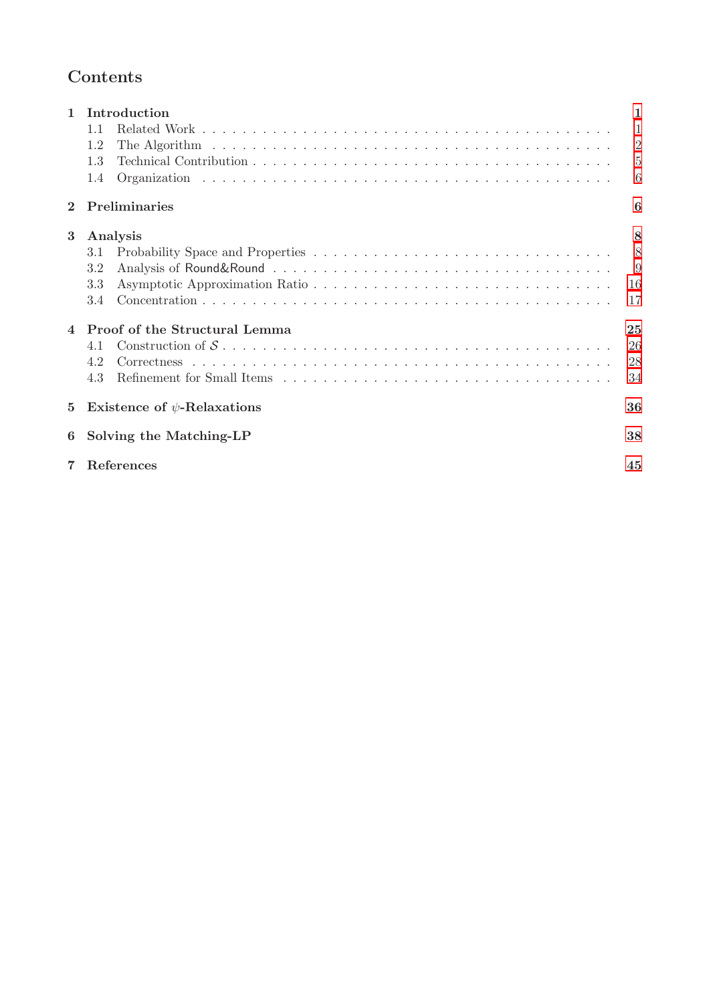## Contents

| $\mathbf{1}$<br>$\overline{2}$ | Introduction<br>1.1<br>1.2<br>1.3<br>1.4<br>Preliminaries             | 1<br>1<br>$\overline{2}$<br>$\overline{5}$<br>6<br>6 |
|--------------------------------|-----------------------------------------------------------------------|------------------------------------------------------|
| 3<br>$\overline{4}$            | Analysis<br>3.1<br>3.2<br>3.3<br>3.4<br>Proof of the Structural Lemma | 8<br>8<br>9<br>16<br>17<br>25                        |
| $\bf{5}$                       | 4.1<br>4.2<br>4.3<br>Existence of $\psi$ -Relaxations                 | 26<br>28<br>34<br>36                                 |
| 6                              | Solving the Matching-LP<br><b>References</b>                          | 38<br>45                                             |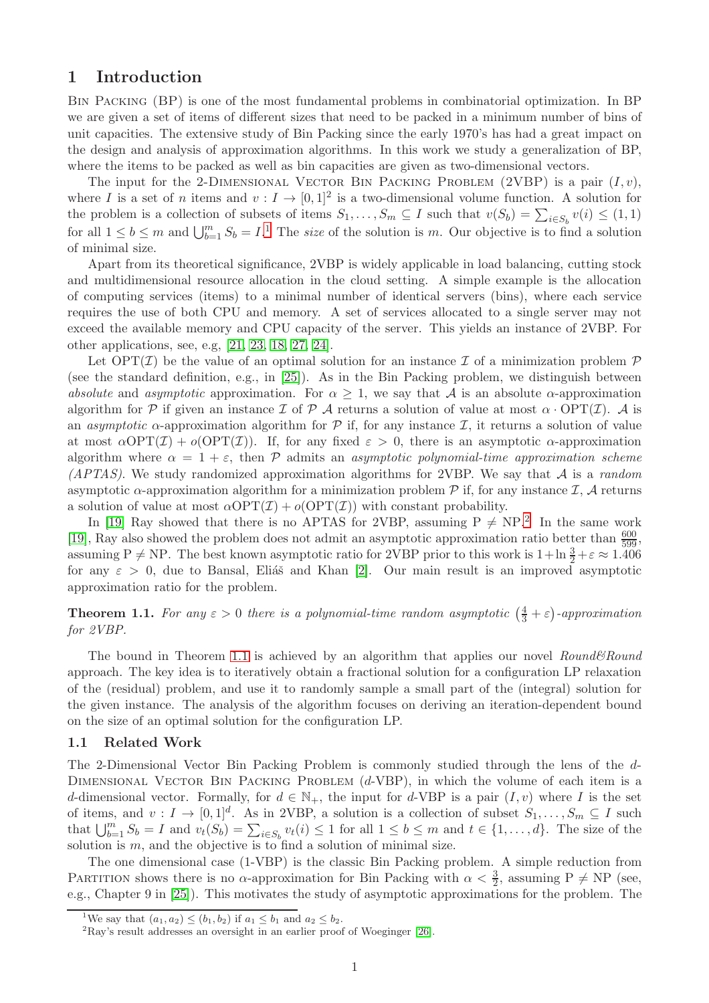## <span id="page-2-0"></span>1 Introduction

Bin Packing (BP) is one of the most fundamental problems in combinatorial optimization. In BP we are given a set of items of different sizes that need to be packed in a minimum number of bins of unit capacities. The extensive study of Bin Packing since the early 1970's has had a great impact on the design and analysis of approximation algorithms. In this work we study a generalization of BP, where the items to be packed as well as bin capacities are given as two-dimensional vectors.

The input for the 2-DIMENSIONAL VECTOR BIN PACKING PROBLEM (2VBP) is a pair  $(I, v)$ , where I is a set of n items and  $v: I \to [0,1]^2$  is a two-dimensional volume function. A solution for the problem is a collection of subsets of items  $S_1, \ldots, S_m \subseteq I$  such that  $v(S_b) = \sum_{i \in S_b} v(i) \leq (1, 1)$ for all  $1 \leq b \leq m$  $1 \leq b \leq m$  and  $\bigcup_{b=1}^{m} S_b = I$ .<sup>1</sup> The *size* of the solution is m. Our objective is to find a solution of minimal size.

Apart from its theoretical significance, 2VBP is widely applicable in load balancing, cutting stock and multidimensional resource allocation in the cloud setting. A simple example is the allocation of computing services (items) to a minimal number of identical servers (bins), where each service requires the use of both CPU and memory. A set of services allocated to a single server may not exceed the available memory and CPU capacity of the server. This yields an instance of 2VBP. For other applications, see, e.g, [\[21,](#page-47-0) [23,](#page-47-1) [18,](#page-47-2) [27,](#page-47-3) [24\]](#page-47-4).

Let  $\text{OPT}(\mathcal{I})$  be the value of an optimal solution for an instance  $\mathcal I$  of a minimization problem  $\mathcal P$ (see the standard definition, e.g., in [\[25\]](#page-47-5)). As in the Bin Packing problem, we distinguish between absolute and asymptotic approximation. For  $\alpha \geq 1$ , we say that A is an absolute  $\alpha$ -approximation algorithm for P if given an instance I of P A returns a solution of value at most  $\alpha$  · OPT(I). A is an *asymptotic*  $\alpha$ -approximation algorithm for  $\beta$  if, for any instance  $\mathcal{I}$ , it returns a solution of value at most  $\alpha$ OPT(I) +  $o$ (OPT(I)). If, for any fixed  $\varepsilon > 0$ , there is an asymptotic  $\alpha$ -approximation algorithm where  $\alpha = 1 + \varepsilon$ , then  $\mathcal P$  admits an asymptotic polynomial-time approximation scheme (APTAS). We study randomized approximation algorithms for 2VBP. We say that  $A$  is a *random* asymptotic  $\alpha$ -approximation algorithm for a minimization problem  $\mathcal P$  if, for any instance  $\mathcal I$ ,  $\mathcal A$  returns a solution of value at most  $\alpha \text{OPT}(\mathcal{I}) + o(\text{OPT}(\mathcal{I}))$  with constant probability.

In [\[19\]](#page-47-6) Ray showed that there is no APTAS for [2](#page-2-3)VBP, assuming  $P \ne NP$ .<sup>2</sup> In the same work [\[19\]](#page-47-6), Ray also showed the problem does not admit an asymptotic approximation ratio better than  $\frac{600}{599}$ , assuming P  $\neq$  NP. The best known asymptotic ratio for 2VBP prior to this work is  $1+\ln\frac{3}{2}+\varepsilon \approx 1.406$ for any  $\varepsilon > 0$ , due to Bansal, Eliáš and Khan [\[2\]](#page-46-0). Our main result is an improved asymptotic approximation ratio for the problem.

<span id="page-2-4"></span>**Theorem 1.1.** For any  $\varepsilon > 0$  there is a polynomial-time random asymptotic  $(\frac{4}{3} + \varepsilon)$ -approximation for 2VBP.

The bound in Theorem [1.1](#page-2-4) is achieved by an algorithm that applies our novel  $Round\&Round$ approach. The key idea is to iteratively obtain a fractional solution for a configuration LP relaxation of the (residual) problem, and use it to randomly sample a small part of the (integral) solution for the given instance. The analysis of the algorithm focuses on deriving an iteration-dependent bound on the size of an optimal solution for the configuration LP.

#### <span id="page-2-1"></span>1.1 Related Work

The 2-Dimensional Vector Bin Packing Problem is commonly studied through the lens of the d-DIMENSIONAL VECTOR BIN PACKING PROBLEM  $(d$ -VBP), in which the volume of each item is a d-dimensional vector. Formally, for  $d \in \mathbb{N}_+$ , the input for d-VBP is a pair  $(I, v)$  where I is the set of items, and  $v: I \to [0,1]^d$ . As in 2VBP, a solution is a collection of subset  $S_1, \ldots, S_m \subseteq I$  such that  $\bigcup_{b=1}^m S_b = I$  and  $v_t(S_b) = \sum_{i \in S_b} v_t(i) \leq 1$  for all  $1 \leq b \leq m$  and  $t \in \{1, ..., d\}$ . The size of the solution is  $m$ , and the objective is to find a solution of minimal size.

The one dimensional case (1-VBP) is the classic Bin Packing problem. A simple reduction from PARTITION shows there is no  $\alpha$ -approximation for Bin Packing with  $\alpha < \frac{3}{2}$ , assuming P  $\neq$  NP (see, e.g., Chapter 9 in [\[25\]](#page-47-5)). This motivates the study of asymptotic approximations for the problem. The

<sup>&</sup>lt;sup>1</sup>We say that  $(a_1, a_2) \le (b_1, b_2)$  if  $a_1 \le b_1$  and  $a_2 \le b_2$ .

<span id="page-2-3"></span><span id="page-2-2"></span> ${}^{2}$ Ray's result addresses an oversight in an earlier proof of Woeginger [\[26\]](#page-47-7).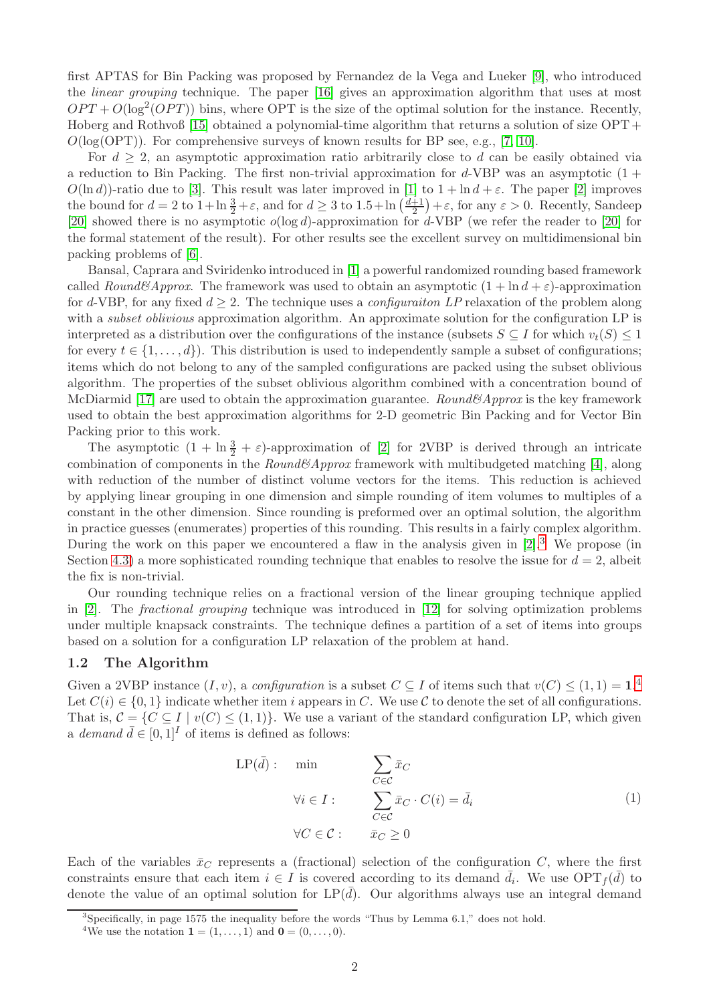first APTAS for Bin Packing was proposed by Fernandez de la Vega and Lueker [\[9\]](#page-46-3), who introduced the linear grouping technique. The paper [\[16\]](#page-47-8) gives an approximation algorithm that uses at most  $OPT + O(\log^2(OPT))$  bins, where OPT is the size of the optimal solution for the instance. Recently, Hoberg and Rothvoß [\[15\]](#page-47-9) obtained a polynomial-time algorithm that returns a solution of size OPT +  $O(log(OPT))$ . For comprehensive surveys of known results for BP see, e.g., [\[7,](#page-46-4) [10\]](#page-46-5).

For  $d \geq 2$ , an asymptotic approximation ratio arbitrarily close to d can be easily obtained via a reduction to Bin Packing. The first non-trivial approximation for  $d$ -VBP was an asymptotic  $(1 +$  $O(\ln d)$ -ratio due to [\[3\]](#page-46-6). This result was later improved in [\[1\]](#page-46-7) to  $1 + \ln d + \varepsilon$ . The paper [\[2\]](#page-46-0) improves the bound for  $d = 2$  to  $1 + \ln \frac{3}{2} + \varepsilon$ , and for  $d \geq 3$  to  $1.5 + \ln \left( \frac{d+1}{2} \right)$  $(\frac{\pm 1}{2}) + \varepsilon$ , for any  $\varepsilon > 0$ . Recently, Sandeep [\[20\]](#page-47-10) showed there is no asymptotic  $o(\log d)$ -approximation for d-VBP (we refer the reader to [\[20\]](#page-47-10) for the formal statement of the result). For other results see the excellent survey on multidimensional bin packing problems of [\[6\]](#page-46-8).

Bansal, Caprara and Sviridenko introduced in [\[1\]](#page-46-7) a powerful randomized rounding based framework called Round&Approx. The framework was used to obtain an asymptotic  $(1 + \ln d + \varepsilon)$ -approximation for d-VBP, for any fixed  $d \geq 2$ . The technique uses a *configuraiton LP* relaxation of the problem along with a *subset oblivious* approximation algorithm. An approximate solution for the configuration LP is interpreted as a distribution over the configurations of the instance (subsets  $S \subseteq I$  for which  $v_t(S) \leq 1$ for every  $t \in \{1, \ldots, d\}$ . This distribution is used to independently sample a subset of configurations; items which do not belong to any of the sampled configurations are packed using the subset oblivious algorithm. The properties of the subset oblivious algorithm combined with a concentration bound of McDiarmid [\[17\]](#page-47-11) are used to obtain the approximation guarantee. Round&Approx is the key framework used to obtain the best approximation algorithms for 2-D geometric Bin Packing and for Vector Bin Packing prior to this work.

The asymptotic  $(1 + \ln \frac{3}{2} + \varepsilon)$ -approximation of [\[2\]](#page-46-0) for 2VBP is derived through an intricate combination of components in the  $Round\&Approx$  framework with multibudgeted matching [\[4\]](#page-46-9), along with reduction of the number of distinct volume vectors for the items. This reduction is achieved by applying linear grouping in one dimension and simple rounding of item volumes to multiples of a constant in the other dimension. Since rounding is preformed over an optimal solution, the algorithm in practice guesses (enumerates) properties of this rounding. This results in a fairly complex algorithm. During the work on this paper we encountered a flaw in the analysis given in [\[2\]](#page-46-0).<sup>[3](#page-3-1)</sup> We propose (in Section [4.3\)](#page-35-0) a more sophisticated rounding technique that enables to resolve the issue for  $d = 2$ , albeit the fix is non-trivial.

Our rounding technique relies on a fractional version of the linear grouping technique applied in [\[2\]](#page-46-0). The fractional grouping technique was introduced in [\[12\]](#page-46-1) for solving optimization problems under multiple knapsack constraints. The technique defines a partition of a set of items into groups based on a solution for a configuration LP relaxation of the problem at hand.

#### <span id="page-3-0"></span>1.2 The Algorithm

Given a 2VBP instance  $(I, v)$ , a *configuration* is a subset  $C \subseteq I$  of items such that  $v(C) \leq (1, 1) = 1$ .<sup>[4](#page-3-2)</sup> Let  $C(i) \in \{0,1\}$  indicate whether item i appears in C. We use C to denote the set of all configurations. That is,  $C = \{C \subseteq I \mid v(C) \leq (1, 1)\}\.$  We use a variant of the standard configuration LP, which given a demand  $\bar{d} \in [0, 1]^I$  of items is defined as follows:

<span id="page-3-3"></span>
$$
LP(\bar{d}) : \min \qquad \sum_{C \in \mathcal{C}} \bar{x}_C
$$
  
\n
$$
\forall i \in I : \sum_{C \in \mathcal{C}} \bar{x}_C \cdot C(i) = \bar{d}_i
$$
  
\n
$$
\forall C \in \mathcal{C} : \bar{x}_C \ge 0
$$
\n(1)

Each of the variables  $\bar{x}_C$  represents a (fractional) selection of the configuration C, where the first constraints ensure that each item  $i \in I$  is covered according to its demand  $\bar{d}_i$ . We use  $\text{OPT}_f(\bar{d})$  to denote the value of an optimal solution for  $LP(\bar{d})$ . Our algorithms always use an integral demand

<sup>3</sup> Specifically, in page 1575 the inequality before the words "Thus by Lemma 6.1," does not hold.

<span id="page-3-2"></span><span id="page-3-1"></span><sup>&</sup>lt;sup>4</sup>We use the notation **1** =  $(1, ..., 1)$  and **0** =  $(0, ..., 0)$ .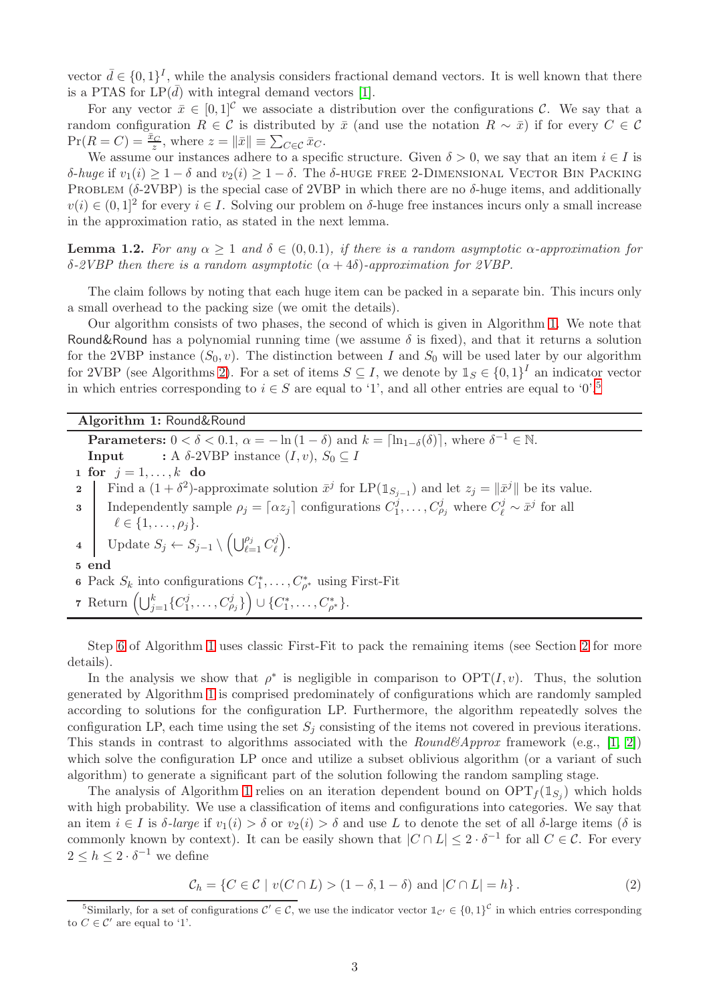vector  $\bar{d} \in \{0,1\}^I$ , while the analysis considers fractional demand vectors. It is well known that there is a PTAS for  $LP(\bar{d})$  with integral demand vectors [\[1\]](#page-46-7).

For any vector  $\bar{x} \in [0,1]^{\mathcal{C}}$  we associate a distribution over the configurations  $\mathcal{C}$ . We say that a random configuration  $R \in \mathcal{C}$  is distributed by  $\bar{x}$  (and use the notation  $R \sim \bar{x}$ ) if for every  $C \in \mathcal{C}$  $Pr(R = C) = \frac{\bar{x}_C}{z}$ , where  $z = ||\bar{x}|| \equiv \sum_{C \in \mathcal{C}} \bar{x}_C$ .

We assume our instances adhere to a specific structure. Given  $\delta > 0$ , we say that an item  $i \in I$  is δ-huge if  $v_1(i)$  ≥ 1 − δ and  $v_2(i)$  ≥ 1 − δ. The δ-HUGE FREE 2-DIMENSIONAL VECTOR BIN PACKING PROBLEM ( $\delta$ -2VBP) is the special case of 2VBP in which there are no  $\delta$ -huge items, and additionally  $v(i) \in (0,1]^2$  for every  $i \in I$ . Solving our problem on  $\delta$ -huge free instances incurs only a small increase in the approximation ratio, as stated in the next lemma.

<span id="page-4-3"></span>**Lemma 1.2.** For any  $\alpha \geq 1$  and  $\delta \in (0, 0.1)$ , if there is a random asymptotic  $\alpha$ -approximation for δ-2VBP then there is a random asymptotic (α + 4δ)-approximation for 2VBP.

The claim follows by noting that each huge item can be packed in a separate bin. This incurs only a small overhead to the packing size (we omit the details).

Our algorithm consists of two phases, the second of which is given in Algorithm [1.](#page-4-0) We note that Round&Round has a polynomial running time (we assume  $\delta$  is fixed), and that it returns a solution for the 2VBP instance  $(S_0, v)$ . The distinction between I and  $S_0$  will be used later by our algorithm for 2VBP (see Algorithms [2\)](#page-6-1). For a set of items  $S \subseteq I$ , we denote by  $\mathbb{1}_S \in \{0,1\}^I$  an indicator vector in which entries corresponding to  $i \in S$  are equal to '1', and all other entries are equal to '0'.<sup>[5](#page-4-1)</sup>

Algorithm 1: Round&Round

<span id="page-4-4"></span>**Parameters:**  $0 < \delta < 0.1$ ,  $\alpha = -\ln(1 - \delta)$  and  $k = \lceil \ln_{1-\delta}(\delta) \rceil$ , where  $\delta^{-1} \in \mathbb{N}$ . **Input** : A  $\delta$ -2VBP instance  $(I, v)$ ,  $S_0 \subseteq I$ 1 for  $j = 1, ..., k$  do 2 | Find a  $(1 + \delta^2)$ -approximate solution  $\bar{x}^j$  for LP( $\mathbb{1}_{S_{j-1}}$ ) and let  $z_j = \|\bar{x}^j\|$  be its value. **3** Independently sample  $\rho_j = \lceil \alpha z_j \rceil$  configurations  $C_1^j$  $I_1^j, \ldots, C_{\rho_j}^j$  where  $C_{\ell}^j \sim \bar{x}^j$  for all  $\ell \in \{1, \ldots, \rho_j\}.$ 4 Update  $S_j \leftarrow S_{j-1} \setminus \left( \bigcup_{\ell=1}^{\rho_j} C_{\ell}^j \right)$  $_{\ell}^{j}\Big).$ 5 end **6** Pack  $S_k$  into configurations  $C_1^*, \ldots, C_{\rho^*}^*$  using First-Fit 7 Return  $\left(\bigcup_{j=1}^k \{C_1^j\}\right)$  $\{C^j_{\rho_j}\}\Big)\cup\{C^*_1,\ldots,C^*_{\rho^*}\}.$ 

<span id="page-4-2"></span><span id="page-4-0"></span>Step [6](#page-4-2) of Algorithm [1](#page-4-0) uses classic First-Fit to pack the remaining items (see Section [2](#page-7-1) for more details).

In the analysis we show that  $\rho^*$  is negligible in comparison to  $\text{OPT}(I, v)$ . Thus, the solution generated by Algorithm [1](#page-4-0) is comprised predominately of configurations which are randomly sampled according to solutions for the configuration LP. Furthermore, the algorithm repeatedly solves the configuration LP, each time using the set  $S_i$  consisting of the items not covered in previous iterations. This stands in contrast to algorithms associated with the  $Round\&Approx$  framework (e.g., [\[1,](#page-46-7) [2\]](#page-46-0)) which solve the configuration LP once and utilize a subset oblivious algorithm (or a variant of such algorithm) to generate a significant part of the solution following the random sampling stage.

The analysis of Algorithm [1](#page-4-0) relies on an iteration dependent bound on  $OPT_f(\mathbb{1}_{S_j})$  which holds with high probability. We use a classification of items and configurations into categories. We say that an item  $i \in I$  is  $\delta$ -large if  $v_1(i) > \delta$  or  $v_2(i) > \delta$  and use L to denote the set of all  $\delta$ -large items ( $\delta$  is commonly known by context). It can be easily shown that  $|C \cap L| \leq 2 \cdot \delta^{-1}$  for all  $C \in \mathcal{C}$ . For every  $2 \leq h \leq 2 \cdot \delta^{-1}$  we define

<span id="page-4-5"></span>
$$
\mathcal{C}_h = \{ C \in \mathcal{C} \mid v(C \cap L) > (1 - \delta, 1 - \delta) \text{ and } |C \cap L| = h \}. \tag{2}
$$

<span id="page-4-1"></span><sup>&</sup>lt;sup>5</sup>Similarly, for a set of configurations  $C' \in C$ , we use the indicator vector  $\mathbb{1}_{C'} \in \{0,1\}^{\mathcal{C}}$  in which entries corresponding to  $C \in \mathcal{C}'$  are equal to '1'.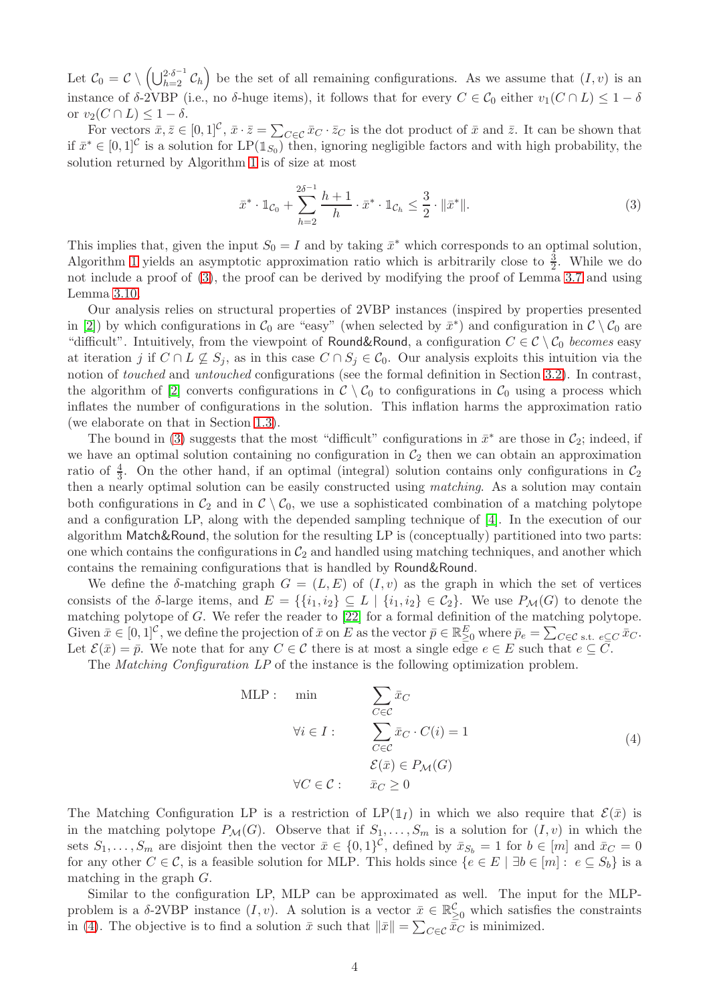Let  $\mathcal{C}_0 = \mathcal{C} \setminus \left(\bigcup_{h=2}^{2\cdot\delta^{-1}} \mathcal{C}_h\right)$  be the set of all remaining configurations. As we assume that  $(I, v)$  is an instance of  $\delta$ -2VBP (i.e., no  $\delta$ -huge items), it follows that for every  $C \in \mathcal{C}_0$  either  $v_1(C \cap L) \leq 1 - \delta$ or  $v_2(C \cap L) \leq 1 - \delta$ .

For vectors  $\bar{x}, \bar{z} \in [0,1]^{\mathcal{C}}, \bar{x} \cdot \bar{z} = \sum_{C \in \mathcal{C}} \bar{x}_C \cdot \bar{z}_C$  is the dot product of  $\bar{x}$  and  $\bar{z}$ . It can be shown that if  $\bar{x}^* \in [0,1]^{\mathcal{C}}$  is a solution for LP( $\mathbb{1}_{S_0}$ ) then, ignoring negligible factors and with high probability, the solution returned by Algorithm [1](#page-4-0) is of size at most

<span id="page-5-0"></span>
$$
\bar{x}^* \cdot \mathbb{1}_{\mathcal{C}_0} + \sum_{h=2}^{2\delta^{-1}} \frac{h+1}{h} \cdot \bar{x}^* \cdot \mathbb{1}_{\mathcal{C}_h} \le \frac{3}{2} \cdot \|\bar{x}^*\|.
$$
 (3)

This implies that, given the input  $S_0 = I$  and by taking  $\bar{x}^*$  which corresponds to an optimal solution, Algorithm [1](#page-4-0) yields an asymptotic approximation ratio which is arbitrarily close to  $\frac{3}{2}$ . While we do not include a proof of [\(3\)](#page-5-0), the proof can be derived by modifying the proof of Lemma [3.7](#page-11-0) and using Lemma [3.10.](#page-14-0)

Our analysis relies on structural properties of 2VBP instances (inspired by properties presented in [\[2\]](#page-46-0)) by which configurations in  $\mathcal{C}_0$  are "easy" (when selected by  $\bar{x}^*$ ) and configuration in  $\mathcal{C} \setminus \mathcal{C}_0$  are "difficult". Intuitively, from the viewpoint of Round&Round, a configuration  $C \in \mathcal{C} \setminus \mathcal{C}_0$  becomes easy at iteration j if  $C \cap L \not\subseteq S_j$ , as in this case  $C \cap S_j \in C_0$ . Our analysis exploits this intuition via the notion of touched and untouched configurations (see the formal definition in Section [3.2\)](#page-10-0). In contrast, the algorithm of [\[2\]](#page-46-0) converts configurations in  $\mathcal{C} \setminus \mathcal{C}_0$  to configurations in  $\mathcal{C}_0$  using a process which inflates the number of configurations in the solution. This inflation harms the approximation ratio (we elaborate on that in Section [1.3\)](#page-6-0).

The bound in [\(3\)](#page-5-0) suggests that the most "difficult" configurations in  $\bar{x}^*$  are those in  $\mathcal{C}_2$ ; indeed, if we have an optimal solution containing no configuration in  $C_2$  then we can obtain an approximation ratio of  $\frac{4}{3}$ . On the other hand, if an optimal (integral) solution contains only configurations in  $\mathcal{C}_2$ then a nearly optimal solution can be easily constructed using matching. As a solution may contain both configurations in  $\mathcal{C}_2$  and in  $\mathcal{C} \setminus \mathcal{C}_0$ , we use a sophisticated combination of a matching polytope and a configuration LP, along with the depended sampling technique of [\[4\]](#page-46-9). In the execution of our algorithm Match&Round, the solution for the resulting LP is (conceptually) partitioned into two parts: one which contains the configurations in  $C_2$  and handled using matching techniques, and another which contains the remaining configurations that is handled by Round&Round.

We define the  $\delta$ -matching graph  $G = (L, E)$  of  $(I, v)$  as the graph in which the set of vertices consists of the δ-large items, and  $E = \{\{i_1, i_2\} \subseteq L \mid \{i_1, i_2\} \in C_2\}$ . We use  $P_{\mathcal{M}}(G)$  to denote the matching polytope of G. We refer the reader to [\[22\]](#page-47-12) for a formal definition of the matching polytope. Given  $\bar{x} \in [0,1]^{\mathcal{C}}$ , we define the projection of  $\bar{x}$  on E as the vector  $\bar{p} \in \mathbb{R}^E_{\geq 0}$  where  $\bar{p}_e = \sum_{C \in \mathcal{C}} \sum_{s.t. e \subseteq C} \bar{x}_C$ . Let  $\mathcal{E}(\bar{x}) = \bar{p}$ . We note that for any  $C \in \mathcal{C}$  there is at most a single edge  $e \in E$  such that  $e \subseteq \bar{C}$ .

The Matching Configuration LP of the instance is the following optimization problem.

<span id="page-5-1"></span>
$$
\begin{aligned}\n\text{MLP}: \quad & \text{min} \qquad \sum_{C \in \mathcal{C}} \bar{x}_C \\
& \forall i \in I: \qquad \sum_{C \in \mathcal{C}} \bar{x}_C \cdot C(i) = 1 \\
& \mathcal{E}(\bar{x}) \in P_{\mathcal{M}}(G) \\
& \forall C \in \mathcal{C}: \qquad \bar{x}_C \ge 0\n\end{aligned} \tag{4}
$$

The Matching Configuration LP is a restriction of  $LP(1<sub>I</sub>)$  in which we also require that  $\mathcal{E}(\bar{x})$  is in the matching polytope  $P_{\mathcal{M}}(G)$ . Observe that if  $S_1, \ldots, S_m$  is a solution for  $(I, v)$  in which the sets  $S_1, \ldots, S_m$  are disjoint then the vector  $\bar{x} \in \{0,1\}^{\mathcal{C}}$ , defined by  $\bar{x}_{S_b} = 1$  for  $b \in [m]$  and  $\bar{x}_C = 0$ for any other  $C \in \mathcal{C}$ , is a feasible solution for MLP. This holds since  $\{e \in E \mid \exists b \in [m]: e \subseteq S_b\}$  is a matching in the graph G.

Similar to the configuration LP, MLP can be approximated as well. The input for the MLPproblem is a  $\delta$ -2VBP instance  $(I, v)$ . A solution is a vector  $\bar{x} \in \mathbb{R}^{\mathcal{C}}_{\geq 0}$  which satisfies the constraints in [\(4\)](#page-5-1). The objective is to find a solution  $\bar{x}$  such that  $\|\bar{x}\| = \sum_{C \in \mathcal{C}} \bar{x}_C$  is minimized.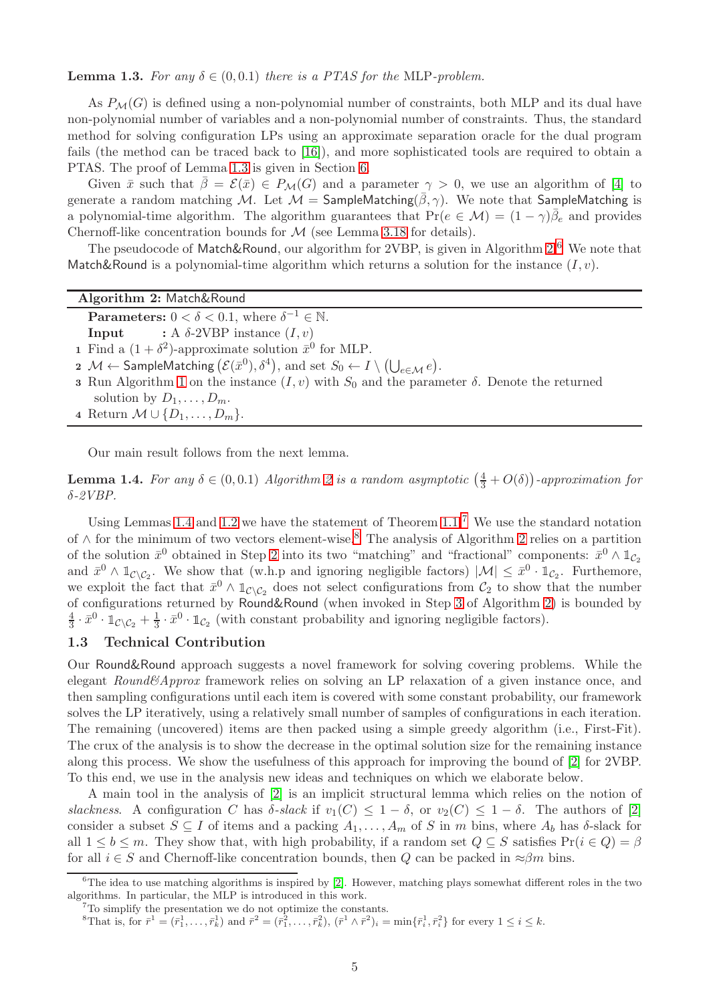<span id="page-6-2"></span>**Lemma 1.3.** For any  $\delta \in (0, 0.1)$  there is a PTAS for the MLP-problem.

As  $P_{\mathcal{M}}(G)$  is defined using a non-polynomial number of constraints, both MLP and its dual have non-polynomial number of variables and a non-polynomial number of constraints. Thus, the standard method for solving configuration LPs using an approximate separation oracle for the dual program fails (the method can be traced back to [\[16\]](#page-47-8)), and more sophisticated tools are required to obtain a PTAS. The proof of Lemma [1.3](#page-6-2) is given in Section [6.](#page-39-0)

Given  $\bar{x}$  such that  $\bar{\beta} = \mathcal{E}(\bar{x}) \in P_{\mathcal{M}}(G)$  and a parameter  $\gamma > 0$ , we use an algorithm of [\[4\]](#page-46-9) to generate a random matching M. Let  $M =$  SampleMatching( $\overline{\beta}, \gamma$ ). We note that SampleMatching is a polynomial-time algorithm. The algorithm guarantees that  $Pr(e \in M) = (1 - \gamma)\bar{\beta}_e$  and provides Chernoff-like concentration bounds for  $M$  (see Lemma [3.18](#page-25-0) for details).

<span id="page-6-7"></span>The pseudocode of Match&Round, our algorithm for 2VBP, is given in Algorithm [2.](#page-6-1)<sup>[6](#page-6-3)</sup> We note that Match&Round is a polynomial-time algorithm which returns a solution for the instance  $(I, v)$ .

#### Algorithm 2: Match&Round

**Parameters:**  $0 < \delta < 0.1$ , where  $\delta^{-1} \in \mathbb{N}$ .

**Input** : A  $\delta$ -2VBP instance  $(I, v)$ 

1 Find a  $(1 + \delta^2)$ -approximate solution  $\bar{x}^0$  for MLP.

- $\bm{2} \cdot \mathcal{M} \leftarrow \mathsf{SampleMatching}\left(\mathcal{E}(\bar{x}^0), \delta^4\right), \, \text{and set} \,\, S_0 \leftarrow I \setminus \left(\bigcup_{e \in \mathcal{M}} e\right).$
- <span id="page-6-8"></span>3 Run Algorithm [1](#page-4-0) on the instance  $(I, v)$  with  $S_0$  and the parameter  $\delta$ . Denote the returned solution by  $D_1, \ldots, D_m$ .
- <span id="page-6-1"></span>4 Return  $M \cup \{D_1, \ldots, D_m\}.$

Our main result follows from the next lemma.

<span id="page-6-4"></span>**Lemma 1.4.** For any  $\delta \in (0,0.1)$  Algorithm [2](#page-6-1) is a random asymptotic  $\left(\frac{4}{3} + O(\delta)\right)$ -approximation for δ-2VBP.

Using Lemmas [1.4](#page-6-4) and [1.2](#page-4-3) we have the statement of Theorem  $1.1<sup>7</sup>$  $1.1<sup>7</sup>$  $1.1<sup>7</sup>$  We use the standard notation of  $∧$  for the minimum of two vectors element-wise.<sup>[8](#page-6-6)</sup> The analysis of Algorithm [2](#page-6-1) relies on a partition of the solution  $\bar{x}^0$  obtained in Step [2](#page-6-7) into its two "matching" and "fractional" components:  $\bar{x}^0 \wedge \mathbb{1}_{\mathcal{C}_2}$ and  $\bar{x}^0 \wedge \mathbb{1}_{\mathcal{C} \setminus \mathcal{C}_2}$ . We show that (w.h.p and ignoring negligible factors)  $|\mathcal{M}| \leq \bar{x}^0 \cdot \mathbb{1}_{\mathcal{C}_2}$ . Furthemore, we exploit the fact that  $\bar{x}^0 \wedge \mathbb{1}_{\mathcal{C} \setminus \mathcal{C}_2}$  does not select configurations from  $\mathcal{C}_2$  to show that the number of configurations returned by Round&Round (when invoked in Step [3](#page-6-8) of Algorithm [2\)](#page-6-1) is bounded by 4  $\frac{4}{3} \cdot \bar{x}^0 \cdot \mathbb{1}_{\mathcal{C}\setminus\mathcal{C}_2} + \frac{1}{3} \cdot \bar{x}^0 \cdot \mathbb{1}_{\mathcal{C}_2}$  (with constant probability and ignoring negligible factors).

#### <span id="page-6-0"></span>1.3 Technical Contribution

Our Round&Round approach suggests a novel framework for solving covering problems. While the elegant Round&Approx framework relies on solving an LP relaxation of a given instance once, and then sampling configurations until each item is covered with some constant probability, our framework solves the LP iteratively, using a relatively small number of samples of configurations in each iteration. The remaining (uncovered) items are then packed using a simple greedy algorithm (i.e., First-Fit). The crux of the analysis is to show the decrease in the optimal solution size for the remaining instance along this process. We show the usefulness of this approach for improving the bound of [\[2\]](#page-46-0) for 2VBP. To this end, we use in the analysis new ideas and techniques on which we elaborate below.

A main tool in the analysis of [\[2\]](#page-46-0) is an implicit structural lemma which relies on the notion of slackness. A configuration C has  $\delta$ -slack if  $v_1(C) \leq 1-\delta$ , or  $v_2(C) \leq 1-\delta$ . The authors of [\[2\]](#page-46-0) consider a subset  $S \subseteq I$  of items and a packing  $A_1, \ldots, A_m$  of S in m bins, where  $A_b$  has  $\delta$ -slack for all  $1 \leq b \leq m$ . They show that, with high probability, if a random set  $Q \subseteq S$  satisfies  $\Pr(i \in Q) = \beta$ for all  $i \in S$  and Chernoff-like concentration bounds, then Q can be packed in  $\approx \beta m$  bins.

 $6$ The idea to use matching algorithms is inspired by [\[2\]](#page-46-0). However, matching plays somewhat different roles in the two algorithms. In particular, the MLP is introduced in this work.

<span id="page-6-3"></span> $7T\sigma$  simplify the presentation we do not optimize the constants.

<span id="page-6-6"></span><span id="page-6-5"></span><sup>&</sup>lt;sup>8</sup>That is, for  $\bar{r}^1 = (\bar{r}_1^1, \ldots, \bar{r}_k^1)$  and  $\bar{r}^2 = (\bar{r}_1^2, \ldots, \bar{r}_k^2)$ ,  $(\bar{r}^1 \wedge \bar{r}^2)_i = \min{\{\bar{r}_i^1, \bar{r}_i^2\}}$  for every  $1 \le i \le k$ .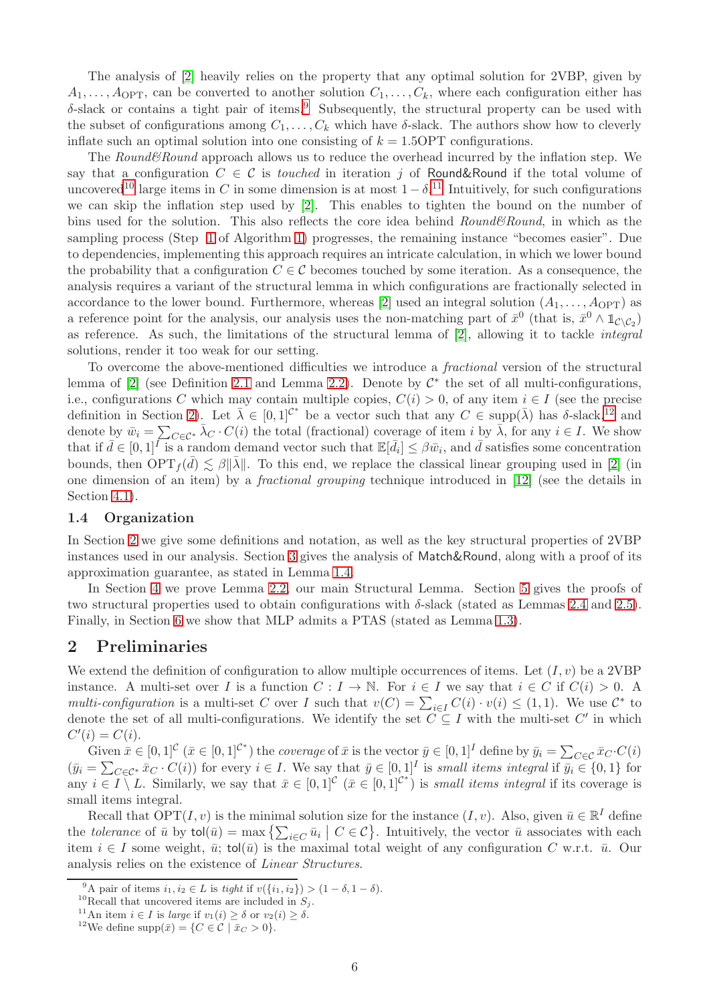The analysis of [\[2\]](#page-46-0) heavily relies on the property that any optimal solution for 2VBP, given by  $A_1, \ldots, A_{\text{OPT}}$ , can be converted to another solution  $C_1, \ldots, C_k$ , where each configuration either has  $\delta$ -slack or contains a tight pair of items.<sup>[9](#page-7-2)</sup> Subsequently, the structural property can be used with the subset of configurations among  $C_1, \ldots, C_k$  which have  $\delta$ -slack. The authors show how to cleverly inflate such an optimal solution into one consisting of  $k = 1.5$  OPT configurations.

The Round&Round approach allows us to reduce the overhead incurred by the inflation step. We say that a configuration  $C \in \mathcal{C}$  is touched in iteration j of Round&Round if the total volume of uncovered<sup>[10](#page-7-3)</sup> large items in C in some dimension is at most  $1 - \delta$ <sup>[11](#page-7-4)</sup> Intuitively, for such configurations we can skip the inflation step used by [\[2\]](#page-46-0). This enables to tighten the bound on the number of bins used for the solution. This also reflects the core idea behind  $Round\&Round$ , in which as the sampling process (Step [1](#page-4-4) of Algorithm [1\)](#page-4-0) progresses, the remaining instance "becomes easier". Due to dependencies, implementing this approach requires an intricate calculation, in which we lower bound the probability that a configuration  $C \in \mathcal{C}$  becomes touched by some iteration. As a consequence, the analysis requires a variant of the structural lemma in which configurations are fractionally selected in accordance to the lower bound. Furthermore, whereas [\[2\]](#page-46-0) used an integral solution  $(A_1, \ldots, A_{\text{OPT}})$  as a reference point for the analysis, our analysis uses the non-matching part of  $\bar{x}^0$  (that is,  $\bar{x}^0 \wedge \mathbb{1}_{\mathcal{C} \setminus \mathcal{C}_2}$ ) as reference. As such, the limitations of the structural lemma of [\[2\]](#page-46-0), allowing it to tackle integral solutions, render it too weak for our setting.

To overcome the above-mentioned difficulties we introduce a fractional version of the structural lemma of  $[2]$  (see Definition [2.1](#page-8-0) and Lemma [2.2\)](#page-8-1). Denote by  $\mathcal{C}^*$  the set of all multi-configurations, i.e., configurations C which may contain multiple copies,  $C(i) > 0$ , of any item  $i \in I$  (see the precise definition in Section [2\)](#page-7-1). Let  $\bar{\lambda} \in [0,1]^{C^*}$  be a vector such that any  $C \in \text{supp}(\bar{\lambda})$  has  $\delta$ -slack,<sup>[12](#page-7-5)</sup> and denote by  $\bar{w}_i = \sum_{C \in \mathcal{C}^*} \bar{\lambda}_C \cdot C(i)$  the total (fractional) coverage of item i by  $\bar{\lambda}$ , for any  $i \in I$ . We show that if  $\bar{d} \in [0,1]^{\bar{I}}$  is a random demand vector such that  $\mathbb{E}[\bar{d}_i] \leq \beta \bar{w}_i$ , and  $\bar{d}$  satisfies some concentration bounds, then  $OPT_f(\bar{d}) \lesssim \beta ||\bar{\lambda}||$ . To this end, we replace the classical linear grouping used in [\[2\]](#page-46-0) (in one dimension of an item) by a fractional grouping technique introduced in [\[12\]](#page-46-1) (see the details in Section [4.1\)](#page-27-0).

#### <span id="page-7-0"></span>1.4 Organization

In Section [2](#page-7-1) we give some definitions and notation, as well as the key structural properties of 2VBP instances used in our analysis. Section [3](#page-9-0) gives the analysis of Match&Round, along with a proof of its approximation guarantee, as stated in Lemma [1.4.](#page-6-4)

In Section [4](#page-26-0) we prove Lemma [2.2,](#page-8-1) our main Structural Lemma. Section [5](#page-37-0) gives the proofs of two structural properties used to obtain configurations with  $\delta$ -slack (stated as Lemmas [2.4](#page-8-2) and [2.5\)](#page-8-3). Finally, in Section [6](#page-39-0) we show that MLP admits a PTAS (stated as Lemma [1.3\)](#page-6-2).

## <span id="page-7-1"></span>2 Preliminaries

We extend the definition of configuration to allow multiple occurrences of items. Let  $(I, v)$  be a 2VBP instance. A multi-set over I is a function  $C: I \to \mathbb{N}$ . For  $i \in I$  we say that  $i \in C$  if  $C(i) > 0$ . A multi-configuration is a multi-set C over I such that  $v(C) = \sum_{i \in I} C(i) \cdot v(i) \leq (1, 1)$ . We use  $\mathcal{C}^*$  to denote the set of all multi-configurations. We identify the set  $C \subseteq I$  with the multi-set  $C'$  in which  $C'(i) = C(i).$ 

Given  $\bar{x} \in [0,1]^{\mathcal{C}}$   $(\bar{x} \in [0,1]^{\mathcal{C}^*})$  the *coverage* of  $\bar{x}$  is the vector  $\bar{y} \in [0,1]^I$  define by  $\bar{y}_i = \sum_{C \in \mathcal{C}} \bar{x}_C \cdot C(i)$  $(\bar{y}_i = \sum_{C \in \mathcal{C}^*} \bar{x}_C \cdot C(i))$  for every  $i \in I$ . We say that  $\bar{y} \in [0,1]^I$  is small items integral if  $\bar{y}_i \in \{0,1\}$  for any  $i \in I \setminus L$ . Similarly, we say that  $\bar{x} \in [0,1]^{\mathcal{C}}$   $(\bar{x} \in [0,1]^{\mathcal{C}^*})$  is *small items integral* if its coverage is small items integral.

Recall that  $\text{OPT}(I, v)$  is the minimal solution size for the instance  $(I, v)$ . Also, given  $\bar{u} \in \mathbb{R}^I$  define the tolerance of  $\bar{u}$  by  $\text{tol}(\bar{u}) = \max\left\{ \sum_{i \in C} \bar{u}_i \mid C \in \mathcal{C} \right\}$ . Intuitively, the vector  $\bar{u}$  associates with each item  $i \in I$  some weight,  $\bar{u}$ ; tol( $\bar{u}$ ) is the maximal total weight of any configuration C w.r.t.  $\bar{u}$ . Our analysis relies on the existence of Linear Structures.

<sup>&</sup>lt;sup>9</sup>A pair of items  $i_1, i_2 \in L$  is tight if  $v(\{i_1, i_2\}) > (1 - \delta, 1 - \delta)$ .

<span id="page-7-2"></span><sup>&</sup>lt;sup>10</sup>Recall that uncovered items are included in  $S_j$ .

<span id="page-7-3"></span><sup>&</sup>lt;sup>11</sup>An item  $i \in I$  is *large* if  $v_1(i) \geq \delta$  or  $v_2(i) \geq \delta$ .

<span id="page-7-5"></span><span id="page-7-4"></span><sup>&</sup>lt;sup>12</sup>We define supp $(\bar{x}) = \{C \in \mathcal{C} \mid \bar{x}_C > 0\}.$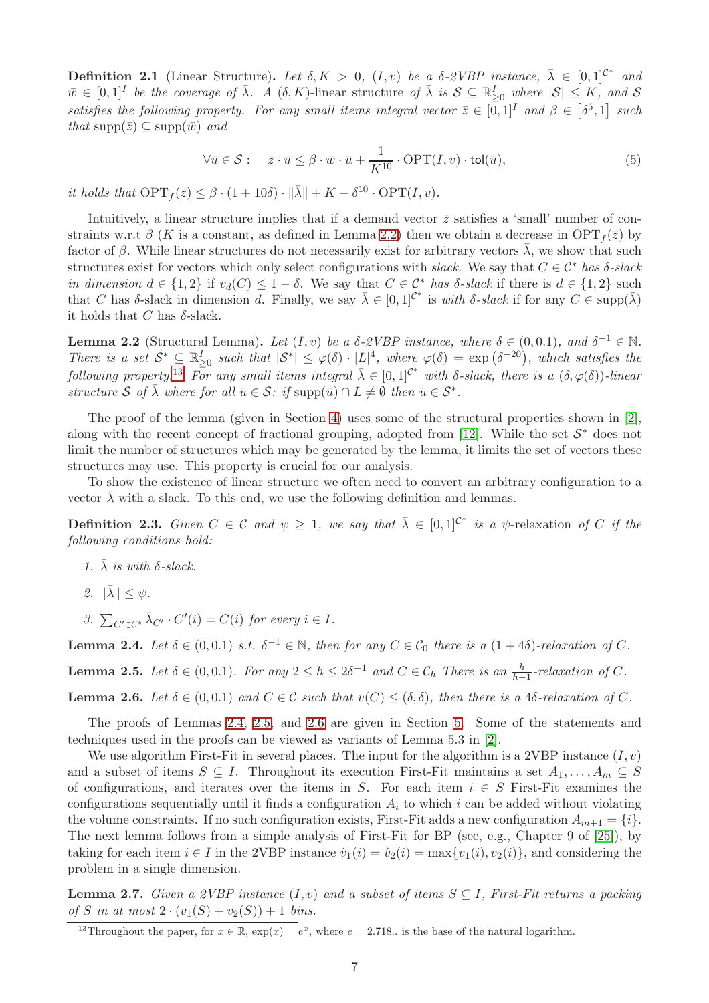<span id="page-8-0"></span>**Definition 2.1** (Linear Structure). Let  $\delta, K > 0$ ,  $(I, v)$  be a  $\delta$ -2VBP instance,  $\bar{\lambda} \in [0, 1]^{C^*}$  and  $\bar{w} \in [0,1]^I$  be the coverage of  $\bar{\lambda}$ . A  $(\delta, K)$ -linear structure of  $\bar{\lambda}$  is  $S \subseteq \mathbb{R}_{\geq 0}^I$  where  $|S| \leq K$ , and S satisfies the following property. For any small items integral vector  $\bar{z} \in [0,1]^I$  and  $\beta \in [\delta^5,1]$  such that supp $(\bar{z}) \subseteq \text{supp}(\bar{w})$  and

<span id="page-8-7"></span>
$$
\forall \bar{u} \in \mathcal{S}: \quad \bar{z} \cdot \bar{u} \le \beta \cdot \bar{w} \cdot \bar{u} + \frac{1}{K^{10}} \cdot \text{OPT}(I, v) \cdot \text{tol}(\bar{u}), \tag{5}
$$

it holds that  $\text{OPT}_f(\bar{z}) \leq \beta \cdot (1 + 10\delta) \cdot ||\bar{\lambda}|| + K + \delta^{10} \cdot \text{OPT}(I, v).$ 

Intuitively, a linear structure implies that if a demand vector  $\bar{z}$  satisfies a 'small' number of constraints w.r.t  $\beta$  (K is a constant, as defined in Lemma [2.2\)](#page-8-1) then we obtain a decrease in OPT<sub>f</sub>( $\bar{z}$ ) by factor of  $\beta$ . While linear structures do not necessarily exist for arbitrary vectors  $\overline{\lambda}$ , we show that such structures exist for vectors which only select configurations with slack. We say that  $C \in \mathcal{C}^*$  has  $\delta$ -slack in dimension  $d \in \{1,2\}$  if  $v_d(C) \leq 1-\delta$ . We say that  $C \in \mathcal{C}^*$  has  $\delta$ -slack if there is  $d \in \{1,2\}$  such that C has δ-slack in dimension d. Finally, we say  $\bar{\lambda} \in [0,1]^{C^*}$  is with δ-slack if for any  $C \in \text{supp}(\bar{\lambda})$ it holds that C has  $\delta$ -slack.

<span id="page-8-1"></span>**Lemma 2.2** (Structural Lemma). Let  $(I, v)$  be a  $\delta$ -2VBP instance, where  $\delta \in (0, 0.1)$ , and  $\delta^{-1} \in \mathbb{N}$ . There is a set  $S^* \subseteq \mathbb{R}_{\geq 0}^I$  such that  $|S^*| \leq \varphi(\delta) \cdot |L|^4$ , where  $\varphi(\delta) = \exp(\delta^{-20})$ , which satisfies the following property.<sup>[13](#page-8-4)</sup> For any small items integral  $\bar{\lambda} \in [0,1]^{C^*}$  with  $\delta$ -slack, there is a  $(\delta, \varphi(\delta))$ -linear structure S of  $\bar{\lambda}$  where for all  $\bar{u} \in S$ : if  $\text{supp}(\bar{u}) \cap L \neq \emptyset$  then  $\bar{u} \in S^*$ .

The proof of the lemma (given in Section [4\)](#page-26-0) uses some of the structural properties shown in [\[2\]](#page-46-0), along with the recent concept of fractional grouping, adopted from [\[12\]](#page-46-1). While the set  $S^*$  does not limit the number of structures which may be generated by the lemma, it limits the set of vectors these structures may use. This property is crucial for our analysis.

To show the existence of linear structure we often need to convert an arbitrary configuration to a vector  $\lambda$  with a slack. To this end, we use the following definition and lemmas.

**Definition 2.3.** Given  $C \in \mathcal{C}$  and  $\psi \geq 1$ , we say that  $\bar{\lambda} \in [0,1]^{\mathcal{C}^*}$  is a  $\psi$ -relaxation of C if the following conditions hold:

- 1.  $\bar{\lambda}$  is with  $\delta$ -slack.
- 2.  $\|\bar{\lambda}\| \leq \psi$ .
- 3.  $\sum_{C' \in \mathcal{C}^*} \bar{\lambda}_{C'} \cdot C'(i) = C(i)$  for every  $i \in I$ .

<span id="page-8-2"></span>**Lemma 2.4.** Let  $\delta \in (0, 0.1)$  s.t.  $\delta^{-1} \in \mathbb{N}$ , then for any  $C \in \mathcal{C}_0$  there is a  $(1 + 4\delta)$ -relaxation of C.

<span id="page-8-3"></span>**Lemma 2.5.** Let  $\delta \in (0, 0.1)$ . For any  $2 \leq h \leq 2\delta^{-1}$  and  $C \in \mathcal{C}_h$  There is an  $\frac{h}{h-1}$ -relaxation of C.

<span id="page-8-5"></span>**Lemma 2.6.** Let  $\delta \in (0, 0.1)$  and  $C \in \mathcal{C}$  such that  $v(C) \leq (\delta, \delta)$ , then there is a 4 $\delta$ -relaxation of C.

The proofs of Lemmas [2.4,](#page-8-2) [2.5,](#page-8-3) and [2.6](#page-8-5) are given in Section [5.](#page-37-0) Some of the statements and techniques used in the proofs can be viewed as variants of Lemma 5.3 in [\[2\]](#page-46-0).

We use algorithm First-Fit in several places. The input for the algorithm is a 2VBP instance  $(I, v)$ and a subset of items  $S \subseteq I$ . Throughout its execution First-Fit maintains a set  $A_1, \ldots, A_m \subseteq S$ of configurations, and iterates over the items in S. For each item  $i \in S$  First-Fit examines the configurations sequentially until it finds a configuration  $A_i$  to which i can be added without violating the volume constraints. If no such configuration exists, First-Fit adds a new configuration  $A_{m+1} = \{i\}.$ The next lemma follows from a simple analysis of First-Fit for BP (see, e.g., Chapter 9 of [\[25\]](#page-47-5)), by taking for each item  $i \in I$  in the 2VBP instance  $\hat{v}_1(i) = \hat{v}_2(i) = \max\{v_1(i), v_2(i)\}\text{, and considering the }i$ problem in a single dimension.

<span id="page-8-6"></span>**Lemma 2.7.** Given a 2VBP instance  $(I, v)$  and a subset of items  $S \subseteq I$ , First-Fit returns a packing of S in at most  $2 \cdot (v_1(S) + v_2(S)) + 1$  bins.

<span id="page-8-4"></span><sup>&</sup>lt;sup>13</sup>Throughout the paper, for  $x \in \mathbb{R}$ ,  $\exp(x) = e^x$ , where  $e = 2.718$ . is the base of the natural logarithm.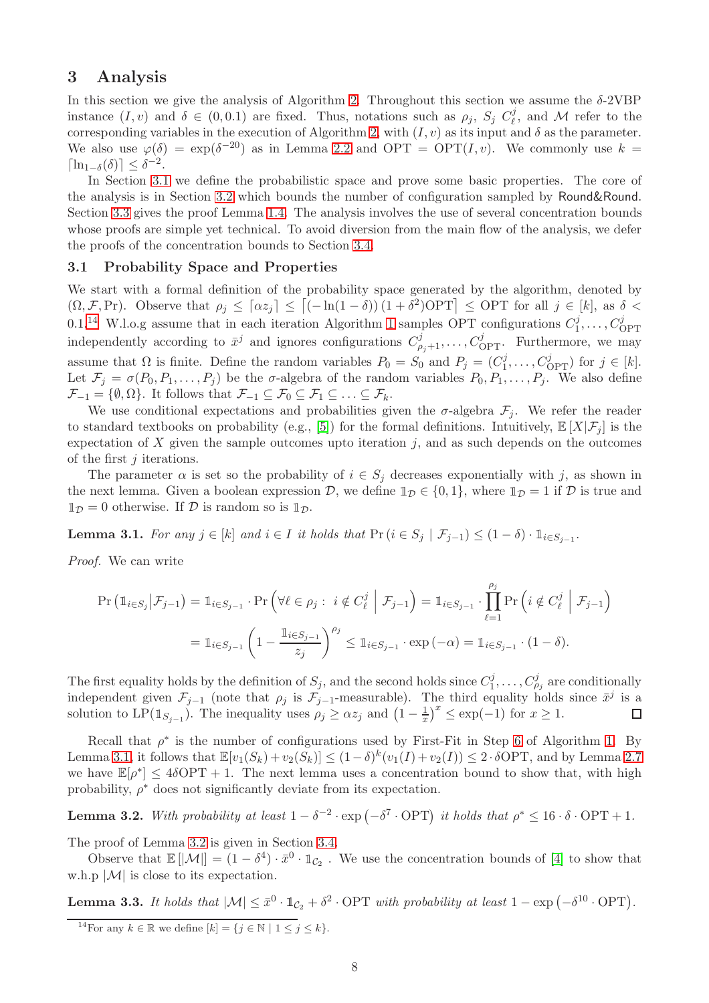## <span id="page-9-0"></span>3 Analysis

In this section we give the analysis of Algorithm [2.](#page-6-1) Throughout this section we assume the  $\delta$ -2VBP instance  $(I, v)$  and  $\delta \in (0, 0.1)$  are fixed. Thus, notations such as  $\rho_j$ ,  $S_j C_{\ell}^j$  $\ell^j$ , and M refer to the corresponding variables in the execution of Algorithm [2,](#page-6-1) with  $(I, v)$  as its input and  $\delta$  as the parameter. We also use  $\varphi(\delta) = \exp(\delta^{-20})$  as in Lemma [2.2](#page-8-1) and OPT = OPT $(I, v)$ . We commonly use  $k =$  $\lceil \ln_{1-\delta}(\delta) \rceil \leq \delta^{-2}.$ 

In Section [3.1](#page-9-1) we define the probabilistic space and prove some basic properties. The core of the analysis is in Section [3.2](#page-10-0) which bounds the number of configuration sampled by Round&Round. Section [3.3](#page-17-0) gives the proof Lemma [1.4.](#page-6-4) The analysis involves the use of several concentration bounds whose proofs are simple yet technical. To avoid diversion from the main flow of the analysis, we defer the proofs of the concentration bounds to Section [3.4.](#page-18-0)

#### <span id="page-9-1"></span>3.1 Probability Space and Properties

We start with a formal definition of the probability space generated by the algorithm, denoted by  $(\Omega, \mathcal{F}, \text{Pr})$ . Observe that  $\rho_j \leq [\alpha z_j] \leq [(-\ln(1-\delta))(1+\delta^2)\text{OPT}] \leq \text{OPT}$  for all  $j \in [k]$ , as  $\delta$ 0.1.<sup>[14](#page-9-2)</sup> W.l.o.g assume that in each iteration Algorithm [1](#page-4-0) samples OPT configurations  $C_1^j$  $i_1^j, \ldots, C_{\text{OPT}}^j$ independently according to  $\bar{x}^j$  and ignores configurations  $C_{\rho_j+1}^j, \ldots, C_{\text{OPT}}^j$ . Furthermore, we may assume that  $\Omega$  is finite. Define the random variables  $P_0 = S_0$  and  $P_j = (C_1^j)$  $l_1^j, \ldots, C_{\text{OPT}}^j$  for  $j \in [k]$ . Let  $\mathcal{F}_j = \sigma(P_0, P_1, \ldots, P_j)$  be the  $\sigma$ -algebra of the random variables  $P_0, P_1, \ldots, P_j$ . We also define  $\mathcal{F}_{-1} = \{\emptyset, \Omega\}$ . It follows that  $\mathcal{F}_{-1} \subseteq \mathcal{F}_0 \subseteq \mathcal{F}_1 \subseteq \ldots \subseteq \mathcal{F}_k$ .

We use conditional expectations and probabilities given the  $\sigma$ -algebra  $\mathcal{F}_j$ . We refer the reader to standard textbooks on probability (e.g., [\[5\]](#page-46-10)) for the formal definitions. Intuitively,  $\mathbb{E}[X|\mathcal{F}_j]$  is the expectation of  $X$  given the sample outcomes upto iteration  $j$ , and as such depends on the outcomes of the first j iterations.

The parameter  $\alpha$  is set so the probability of  $i \in S_j$  decreases exponentially with j, as shown in the next lemma. Given a boolean expression  $D$ , we define  $\mathbb{1}_{\mathcal{D}} \in \{0,1\}$ , where  $\mathbb{1}_{\mathcal{D}} = 1$  if  $D$  is true and  $\mathbb{1}_{\mathcal{D}} = 0$  otherwise. If  $\mathcal{D}$  is random so is  $\mathbb{1}_{\mathcal{D}}$ .

<span id="page-9-3"></span>**Lemma 3.1.** For any  $j \in [k]$  and  $i \in I$  it holds that  $Pr(i \in S_j | \mathcal{F}_{j-1}) \leq (1 - \delta) \cdot \mathbb{1}_{i \in S_{j-1}}$ .

Proof. We can write

$$
\Pr\left(\mathbb{1}_{i \in S_j} | \mathcal{F}_{j-1}\right) = \mathbb{1}_{i \in S_{j-1}} \cdot \Pr\left(\forall \ell \in \rho_j : i \notin C_{\ell}^j \middle| \mathcal{F}_{j-1}\right) = \mathbb{1}_{i \in S_{j-1}} \cdot \prod_{\ell=1}^{\rho_j} \Pr\left(i \notin C_{\ell}^j \middle| \mathcal{F}_{j-1}\right)
$$

$$
= \mathbb{1}_{i \in S_{j-1}} \left(1 - \frac{\mathbb{1}_{i \in S_{j-1}}}{z_j}\right)^{\rho_j} \leq \mathbb{1}_{i \in S_{j-1}} \cdot \exp\left(-\alpha\right) = \mathbb{1}_{i \in S_{j-1}} \cdot (1 - \delta).
$$

The first equality holds by the definition of  $S_j$ , and the second holds since  $C_1^j$  $C_{\rho_j}^j$  are conditionally independent given  $\mathcal{F}_{j-1}$  (note that  $\rho_j$  is  $\mathcal{F}_{j-1}$ -measurable). The third equality holds since  $\bar{x}^j$  is a  $\frac{1}{x}$ )<sup>x</sup>  $\leq$  exp(-1) for  $x \geq 1$ . solution to LP( $\mathbb{1}_{S_{j-1}}$ ). The inequality uses  $\rho_j \geq \alpha z_j$  and  $\left(1 - \frac{1}{x}\right)$  $\Box$ 

Recall that  $\rho^*$  is the number of configurations used by First-Fit in Step [6](#page-4-2) of Algorithm [1.](#page-4-0) By Lemma [3.1,](#page-9-3) it follows that  $\mathbb{E}[v_1(S_k)+v_2(S_k)] \leq (1-\delta)^k (v_1(I)+v_2(I)) \leq 2 \cdot \delta \text{OPT}$ , and by Lemma [2.7](#page-8-6) we have  $\mathbb{E}[\rho^*] \leq 4\delta \text{OPT} + 1$ . The next lemma uses a concentration bound to show that, with high probability,  $\rho^*$  does not significantly deviate from its expectation.

<span id="page-9-4"></span>**Lemma 3.2.** With probability at least  $1 - \delta^{-2} \cdot \exp(-\delta^7 \cdot \text{OPT})$  it holds that  $\rho^* \leq 16 \cdot \delta \cdot \text{OPT} + 1$ .

The proof of Lemma [3.2](#page-9-4) is given in Section [3.4.](#page-18-0)

Observe that  $\mathbb{E}[|\mathcal{M}|] = (1 - \delta^4) \cdot \bar{x}^0 \cdot \mathbb{1}_{\mathcal{C}_2}$ . We use the concentration bounds of [\[4\]](#page-46-9) to show that w.h.p  $|\mathcal{M}|$  is close to its expectation.

<span id="page-9-5"></span>**Lemma 3.3.** It holds that  $|\mathcal{M}| \leq \bar{x}^0 \cdot \mathbb{1}_{\mathcal{C}_2} + \delta^2 \cdot \text{OPT}$  with probability at least  $1 - \exp(-\delta^{10} \cdot \text{OPT})$ .

<span id="page-9-2"></span><sup>&</sup>lt;sup>14</sup>For any  $k \in \mathbb{R}$  we define  $[k] = \{j \in \mathbb{N} \mid 1 \leq j \leq k\}.$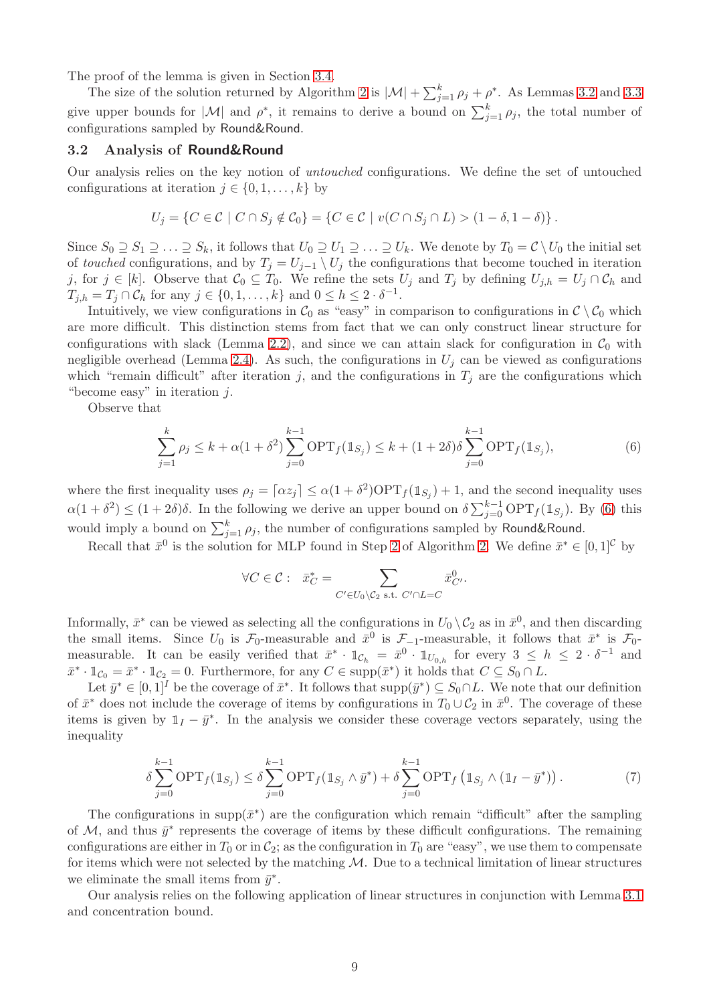The proof of the lemma is given in Section [3.4.](#page-18-0)

The size of the solution returned by Algorithm [2](#page-6-1) is  $|\mathcal{M}| + \sum_{j=1}^{k} \rho_j + \rho^*$ . As Lemmas [3.2](#page-9-4) and [3.3](#page-9-5) give upper bounds for  $|\mathcal{M}|$  and  $\rho^*$ , it remains to derive a bound on  $\sum_{j=1}^k \rho_j$ , the total number of configurations sampled by Round&Round.

#### <span id="page-10-0"></span>3.2 Analysis of Round&Round

Our analysis relies on the key notion of untouched configurations. We define the set of untouched configurations at iteration  $j \in \{0, 1, \ldots, k\}$  by

$$
U_j = \{ C \in \mathcal{C} \mid C \cap S_j \notin \mathcal{C}_0 \} = \{ C \in \mathcal{C} \mid v(C \cap S_j \cap L) > (1 - \delta, 1 - \delta) \}.
$$

Since  $S_0 \supseteq S_1 \supseteq \ldots \supseteq S_k$ , it follows that  $U_0 \supseteq U_1 \supseteq \ldots \supseteq U_k$ . We denote by  $T_0 = \mathcal{C} \setminus U_0$  the initial set of touched configurations, and by  $T_j = U_{j-1} \setminus U_j$  the configurations that become touched in iteration j, for  $j \in [k]$ . Observe that  $C_0 \subseteq T_0$ . We refine the sets  $U_j$  and  $T_j$  by defining  $U_{j,h} = U_j \cap C_h$  and  $T_{j,h} = T_j \cap C_h$  for any  $j \in \{0,1,\ldots,k\}$  and  $0 \leq h \leq 2 \cdot \delta^{-1}$ .

Intuitively, we view configurations in  $\mathcal{C}_0$  as "easy" in comparison to configurations in  $\mathcal{C} \setminus \mathcal{C}_0$  which are more difficult. This distinction stems from fact that we can only construct linear structure for configurations with slack (Lemma [2.2\)](#page-8-1), and since we can attain slack for configuration in  $\mathcal{C}_0$  with negligible overhead (Lemma [2.4\)](#page-8-2). As such, the configurations in  $U_i$  can be viewed as configurations which "remain difficult" after iteration j, and the configurations in  $T_j$  are the configurations which "become easy" in iteration  $j$ .

Observe that

<span id="page-10-1"></span>
$$
\sum_{j=1}^{k} \rho_j \le k + \alpha (1 + \delta^2) \sum_{j=0}^{k-1} \text{OPT}_f(\mathbb{1}_{S_j}) \le k + (1 + 2\delta) \delta \sum_{j=0}^{k-1} \text{OPT}_f(\mathbb{1}_{S_j}),\tag{6}
$$

where the first inequality uses  $\rho_j = [\alpha z_j] \leq \alpha (1 + \delta^2) \text{OPT}_f(\mathbb{1}_{S_j}) + 1$ , and the second inequality uses  $\alpha(1+\delta^2) \leq (1+2\delta)\delta$ . In the following we derive an upper bound on  $\delta \sum_{j=0}^{k-1} \text{OPT}_f(\mathbb{1}_{S_j})$ . By [\(6\)](#page-10-1) this would imply a bound on  $\sum_{j=1}^{k} \rho_j$ , the number of configurations sampled by Round&Round.

Recall that  $\bar{x}^0$  is the solution for MLP found in Step [2](#page-6-7) of Algorithm [2.](#page-6-1) We define  $\bar{x}^* \in [0,1]^{\mathcal{C}}$  by

$$
\forall C \in \mathcal{C}: \quad \bar{x}_C^* = \sum_{C' \in U_0 \setminus C_2 \text{ s.t. } C' \cap L = C} \bar{x}_{C'}^0.
$$

Informally,  $\bar{x}^*$  can be viewed as selecting all the configurations in  $U_0 \setminus C_2$  as in  $\bar{x}^0$ , and then discarding the small items. Since  $U_0$  is  $\mathcal{F}_0$ -measurable and  $\bar{x}^0$  is  $\mathcal{F}_{-1}$ -measurable, it follows that  $\bar{x}^*$  is  $\mathcal{F}_0$ measurable. It can be easily verified that  $\bar{x}^* \cdot \mathbb{1}_{\mathcal{C}_h} = \bar{x}^0 \cdot \mathbb{1}_{U_{0,h}}$  for every  $3 \leq h \leq 2 \cdot \delta^{-1}$  and  $\bar{x}^* \cdot \mathbb{1}_{\mathcal{C}_0} = \bar{x}^* \cdot \mathbb{1}_{\mathcal{C}_2} = 0.$  Furthermore, for any  $C \in \text{supp}(\bar{x}^*)$  it holds that  $C \subseteq S_0 \cap L$ .

Let  $\bar{y}^* \in [0,1]^I$  be the coverage of  $\bar{x}^*$ . It follows that  $\text{supp}(\bar{y}^*) \subseteq S_0 \cap L$ . We note that our definition of  $\bar{x}^*$  does not include the coverage of items by configurations in  $T_0 \cup C_2$  in  $\bar{x}^0$ . The coverage of these items is given by  $1_I - \bar{y}^*$ . In the analysis we consider these coverage vectors separately, using the inequality

$$
\delta \sum_{j=0}^{k-1} \text{OPT}_f(\mathbb{1}_{S_j}) \le \delta \sum_{j=0}^{k-1} \text{OPT}_f(\mathbb{1}_{S_j} \wedge \bar{y}^*) + \delta \sum_{j=0}^{k-1} \text{OPT}_f(\mathbb{1}_{S_j} \wedge (\mathbb{1}_I - \bar{y}^*)) \,. \tag{7}
$$

The configurations in supp $(\bar{x}^*)$  are the configuration which remain "difficult" after the sampling of M, and thus  $\bar{y}^*$  represents the coverage of items by these difficult configurations. The remaining configurations are either in  $T_0$  or in  $C_2$ ; as the configuration in  $T_0$  are "easy", we use them to compensate for items which were not selected by the matching  $M$ . Due to a technical limitation of linear structures we eliminate the small items from  $\bar{y}^*$ .

Our analysis relies on the following application of linear structures in conjunction with Lemma [3.1](#page-9-3) and concentration bound.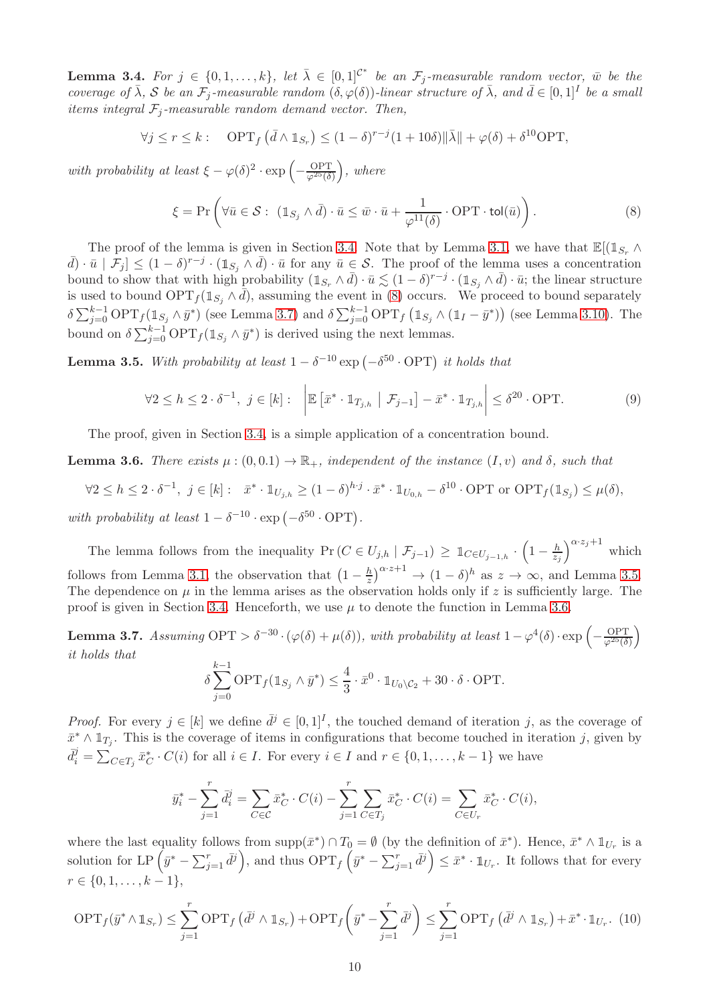<span id="page-11-4"></span>**Lemma 3.4.** For  $j \in \{0, 1, ..., k\}$ , let  $\bar{\lambda} \in [0, 1]^{C^*}$  be an  $\mathcal{F}_j$ -measurable random vector,  $\bar{w}$  be the coverage of  $\bar{\lambda}$ , S be an  $\mathcal{F}_j$ -measurable random  $(\delta, \varphi(\delta))$ -linear structure of  $\bar{\lambda}$ , and  $\bar{d} \in [0,1]^I$  be a small items integral  $\mathcal{F}_i$ -measurable random demand vector. Then,

$$
\forall j \le r \le k : \quad \text{OPT}_f\left(\bar{d} \wedge \mathbb{1}_{S_r}\right) \le (1 - \delta)^{r - j} (1 + 10\delta) \|\bar{\lambda}\| + \varphi(\delta) + \delta^{10} \text{OPT},
$$

with probability at least  $\xi - \varphi(\delta)^2 \cdot \exp\left(-\frac{\text{OPT}}{\varphi^{25}(\delta)}\right)$ , where

<span id="page-11-1"></span>
$$
\xi = \Pr\left(\forall \bar{u} \in \mathcal{S}: \ (\mathbb{1}_{S_j} \land \bar{d}) \cdot \bar{u} \leq \bar{w} \cdot \bar{u} + \frac{1}{\varphi^{11}(\delta)} \cdot \text{OPT} \cdot \text{tol}(\bar{u})\right). \tag{8}
$$

The proof of the lemma is given in Section [3.4.](#page-18-0) Note that by Lemma [3.1,](#page-9-3) we have that  $\mathbb{E}[(\mathbb{1}_{S_r} \wedge$  $\bar{d}(\bar{d}) \cdot \bar{u} \mid \mathcal{F}_j \leq (1-\delta)^{r-j} \cdot (\mathbb{1}_{S_j} \wedge \bar{d}) \cdot \bar{u}$  for any  $\bar{u} \in \mathcal{S}$ . The proof of the lemma uses a concentration bound to show that with high probability  $(1_{S_r} \wedge \bar{d}) \cdot \bar{u} \lesssim (1 - \delta)^{r - j} \cdot (1_{S_j} \wedge \bar{d}) \cdot \bar{u}$ ; the linear structure is used to bound  $\text{OPT}_f(\mathbb{1}_{S_i} \wedge \overline{d})$ , assuming the event in [\(8\)](#page-11-1) occurs. We proceed to bound separately  $\delta \sum_{j=0}^{k-1} \text{OPT}_f(\mathbb{1}_{S_j} \wedge \bar{y}^*)$  (see Lemma [3.7\)](#page-11-0) and  $\delta \sum_{j=0}^{k-1} \text{OPT}_f(\mathbb{1}_{S_j} \wedge (\mathbb{1}_I - \bar{y}^*))$  (see Lemma [3.10\)](#page-14-0). The bound on  $\delta \sum_{j=0}^{k-1} \text{OPT}_f(\mathbb{1}_{S_j} \wedge \bar{y}^*)$  is derived using the next lemmas.

<span id="page-11-2"></span>**Lemma 3.5.** With probability at least  $1 - \delta^{-10}$  exp  $(-\delta^{50} \cdot \text{OPT})$  it holds that

<span id="page-11-6"></span>
$$
\forall 2 \le h \le 2 \cdot \delta^{-1}, \ j \in [k]: \quad \left| \mathbb{E} \left[ \bar{x}^* \cdot \mathbb{1}_{T_{j,h}} \middle| \mathcal{F}_{j-1} \right] - \bar{x}^* \cdot \mathbb{1}_{T_{j,h}} \right| \le \delta^{20} \cdot \text{OPT}.\tag{9}
$$

The proof, given in Section [3.4,](#page-18-0) is a simple application of a concentration bound.

<span id="page-11-3"></span>**Lemma 3.6.** There exists  $\mu : (0,0.1) \to \mathbb{R}_+$ , independent of the instance  $(I, v)$  and  $\delta$ , such that

$$
\forall 2 \le h \le 2 \cdot \delta^{-1}, \ j \in [k]: \ \ \bar{x}^* \cdot \mathbb{1}_{U_{j,h}} \ge (1-\delta)^{h \cdot j} \cdot \bar{x}^* \cdot \mathbb{1}_{U_{0,h}} - \delta^{10} \cdot \text{OPT or OPT}_{f}(\mathbb{1}_{S_j}) \le \mu(\delta),
$$
  
with probability at least  $1 - \delta^{-10} \cdot \exp(-\delta^{50} \cdot \text{OPT}).$ 

The lemma follows from the inequality Pr  $(C \in U_{j,h} | \mathcal{F}_{j-1}) \geq \mathbb{1}_{C \in U_{j-1,h}} \cdot (1 - \frac{h}{z})$  $\frac{h}{z_j}$ <sup> $\alpha \cdot z_j + 1$ </sup> which follows from Lemma [3.1,](#page-9-3) the observation that  $\left(1-\frac{h}{z}\right)$  $\frac{h}{z}$ )<sup> $\alpha \cdot z + 1$ </sup>  $\to (1 - \delta)^h$  as  $z \to \infty$ , and Lemma [3.5.](#page-11-2) The dependence on  $\mu$  in the lemma arises as the observation holds only if z is sufficiently large. The proof is given in Section [3.4.](#page-18-0) Henceforth, we use  $\mu$  to denote the function in Lemma [3.6.](#page-11-3)

<span id="page-11-0"></span>**Lemma 3.7.** Assuming  $\text{OPT} > \delta^{-30} \cdot (\varphi(\delta) + \mu(\delta))$ , with probability at least  $1 - \varphi^4(\delta) \cdot \exp\left(-\frac{\text{OPT}}{\varphi^{25}(\delta)}\right)$ it holds that  $k-1$ 

$$
\delta \sum_{j=0}^{\kappa-1} \text{OPT}_f(\mathbb{1}_{S_j} \wedge \bar{y}^*) \leq \frac{4}{3} \cdot \bar{x}^0 \cdot \mathbb{1}_{U_0 \setminus C_2} + 30 \cdot \delta \cdot \text{OPT}.
$$

*Proof.* For every  $j \in [k]$  we define  $\bar{d}^j \in [0,1]^I$ , the touched demand of iteration j, as the coverage of  $\bar{x}^* \wedge \mathbb{1}_{T_j}$ . This is the coverage of items in configurations that become touched in iteration j, given by  $\bar{d}_i^j = \sum_{C \in T_j} \bar{x}_C^* \cdot C(i)$  for all  $i \in I$ . For every  $i \in I$  and  $r \in \{0, 1, \ldots, k-1\}$  we have

$$
\bar{y}_i^* - \sum_{j=1}^r \bar{d}_i^j = \sum_{C \in \mathcal{C}} \bar{x}_C^* \cdot C(i) - \sum_{j=1}^r \sum_{C \in T_j} \bar{x}_C^* \cdot C(i) = \sum_{C \in U_r} \bar{x}_C^* \cdot C(i),
$$

where the last equality follows from  $\text{supp}(\bar{x}^*) \cap T_0 = \emptyset$  (by the definition of  $\bar{x}^*$ ). Hence,  $\bar{x}^* \wedge \mathbb{1}_{U_r}$  is a solution for LP  $(\bar{y}^* - \sum_{j=1}^r \bar{d}^j)$ , and thus  $\text{OPT}_f (\bar{y}^* - \sum_{j=1}^r \bar{d}^j) \leq \bar{x}^* \cdot \mathbb{1}_{U_r}$ . It follows that for every  $r \in \{0, 1, \ldots, k-1\},\$ 

<span id="page-11-5"></span>
$$
\text{OPT}_f(\bar{y}^* \wedge \mathbb{1}_{S_r}) \le \sum_{j=1}^r \text{OPT}_f\left(\bar{d}^j \wedge \mathbb{1}_{S_r}\right) + \text{OPT}_f\left(\bar{y}^* - \sum_{j=1}^r \bar{d}^j\right) \le \sum_{j=1}^r \text{OPT}_f\left(\bar{d}^j \wedge \mathbb{1}_{S_r}\right) + \bar{x}^* \cdot \mathbb{1}_{U_r}.\tag{10}
$$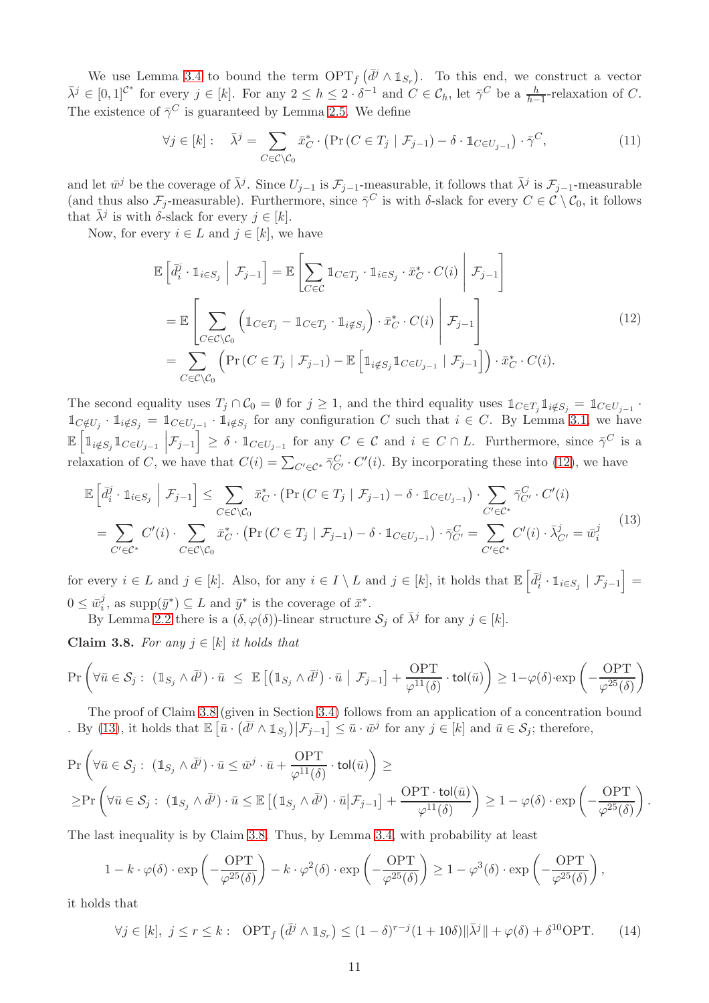We use Lemma [3.4](#page-11-4) to bound the term  $\text{OPT}_f(\bar{d}^j \wedge \mathbb{1}_{S_r})$ . To this end, we construct a vector  $\bar{\lambda}^j \in [0,1]^{C^*}$  for every  $j \in [k]$ . For any  $2 \leq h \leq 2 \cdot \delta^{-1}$  and  $C \in \mathcal{C}_h$ , let  $\bar{\gamma}^C$  be a  $\frac{h}{h-1}$ -relaxation of C. The existence of  $\bar{\gamma}^C$  is guaranteed by Lemma [2.5.](#page-8-3) We define

$$
\forall j \in [k]: \quad \bar{\lambda}^j = \sum_{C \in \mathcal{C} \setminus \mathcal{C}_0} \bar{x}_C^* \cdot (\Pr(C \in T_j \mid \mathcal{F}_{j-1}) - \delta \cdot \mathbb{1}_{C \in U_{j-1}}) \cdot \bar{\gamma}^C,\tag{11}
$$

and let  $\bar{w}^j$  be the coverage of  $\bar{\lambda}^j$ . Since  $U_{j-1}$  is  $\mathcal{F}_{j-1}$ -measurable, it follows that  $\bar{\lambda}^j$  is  $\mathcal{F}_{j-1}$ -measurable (and thus also  $\mathcal{F}_j$ -measurable). Furthermore, since  $\bar{\gamma}^C$  is with  $\delta$ -slack for every  $C \in \mathcal{C} \setminus \mathcal{C}_0$ , it follows that  $\bar{\lambda}^j$  is with  $\delta$ -slack for every  $j \in [k]$ .

Now, for every  $i \in L$  and  $j \in [k]$ , we have

<span id="page-12-0"></span>
$$
\mathbb{E}\left[\bar{d}_{i}^{j} \cdot \mathbb{1}_{i \in S_{j}} \middle| \mathcal{F}_{j-1}\right] = \mathbb{E}\left[\sum_{C \in \mathcal{C}} \mathbb{1}_{C \in T_{j}} \cdot \mathbb{1}_{i \in S_{j}} \cdot \bar{x}_{C}^{*} \cdot C(i) \middle| \mathcal{F}_{j-1}\right]
$$
\n
$$
= \mathbb{E}\left[\sum_{C \in \mathcal{C} \setminus \mathcal{C}_{0}} \left(\mathbb{1}_{C \in T_{j}} - \mathbb{1}_{C \in T_{j}} \cdot \mathbb{1}_{i \notin S_{j}}\right) \cdot \bar{x}_{C}^{*} \cdot C(i) \middle| \mathcal{F}_{j-1}\right]
$$
\n
$$
= \sum_{C \in \mathcal{C} \setminus \mathcal{C}_{0}} \left(\Pr\left(C \in T_{j} \middle| \mathcal{F}_{j-1}\right) - \mathbb{E}\left[\mathbb{1}_{i \notin S_{j}} \mathbb{1}_{C \in U_{j-1}} \middle| \mathcal{F}_{j-1}\right]\right) \cdot \bar{x}_{C}^{*} \cdot C(i).
$$
\n(12)

The second equality uses  $T_j \cap C_0 = \emptyset$  for  $j \geq 1$ , and the third equality uses  $\mathbb{1}_{C \in T_j} \mathbb{1}_{i \notin S_j} = \mathbb{1}_{C \in U_{j-1}}$ .  $1\!\!1_{C\notin U_j}$   $\cdot$   $1_{i\notin S_j}$  =  $1\!\!1_{C\in U_{j-1}}$   $\cdot$   $1_{i\notin S_j}$  for any configuration C such that  $i \in C$ . By Lemma [3.1,](#page-9-3) we have  $\mathbb{E}\left[\mathbb{1}_{i \notin S_j} \mathbb{1}_{C \in U_{j-1}} \middle| \mathcal{F}_{j-1}\right] \geq \delta \cdot \mathbb{1}_{C \in U_{j-1}}$  for any  $C \in \mathcal{C}$  and  $i \in C \cap L$ . Furthermore, since  $\bar{\gamma}^C$  is a I relaxation of C, we have that  $C(i) = \sum_{C' \in \mathcal{C}^*} \bar{\gamma}_{C'}^C \cdot C'(i)$ . By incorporating these into [\(12\)](#page-12-0), we have

<span id="page-12-2"></span>
$$
\mathbb{E}\left[\bar{d}_{i}^{j} \cdot \mathbb{1}_{i \in S_{j}} \middle| \mathcal{F}_{j-1}\right] \leq \sum_{C \in \mathcal{C} \setminus \mathcal{C}_{0}} \bar{x}_{C}^{*} \cdot \left(\Pr\left(C \in T_{j} \middle| \mathcal{F}_{j-1}\right) - \delta \cdot \mathbb{1}_{C \in U_{j-1}}\right) \cdot \sum_{C' \in \mathcal{C}^{*}} \bar{\gamma}_{C'}^{C} \cdot C'(i)
$$
\n
$$
= \sum_{C' \in \mathcal{C}^{*}} C'(i) \cdot \sum_{C \in \mathcal{C} \setminus \mathcal{C}_{0}} \bar{x}_{C}^{*} \cdot \left(\Pr\left(C \in T_{j} \middle| \mathcal{F}_{j-1}\right) - \delta \cdot \mathbb{1}_{C \in U_{j-1}}\right) \cdot \bar{\gamma}_{C'}^{C} = \sum_{C' \in \mathcal{C}^{*}} C'(i) \cdot \bar{\lambda}_{C'}^{j} = \bar{w}_{i}^{j} \tag{13}
$$

for every  $i \in L$  and  $j \in [k]$ . Also, for any  $i \in I \setminus L$  and  $j \in [k]$ , it holds that  $\mathbb{E} \left[ \bar{d}_i^j \right]$  $\left[ \begin{smallmatrix} j & 0 \ i & 1 \end{smallmatrix} \right]_{i \in S_j} \mid \mathcal{F}_{j-1} \Big] =$  $0 \leq \bar{w}_i^j$  $\bar{y}^j$ , as supp $(\bar{y}^*) \subseteq L$  and  $\bar{y}^*$  is the coverage of  $\bar{x}^*$ .

By Lemma [2.2](#page-8-1) there is a  $(\delta, \varphi(\delta))$ -linear structure  $\mathcal{S}_j$  of  $\bar{\lambda}^j$  for any  $j \in [k]$ .

<span id="page-12-1"></span>Claim 3.8. For any  $j \in [k]$  it holds that

$$
\Pr\left(\forall \bar{u} \in \mathcal{S}_j : (\mathbb{1}_{S_j} \wedge \bar{d}^j) \cdot \bar{u} \leq \mathbb{E}\left[ (\mathbb{1}_{S_j} \wedge \bar{d}^j) \cdot \bar{u} \mid \mathcal{F}_{j-1} \right] + \frac{\text{OPT}}{\varphi^{11}(\delta)} \cdot \text{tol}(\bar{u}) \right) \geq 1 - \varphi(\delta) \cdot \exp\left(-\frac{\text{OPT}}{\varphi^{25}(\delta)}\right)
$$

The proof of Claim [3.8](#page-12-1) (given in Section [3.4\)](#page-18-0) follows from an application of a concentration bound . By [\(13\)](#page-12-2), it holds that  $\mathbb{E}\left[\bar{u} \cdot (\bar{d}^j \wedge \mathbb{1}_{S_j}) | \mathcal{F}_{j-1}\right] \leq \bar{u} \cdot \bar{w}^j$  for any  $j \in [k]$  and  $\bar{u} \in \mathcal{S}_j$ ; therefore,

$$
\Pr\left(\forall \bar{u} \in \mathcal{S}_j: (\mathbb{1}_{S_j} \wedge \bar{d}^j) \cdot \bar{u} \le \bar{w}^j \cdot \bar{u} + \frac{\text{OPT}}{\varphi^{11}(\delta)} \cdot \text{tol}(\bar{u})\right) \ge
$$
\n
$$
\ge \Pr\left(\forall \bar{u} \in \mathcal{S}_j: (\mathbb{1}_{S_j} \wedge \bar{d}^j) \cdot \bar{u} \le \mathbb{E}\left[ (\mathbb{1}_{S_j} \wedge \bar{d}^j) \cdot \bar{u} | \mathcal{F}_{j-1} \right] + \frac{\text{OPT} \cdot \text{tol}(\bar{u})}{\varphi^{11}(\delta)} \right) \ge 1 - \varphi(\delta) \cdot \exp\left(-\frac{\text{OPT}}{\varphi^{25}(\delta)}\right)
$$

.

The last inequality is by Claim [3.8.](#page-12-1) Thus, by Lemma [3.4,](#page-11-4) with probability at least

$$
1 - k \cdot \varphi(\delta) \cdot \exp\left(-\frac{\mathrm{OPT}}{\varphi^{25}(\delta)}\right) - k \cdot \varphi^2(\delta) \cdot \exp\left(-\frac{\mathrm{OPT}}{\varphi^{25}(\delta)}\right) \ge 1 - \varphi^3(\delta) \cdot \exp\left(-\frac{\mathrm{OPT}}{\varphi^{25}(\delta)}\right),
$$

it holds that

<span id="page-12-3"></span>
$$
\forall j \in [k], j \le r \le k: \text{ OPT}_f\left(\bar{d}^j \wedge \mathbb{1}_{S_r}\right) \le (1 - \delta)^{r - j} (1 + 10\delta) \|\bar{\lambda}^j\| + \varphi(\delta) + \delta^{10} \text{OPT}.\tag{14}
$$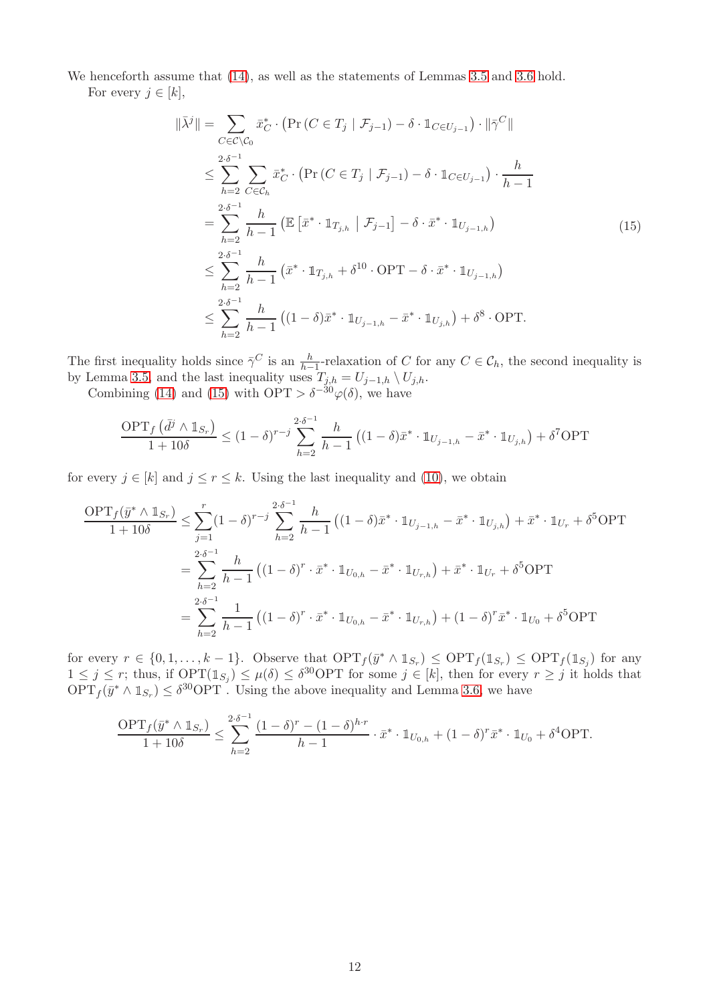We henceforth assume that [\(14\)](#page-12-3), as well as the statements of Lemmas [3.5](#page-11-2) and [3.6](#page-11-3) hold. For every  $j \in [k]$ ,

<span id="page-13-0"></span>
$$
\|\bar{\lambda}^{j}\| = \sum_{C \in \mathcal{C} \setminus \mathcal{C}_{0}} \bar{x}_{C}^{*} \cdot (\Pr(C \in T_{j} \mid \mathcal{F}_{j-1}) - \delta \cdot \mathbb{1}_{C \in U_{j-1}}) \cdot \|\bar{\gamma}^{C}\|
$$
  
\n
$$
\leq \sum_{h=2}^{2 \cdot \delta^{-1}} \sum_{C \in \mathcal{C}_{h}} \bar{x}_{C}^{*} \cdot (\Pr(C \in T_{j} \mid \mathcal{F}_{j-1}) - \delta \cdot \mathbb{1}_{C \in U_{j-1}}) \cdot \frac{h}{h-1}
$$
  
\n
$$
= \sum_{h=2}^{2 \cdot \delta^{-1}} \frac{h}{h-1} (\mathbb{E} [\bar{x}^{*} \cdot \mathbb{1}_{T_{j,h}} \mid \mathcal{F}_{j-1}] - \delta \cdot \bar{x}^{*} \cdot \mathbb{1}_{U_{j-1,h}})
$$
  
\n
$$
\leq \sum_{h=2}^{2 \cdot \delta^{-1}} \frac{h}{h-1} (\bar{x}^{*} \cdot \mathbb{1}_{T_{j,h}} + \delta^{10} \cdot \text{OPT} - \delta \cdot \bar{x}^{*} \cdot \mathbb{1}_{U_{j-1,h}})
$$
  
\n
$$
\leq \sum_{h=2}^{2 \cdot \delta^{-1}} \frac{h}{h-1} ((1 - \delta) \bar{x}^{*} \cdot \mathbb{1}_{U_{j-1,h}} - \bar{x}^{*} \cdot \mathbb{1}_{U_{j,h}}) + \delta^{8} \cdot \text{OPT}.
$$
  
\n(15)

The first inequality holds since  $\bar{\gamma}^C$  is an  $\frac{h}{h-1}$ -relaxation of C for any  $C \in \mathcal{C}_h$ , the second inequality is by Lemma [3.5,](#page-11-2) and the last inequality uses  $T_{j,h} = U_{j-1,h} \setminus U_{j,h}$ .

Combining [\(14\)](#page-12-3) and [\(15\)](#page-13-0) with  $\text{OPT} > \delta^{-30} \varphi(\delta)$ , we have

$$
\frac{\text{OPT}_f\left(\bar{d}^j \wedge \mathbb{1}_{S_r}\right)}{1+10\delta} \le (1-\delta)^{r-j} \sum_{h=2}^{2\cdot \delta^{-1}} \frac{h}{h-1} \left( (1-\delta)\bar{x}^* \cdot \mathbb{1}_{U_{j-1,h}} - \bar{x}^* \cdot \mathbb{1}_{U_{j,h}} \right) + \delta^7 \text{OPT}
$$

for every  $j \in [k]$  and  $j \leq r \leq k$ . Using the last inequality and [\(10\)](#page-11-5), we obtain

$$
\frac{\text{OPT}_f(\bar{y}^* \wedge \mathbb{1}_{S_r})}{1+10\delta} \le \sum_{j=1}^r (1-\delta)^{r-j} \sum_{h=2}^{2\cdot \delta^{-1}} \frac{h}{h-1} \left( (1-\delta)\bar{x}^* \cdot \mathbb{1}_{U_{j-1,h}} - \bar{x}^* \cdot \mathbb{1}_{U_{j,h}} \right) + \bar{x}^* \cdot \mathbb{1}_{U_r} + \delta^5 \text{OPT}
$$
\n
$$
= \sum_{h=2}^{2\cdot \delta^{-1}} \frac{h}{h-1} \left( (1-\delta)^r \cdot \bar{x}^* \cdot \mathbb{1}_{U_{0,h}} - \bar{x}^* \cdot \mathbb{1}_{U_{r,h}} \right) + \bar{x}^* \cdot \mathbb{1}_{U_r} + \delta^5 \text{OPT}
$$
\n
$$
= \sum_{h=2}^{2\cdot \delta^{-1}} \frac{1}{h-1} \left( (1-\delta)^r \cdot \bar{x}^* \cdot \mathbb{1}_{U_{0,h}} - \bar{x}^* \cdot \mathbb{1}_{U_{r,h}} \right) + (1-\delta)^r \bar{x}^* \cdot \mathbb{1}_{U_0} + \delta^5 \text{OPT}
$$

for every  $r \in \{0, 1, \ldots, k-1\}$ . Observe that  $\text{OPT}_f(\bar{y}^* \wedge 1_{S_r}) \leq \text{OPT}_f(1_{S_r}) \leq \text{OPT}_f(1_{S_j})$  for any  $1 \leq j \leq r$ ; thus, if  $\text{OPT}(\mathbb{1}_{S_j}) \leq \mu(\delta) \leq \delta^{30} \text{OPT}$  for some  $j \in [k]$ , then for every  $r \geq j$  it holds that  $OPT_f(\bar{y}^* \wedge 1_{S_r}) \leq \delta^{30} \text{OPT}$ . Using the above inequality and Lemma [3.6,](#page-11-3) we have

$$
\frac{\text{OPT}_f(\bar{y}^* \wedge \mathbb{1}_{S_r})}{1+10\delta} \le \sum_{h=2}^{2\cdot \delta^{-1}} \frac{(1-\delta)^r - (1-\delta)^{h\cdot r}}{h-1} \cdot \bar{x}^* \cdot \mathbb{1}_{U_{0,h}} + (1-\delta)^r \bar{x}^* \cdot \mathbb{1}_{U_0} + \delta^4 \text{OPT}.
$$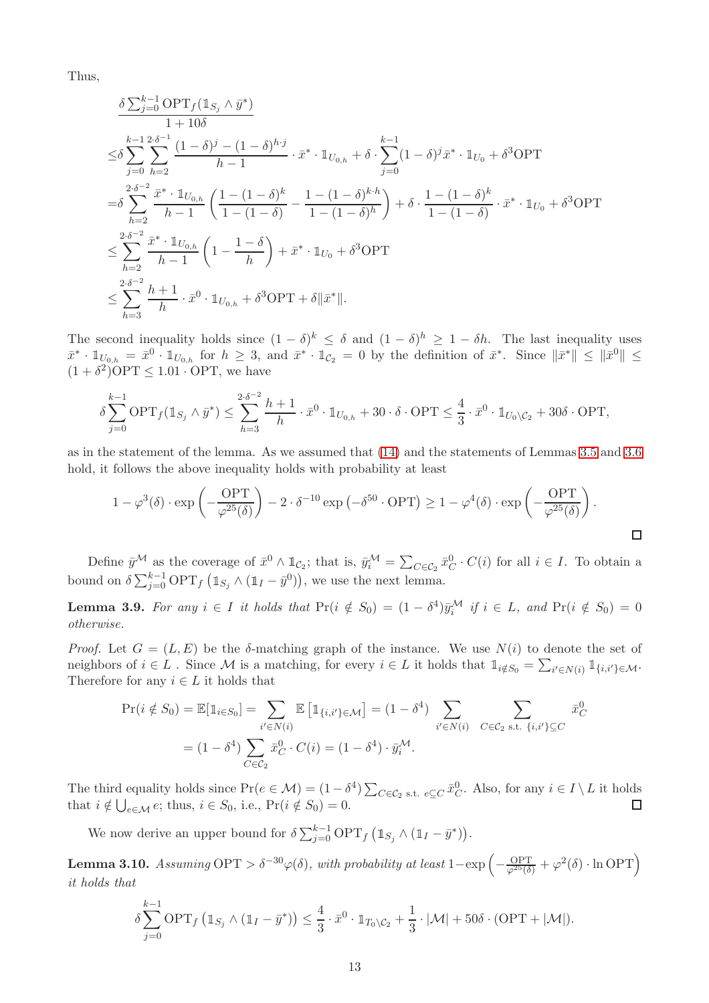Thus,

$$
\frac{\delta \sum_{j=0}^{k-1} \text{OPT}_{f}(\mathbb{1}_{S_{j}} \wedge \bar{y}^{*})}{1 + 10\delta} \n\leq \delta \sum_{j=0}^{k-1} \sum_{h=2}^{2\cdot\delta^{-1}} \frac{(1 - \delta)^{j} - (1 - \delta)^{h \cdot j}}{h - 1} \cdot \bar{x}^{*} \cdot \mathbb{1}_{U_{0,h}} + \delta \cdot \sum_{j=0}^{k-1} (1 - \delta)^{j} \bar{x}^{*} \cdot \mathbb{1}_{U_{0}} + \delta^{3} \text{OPT} \n= \delta \sum_{h=2}^{2\cdot\delta^{-2}} \frac{\bar{x}^{*} \cdot \mathbb{1}_{U_{0,h}}}{h - 1} \left( \frac{1 - (1 - \delta)^{k}}{1 - (1 - \delta)} - \frac{1 - (1 - \delta)^{k \cdot h}}{1 - (1 - \delta)^{h}} \right) + \delta \cdot \frac{1 - (1 - \delta)^{k}}{1 - (1 - \delta)} \cdot \bar{x}^{*} \cdot \mathbb{1}_{U_{0}} + \delta^{3} \text{OPT} \n\leq \sum_{h=2}^{2\cdot\delta^{-2}} \frac{\bar{x}^{*} \cdot \mathbb{1}_{U_{0,h}}}{h - 1} \left( 1 - \frac{1 - \delta}{h} \right) + \bar{x}^{*} \cdot \mathbb{1}_{U_{0}} + \delta^{3} \text{OPT} \n\leq \sum_{h=3}^{2\cdot\delta^{-2}} \frac{h + 1}{h} \cdot \bar{x}^{0} \cdot \mathbb{1}_{U_{0,h}} + \delta^{3} \text{OPT} + \delta ||\bar{x}^{*}||.
$$

The second inequality holds since  $(1 - \delta)^k \leq \delta$  and  $(1 - \delta)^h \geq 1 - \delta h$ . The last inequality uses  $\bar{x}^* \cdot \mathbb{1}_{U_{0,h}} = \bar{x}^0 \cdot \mathbb{1}_{U_{0,h}}$  for  $h \geq 3$ , and  $\bar{x}^* \cdot \mathbb{1}_{\mathcal{C}_2} = 0$  by the definition of  $\bar{x}^*$ . Since  $\|\bar{x}^*\| \leq \|\bar{x}^0\| \leq$  $(1 + \delta^2)$ OPT  $\leq 1.01 \cdot$  OPT, we have

$$
\delta \sum_{j=0}^{k-1} \text{OPT}_f(\mathbb{1}_{S_j} \wedge \bar{y}^*) \le \sum_{h=3}^{2\cdot \delta^{-2}} \frac{h+1}{h} \cdot \bar{x}^0 \cdot \mathbb{1}_{U_{0,h}} + 30 \cdot \delta \cdot \text{OPT} \le \frac{4}{3} \cdot \bar{x}^0 \cdot \mathbb{1}_{U_0 \setminus C_2} + 30\delta \cdot \text{OPT},
$$

as in the statement of the lemma. As we assumed that [\(14\)](#page-12-3) and the statements of Lemmas [3.5](#page-11-2) and [3.6](#page-11-3) hold, it follows the above inequality holds with probability at least

$$
1 - \varphi^3(\delta) \cdot \exp\left(-\frac{\mathcal{O}PT}{\varphi^{25}(\delta)}\right) - 2 \cdot \delta^{-10} \exp\left(-\delta^{50} \cdot \mathcal{O}PT\right) \ge 1 - \varphi^4(\delta) \cdot \exp\left(-\frac{\mathcal{O}PT}{\varphi^{25}(\delta)}\right).
$$

Define  $\bar{y}^{\mathcal{M}}$  as the coverage of  $\bar{x}^0 \wedge \mathbb{1}_{\mathcal{C}_2}$ ; that is,  $\bar{y}_i^{\mathcal{M}} = \sum_{C \in \mathcal{C}_2} \bar{x}_C^0 \cdot C(i)$  for all  $i \in I$ . To obtain a bound on  $\delta \sum_{j=0}^{k-1} \text{OPT}_f \left( \mathbb{1}_{S_j} \wedge (\mathbb{1}_I - \bar{y}^0) \right)$ , we use the next lemma.

<span id="page-14-1"></span>**Lemma 3.9.** For any  $i \in I$  it holds that  $\Pr(i \notin S_0) = (1 - \delta^4)\bar{y}_i^{\mathcal{M}}$  if  $i \in L$ , and  $\Pr(i \notin S_0) = 0$ otherwise.

*Proof.* Let  $G = (L, E)$  be the  $\delta$ -matching graph of the instance. We use  $N(i)$  to denote the set of neighbors of  $i \in L$ . Since M is a matching, for every  $i \in L$  it holds that  $\mathbb{1}_{i \notin S_0} = \sum_{i' \in N(i)} \mathbb{1}_{\{i, i'\} \in \mathcal{M}}$ . Therefore for any  $i \in L$  it holds that

$$
\Pr(i \notin S_0) = \mathbb{E}[\mathbb{1}_{i \in S_0}] = \sum_{i' \in N(i)} \mathbb{E}[\mathbb{1}_{\{i, i'\} \in \mathcal{M}}] = (1 - \delta^4) \sum_{i' \in N(i)} \sum_{C \in C_2 \text{ s.t. } \{i, i'\} \subseteq C} \bar{x}_C^0
$$
  
=  $(1 - \delta^4) \sum_{C \in C_2} \bar{x}_C^0 \cdot C(i) = (1 - \delta^4) \cdot \bar{y}_i^{\mathcal{M}}.$ 

The third equality holds since  $Pr(e \in M) = (1 - \delta^4) \sum_{C \in C_2} E_{\text{c}}$ , Also, for any  $i \in I \setminus L$  it holds that  $i \notin \bigcup_{e \in \mathcal{M}} e$ ; thus,  $i \in S_0$ , i.e.,  $\Pr(i \notin S_0) = 0$ .

We now derive an upper bound for  $\delta \sum_{j=0}^{k-1} \text{OPT}_f \left( \mathbb{1}_{S_j} \wedge (\mathbb{1}_I - \bar{y}^*) \right)$ .

<span id="page-14-0"></span>**Lemma 3.10.** Assuming  $\text{OPT} > \delta^{-30} \varphi(\delta)$ , with probability at least  $1 - \exp \left(-\frac{\text{OPT}}{\varphi^{25}(\delta)} + \varphi^2(\delta) \cdot \ln \text{OPT}\right)$ it holds that

$$
\delta \sum_{j=0}^{k-1} \text{OPT}_f \left( \mathbb{1}_{S_j} \wedge (\mathbb{1}_I - \bar{y}^*) \right) \leq \frac{4}{3} \cdot \bar{x}^0 \cdot \mathbb{1}_{T_0 \setminus C_2} + \frac{1}{3} \cdot |\mathcal{M}| + 50 \delta \cdot (\text{OPT} + |\mathcal{M}|).
$$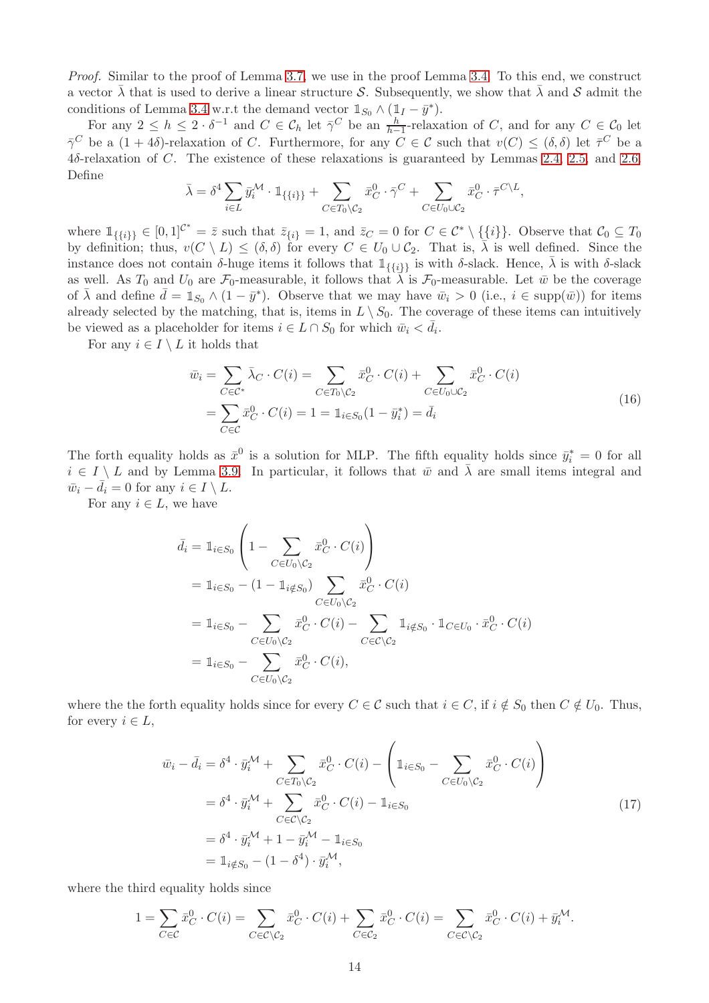Proof. Similar to the proof of Lemma [3.7,](#page-11-0) we use in the proof Lemma [3.4.](#page-11-4) To this end, we construct a vector  $\bar{\lambda}$  that is used to derive a linear structure S. Subsequently, we show that  $\bar{\lambda}$  and S admit the conditions of Lemma [3.4](#page-11-4) w.r.t the demand vector  $\mathbb{1}_{S_0} \wedge (\mathbb{1}_I - \bar{y}^*)$ .

For any  $2 \leq h \leq 2 \cdot \delta^{-1}$  and  $C \in \mathcal{C}_h$  let  $\overline{\gamma}^C$  be an  $\frac{h}{h-1}$ -relaxation of C, and for any  $C \in \mathcal{C}_0$  let  $\bar{\gamma}^C$  be a  $(1+4\delta)$ -relaxation of C. Furthermore, for any  $C \in \mathcal{C}$  such that  $v(C) \leq (\delta, \delta)$  let  $\bar{\tau}^C$  be a 4δ-relaxation of C. The existence of these relaxations is guaranteed by Lemmas [2.4,](#page-8-2) [2.5,](#page-8-3) and [2.6.](#page-8-5) Define

$$
\bar{\lambda} = \delta^4 \sum_{i \in L} \bar{y}_i^{\mathcal{M}} \cdot \mathbbm{1}_{\{\{i\}\}} + \sum_{C \in T_0 \setminus C_2} \bar{x}_C^0 \cdot \bar{\gamma}^C + \sum_{C \in U_0 \cup C_2} \bar{x}_C^0 \cdot \bar{\tau}^{C \setminus L},
$$

where  $\mathbb{1}_{\{\{i\}\}} \in [0,1]^{C^*} = \overline{z}$  such that  $\overline{z}_{\{i\}} = 1$ , and  $\overline{z}_C = 0$  for  $C \in C^* \setminus \{\{i\}\}.$  Observe that  $C_0 \subseteq T_0$ by definition; thus,  $v(C \setminus L) \leq (\delta, \delta)$  for every  $C \in U_0 \cup C_2$ . That is,  $\overline{\lambda}$  is well defined. Since the instance does not contain δ-huge items it follows that  $\mathbb{1}_{\{\{i\}\}}$  is with δ-slack. Hence,  $\lambda$  is with δ-slack as well. As  $T_0$  and  $U_0$  are  $\mathcal{F}_0$ -measurable, it follows that  $\bar{\lambda}$  is  $\mathcal{F}_0$ -measurable. Let  $\bar{w}$  be the coverage of  $\bar{\lambda}$  and define  $\bar{d} = \mathbb{1}_{S_0} \wedge (1 - \bar{y}^*)$ . Observe that we may have  $\bar{w}_i > 0$  (i.e.,  $i \in \text{supp}(\bar{w})$ ) for items already selected by the matching, that is, items in  $L \setminus S_0$ . The coverage of these items can intuitively be viewed as a placeholder for items  $i \in L \cap S_0$  for which  $\bar{w}_i < \bar{d}_i$ .

For any  $i \in I \setminus L$  it holds that

<span id="page-15-0"></span>
$$
\bar{w}_i = \sum_{C \in \mathcal{C}^*} \bar{\lambda}_C \cdot C(i) = \sum_{C \in T_0 \setminus C_2} \bar{x}_C^0 \cdot C(i) + \sum_{C \in U_0 \cup C_2} \bar{x}_C^0 \cdot C(i)
$$
\n
$$
= \sum_{C \in \mathcal{C}} \bar{x}_C^0 \cdot C(i) = 1 = \mathbb{1}_{i \in S_0} (1 - \bar{y}_i^*) = \bar{d}_i
$$
\n(16)

The forth equality holds as  $\bar{x}^0$  is a solution for MLP. The fifth equality holds since  $\bar{y}_i^* = 0$  for all  $i \in I \setminus L$  and by Lemma [3.9.](#page-14-1) In particular, it follows that  $\bar{w}$  and  $\bar{\lambda}$  are small items integral and  $\bar{w}_i - \bar{d}_i = 0$  for any  $i \in I \setminus L$ .

For any  $i \in L$ , we have

$$
\bar{d}_i = \mathbb{1}_{i \in S_0} \left( 1 - \sum_{C \in U_0 \setminus C_2} \bar{x}_C^0 \cdot C(i) \right)
$$
  
\n
$$
= \mathbb{1}_{i \in S_0} - (1 - \mathbb{1}_{i \notin S_0}) \sum_{C \in U_0 \setminus C_2} \bar{x}_C^0 \cdot C(i)
$$
  
\n
$$
= \mathbb{1}_{i \in S_0} - \sum_{C \in U_0 \setminus C_2} \bar{x}_C^0 \cdot C(i) - \sum_{C \in C \setminus C_2} \mathbb{1}_{i \notin S_0} \cdot \mathbb{1}_{C \in U_0} \cdot \bar{x}_C^0 \cdot C(i)
$$
  
\n
$$
= \mathbb{1}_{i \in S_0} - \sum_{C \in U_0 \setminus C_2} \bar{x}_C^0 \cdot C(i),
$$

where the the forth equality holds since for every  $C \in \mathcal{C}$  such that  $i \in C$ , if  $i \notin S_0$  then  $C \notin U_0$ . Thus, for every  $i \in L$ ,

<span id="page-15-1"></span>
$$
\bar{w}_i - \bar{d}_i = \delta^4 \cdot \bar{y}_i^{\mathcal{M}} + \sum_{C \in T_0 \setminus C_2} \bar{x}_C^0 \cdot C(i) - \left( \mathbb{1}_{i \in S_0} - \sum_{C \in U_0 \setminus C_2} \bar{x}_C^0 \cdot C(i) \right)
$$
\n
$$
= \delta^4 \cdot \bar{y}_i^{\mathcal{M}} + \sum_{C \in C \setminus C_2} \bar{x}_C^0 \cdot C(i) - \mathbb{1}_{i \in S_0}
$$
\n
$$
= \delta^4 \cdot \bar{y}_i^{\mathcal{M}} + 1 - \bar{y}_i^{\mathcal{M}} - \mathbb{1}_{i \in S_0}
$$
\n
$$
= \mathbb{1}_{i \notin S_0} - (1 - \delta^4) \cdot \bar{y}_i^{\mathcal{M}},
$$
\n(17)

where the third equality holds since

$$
1 = \sum_{C \in \mathcal{C}} \bar{x}_C^0 \cdot C(i) = \sum_{C \in \mathcal{C} \setminus \mathcal{C}_2} \bar{x}_C^0 \cdot C(i) + \sum_{C \in \mathcal{C}_2} \bar{x}_C^0 \cdot C(i) = \sum_{C \in \mathcal{C} \setminus \mathcal{C}_2} \bar{x}_C^0 \cdot C(i) + \bar{y}_i^{\mathcal{M}}.
$$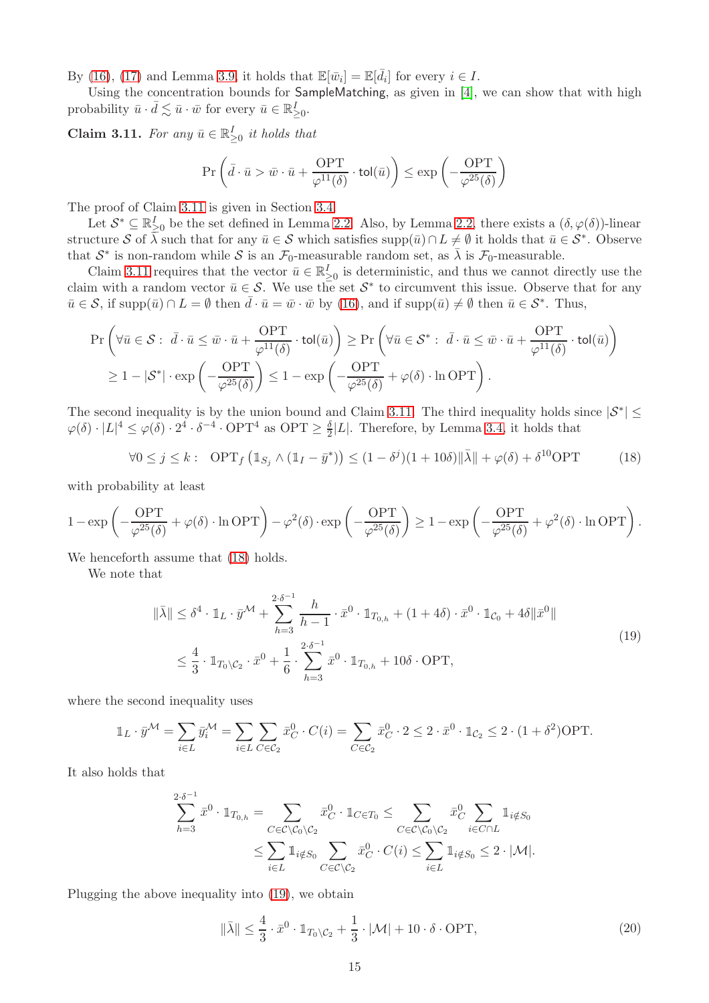By [\(16\)](#page-15-0), [\(17\)](#page-15-1) and Lemma [3.9,](#page-14-1) it holds that  $\mathbb{E}[\bar{w}_i] = \mathbb{E}[\bar{d}_i]$  for every  $i \in I$ .

Using the concentration bounds for SampleMatching, as given in [\[4\]](#page-46-9), we can show that with high probability  $\bar{u} \cdot \bar{d} \lesssim \bar{u} \cdot \bar{w}$  for every  $\bar{u} \in \mathbb{R}^I_{\geq 0}$ .

<span id="page-16-0"></span>**Claim 3.11.** For any  $\bar{u} \in \mathbb{R}^I_{\geq 0}$  it holds that

$$
\Pr\left(\bar{d}\cdot\bar{u} > \bar{w}\cdot\bar{u} + \frac{\text{OPT}}{\varphi^{11}(\delta)}\cdot\text{tol}(\bar{u})\right) \le \exp\left(-\frac{\text{OPT}}{\varphi^{25}(\delta)}\right)
$$

The proof of Claim [3.11](#page-16-0) is given in Section [3.4.](#page-18-0)

Let  $\mathcal{S}^* \subseteq \mathbb{R}_{\geq 0}^I$  be the set defined in Lemma [2.2.](#page-8-1) Also, by Lemma [2.2,](#page-8-1) there exists a  $(\delta, \varphi(\delta))$ -linear structure S of  $\overline{\lambda}$  such that for any  $\overline{u} \in S$  which satisfies supp $(\overline{u}) \cap L \neq \emptyset$  it holds that  $\overline{u} \in S^*$ . Observe that  $S^*$  is non-random while S is an  $\mathcal{F}_0$ -measurable random set, as  $\bar{\lambda}$  is  $\mathcal{F}_0$ -measurable.

Claim [3.11](#page-16-0) requires that the vector  $\bar{u} \in \mathbb{R}_{\geq 0}^I$  is deterministic, and thus we cannot directly use the claim with a random vector  $\bar{u} \in \mathcal{S}$ . We use the set  $\mathcal{S}^*$  to circumvent this issue. Observe that for any  $\bar{u} \in \mathcal{S}$ , if supp $(\bar{u}) \cap L = \emptyset$  then  $\bar{d} \cdot \bar{u} = \bar{w} \cdot \bar{w}$  by [\(16\)](#page-15-0), and if supp $(\bar{u}) \neq \emptyset$  then  $\bar{u} \in \mathcal{S}^*$ . Thus,

$$
\Pr\left(\forall \bar{u} \in \mathcal{S}: \ \bar{d} \cdot \bar{u} \leq \bar{w} \cdot \bar{u} + \frac{\text{OPT}}{\varphi^{11}(\delta)} \cdot \text{tol}(\bar{u})\right) \geq \Pr\left(\forall \bar{u} \in \mathcal{S}^*:\ \bar{d} \cdot \bar{u} \leq \bar{w} \cdot \bar{u} + \frac{\text{OPT}}{\varphi^{11}(\delta)} \cdot \text{tol}(\bar{u})\right) \geq 1 - |\mathcal{S}^*| \cdot \exp\left(-\frac{\text{OPT}}{\varphi^{25}(\delta)}\right) \leq 1 - \exp\left(-\frac{\text{OPT}}{\varphi^{25}(\delta)}\right) + \varphi(\delta) \cdot \ln \text{OPT}\right).
$$

The second inequality is by the union bound and Claim [3.11.](#page-16-0) The third inequality holds since  $|S^*| \leq$  $\varphi(\delta) \cdot |L|^4 \leq \varphi(\delta) \cdot 2^4 \cdot \delta^{-4} \cdot \text{OPT}^4$  as  $\text{OPT} \geq \frac{\delta}{2}$  $\frac{1}{2}|L|$ . Therefore, by Lemma [3.4,](#page-11-4) it holds that

<span id="page-16-1"></span>
$$
\forall 0 \le j \le k: \text{ OPT}_f \left( \mathbb{1}_{S_j} \wedge (\mathbb{1}_I - \bar{y}^*) \right) \le (1 - \delta^j)(1 + 10\delta) \|\bar{\lambda}\| + \varphi(\delta) + \delta^{10} \text{OPT} \tag{18}
$$

with probability at least

$$
1 - \exp\left(-\frac{\mathrm{OPT}}{\varphi^{25}(\delta)} + \varphi(\delta) \cdot \ln \mathrm{OPT}\right) - \varphi^2(\delta) \cdot \exp\left(-\frac{\mathrm{OPT}}{\varphi^{25}(\delta)}\right) \ge 1 - \exp\left(-\frac{\mathrm{OPT}}{\varphi^{25}(\delta)} + \varphi^2(\delta) \cdot \ln \mathrm{OPT}\right).
$$

We henceforth assume that  $(18)$  holds.

We note that

<span id="page-16-2"></span>
$$
\|\bar{\lambda}\| \le \delta^4 \cdot \mathbb{1}_L \cdot \bar{y}^{\mathcal{M}} + \sum_{h=3}^{2 \cdot \delta^{-1}} \frac{h}{h-1} \cdot \bar{x}^0 \cdot \mathbb{1}_{T_{0,h}} + (1+4\delta) \cdot \bar{x}^0 \cdot \mathbb{1}_{\mathcal{C}_0} + 4\delta \|\bar{x}^0\|
$$
  

$$
\le \frac{4}{3} \cdot \mathbb{1}_{T_0 \setminus \mathcal{C}_2} \cdot \bar{x}^0 + \frac{1}{6} \cdot \sum_{h=3}^{2 \cdot \delta^{-1}} \bar{x}^0 \cdot \mathbb{1}_{T_{0,h}} + 10\delta \cdot \text{OPT},
$$
\n(19)

where the second inequality uses

$$
\mathbb{1}_L \cdot \bar{y}^{\mathcal{M}} = \sum_{i \in L} \bar{y}_i^{\mathcal{M}} = \sum_{i \in L} \sum_{C \in \mathcal{C}_2} \bar{x}_C^0 \cdot C(i) = \sum_{C \in \mathcal{C}_2} \bar{x}_C^0 \cdot 2 \le 2 \cdot \bar{x}^0 \cdot \mathbb{1}_{\mathcal{C}_2} \le 2 \cdot (1 + \delta^2) \text{OPT}.
$$

It also holds that

$$
\sum_{h=3}^{2\cdot\delta^{-1}} \bar{x}^0 \cdot \mathbb{1}_{T_{0,h}} = \sum_{C \in \mathcal{C} \setminus \mathcal{C}_0 \setminus \mathcal{C}_2} \bar{x}_C^0 \cdot \mathbb{1}_{C \in T_0} \le \sum_{C \in \mathcal{C} \setminus \mathcal{C}_0 \setminus \mathcal{C}_2} \bar{x}_C^0 \sum_{i \in C \cap L} \mathbb{1}_{i \notin S_0} \le \sum_{i \in L} \mathbb{1}_{i \notin S_0} \sum_{C \in \mathcal{C} \setminus \mathcal{C}_2} \bar{x}_C^0 \cdot C(i) \le \sum_{i \in L} \mathbb{1}_{i \notin S_0} \le 2 \cdot |\mathcal{M}|.
$$

Plugging the above inequality into [\(19\)](#page-16-2), we obtain

<span id="page-16-3"></span>
$$
\|\bar{\lambda}\| \le \frac{4}{3} \cdot \bar{x}^0 \cdot \mathbb{1}_{T_0 \setminus C_2} + \frac{1}{3} \cdot |\mathcal{M}| + 10 \cdot \delta \cdot \text{OPT},\tag{20}
$$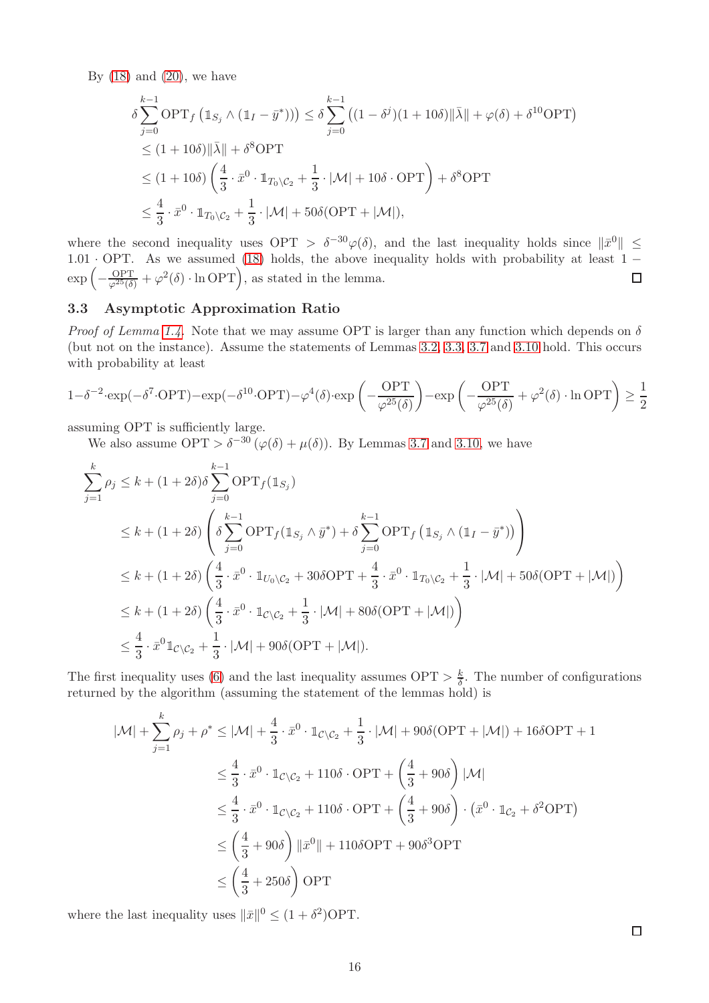By  $(18)$  and  $(20)$ , we have

$$
\delta \sum_{j=0}^{k-1} \text{OPT}_f \left( \mathbb{1}_{S_j} \wedge (\mathbb{1}_I - \bar{y}^*) \right) \le \delta \sum_{j=0}^{k-1} \left( (1 - \delta^j)(1 + 10\delta) \| \bar{\lambda} \| + \varphi(\delta) + \delta^{10} \text{OPT} \right)
$$
  
\n
$$
\le (1 + 10\delta) \| \bar{\lambda} \| + \delta^8 \text{OPT}
$$
  
\n
$$
\le (1 + 10\delta) \left( \frac{4}{3} \cdot \bar{x}^0 \cdot \mathbb{1}_{T_0 \setminus C_2} + \frac{1}{3} \cdot |\mathcal{M}| + 10\delta \cdot \text{OPT} \right) + \delta^8 \text{OPT}
$$
  
\n
$$
\le \frac{4}{3} \cdot \bar{x}^0 \cdot \mathbb{1}_{T_0 \setminus C_2} + \frac{1}{3} \cdot |\mathcal{M}| + 50\delta(\text{OPT} + |\mathcal{M}|),
$$

where the second inequality uses  $\text{OPT} > \delta^{-30} \varphi(\delta)$ , and the last inequality holds since  $\|\bar{x}^0\| \leq$  $1.01 \cdot \text{OPT}$ . As we assumed [\(18\)](#page-16-1) holds, the above inequality holds with probability at least  $1 \exp\left(-\frac{\text{OPT}}{\varphi^{25}(\delta)} + \varphi^2(\delta) \cdot \ln \text{OPT}\right)$ , as stated in the lemma.  $\Box$ 

#### <span id="page-17-0"></span>3.3 Asymptotic Approximation Ratio

*Proof of Lemma [1.4.](#page-6-4)* Note that we may assume OPT is larger than any function which depends on  $\delta$ (but not on the instance). Assume the statements of Lemmas [3.2,](#page-9-4) [3.3,](#page-9-5) [3.7](#page-11-0) and [3.10](#page-14-0) hold. This occurs with probability at least

$$
1 - \delta^{-2} \cdot \exp(-\delta^7 \cdot \text{OPT}) - \exp(-\delta^{10} \cdot \text{OPT}) - \varphi^4(\delta) \cdot \exp\left(-\frac{\text{OPT}}{\varphi^{25}(\delta)}\right) - \exp\left(-\frac{\text{OPT}}{\varphi^{25}(\delta)} + \varphi^2(\delta) \cdot \ln \text{OPT}\right) \ge \frac{1}{2}
$$

assuming OPT is sufficiently large.

We also assume  $\text{OPT} > \delta^{-30} (\varphi(\delta) + \mu(\delta))$ . By Lemmas [3.7](#page-11-0) and [3.10,](#page-14-0) we have

$$
\sum_{j=1}^{k} \rho_j \le k + (1+2\delta)\delta \sum_{j=0}^{k-1} \text{OPT}_f(\mathbb{1}_{S_j})
$$
\n
$$
\le k + (1+2\delta) \left( \delta \sum_{j=0}^{k-1} \text{OPT}_f(\mathbb{1}_{S_j} \wedge \bar{y}^*) + \delta \sum_{j=0}^{k-1} \text{OPT}_f(\mathbb{1}_{S_j} \wedge (\mathbb{1}_I - \bar{y}^*)) \right)
$$
\n
$$
\le k + (1+2\delta) \left( \frac{4}{3} \cdot \bar{x}^0 \cdot \mathbb{1}_{U_0 \setminus C_2} + 30\delta \text{OPT} + \frac{4}{3} \cdot \bar{x}^0 \cdot \mathbb{1}_{T_0 \setminus C_2} + \frac{1}{3} \cdot |\mathcal{M}| + 50\delta(\text{OPT} + |\mathcal{M}|) \right)
$$
\n
$$
\le k + (1+2\delta) \left( \frac{4}{3} \cdot \bar{x}^0 \cdot \mathbb{1}_{C \setminus C_2} + \frac{1}{3} \cdot |\mathcal{M}| + 80\delta(\text{OPT} + |\mathcal{M}|) \right)
$$
\n
$$
\le \frac{4}{3} \cdot \bar{x}^0 \mathbb{1}_{C \setminus C_2} + \frac{1}{3} \cdot |\mathcal{M}| + 90\delta(\text{OPT} + |\mathcal{M}|).
$$

The first inequality uses [\(6\)](#page-10-1) and the last inequality assumes  $\text{OPT} > \frac{k}{\delta}$  $\frac{k}{\delta}$ . The number of configurations returned by the algorithm (assuming the statement of the lemmas hold) is

$$
|\mathcal{M}| + \sum_{j=1}^{k} \rho_j + \rho^* \le |\mathcal{M}| + \frac{4}{3} \cdot \bar{x}^0 \cdot \mathbb{1}_{\mathcal{C} \setminus \mathcal{C}_2} + \frac{1}{3} \cdot |\mathcal{M}| + 90\delta(\text{OPT} + |\mathcal{M}|) + 16\delta\text{OPT} + 1
$$
  
\n
$$
\le \frac{4}{3} \cdot \bar{x}^0 \cdot \mathbb{1}_{\mathcal{C} \setminus \mathcal{C}_2} + 110\delta \cdot \text{OPT} + \left(\frac{4}{3} + 90\delta\right) |\mathcal{M}|
$$
  
\n
$$
\le \frac{4}{3} \cdot \bar{x}^0 \cdot \mathbb{1}_{\mathcal{C} \setminus \mathcal{C}_2} + 110\delta \cdot \text{OPT} + \left(\frac{4}{3} + 90\delta\right) \cdot (\bar{x}^0 \cdot \mathbb{1}_{\mathcal{C}_2} + \delta^2 \text{OPT})
$$
  
\n
$$
\le \left(\frac{4}{3} + 90\delta\right) \|\bar{x}^0\| + 110\delta\text{OPT} + 90\delta^3\text{OPT}
$$
  
\n
$$
\le \left(\frac{4}{3} + 250\delta\right) \text{OPT}
$$

where the last inequality uses  $\|\bar{x}\|^0 \leq (1 + \delta^2) \text{OPT}$ .

 $\Box$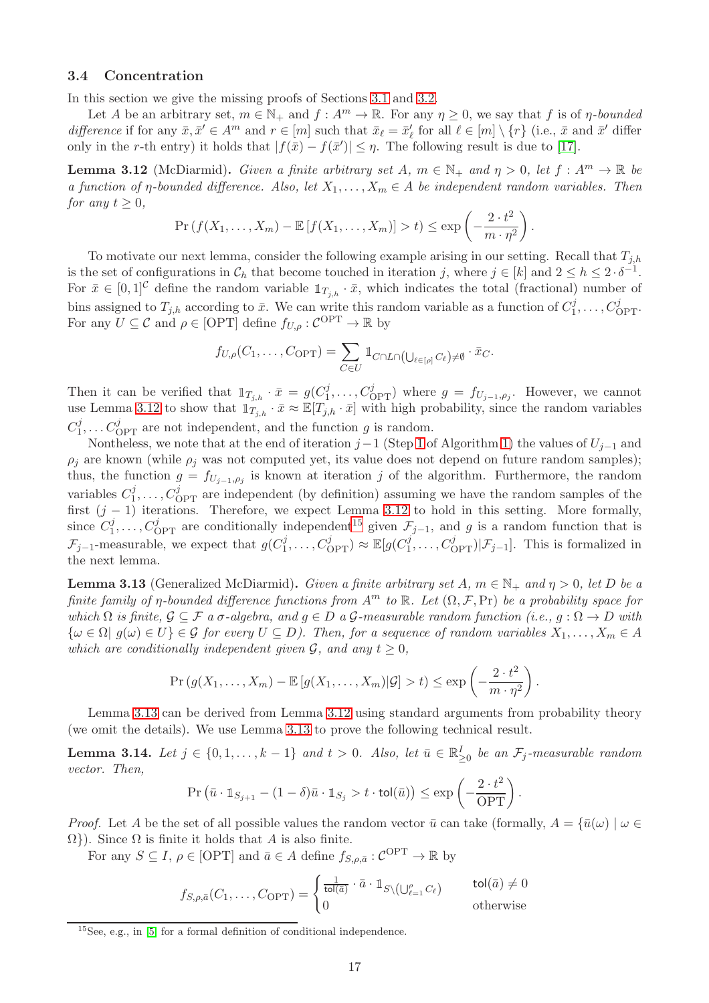#### <span id="page-18-0"></span>3.4 Concentration

In this section we give the missing proofs of Sections [3.1](#page-9-1) and [3.2.](#page-10-0)

Let A be an arbitrary set,  $m \in \mathbb{N}_+$  and  $f : A^m \to \mathbb{R}$ . For any  $\eta \geq 0$ , we say that f is of  $\eta$ -bounded difference if for any  $\bar{x}, \bar{x}' \in A^m$  and  $r \in [m]$  such that  $\bar{x}_\ell = \bar{x}'_\ell$  for all  $\ell \in [m] \setminus \{r\}$  (i.e.,  $\bar{x}$  and  $\bar{x}'$  differ only in the r-th entry) it holds that  $|f(\bar{x}) - f(\bar{x}')| \leq \eta$ . The following result is due to [\[17\]](#page-47-11).

<span id="page-18-1"></span>**Lemma 3.12** (McDiarmid). Given a finite arbitrary set A,  $m \in \mathbb{N}_+$  and  $\eta > 0$ , let  $f : A^m \to \mathbb{R}$  be a function of  $\eta$ -bounded difference. Also, let  $X_1, \ldots, X_m \in A$  be independent random variables. Then for any  $t > 0$ ,

$$
\Pr(f(X_1,\ldots,X_m)-\mathbb{E}[f(X_1,\ldots,X_m)]>t)\leq \exp\left(-\frac{2\cdot t^2}{m\cdot\eta^2}\right).
$$

To motivate our next lemma, consider the following example arising in our setting. Recall that  $T_{j,h}$ is the set of configurations in  $\mathcal{C}_h$  that become touched in iteration j, where  $j \in [k]$  and  $2 \leq h \leq 2 \cdot \delta^{-1}$ . For  $\bar{x} \in [0,1]^{\mathcal{C}}$  define the random variable  $\mathbb{1}_{T_{i,h}} \cdot \bar{x}$ , which indicates the total (fractional) number of bins assigned to  $T_{j,h}$  according to  $\bar{x}$ . We can write this random variable as a function of  $C_1^j$  $I_1^j, \ldots, C_{\text{OPT}}^j$ . For any  $U \subseteq \mathcal{C}$  and  $\rho \in [\text{OPT}]$  define  $f_{U,\rho}: \mathcal{C}^{\text{OPT}} \to \mathbb{R}$  by

$$
f_{U,\rho}(C_1,\ldots,C_{\text{OPT}})=\sum_{C\in U} \mathbb{1}_{C\cap L\cap(\bigcup_{\ell\in[\rho]}C_{\ell})\neq\emptyset}\cdot \bar{x}_C.
$$

Then it can be verified that  $1\!\!1_{T_{j,h}} \cdot \bar{x} = g(C_1^j)$  $j_1^j, \ldots, C_{\text{OPT}}^j$  where  $g = f_{U_{j-1}, \rho_j}$ . However, we cannot use Lemma [3.12](#page-18-1) to show that  $\mathbb{1}_{T_{j,h}} \cdot \bar{x} \approx \mathbb{E}[T_{j,h} \cdot \bar{x}]$  with high probability, since the random variables  $C_1^j$  $C_{\text{OPT}}^j$  are not independent, and the function g is random.

Nontheless, we note that at the end of iteration  $j-1$  (Step [1](#page-4-4) of Algorithm [1\)](#page-4-0) the values of  $U_{j-1}$  and  $\rho_i$  are known (while  $\rho_i$  was not computed yet, its value does not depend on future random samples); thus, the function  $g = f_{U_{j-1},\rho_j}$  is known at iteration j of the algorithm. Furthermore, the random variables  $C_1^j$  $I_1^j, \ldots, C_{\text{OPT}}^j$  are independent (by definition) assuming we have the random samples of the first  $(j - 1)$  iterations. Therefore, we expect Lemma [3.12](#page-18-1) to hold in this setting. More formally, since  $C_1^j$  $I_1^j, \ldots, C_{\text{OPT}}^j$  are conditionally independent<sup>[15](#page-18-2)</sup> given  $\mathcal{F}_{j-1}$ , and g is a random function that is  $\mathcal{F}_{j-1}$ -measurable, we expect that  $g(C_1^j)$  $\mathcal{C}_{\text{OPT}}^j$ )  $\approx \mathbb{E}[g(C_1^j)]$  $\mathcal{L}_1^j, \ldots, C_{\text{OPT}}^j | \mathcal{F}_{j-1}].$  This is formalized in the next lemma.

<span id="page-18-3"></span>**Lemma 3.13** (Generalized McDiarmid). Given a finite arbitrary set A,  $m \in \mathbb{N}_+$  and  $\eta > 0$ , let D be a finite family of η-bounded difference functions from  $A^m$  to  $\mathbb R$ . Let  $(\Omega, \mathcal F, \Pr)$  be a probability space for which  $\Omega$  is finite,  $\mathcal{G} \subseteq \mathcal{F}$  a  $\sigma$ -algebra, and  $g \in D$  a  $\mathcal{G}$ -measurable random function (i.e.,  $g : \Omega \to D$  with  ${\omega \in \Omega \mid g(\omega) \in U} \in \mathcal{G}$  for every  $U \subseteq D$ ). Then, for a sequence of random variables  $X_1, \ldots, X_m \in A$ which are conditionally independent given  $\mathcal{G}$ , and any  $t \geq 0$ ,

$$
\Pr(g(X_1,\ldots,X_m)-\mathbb{E}[g(X_1,\ldots,X_m)|\mathcal{G}]>t)\leq \exp\left(-\frac{2\cdot t^2}{m\cdot\eta^2}\right).
$$

Lemma [3.13](#page-18-3) can be derived from Lemma [3.12](#page-18-1) using standard arguments from probability theory (we omit the details). We use Lemma [3.13](#page-18-3) to prove the following technical result.

<span id="page-18-4"></span>**Lemma 3.14.** Let  $j \in \{0, 1, \ldots, k-1\}$  and  $t > 0$ . Also, let  $\bar{u} \in \mathbb{R}_{\geq 0}^I$  be an  $\mathcal{F}_j$ -measurable random vector. Then,

$$
\Pr\left(\bar{u}\cdot \mathbb{1}_{S_{j+1}} - (1-\delta)\bar{u}\cdot \mathbb{1}_{S_j} > t \cdot \text{tol}(\bar{u})\right) \le \exp\left(-\frac{2\cdot t^2}{\text{OPT}}\right).
$$

*Proof.* Let A be the set of all possible values the random vector  $\bar{u}$  can take (formally,  $A = {\bar{u}(\omega) \mid \omega \in \mathbb{R}^n}$  $\Omega$ ). Since  $\Omega$  is finite it holds that A is also finite.

For any  $S \subseteq I$ ,  $\rho \in [OPT]$  and  $\bar{a} \in A$  define  $f_{S,\rho,\bar{a}} : C^{\text{OPT}} \to \mathbb{R}$  by

$$
f_{S,\rho,\bar{a}}(C_1,\ldots,C_{\text{OPT}}) = \begin{cases} \frac{1}{\text{tol}(\bar{a})} \cdot \bar{a} \cdot \mathbb{1}_{S \setminus (\bigcup_{\ell=1}^{\rho} C_{\ell})} & \text{tol}(\bar{a}) \neq 0\\ 0 & \text{otherwise} \end{cases}
$$

<span id="page-18-2"></span> $15$ See, e.g., in [\[5\]](#page-46-10) for a formal definition of conditional independence.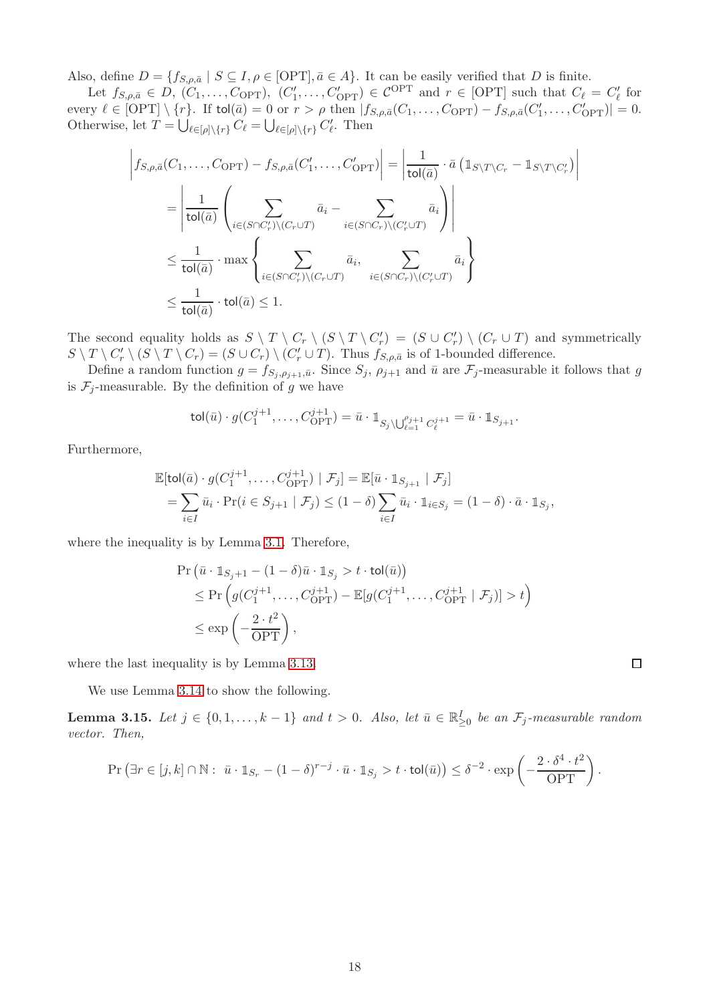Also, define  $D = \{f_{S,\rho,\bar{a}} \mid S \subseteq I, \rho \in \text{[OPT]}, \bar{a} \in A\}$ . It can be easily verified that D is finite.

Let  $f_{S,\rho,\bar{a}} \in D$ ,  $(C_1,\ldots,C_{\text{OPT}})$ ,  $(C'_1,\ldots,C'_{\text{OPT}}) \in \mathcal{C}^{\text{OPT}}$  and  $r \in [\text{OPT}]$  such that  $C_\ell = C'_\ell$  for every  $\ell \in [\text{OPT}] \setminus \{r\}$ . If tol $(\bar{a}) = 0$  or  $r > \rho$  then  $|f_{S,\rho,\bar{a}}(C_1,\ldots,C_{\text{OPT}}) - f_{S,\rho,\bar{a}}(C'_1,\ldots,C'_{\text{OPT}})| = 0$ . Otherwise, let  $T = \bigcup_{\ell \in [\rho] \setminus \{r\}} C_{\ell} = \bigcup_{\ell \in [\rho] \setminus \{r\}} C_{\ell}'$ . Then

$$
\begin{split}\n\left| f_{S,\rho,\bar{a}}(C_1,\ldots,C_{\text{OPT}}) - f_{S,\rho,\bar{a}}(C'_1,\ldots,C'_{\text{OPT}}) \right| &= \left| \frac{1}{\text{tol}(\bar{a})} \cdot \bar{a} \left( \mathbb{1}_{S \setminus T \setminus C_r} - \mathbb{1}_{S \setminus T \setminus C'_r} \right) \right| \\
&= \left| \frac{1}{\text{tol}(\bar{a})} \left( \sum_{i \in (S \cap C'_r) \setminus (C_r \cup T)} \bar{a}_i - \sum_{i \in (S \cap C_r) \setminus (C'_r \cup T)} \bar{a}_i \right) \right| \\
&\leq \frac{1}{\text{tol}(\bar{a})} \cdot \max \left\{ \sum_{i \in (S \cap C'_r) \setminus (C_r \cup T)} \bar{a}_i, \sum_{i \in (S \cap C_r) \setminus (C'_r \cup T)} \bar{a}_i \right\} \\
&\leq \frac{1}{\text{tol}(\bar{a})} \cdot \text{tol}(\bar{a}) \leq 1.\n\end{split}
$$

The second equality holds as  $S \setminus T \setminus C_r \setminus (S \setminus T \setminus C'_r) = (S \cup C'_r) \setminus (C_r \cup T)$  and symmetrically  $S \setminus T \setminus C'_r \setminus (S \setminus T \setminus C_r) = (S \cup C_r) \setminus (C'_r \cup T)$ . Thus  $f_{S,\rho,\bar{a}}$  is of 1-bounded difference.

Define a random function  $g = f_{S_i, \rho_{i+1}, \bar{u}}$ . Since  $S_j$ ,  $\rho_{j+1}$  and  $\bar{u}$  are  $\mathcal{F}_j$ -measurable it follows that g is  $\mathcal{F}_j$ -measurable. By the definition of g we have

$$
\mathsf{tol}(\bar{u}) \cdot g(C_1^{j+1}, \dots, C_{\text{OPT}}^{j+1}) = \bar{u} \cdot \mathbb{1}_{S_j \setminus \bigcup_{\ell=1}^{\rho_{j+1}} C_{\ell}^{j+1}} = \bar{u} \cdot \mathbb{1}_{S_{j+1}}.
$$

Furthermore,

$$
\mathbb{E}[\text{tol}(\bar{a}) \cdot g(C_1^{j+1}, \dots, C_{\text{OPT}}^{j+1}) \mid \mathcal{F}_j] = \mathbb{E}[\bar{u} \cdot \mathbb{1}_{S_{j+1}} \mid \mathcal{F}_j]
$$
\n
$$
= \sum_{i \in I} \bar{u}_i \cdot \Pr(i \in S_{j+1} \mid \mathcal{F}_j) \le (1 - \delta) \sum_{i \in I} \bar{u}_i \cdot \mathbb{1}_{i \in S_j} = (1 - \delta) \cdot \bar{a} \cdot \mathbb{1}_{S_j},
$$

where the inequality is by Lemma [3.1.](#page-9-3) Therefore,

$$
\begin{aligned} &\Pr\left(\bar{u}\cdot\mathbb{1}_{S_j+1}-(1-\delta)\bar{u}\cdot\mathbb{1}_{S_j}>t\cdot\text{tol}(\bar{u})\right)\\ &\leq\Pr\left(g(C_1^{j+1},\ldots,C_{\text{OPT}}^{j+1})-\mathbb{E}[g(C_1^{j+1},\ldots,C_{\text{OPT}}^{j+1}\mid\mathcal{F}_j)]>t\right)\\ &\leq\exp\left(-\frac{2\cdot t^2}{\text{OPT}}\right),\end{aligned}
$$

where the last inequality is by Lemma [3.13.](#page-18-3)

We use Lemma [3.14](#page-18-4) to show the following.

<span id="page-19-0"></span>**Lemma 3.15.** Let  $j \in \{0, 1, \ldots, k-1\}$  and  $t > 0$ . Also, let  $\bar{u} \in \mathbb{R}_{\geq 0}^I$  be an  $\mathcal{F}_j$ -measurable random vector. Then,

$$
\Pr\left(\exists r \in [j,k] \cap \mathbb{N}: \ \bar{u} \cdot \mathbb{1}_{S_r} - (1-\delta)^{r-j} \cdot \bar{u} \cdot \mathbb{1}_{S_j} > t \cdot \text{tol}(\bar{u})\right) \leq \delta^{-2} \cdot \exp\left(-\frac{2 \cdot \delta^4 \cdot t^2}{\text{OPT}}\right).
$$

 $\Box$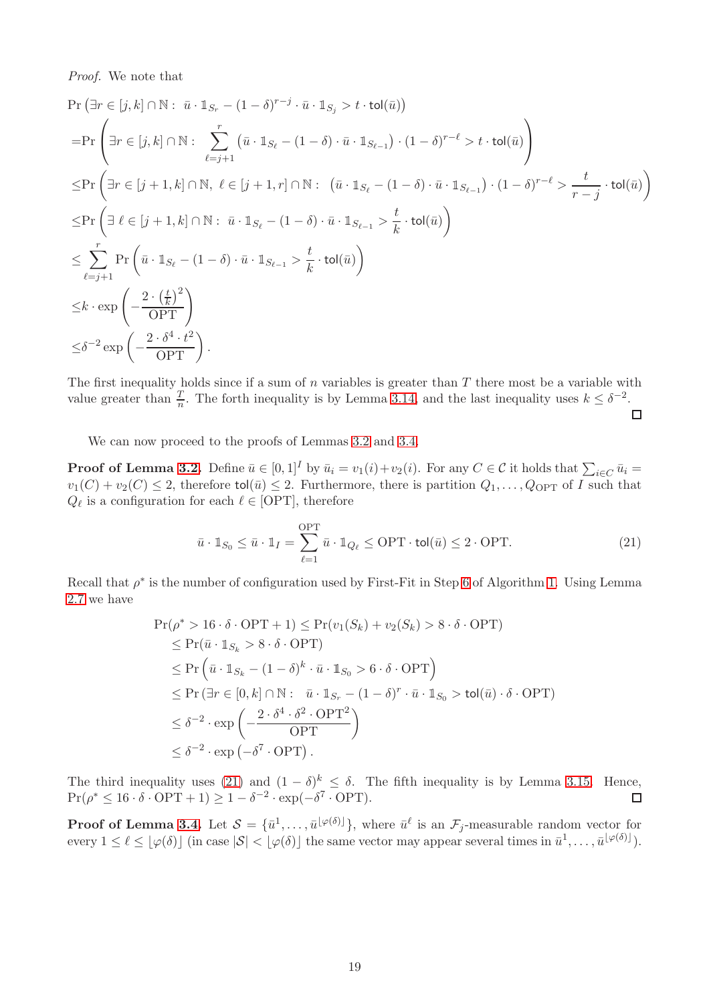Proof. We note that

$$
\Pr\left(\exists r \in [j,k] \cap \mathbb{N}: \ \bar{u} \cdot \mathbb{1}_{S_r} - (1-\delta)^{r-j} \cdot \bar{u} \cdot \mathbb{1}_{S_j} > t \cdot \text{tol}(\bar{u})\right)
$$
\n
$$
= \Pr\left(\exists r \in [j,k] \cap \mathbb{N}: \ \sum_{\ell=j+1}^{r} \left(\bar{u} \cdot \mathbb{1}_{S_\ell} - (1-\delta) \cdot \bar{u} \cdot \mathbb{1}_{S_{\ell-1}}\right) \cdot (1-\delta)^{r-\ell} > t \cdot \text{tol}(\bar{u})\right)
$$
\n
$$
\leq \Pr\left(\exists r \in [j+1,k] \cap \mathbb{N}, \ \ell \in [j+1,r] \cap \mathbb{N}: \ \left(\bar{u} \cdot \mathbb{1}_{S_\ell} - (1-\delta) \cdot \bar{u} \cdot \mathbb{1}_{S_{\ell-1}}\right) \cdot (1-\delta)^{r-\ell} > \frac{t}{r-j} \cdot \text{tol}(\bar{u})\right)
$$
\n
$$
\leq \Pr\left(\exists \ \ell \in [j+1,k] \cap \mathbb{N}: \ \bar{u} \cdot \mathbb{1}_{S_\ell} - (1-\delta) \cdot \bar{u} \cdot \mathbb{1}_{S_{\ell-1}} > \frac{t}{k} \cdot \text{tol}(\bar{u})\right)
$$
\n
$$
\leq \sum_{\ell=j+1}^{r} \Pr\left(\bar{u} \cdot \mathbb{1}_{S_\ell} - (1-\delta) \cdot \bar{u} \cdot \mathbb{1}_{S_{\ell-1}} > \frac{t}{k} \cdot \text{tol}(\bar{u})\right)
$$
\n
$$
\leq k \cdot \exp\left(-\frac{2 \cdot \left(\frac{t}{k}\right)^2}{\text{OPT}}\right)
$$
\n
$$
\leq \delta^{-2} \exp\left(-\frac{2 \cdot \delta^4 \cdot t^2}{\text{OPT}}\right).
$$

The first inequality holds since if a sum of  $n$  variables is greater than  $T$  there most be a variable with value greater than  $\frac{T}{n}$ . The forth inequality is by Lemma [3.14,](#page-18-4) and the last inequality uses  $k \leq \delta^{-2}$ .

 $\Box$ 

We can now proceed to the proofs of Lemmas [3.2](#page-9-4) and [3.4.](#page-11-4)

**Proof of Lemma [3.2.](#page-9-4)** Define  $\bar{u} \in [0,1]^I$  by  $\bar{u}_i = v_1(i) + v_2(i)$ . For any  $C \in \mathcal{C}$  it holds that  $\sum_{i \in C} \bar{u}_i =$  $v_1(C) + v_2(C) \leq 2$ , therefore tol( $\overline{u}$ )  $\leq 2$ . Furthermore, there is partition  $Q_1, \ldots, Q_{\text{OPT}}$  of I such that  $Q_{\ell}$  is a configuration for each  $\ell \in$  [OPT], therefore

<span id="page-20-0"></span>
$$
\bar{u} \cdot \mathbb{1}_{S_0} \le \bar{u} \cdot \mathbb{1}_I = \sum_{\ell=1}^{\text{OPT}} \bar{u} \cdot \mathbb{1}_{Q_\ell} \le \text{OPT} \cdot \text{tol}(\bar{u}) \le 2 \cdot \text{OPT}.\tag{21}
$$

Recall that  $\rho^*$  is the number of configuration used by First-Fit in Step [6](#page-4-2) of Algorithm [1.](#page-4-0) Using Lemma [2.7](#page-8-6) we have

$$
\Pr(\rho^* > 16 \cdot \delta \cdot \text{OPT} + 1) \le \Pr(v_1(S_k) + v_2(S_k) > 8 \cdot \delta \cdot \text{OPT})
$$
  
\n
$$
\le \Pr(\bar{u} \cdot 1_{S_k} > 8 \cdot \delta \cdot \text{OPT})
$$
  
\n
$$
\le \Pr(\bar{u} \cdot 1_{S_k} - (1 - \delta)^k \cdot \bar{u} \cdot 1_{S_0} > 6 \cdot \delta \cdot \text{OPT})
$$
  
\n
$$
\le \Pr(\exists r \in [0, k] \cap \mathbb{N}: \bar{u} \cdot 1_{S_r} - (1 - \delta)^r \cdot \bar{u} \cdot 1_{S_0} > \text{tol}(\bar{u}) \cdot \delta \cdot \text{OPT})
$$
  
\n
$$
\le \delta^{-2} \cdot \exp\left(-\frac{2 \cdot \delta^4 \cdot \delta^2 \cdot \text{OPT}^2}{\text{OPT}}\right)
$$
  
\n
$$
\le \delta^{-2} \cdot \exp(-\delta^7 \cdot \text{OPT}).
$$

The third inequality uses [\(21\)](#page-20-0) and  $(1 - \delta)^k \leq \delta$ . The fifth inequality is by Lemma [3.15.](#page-19-0) Hence,  $Pr(\rho^* \le 16 \cdot \delta \cdot \text{OPT} + 1) \ge 1 - \delta^{-2} \cdot \exp(-\delta^7 \cdot \text{OPT}).$  $\Box$ 

**Proof of Lemma [3.4.](#page-11-4)** Let  $S = {\bar{u}}^1, \ldots, {\bar{u}}^{[\varphi(\delta)]},$  where  ${\bar{u}}^{\ell}$  is an  $\mathcal{F}_j$ -measurable random vector for every  $1 \leq \ell \leq |\varphi(\delta)| \text{ (in case } |\mathcal{S}| < |\varphi(\delta)| \text{ the same vector may appear several times in } \bar{u}^1, \ldots, \bar{u}^{\lfloor \varphi(\delta) \rfloor}).$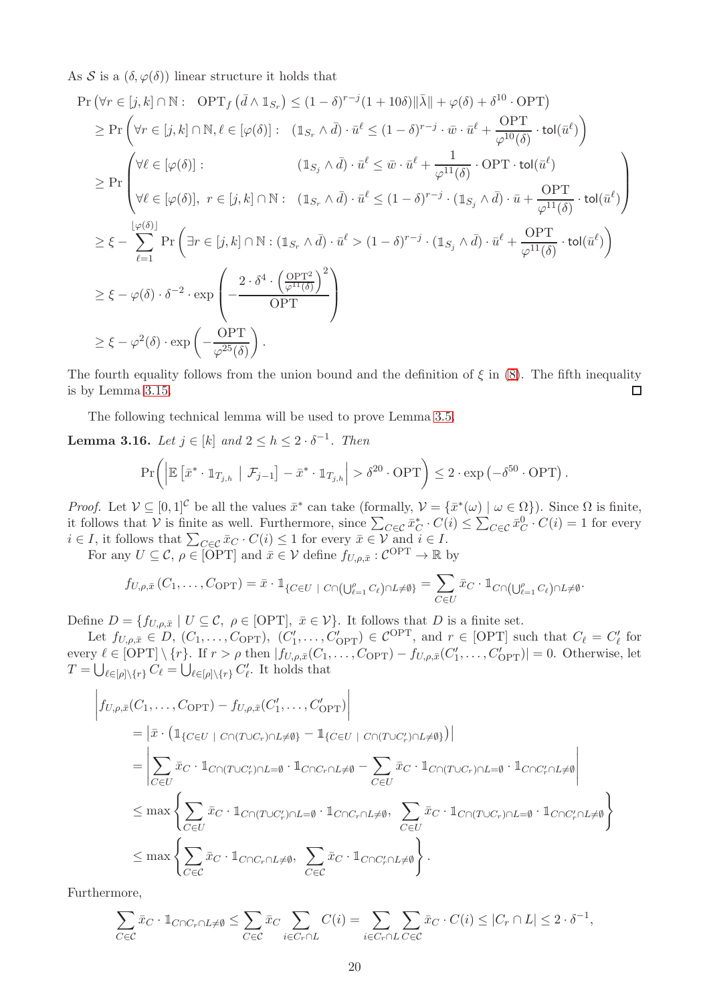As S is a  $(\delta, \varphi(\delta))$  linear structure it holds that

$$
\Pr\left(\forall r \in [j,k] \cap \mathbb{N}: \text{ OPT}_{f}(\bar{d} \wedge \mathbb{1}_{S_{r}}) \leq (1-\delta)^{r-j}(1+10\delta) \|\bar{\lambda}\| + \varphi(\delta) + \delta^{10} \cdot \text{OPT}\right)
$$
\n
$$
\geq \Pr\left(\forall r \in [j,k] \cap \mathbb{N}, \ell \in [\varphi(\delta)]: \left(\mathbb{1}_{S_{r}} \wedge \bar{d}\right) \cdot \bar{u}^{\ell} \leq (1-\delta)^{r-j} \cdot \bar{w} \cdot \bar{u}^{\ell} + \frac{\text{OPT}}{\varphi^{10}(\delta)} \cdot \text{tol}(\bar{u}^{\ell})\right)
$$
\n
$$
\geq \Pr\left(\forall \ell \in [\varphi(\delta)]: \left(\mathbb{1}_{S_{j}} \wedge \bar{d}\right) \cdot \bar{u}^{\ell} \leq \bar{w} \cdot \bar{u}^{\ell} + \frac{1}{\varphi^{11}(\delta)} \cdot \text{OPT} \cdot \text{tol}(\bar{u}^{\ell})\right)
$$
\n
$$
\geq \Pr\left(\forall \ell \in [\varphi(\delta)], \ r \in [j,k] \cap \mathbb{N}: \left(\mathbb{1}_{S_{r}} \wedge \bar{d}\right) \cdot \bar{u}^{\ell} \leq (1-\delta)^{r-j} \cdot (\mathbb{1}_{S_{j}} \wedge \bar{d}) \cdot \bar{u} + \frac{\text{OPT}}{\varphi^{11}(\delta)} \cdot \text{tol}(\bar{u}^{\ell})\right)
$$
\n
$$
\geq \xi - \sum_{\ell=1}^{\lfloor \varphi(\delta) \rfloor} \Pr\left(\exists r \in [j,k] \cap \mathbb{N}: \left(\mathbb{1}_{S_{r}} \wedge \bar{d}\right) \cdot \bar{u}^{\ell} > (1-\delta)^{r-j} \cdot (\mathbb{1}_{S_{j}} \wedge \bar{d}) \cdot \bar{u}^{\ell} + \frac{\text{OPT}}{\varphi^{11}(\delta)} \cdot \text{tol}(\bar{u}^{\ell})\right)
$$
\n
$$
\geq \xi - \varphi(\delta) \cdot \delta^{-2} \cdot \exp\left(-\frac{2 \cdot \delta^{4} \cdot \left(\frac{\text{OPT}^{2}}{\varphi^{11}(\delta)}\right)^{2}}{\text{OPT
$$

The fourth equality follows from the union bound and the definition of  $\xi$  in [\(8\)](#page-11-1). The fifth inequality is by Lemma [3.15.](#page-19-0)  $\Box$ 

The following technical lemma will be used to prove Lemma [3.5.](#page-11-2)

<span id="page-21-0"></span>**Lemma 3.16.** Let  $j \in [k]$  and  $2 \le h \le 2 \cdot \delta^{-1}$ . Then

$$
\Pr\bigg(\Big|\mathbb{E}\left[\bar{x}^* \cdot \mathbb{1}_{T_{j,h}} \Big| \mathcal{F}_{j-1}\right] - \bar{x}^* \cdot \mathbb{1}_{T_{j,h}}\Big| > \delta^{20} \cdot \text{OPT}\bigg) \leq 2 \cdot \exp\left(-\delta^{50} \cdot \text{OPT}\right).
$$

*Proof.* Let  $V \subseteq [0,1]^{\mathcal{C}}$  be all the values  $\bar{x}^*$  can take (formally,  $V = {\bar{x}^*(\omega) \mid \omega \in \Omega}$ ). Since  $\Omega$  is finite, it follows that V is finite as well. Furthermore, since  $\sum_{C \in \mathcal{C}} \bar{x}_C^* \cdot C(i) \leq \sum_{C \in \mathcal{C}} \bar{x}_C^0 \cdot C(i) = 1$  for every  $i \in I$ , it follows that  $\sum_{C \in \mathcal{C}} \bar{x}_C \cdot C(i) \leq 1$  for every  $\bar{x} \in \mathcal{V}$  and  $i \in I$ .

For any  $U \subseteq \mathcal{C}, \rho \in \text{[OPT]}$  and  $\bar{x} \in \mathcal{V}$  define  $f_{U,\rho,\bar{x}}: \mathcal{C}^{\text{OPT}} \to \mathbb{R}$  by

$$
f_{U,\rho,\bar{x}}(C_1,\ldots,C_{\text{OPT}})=\bar{x}\cdot \mathbb{1}_{\{C\in U\ |\ C\cap(\bigcup_{\ell=1}^{\rho}C_{\ell})\cap L\neq\emptyset\}}=\sum_{C\in U}\bar{x}_{C}\cdot \mathbb{1}_{C\cap(\bigcup_{\ell=1}^{\rho}C_{\ell})\cap L\neq\emptyset}.
$$

Define  $D = \{f_{U,\rho,\bar{x}} \mid U \subseteq \mathcal{C}, \ \rho \in [\text{OPT}], \ \bar{x} \in \mathcal{V}\}\$ . It follows that D is a finite set.

Let  $f_{U,\rho,\bar{x}} \in D$ ,  $(C_1,\ldots,C_{\text{OPT}})$ ,  $(C'_1,\ldots,C'_{\text{OPT}}) \in \mathcal{C}^{\text{OPT}}$ , and  $r \in [\text{OPT}]$  such that  $C_\ell = C'_\ell$  for every  $\ell \in [OPT] \setminus \{r\}$ . If  $r > \rho$  then  $|f_{U,\rho,\bar{x}}(C_1,\ldots,C_{\text{OPT}}) - f_{U,\rho,\bar{x}}(C'_1,\ldots,C'_{\text{OPT}})| = 0$ . Otherwise, let  $T = \bigcup_{\ell \in [\rho] \backslash \{r\}} C_{\ell} = \bigcup_{\ell \in [\rho] \backslash \{r\}} C_{\ell}'$ . It holds that

$$
\begin{split}\n&\left|f_{U,\rho,\bar{x}}(C_1,\ldots,C_{\text{OPT}})-f_{U,\rho,\bar{x}}(C'_1,\ldots,C'_{\text{OPT}})\right| \\
&= \left|\bar{x}\cdot\left(\mathbb{1}_{\{C\in U\ |\ C\cap(T\cup C_r)\cap L\neq\emptyset\}}-\mathbb{1}_{\{C\in U\ |\ C\cap(T\cup C'_r)\cap L\neq\emptyset\}}\right)\right| \\
&= \left|\sum_{C\in U}\bar{x}_C\cdot\mathbb{1}_{C\cap(T\cup C'_r)\cap L=\emptyset}\cdot\mathbb{1}_{C\cap C_r\cap L\neq\emptyset}-\sum_{C\in U}\bar{x}_C\cdot\mathbb{1}_{C\cap(T\cup C_r)\cap L=\emptyset}\cdot\mathbb{1}_{C\cap C'_r\cap L\neq\emptyset}\right| \\
&\leq \max\left\{\sum_{C\in U}\bar{x}_C\cdot\mathbb{1}_{C\cap(T\cup C'_r)\cap L=\emptyset}\cdot\mathbb{1}_{C\cap C_r\cap L\neq\emptyset},\sum_{C\in U}\bar{x}_C\cdot\mathbb{1}_{C\cap(T\cup C_r)\cap L=\emptyset}\cdot\mathbb{1}_{C\cap C'_r\cap L\neq\emptyset}\right\} \\
&\leq \max\left\{\sum_{C\in C}\bar{x}_C\cdot\mathbb{1}_{C\cap C_r\cap L\neq\emptyset},\sum_{C\in C}\bar{x}_C\cdot\mathbb{1}_{C\cap C'_r\cap L\neq\emptyset}\right\}.\n\end{split}
$$

Furthermore,

$$
\sum_{C \in \mathcal{C}} \bar{x}_C \cdot \mathbb{1}_{C \cap C_r \cap L \neq \emptyset} \le \sum_{C \in \mathcal{C}} \bar{x}_C \sum_{i \in C_r \cap L} C(i) = \sum_{i \in C_r \cap L} \sum_{C \in \mathcal{C}} \bar{x}_C \cdot C(i) \le |C_r \cap L| \le 2 \cdot \delta^{-1},
$$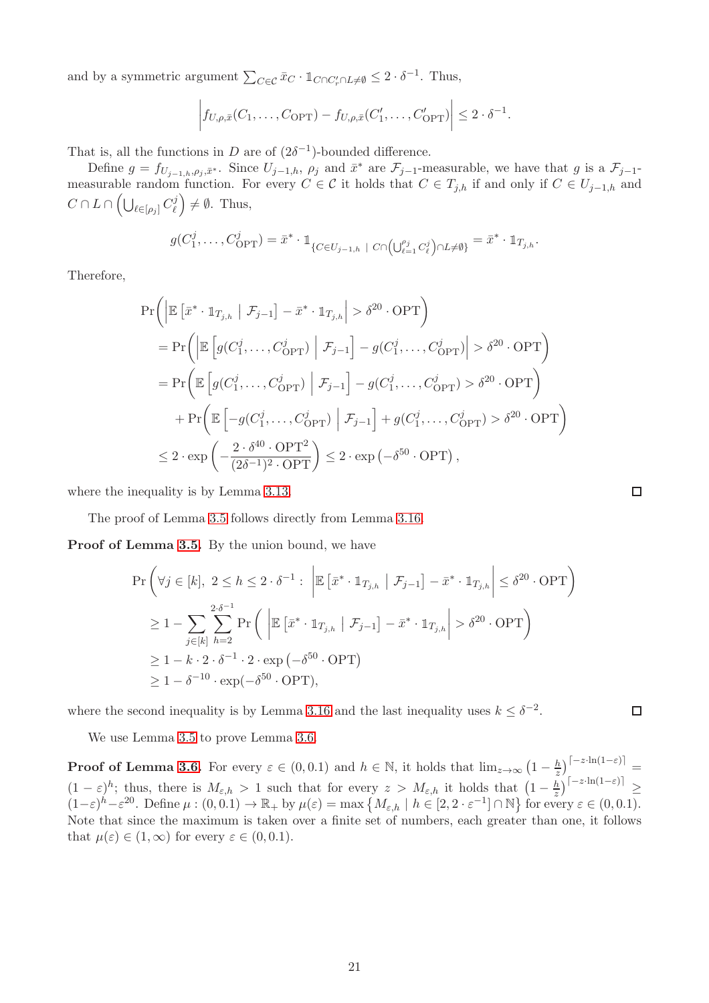and by a symmetric argument  $\sum_{C \in \mathcal{C}} \bar{x}_{C} \cdot \mathbb{1}_{C \cap C'_{r} \cap L \neq \emptyset} \leq 2 \cdot \delta^{-1}$ . Thus,

$$
\left|f_{U,\rho,\bar{x}}(C_1,\ldots,C_{\text{OPT}})-f_{U,\rho,\bar{x}}(C'_1,\ldots,C'_{\text{OPT}})\right|\leq 2\cdot\delta^{-1}.
$$

That is, all the functions in D are of  $(2\delta^{-1})$ -bounded difference.

Define  $g = f_{U_{j-1,h},\rho_j,\bar{x}^*}$ . Since  $U_{j-1,h}, \rho_j$  and  $\bar{x}^*$  are  $\mathcal{F}_{j-1}$ -measurable, we have that g is a  $\mathcal{F}_{j-1}$ measurable random function. For every  $C \in \mathcal{C}$  it holds that  $C \in T_{j,h}$  if and only if  $C \in U_{j-1,h}$  and  $C\cap L\cap\left(\bigcup_{\ell\in[\rho_j]}C^j_\ell\right)$  $(\ell)$   $\neq$  0. Thus,

$$
g(C_1^j,\ldots,C_{\text{OPT}}^j) = \bar{x}^* \cdot \mathbb{1}_{\{C \in U_{j-1,h} \; | \; C \cap \left(\bigcup_{\ell=1}^{\rho_j} C_{\ell}^j\right) \cap L \neq \emptyset\}} = \bar{x}^* \cdot \mathbb{1}_{T_{j,h}}.
$$

Therefore,

$$
\Pr\left(\left|\mathbb{E}\left[\bar{x}^* \cdot \mathbb{1}_{T_{j,h}} \middle| \mathcal{F}_{j-1}\right] - \bar{x}^* \cdot \mathbb{1}_{T_{j,h}}\right| > \delta^{20} \cdot \text{OPT}\right)\right)
$$
\n
$$
= \Pr\left(\left|\mathbb{E}\left[g(C_1^j, \dots, C_{\text{OPT}}^j) \middle| \mathcal{F}_{j-1}\right] - g(C_1^j, \dots, C_{\text{OPT}}^j)\right| > \delta^{20} \cdot \text{OPT}\right)
$$
\n
$$
= \Pr\left(\mathbb{E}\left[g(C_1^j, \dots, C_{\text{OPT}}^j) \middle| \mathcal{F}_{j-1}\right] - g(C_1^j, \dots, C_{\text{OPT}}^j) > \delta^{20} \cdot \text{OPT}\right)
$$
\n
$$
+ \Pr\left(\mathbb{E}\left[-g(C_1^j, \dots, C_{\text{OPT}}^j) \middle| \mathcal{F}_{j-1}\right] + g(C_1^j, \dots, C_{\text{OPT}}^j) > \delta^{20} \cdot \text{OPT}\right)
$$
\n
$$
\leq 2 \cdot \exp\left(-\frac{2 \cdot \delta^{40} \cdot \text{OPT}^2}{(2\delta^{-1})^2 \cdot \text{OPT}}\right) \leq 2 \cdot \exp\left(-\delta^{50} \cdot \text{OPT}\right),
$$

where the inequality is by Lemma [3.13.](#page-18-3)

The proof of Lemma [3.5](#page-11-2) follows directly from Lemma [3.16.](#page-21-0)

Proof of Lemma [3.5.](#page-11-2) By the union bound, we have

$$
\Pr\left(\forall j \in [k], 2 \le h \le 2 \cdot \delta^{-1} : \left| \mathbb{E}\left[\bar{x}^* \cdot \mathbb{1}_{T_{j,h}} \mid \mathcal{F}_{j-1}\right] - \bar{x}^* \cdot \mathbb{1}_{T_{j,h}} \right| \le \delta^{20} \cdot \text{OPT}\right)
$$
\n
$$
\ge 1 - \sum_{j \in [k]} \sum_{h=2}^{2\cdot \delta^{-1}} \Pr\left(\left| \mathbb{E}\left[\bar{x}^* \cdot \mathbb{1}_{T_{j,h}} \mid \mathcal{F}_{j-1}\right] - \bar{x}^* \cdot \mathbb{1}_{T_{j,h}} \right| > \delta^{20} \cdot \text{OPT}\right)
$$
\n
$$
\ge 1 - k \cdot 2 \cdot \delta^{-1} \cdot 2 \cdot \exp(-\delta^{50} \cdot \text{OPT})
$$
\n
$$
\ge 1 - \delta^{-10} \cdot \exp(-\delta^{50} \cdot \text{OPT}),
$$

where the second inequality is by Lemma [3.16](#page-21-0) and the last inequality uses  $k \leq \delta^{-2}$ .

We use Lemma [3.5](#page-11-2) to prove Lemma [3.6.](#page-11-3)

**Proof of Lemma [3.6.](#page-11-3)** For every  $\varepsilon \in (0, 0.1)$  and  $h \in \mathbb{N}$ , it holds that  $\lim_{z \to \infty} \left(1 - \frac{h}{z}\right)^{\left\lceil -z \cdot \ln(1-\varepsilon) \right\rceil} =$  $(1-\varepsilon)^h$ ; thus, there is  $M_{\varepsilon,h} > 1$  such that for every  $z > M_{\varepsilon,h}$  it holds that  $\left(1-\frac{h}{z}\right)$  $\frac{h}{z}\Big)^{\lceil-z\cdot \ln(1-\varepsilon)\rceil}\geq$  $(1-\varepsilon)^h-\varepsilon^{20}$ . Define  $\mu:(0,0.1) \to \mathbb{R}_+$  by  $\mu(\varepsilon) = \max\{M_{\varepsilon,h} \mid h \in [2,2 \cdot \varepsilon^{-1}] \cap \mathbb{N}\}\)$  for every  $\varepsilon \in (0,0.1)$ . Note that since the maximum is taken over a finite set of numbers, each greater than one, it follows that  $\mu(\varepsilon) \in (1,\infty)$  for every  $\varepsilon \in (0,0.1)$ .

 $\Box$ 

 $\Box$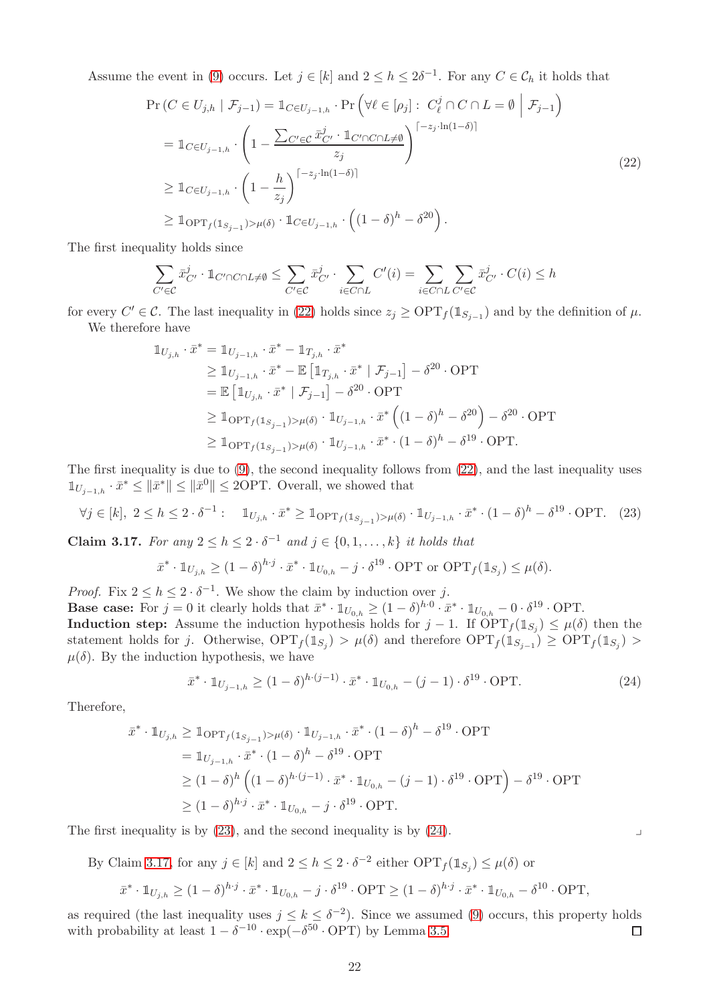Assume the event in [\(9\)](#page-11-6) occurs. Let  $j \in [k]$  and  $2 \leq h \leq 2\delta^{-1}$ . For any  $C \in \mathcal{C}_h$  it holds that

<span id="page-23-0"></span>
$$
\Pr(C \in U_{j,h} \mid \mathcal{F}_{j-1}) = \mathbb{1}_{C \in U_{j-1,h}} \cdot \Pr\left(\forall \ell \in [p_j] : C_{\ell}^j \cap C \cap L = \emptyset \middle| \mathcal{F}_{j-1}\right)
$$
\n
$$
= \mathbb{1}_{C \in U_{j-1,h}} \cdot \left(1 - \frac{\sum_{C' \in C} \bar{x}_{C'}^j \cdot \mathbb{1}_{C' \cap C \cap L \neq \emptyset}}{z_j}\right)^{[-z_j \cdot \ln(1-\delta)]}
$$
\n
$$
\geq \mathbb{1}_{C \in U_{j-1,h}} \cdot \left(1 - \frac{h}{z_j}\right)^{[-z_j \cdot \ln(1-\delta)]}
$$
\n
$$
\geq \mathbb{1}_{\text{OPT}_f(\mathbb{1}_{S_{j-1}}) > \mu(\delta)} \cdot \mathbb{1}_{C \in U_{j-1,h}} \cdot \left((1-\delta)^h - \delta^{20}\right).
$$
\n(22)

The first inequality holds since

$$
\sum_{C' \in \mathcal{C}} \bar{x}_{C'}^j \cdot \mathbb{1}_{C' \cap C \cap L \neq \emptyset} \le \sum_{C' \in \mathcal{C}} \bar{x}_{C'}^j \cdot \sum_{i \in C \cap L} C'(i) = \sum_{i \in C \cap L} \sum_{C' \in \mathcal{C}} \bar{x}_{C'}^j \cdot C(i) \le h
$$

for every  $C' \in \mathcal{C}$ . The last inequality in [\(22\)](#page-23-0) holds since  $z_j \ge \text{OPT}_f(\mathbb{1}_{S_{j-1}})$  and by the definition of  $\mu$ . We therefore have

$$
\begin{aligned} \mathbb{1}_{U_{j,h}} \cdot \bar{x}^* &= \mathbb{1}_{U_{j-1,h}} \cdot \bar{x}^* - \mathbb{1}_{T_{j,h}} \cdot \bar{x}^* \\ &\geq \mathbb{1}_{U_{j-1,h}} \cdot \bar{x}^* - \mathbb{E} \left[ \mathbb{1}_{T_{j,h}} \cdot \bar{x}^* \mid \mathcal{F}_{j-1} \right] - \delta^{20} \cdot \text{OPT} \\ &= \mathbb{E} \left[ \mathbb{1}_{U_{j,h}} \cdot \bar{x}^* \mid \mathcal{F}_{j-1} \right] - \delta^{20} \cdot \text{OPT} \\ &\geq \mathbb{1}_{\text{OPT}_f(\mathbb{1}_{S_{j-1}}) > \mu(\delta)} \cdot \mathbb{1}_{U_{j-1,h}} \cdot \bar{x}^* \left( (1-\delta)^h - \delta^{20} \right) - \delta^{20} \cdot \text{OPT} \\ &\geq \mathbb{1}_{\text{OPT}_f(\mathbb{1}_{S_{j-1}}) > \mu(\delta)} \cdot \mathbb{1}_{U_{j-1,h}} \cdot \bar{x}^* \cdot (1-\delta)^h - \delta^{19} \cdot \text{OPT}. \end{aligned}
$$

The first inequality is due to [\(9\)](#page-11-6), the second inequality follows from [\(22\)](#page-23-0), and the last inequality uses  $1\!\!1_{U_{j-1,h}} \cdot \bar{x}^* \leq \|\bar{x}^*\| \leq \|\bar{x}^0\| \leq 2\text{OPT}$ . Overall, we showed that

<span id="page-23-1"></span>
$$
\forall j \in [k], 2 \le h \le 2 \cdot \delta^{-1}: \quad \mathbb{1}_{U_{j,h}} \cdot \bar{x}^* \ge \mathbb{1}_{\text{OPT}_f(\mathbb{1}_{S_{j-1}}) > \mu(\delta)} \cdot \mathbb{1}_{U_{j-1,h}} \cdot \bar{x}^* \cdot (1-\delta)^h - \delta^{19} \cdot \text{OPT}. \tag{23}
$$

<span id="page-23-3"></span>**Claim 3.17.** For any  $2 \leq h \leq 2 \cdot \delta^{-1}$  and  $j \in \{0, 1, \ldots, k\}$  it holds that

$$
\bar{x}^* \cdot \mathbb{1}_{U_{j,h}} \ge (1-\delta)^{h \cdot j} \cdot \bar{x}^* \cdot \mathbb{1}_{U_{0,h}} - j \cdot \delta^{19} \cdot \text{OPT or OPT}_{f}(\mathbb{1}_{S_j}) \le \mu(\delta).
$$

*Proof.* Fix  $2 \leq h \leq 2 \cdot \delta^{-1}$ . We show the claim by induction over j.

**Base case:** For  $j = 0$  it clearly holds that  $\bar{x}^* \cdot \mathbb{1}_{U_{0,h}} \geq (1 - \delta)^{h \cdot 0} \cdot \bar{x}^* \cdot \mathbb{1}_{U_{0,h}} - 0 \cdot \delta^{19} \cdot \text{OPT}$ .

**Induction step:** Assume the induction hypothesis holds for  $j-1$ . If  $\text{OPT}_f(\mathbb{1}_{S_j}) \leq \mu(\delta)$  then the statement holds for j. Otherwise,  $\text{OPT}_f(\mathbb{1}_{S_j}) > \mu(\delta)$  and therefore  $\text{OPT}_f(\mathbb{1}_{S_{j-1}}) \geq \text{OPT}_f(\mathbb{1}_{S_j}) >$  $\mu(\delta)$ . By the induction hypothesis, we have

<span id="page-23-2"></span>
$$
\bar{x}^* \cdot \mathbb{1}_{U_{j-1,h}} \ge (1-\delta)^{h \cdot (j-1)} \cdot \bar{x}^* \cdot \mathbb{1}_{U_{0,h}} - (j-1) \cdot \delta^{19} \cdot \text{OPT}.
$$
\n(24)

Therefore,

$$
\bar{x}^* \cdot \mathbb{1}_{U_{j,h}} \geq \mathbb{1}_{\text{OPT}_f(\mathbb{1}_{S_{j-1}}) > \mu(\delta)} \cdot \mathbb{1}_{U_{j-1,h}} \cdot \bar{x}^* \cdot (1-\delta)^h - \delta^{19} \cdot \text{OPT}
$$
\n
$$
= \mathbb{1}_{U_{j-1,h}} \cdot \bar{x}^* \cdot (1-\delta)^h - \delta^{19} \cdot \text{OPT}
$$
\n
$$
\geq (1-\delta)^h \left( (1-\delta)^{h \cdot (j-1)} \cdot \bar{x}^* \cdot \mathbb{1}_{U_{0,h}} - (j-1) \cdot \delta^{19} \cdot \text{OPT} \right) - \delta^{19} \cdot \text{OPT}
$$
\n
$$
\geq (1-\delta)^{h \cdot j} \cdot \bar{x}^* \cdot \mathbb{1}_{U_{0,h}} - j \cdot \delta^{19} \cdot \text{OPT}.
$$

The first inequality is by  $(23)$ , and the second inequality is by  $(24)$ .

By Claim [3.17,](#page-23-3) for any  $j \in [k]$  and  $2 \leq h \leq 2 \cdot \delta^{-2}$  either  $\text{OPT}_f(\mathbb{1}_{S_j}) \leq \mu(\delta)$  or

$$
\bar{x}^* \cdot \mathbb{1}_{U_{j,h}} \ge (1-\delta)^{h \cdot j} \cdot \bar{x}^* \cdot \mathbb{1}_{U_{0,h}} - j \cdot \delta^{19} \cdot \text{OPT} \ge (1-\delta)^{h \cdot j} \cdot \bar{x}^* \cdot \mathbb{1}_{U_{0,h}} - \delta^{10} \cdot \text{OPT},
$$

as required (the last inequality uses  $j \leq k \leq \delta^{-2}$ ). Since we assumed [\(9\)](#page-11-6) occurs, this property holds with probability at least  $1 - \delta^{-10} \cdot \exp(-\delta^{50} \cdot \text{OPT})$  by Lemma [3.5.](#page-11-2)  $\Box$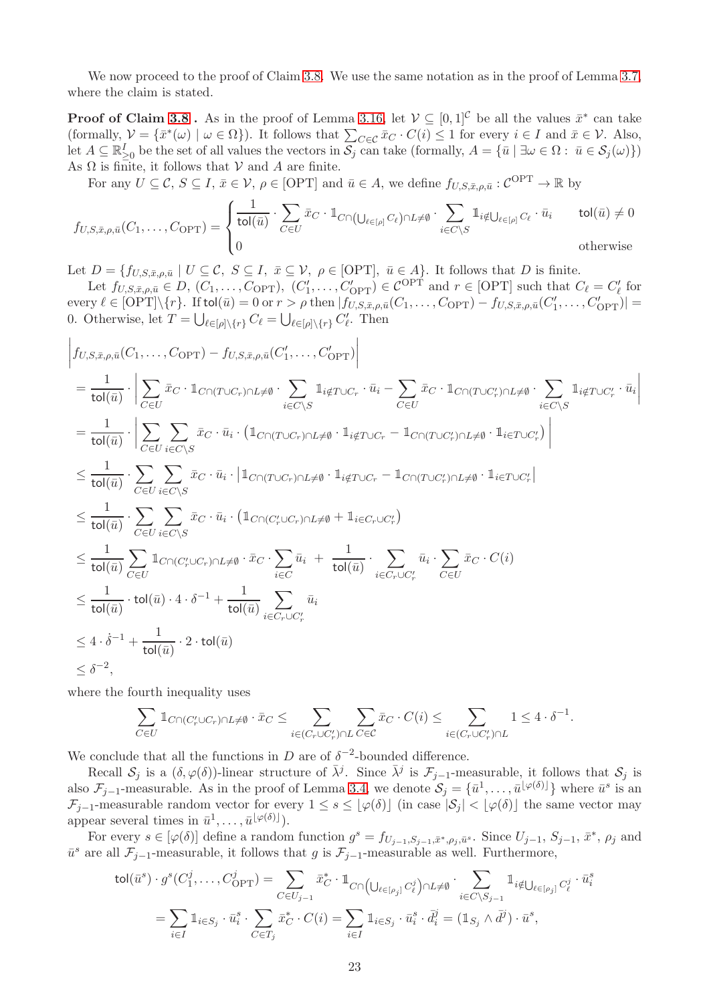We now proceed to the proof of Claim [3.8.](#page-12-1) We use the same notation as in the proof of Lemma [3.7,](#page-11-0) where the claim is stated.

**Proof of Claim [3.8](#page-12-1)**. As in the proof of Lemma [3.16,](#page-21-0) let  $V \subseteq [0,1]^C$  be all the values  $\bar{x}^*$  can take (formally,  $\mathcal{V} = \{\bar{x}^*(\omega) \mid \omega \in \Omega\}$ ). It follows that  $\sum_{C \in \mathcal{C}} \bar{x}_C \cdot C(i) \leq 1$  for every  $i \in I$  and  $\bar{x} \in \mathcal{V}$ . Also, let  $A \subseteq \mathbb{R}_{\geq 0}^I$  be the set of all values the vectors in  $\mathcal{S}_j$  can take (formally,  $A = {\overline{u} \mid \exists \omega \in \Omega : \overline{u} \in \mathcal{S}_j(\omega)}$ ) As  $\Omega$  is finite, it follows that  $\mathcal V$  and  $\Lambda$  are finite.

For any  $U \subseteq \mathcal{C}$ ,  $S \subseteq I$ ,  $\bar{x} \in \mathcal{V}$ ,  $\rho \in [\text{OPT}]$  and  $\bar{u} \in A$ , we define  $f_{U,S,\bar{x},\rho,\bar{u}} : \mathcal{C}^{\text{OPT}} \to \mathbb{R}$  by

$$
f_{U,S,\bar{x},\rho,\bar{u}}(C_1,\ldots,C_{\text{OPT}}) = \begin{cases} \frac{1}{\text{tol}(\bar{u})} \cdot \sum_{C \in U} \bar{x}_C \cdot \mathbb{1}_{C \cap (\bigcup_{\ell \in [\rho]} C_{\ell}) \cap L \neq \emptyset} \cdot \sum_{i \in C \setminus S} \mathbb{1}_{i \notin \bigcup_{\ell \in [\rho]} C_{\ell} \cdot \bar{u}_i} & \text{tol}(\bar{u}) \neq 0\\ 0 & \text{otherwise} \end{cases}
$$

Let  $D = \{f_{U,S,\bar{x},\rho,\bar{u}} \mid U \subseteq \mathcal{C}, S \subseteq I, \bar{x} \subseteq \mathcal{V}, \rho \in [\text{OPT}], \bar{u} \in A\}$ . It follows that D is finite.

Let  $f_{U,S,\bar{x},\rho,\bar{u}} \in D$ ,  $(C_1,\ldots,C_{\text{OPT}})$ ,  $(C'_1,\ldots,C'_{\text{OPT}}) \in \mathcal{C}^{\text{OPT}}$  and  $r \in [\text{OPT}]$  such that  $C_\ell = C'_\ell$  for every  $\ell \in [\text{OPT}]\setminus\{r\}$ . If tol $(\bar{u}) = 0$  or  $r > \rho$  then  $|f_{U,S,\bar{x},\rho,\bar{u}}(C_1,\ldots,C_{\text{OPT}}) - f_{U,S,\bar{x},\rho,\bar{u}}(C'_1,\ldots,C'_{\text{OPT}})| =$ 0. Otherwise, let  $T = \bigcup_{\ell \in [\rho] \setminus \{r\}} C_{\ell} = \bigcup_{\ell \in [\rho] \setminus \{r\}} C_{\ell}'$ . Then

$$
\begin{split}\n&\left|f_{U,S,\bar{x},\rho,\bar{u}}(C_1,\ldots,C_{\text{OPT}})-f_{U,S,\bar{x},\rho,\bar{u}}(C'_1,\ldots,C'_{\text{OPT}})\right| \\
&=\frac{1}{\text{tol}(\bar{u})}\cdot\left|\sum_{C\in U}\bar{x}_C\cdot\mathbb{1}_{C\cap(T\cup C_r)\cap L\neq\emptyset}\cdot\sum_{i\in C\backslash S}\mathbb{1}_{i\notin T\cup C_r}\cdot\bar{u}_i-\sum_{C\in U}\bar{x}_C\cdot\mathbb{1}_{C\cap(T\cup C'_r)\cap L\neq\emptyset}\cdot\sum_{i\in C\backslash S}\mathbb{1}_{i\notin T\cup C'_r}\cdot\bar{u}_i\right|\n\\ &=\frac{1}{\text{tol}(\bar{u})}\cdot\left|\sum_{C\in U}\sum_{i\in C\backslash S}\bar{x}_C\cdot\bar{u}_i\cdot\left(\mathbb{1}_{C\cap(T\cup C_r)\cap L\neq\emptyset}\cdot\mathbb{1}_{i\notin T\cup C_r}-\mathbb{1}_{C\cap(T\cup C'_r)\cap L\neq\emptyset}\cdot\mathbb{1}_{i\in T\cup C'_r}\right)\right| \\
&\leq \frac{1}{\text{tol}(\bar{u})}\cdot\sum_{C\in U}\sum_{i\in C\backslash S}\bar{x}_C\cdot\bar{u}_i\cdot\left|\mathbb{1}_{C\cap(T\cup C_r)\cap L\neq\emptyset}\cdot\mathbb{1}_{i\notin T\cup C_r}-\mathbb{1}_{C\cap(T\cup C'_r)\cap L\neq\emptyset}\cdot\mathbb{1}_{i\in T\cup C'_r}\right| \\
&\leq \frac{1}{\text{tol}(\bar{u})}\cdot\sum_{C\in U}\sum_{i\in C\backslash S}\bar{x}_C\cdot\bar{u}_i\cdot\left(\mathbb{1}_{C\cap(C'_r\cup C_r)\cap L\neq\emptyset}+\mathbb{1}_{i\in C_r\cup C'_r}\right) \\
&\leq \frac{1}{\text{tol}(\bar{u})}\cdot\frac{1}{C\in U} \mathbb{1}_{C\cap(C'_r\cup C_r)\cap L\neq\emptyset}\cdot\bar{x}_C\cdot\sum_{i\in C}\bar{u}_i+\frac{1}{\text{tol}(\bar{u})}\cdot\sum_{i\in C_r\cup C'_r}\bar{u}_i\cdot\sum_{C\in U}\bar{x
$$

where the fourth inequality uses

$$
\sum_{C\in U}\mathbbm{1}_{C\cap (C'_r\cup C_r)\cap L\neq\emptyset}\cdot \bar{x}_C\leq \sum_{i\in (C_r\cup C'_r)\cap L} \sum_{C\in \mathcal{C}}\bar{x}_C\cdot C(i)\leq \sum_{i\in (C_r\cup C'_r)\cap L}1\leq 4\cdot \delta^{-1}.
$$

We conclude that all the functions in D are of  $\delta^{-2}$ -bounded difference.

Recall  $S_j$  is a  $(\delta, \varphi(\delta))$ -linear structure of  $\bar{\lambda}^j$ . Since  $\bar{\lambda}^j$  is  $\mathcal{F}_{j-1}$ -measurable, it follows that  $S_j$  is also  $\mathcal{F}_{j-1}$ -measurable. As in the proof of Lemma [3.4,](#page-11-4) we denote  $\mathcal{S}_j = \{\bar{u}^1,\ldots,\bar{u}^{\lfloor \varphi(\delta) \rfloor}\}\$  where  $\bar{u}^s$  is an  $\mathcal{F}_{j-1}$ -measurable random vector for every  $1 \leq s \leq |\varphi(\delta)|$  (in case  $|\mathcal{S}_j| < |\varphi(\delta)|$ ) the same vector may appear several times in  $\bar{u}^1, \ldots, \bar{u}^{\lfloor \varphi(\delta) \rfloor}$ .

For every  $s \in [\varphi(\delta)]$  define a random function  $g^s = f_{U_{j-1},S_{j-1},\bar{x}^*,\rho_j,\bar{u}^s}$ . Since  $U_{j-1}, S_{j-1}, \bar{x}^*, \rho_j$  and  $\bar{u}^s$  are all  $\mathcal{F}_{j-1}$ -measurable, it follows that g is  $\mathcal{F}_{j-1}$ -measurable as well. Furthermore,

$$
\text{tol}(\bar{u}^s) \cdot g^s(C_1^j, \dots, C_{\text{OPT}}^j) = \sum_{C \in U_{j-1}} \bar{x}_C^* \cdot \mathbb{1}_{C \cap \left(\bigcup_{\ell \in [\rho_j]} C_\ell^j\right) \cap L \neq \emptyset} \cdot \sum_{i \in C \setminus S_{j-1}} \mathbb{1}_{i \notin \bigcup_{\ell \in [\rho_j]} C_\ell^j} \cdot \bar{u}_i^s
$$
\n
$$
= \sum_{i \in I} \mathbb{1}_{i \in S_j} \cdot \bar{u}_i^s \cdot \sum_{C \in T_j} \bar{x}_C^* \cdot C(i) = \sum_{i \in I} \mathbb{1}_{i \in S_j} \cdot \bar{u}_i^s \cdot \bar{d}_i^j = (\mathbb{1}_{S_j} \wedge \bar{d}^j) \cdot \bar{u}^s,
$$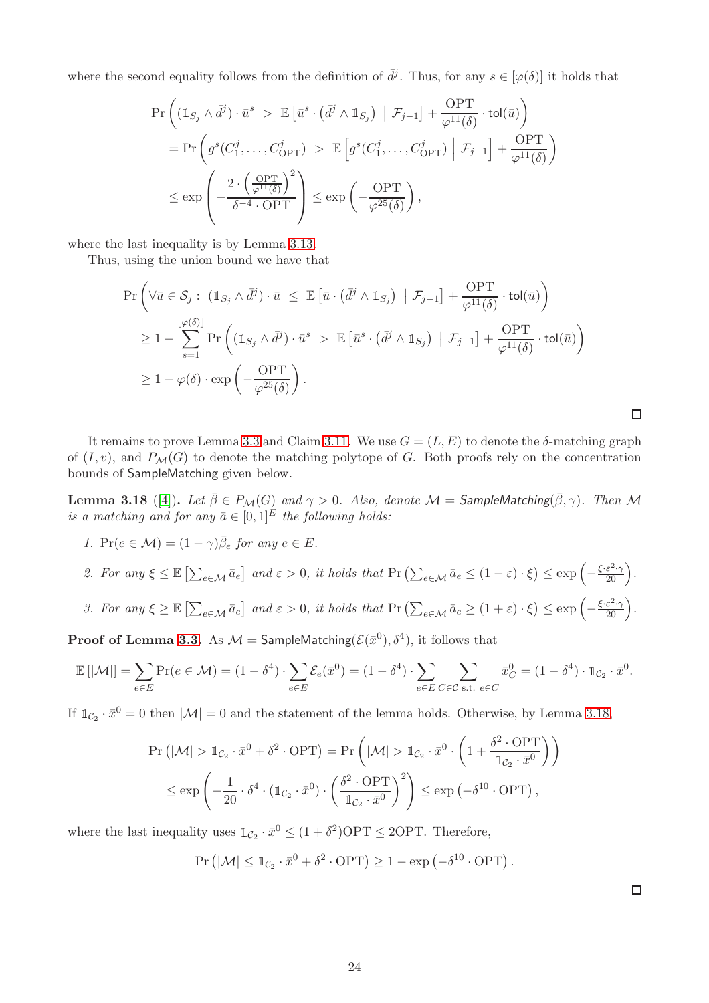where the second equality follows from the definition of  $\bar{d}^j$ . Thus, for any  $s \in [\varphi(\delta)]$  it holds that

$$
\begin{split} &\Pr\left(\left(\mathbbm{1}_{S_j}\wedge\bar{d}^j\right)\cdot\bar{u}^s\ >\ \mathbb{E}\left[\bar{u}^s\cdot\left(\bar{d}^j\wedge\mathbbm{1}_{S_j}\right)\ \big|\ \mathcal{F}_{j-1}\right]+\frac{\mathrm{OPT}}{\varphi^{11}(\delta)}\cdot\mathrm{tol}(\bar{u})\right)\\ &=\Pr\left(g^s(C_1^j,\ldots,C_{\mathrm{OPT}}^j)\ >\ \mathbb{E}\left[g^s(C_1^j,\ldots,C_{\mathrm{OPT}}^j)\ \Big|\ \mathcal{F}_{j-1}\right]+\frac{\mathrm{OPT}}{\varphi^{11}(\delta)}\right)\\ &\leq\exp\left(-\frac{2\cdot\left(\frac{\mathrm{OPT}}{\varphi^{11}(\delta)}\right)^2}{\delta^{-4}\cdot\mathrm{OPT}}\right)\leq\exp\left(-\frac{\mathrm{OPT}}{\varphi^{25}(\delta)}\right), \end{split}
$$

where the last inequality is by Lemma [3.13.](#page-18-3)

Thus, using the union bound we have that

$$
\Pr\left(\forall \bar{u} \in \mathcal{S}_j : (\mathbb{1}_{S_j} \land \bar{d}^j) \cdot \bar{u} \leq \mathbb{E}\left[\bar{u} \cdot (\bar{d}^j \land \mathbb{1}_{S_j}) \middle| \mathcal{F}_{j-1}\right] + \frac{\text{OPT}}{\varphi^{11}(\delta)} \cdot \text{tol}(\bar{u})\right)
$$
\n
$$
\geq 1 - \sum_{s=1}^{\lfloor \varphi(\delta) \rfloor} \Pr\left((\mathbb{1}_{S_j} \land \bar{d}^j) \cdot \bar{u}^s \gt \mathbb{E}\left[\bar{u}^s \cdot (\bar{d}^j \land \mathbb{1}_{S_j}) \middle| \mathcal{F}_{j-1}\right] + \frac{\text{OPT}}{\varphi^{11}(\delta)} \cdot \text{tol}(\bar{u})\right)
$$
\n
$$
\geq 1 - \varphi(\delta) \cdot \exp\left(-\frac{\text{OPT}}{\varphi^{25}(\delta)}\right).
$$

It remains to prove Lemma [3.3](#page-9-5) and Claim [3.11.](#page-16-0) We use  $G = (L, E)$  to denote the  $\delta$ -matching graph of  $(I, v)$ , and  $P_{\mathcal{M}}(G)$  to denote the matching polytope of G. Both proofs rely on the concentration bounds of SampleMatching given below.

<span id="page-25-0"></span>**Lemma 3.18** ([\[4\]](#page-46-9)). Let  $\bar{\beta}\in P_{\mathcal{M}}(G)$  and  $\gamma>0$ . Also, denote  $\mathcal{M}=$  SampleMatching( $\bar{\beta},\gamma$ ). Then  $\mathcal M$ is a matching and for any  $\bar{a} \in [0,1]^E$  the following holds:

- 1.  $\Pr(e \in \mathcal{M}) = (1 \gamma)\overline{\beta}_e$  for any  $e \in E$ .
- 2. For any  $\xi \leq \mathbb{E}\left[\sum_{e \in \mathcal{M}} \bar{a}_e\right]$  and  $\varepsilon > 0$ , it holds that  $\Pr\left(\sum_{e \in \mathcal{M}} \bar{a}_e \leq (1-\varepsilon) \cdot \xi\right) \leq \exp\left(-\frac{\xi \cdot \varepsilon^2 \cdot \gamma}{20}\right)$ .
- 3. For any  $\xi \geq \mathbb{E}\left[\sum_{e \in \mathcal{M}} \bar{a}_e\right]$  and  $\varepsilon > 0$ , it holds that  $\Pr\left(\sum_{e \in \mathcal{M}} \bar{a}_e \geq (1+\varepsilon) \cdot \xi\right) \leq \exp\left(-\frac{\xi \cdot \varepsilon^2 \cdot \gamma}{20}\right)$ .

 $\bf{Proof of Lemma~3.3.~A}$ s  $\mathcal{M} = \mathsf{SampleMatching}(\mathcal{E}(\bar{x}^0), \delta^4),$  it follows that

$$
\mathbb{E}\left[\left|\mathcal{M}\right|\right] = \sum_{e \in E} \Pr(e \in \mathcal{M}) = (1 - \delta^4) \cdot \sum_{e \in E} \mathcal{E}_e(\bar{x}^0) = (1 - \delta^4) \cdot \sum_{e \in E} \sum_{C \in \mathcal{C} \text{ s.t. } e \in C} \bar{x}^0_C = (1 - \delta^4) \cdot \mathbb{1}_{\mathcal{C}_2} \cdot \bar{x}^0.
$$

If  $\mathbb{1}_{C_2} \cdot \bar{x}^0 = 0$  then  $|\mathcal{M}| = 0$  and the statement of the lemma holds. Otherwise, by Lemma [3.18,](#page-25-0)

$$
\Pr\left(|\mathcal{M}| > \mathbb{1}_{\mathcal{C}_2} \cdot \bar{x}^0 + \delta^2 \cdot \text{OPT}\right) = \Pr\left(|\mathcal{M}| > \mathbb{1}_{\mathcal{C}_2} \cdot \bar{x}^0 \cdot \left(1 + \frac{\delta^2 \cdot \text{OPT}}{\mathbb{1}_{\mathcal{C}_2} \cdot \bar{x}^0}\right)\right)
$$
  

$$
\leq \exp\left(-\frac{1}{20} \cdot \delta^4 \cdot (\mathbb{1}_{\mathcal{C}_2} \cdot \bar{x}^0) \cdot \left(\frac{\delta^2 \cdot \text{OPT}}{\mathbb{1}_{\mathcal{C}_2} \cdot \bar{x}^0}\right)^2\right) \leq \exp\left(-\delta^{10} \cdot \text{OPT}\right),
$$

where the last inequality uses  $\mathbb{1}_{C_2} \cdot \bar{x}^0 \leq (1 + \delta^2) \text{OPT} \leq 2 \text{OPT}$ . Therefore,

$$
Pr (|\mathcal{M}| \leq \mathbb{1}_{\mathcal{C}_2} \cdot \bar{x}^0 + \delta^2 \cdot \text{OPT}) \geq 1 - \exp(-\delta^{10} \cdot \text{OPT}).
$$

 $\Box$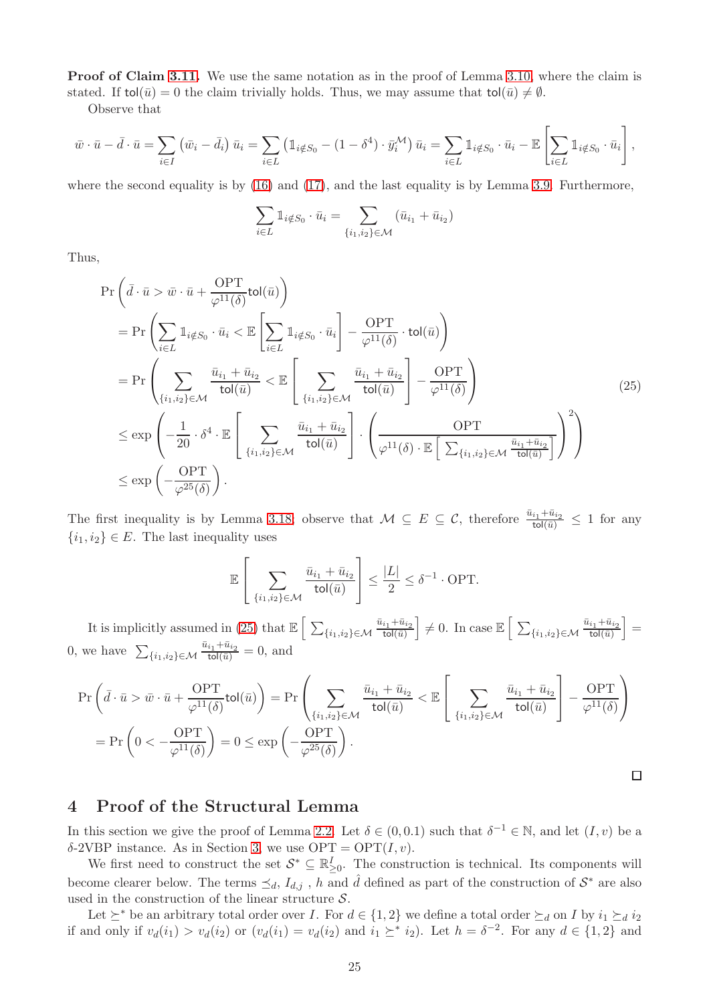Proof of Claim [3.11.](#page-16-0) We use the same notation as in the proof of Lemma [3.10,](#page-14-0) where the claim is stated. If tol( $\bar{u}$ ) = 0 the claim trivially holds. Thus, we may assume that tol( $\bar{u}$ )  $\neq \emptyset$ .

Observe that

$$
\bar{w} \cdot \bar{u} - \bar{d} \cdot \bar{u} = \sum_{i \in I} (\bar{w}_i - \bar{d}_i) \bar{u}_i = \sum_{i \in L} (\mathbb{1}_{i \notin S_0} - (1 - \delta^4) \cdot \bar{y}_i^{\mathcal{M}}) \bar{u}_i = \sum_{i \in L} \mathbb{1}_{i \notin S_0} \cdot \bar{u}_i - \mathbb{E} \left[ \sum_{i \in L} \mathbb{1}_{i \notin S_0} \cdot \bar{u}_i \right],
$$

where the second equality is by [\(16\)](#page-15-0) and [\(17\)](#page-15-1), and the last equality is by Lemma [3.9.](#page-14-1) Furthermore,

$$
\sum_{i \in L} \mathbb{1}_{i \notin S_0} \cdot \bar{u}_i = \sum_{\{i_1, i_2\} \in \mathcal{M}} (\bar{u}_{i_1} + \bar{u}_{i_2})
$$

Thus,

<span id="page-26-1"></span>
$$
\Pr\left(\bar{d}\cdot\bar{u} > \bar{w}\cdot\bar{u} + \frac{\text{OPT}}{\varphi^{11}(\delta)}\text{tol}(\bar{u})\right)
$$
\n
$$
= \Pr\left(\sum_{i\in L} \mathbb{1}_{i\notin S_0} \cdot \bar{u}_i < \mathbb{E}\left[\sum_{i\in L} \mathbb{1}_{i\notin S_0} \cdot \bar{u}_i\right] - \frac{\text{OPT}}{\varphi^{11}(\delta)} \cdot \text{tol}(\bar{u})\right)
$$
\n
$$
= \Pr\left(\sum_{\{i_1, i_2\} \in \mathcal{M}} \frac{\bar{u}_{i_1} + \bar{u}_{i_2}}{\text{tol}(\bar{u})} < \mathbb{E}\left[\sum_{\{i_1, i_2\} \in \mathcal{M}} \frac{\bar{u}_{i_1} + \bar{u}_{i_2}}{\text{tol}(\bar{u})}\right] - \frac{\text{OPT}}{\varphi^{11}(\delta)}\right)
$$
\n
$$
\leq \exp\left(-\frac{1}{20} \cdot \delta^4 \cdot \mathbb{E}\left[\sum_{\{i_1, i_2\} \in \mathcal{M}} \frac{\bar{u}_{i_1} + \bar{u}_{i_2}}{\text{tol}(\bar{u})}\right] \cdot \left(\frac{\text{OPT}}{\varphi^{11}(\delta) \cdot \mathbb{E}\left[\sum_{\{i_1, i_2\} \in \mathcal{M}} \frac{\bar{u}_{i_1} + \bar{u}_{i_2}}{\text{tol}(\bar{u})}\right]^2\right)\right)
$$
\n
$$
\leq \exp\left(-\frac{\text{OPT}}{\varphi^{25}(\delta)}\right).
$$
\n(25)

The first inequality is by Lemma [3.18;](#page-25-0) observe that  $M \subseteq E \subseteq C$ , therefore  $\frac{\bar{u}_{i_1} + \bar{u}_{i_2}}{\text{tol}(\bar{u})} \leq 1$  for any  $\{i_1, i_2\} \in E$ . The last inequality uses

$$
\mathbb{E}\left[\sum_{\{i_1,i_2\}\in\mathcal{M}}\frac{\bar{u}_{i_1}+\bar{u}_{i_2}}{\text{tol}(\bar{u})}\right]\leq \frac{|L|}{2}\leq \delta^{-1}\cdot \text{OPT}.
$$

It is implicitly assumed in [\(25\)](#page-26-1) that  $\mathbb{E}\left[\sum_{\{i_1,i_2\}\in\mathcal{M}}\frac{\bar{u}_{i_1}+\bar{u}_{i_2}}{\text{tol}(\bar{u})}\right]\neq 0$ . In case  $\mathbb{E}\left[\sum_{\{i_1,i_2\}\in\mathcal{M}}\frac{\bar{u}_{i_1}+\bar{u}_{i_2}}{\text{tol}(\bar{u})}\right]=$ 0, we have  $\sum_{\{i_1,i_2\}\in\mathcal{M}}\frac{\bar{u}_{i_1}+\bar{u}_{i_2}}{\text{tol}(\bar{u})}=0$ , and

$$
\Pr\left(\bar{d}\cdot\bar{u} > \bar{w}\cdot\bar{u} + \frac{\text{OPT}}{\varphi^{11}(\delta)}\text{tol}(\bar{u})\right) = \Pr\left(\sum_{\{i_1, i_2\} \in \mathcal{M}} \frac{\bar{u}_{i_1} + \bar{u}_{i_2}}{\text{tol}(\bar{u})} < \mathbb{E}\left[\sum_{\{i_1, i_2\} \in \mathcal{M}} \frac{\bar{u}_{i_1} + \bar{u}_{i_2}}{\text{tol}(\bar{u})}\right] - \frac{\text{OPT}}{\varphi^{11}(\delta)}\right)
$$
\n
$$
= \Pr\left(0 < -\frac{\text{OPT}}{\varphi^{11}(\delta)}\right) = 0 \le \exp\left(-\frac{\text{OPT}}{\varphi^{25}(\delta)}\right).
$$

## <span id="page-26-0"></span>4 Proof of the Structural Lemma

In this section we give the proof of Lemma [2.2.](#page-8-1) Let  $\delta \in (0,0.1)$  such that  $\delta^{-1} \in \mathbb{N}$ , and let  $(I, v)$  be a  $\delta$ -2VBP instance. As in Section [3,](#page-9-0) we use OPT = OPT $(I, v)$ .

We first need to construct the set  $S^* \subseteq \mathbb{R}_{\geq 0}^I$ . The construction is technical. Its components will become clearer below. The terms  $\preceq_d$ ,  $I_{d,j}$ , h and  $\hat{d}$  defined as part of the construction of  $S^*$  are also used in the construction of the linear structure  $\mathcal{S}.$ 

Let  $\succeq^*$  be an arbitrary total order over I. For  $d \in \{1,2\}$  we define a total order  $\succeq_d$  on I by  $i_1 \succeq_d i_2$ if and only if  $v_d(i_1) > v_d(i_2)$  or  $(v_d(i_1) = v_d(i_2)$  and  $i_1 \geq i_2$ . Let  $h = \delta^{-2}$ . For any  $d \in \{1, 2\}$  and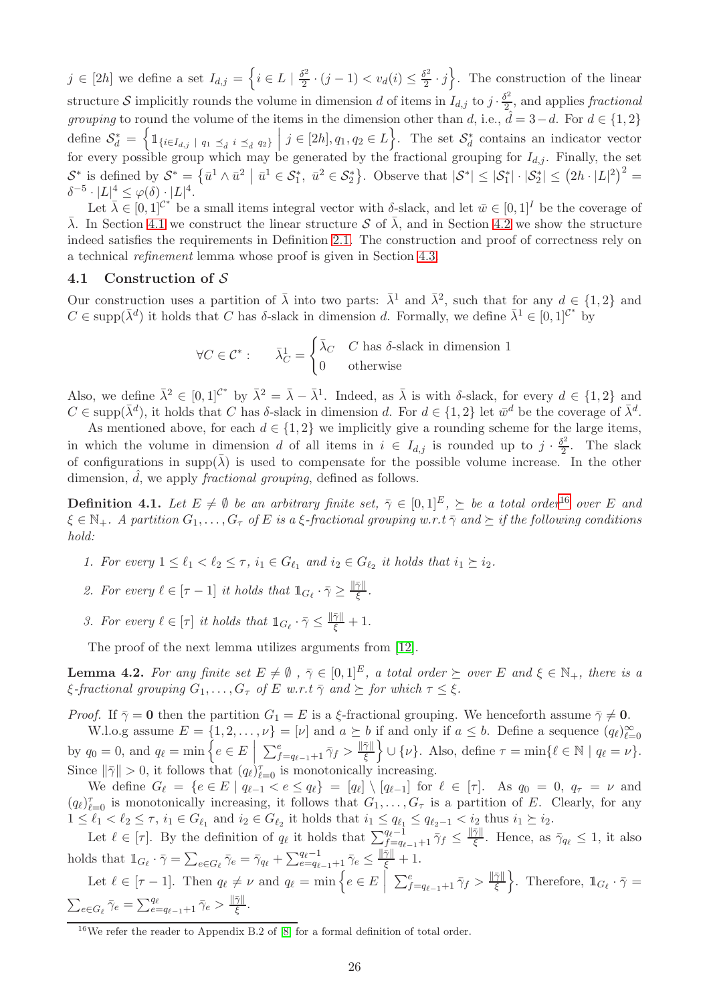$j \in [2h]$  we define a set  $I_{d,j} = \left\{i \in L \mid \frac{\delta^2}{2}\right\}$  $\frac{\delta^2}{2} \cdot (j-1) < v_d(i) \leq \frac{\delta^2}{2}$  $\left\{\frac{\delta^2}{2} \cdot j\right\}$ . The construction of the linear structure S implicitly rounds the volume in dimension d of items in  $I_{d,j}$  to  $j \cdot \frac{\delta^2}{2}$  $\frac{p^2}{2}$ , and applies fractional *grouping* to round the volume of the items in the dimension other than d, i.e.,  $\hat{d} = 3-d$ . For  $d \in \{1,2\}$ define  $S_d^* = \left\{ \right.$  $\mathbb{1}\left\{i \in I_{d,j} \mid q_1 \preceq_{\hat{d}} i \preceq_{\hat{d}} q_2\right\}$  $j \in [2h], q_1, q_2 \in L$ . The set  $\mathcal{S}_d^*$  contains an indicator vector for every possible group which may be generated by the fractional grouping for  $I_{d,j}$ . Finally, the set  $\mathcal{S}^*$  is defined by  $\mathcal{S}^* = \{\bar{u}^1 \wedge \bar{u}^2 \mid \bar{u}^1 \in \mathcal{S}_1^*, \bar{u}^2 \in \mathcal{S}_2^*\}$ . Observe that  $|\mathcal{S}^*| \leq |\mathcal{S}_1^*| \cdot |\mathcal{S}_2^*| \leq (2h \cdot |L|^2)^2$  $\delta^{-5} \cdot |L|^4 \leq \varphi(\delta) \cdot |L|^4.$ 

Let  $\bar{\lambda} \in [0,1]^{C^*}$  be a small items integral vector with  $\delta$ -slack, and let  $\bar{w} \in [0,1]^I$  be the coverage of  $\bar{\lambda}$ . In Section [4.1](#page-27-0) we construct the linear structure S of  $\bar{\lambda}$ , and in Section [4.2](#page-29-0) we show the structure indeed satisfies the requirements in Definition [2.1.](#page-8-0) The construction and proof of correctness rely on a technical refinement lemma whose proof is given in Section [4.3.](#page-35-0)

#### <span id="page-27-0"></span>4.1 Construction of S

Our construction uses a partition of  $\bar{\lambda}$  into two parts:  $\bar{\lambda}^1$  and  $\bar{\lambda}^2$ , such that for any  $d \in \{1,2\}$  and  $C \in \text{supp}(\bar{\lambda}^d)$  it holds that C has  $\delta$ -slack in dimension d. Formally, we define  $\bar{\lambda}^1 \in [0,1]^{C^*}$  by

$$
\forall C \in \mathcal{C}^* : \qquad \bar{\lambda}_C^1 = \begin{cases} \bar{\lambda}_C & C \text{ has } \delta\text{-slack in dimension 1} \\ 0 & \text{otherwise} \end{cases}
$$

Also, we define  $\bar{\lambda}^2 \in [0,1]^{C^*}$  by  $\bar{\lambda}^2 = \bar{\lambda} - \bar{\lambda}^1$ . Indeed, as  $\bar{\lambda}$  is with  $\delta$ -slack, for every  $d \in \{1,2\}$  and  $C \in \text{supp}(\bar{\lambda}^d)$ , it holds that C has  $\delta$ -slack in dimension d. For  $d \in \{1,2\}$  let  $\bar{w}^d$  be the coverage of  $\bar{\lambda}^d$ .

As mentioned above, for each  $d \in \{1,2\}$  we implicitly give a rounding scheme for the large items, in which the volume in dimension d of all items in  $i \in I_{d,j}$  is rounded up to  $j \cdot \frac{\delta^2}{2}$  $\frac{1}{2}$ . The slack of configurations in supp $(\bar{\lambda})$  is used to compensate for the possible volume increase. In the other dimension,  $d$ , we apply *fractional grouping*, defined as follows.

<span id="page-27-3"></span>**Definition 4.1.** Let  $E \neq \emptyset$  be an arbitrary finite set,  $\overline{\gamma} \in [0,1]^E$ ,  $\succeq$  be a total order<sup>[16](#page-27-1)</sup> over E and  $\xi \in \mathbb{N}_+$ . A partition  $G_1, \ldots, G_\tau$  of E is a  $\xi$ -fractional grouping w.r.t  $\overline{\gamma}$  and  $\succeq$  if the following conditions hold:

- 1. For every  $1 \leq \ell_1 < \ell_2 \leq \tau$ ,  $i_1 \in G_{\ell_1}$  and  $i_2 \in G_{\ell_2}$  it holds that  $i_1 \succeq i_2$ .
- 2. For every  $\ell \in [\tau 1]$  it holds that  $\mathbb{1}_{G_{\ell}} \cdot \bar{\gamma} \geq \frac{\|\bar{\gamma}\|}{\xi}$  $\frac{\gamma_{||}}{\xi}$  .
- 3. For every  $\ell \in [\tau]$  it holds that  $\mathbb{1}_{G_{\ell}} \cdot \bar{\gamma} \leq \frac{\|\bar{\gamma}\|}{\xi} + 1$ .

The proof of the next lemma utilizes arguments from [\[12\]](#page-46-1).

<span id="page-27-2"></span>**Lemma 4.2.** For any finite set  $E \neq \emptyset$ ,  $\overline{\gamma} \in [0,1]^E$ , a total order  $\succeq$  over E and  $\xi \in \mathbb{N}_+$ , there is a  $\xi$ -fractional grouping  $G_1, \ldots, G_\tau$  of E w.r.t  $\overline{\gamma}$  and  $\succ$  for which  $\tau \leq \xi$ .

*Proof.* If  $\bar{\gamma} = 0$  then the partition  $G_1 = E$  is a ξ-fractional grouping. We henceforth assume  $\bar{\gamma} \neq 0$ . W.l.o.g assume  $E = \{1, 2, ..., \nu\} = [\nu]$  and  $a \succeq b$  if and only if  $a \leq b$ . Define a sequence  $(q_\ell)_{\ell=0}^\infty$ 

by  $q_0 = 0$ , and  $q_\ell = \min \left\{ e \in E \mid$  $\sum_{f=q_{\ell-1}+1}^e \bar{\gamma}_f > \frac{\|\bar{\gamma}\|}{\xi}$  $\left\{\frac{\bar{\gamma} \parallel}{\xi}\right\} \cup \{\nu\}.$  Also, define  $\tau = \min\{\ell \in \mathbb{N} \mid q_{\ell} = \nu\}.$ Since  $\|\bar{\gamma}\| > 0$ , it follows that  $(q_{\ell})_{\ell=0}^{\tau}$  is monotonically increasing.

We define  $G_{\ell} = \{e \in E \mid q_{\ell-1} < e \leq q_{\ell}\} = [q_{\ell}] \setminus [q_{\ell-1}]$  for  $\ell \in [\tau]$ . As  $q_0 = 0, q_{\tau} = \nu$  and  $(q_{\ell})_{\ell=0}^{\tau}$  is monotonically increasing, it follows that  $G_1,\ldots,G_{\tau}$  is a partition of E. Clearly, for any  $1 \leq \ell_1 < \ell_2 \leq \tau$ ,  $i_1 \in G_{\ell_1}$  and  $i_2 \in G_{\ell_2}$  it holds that  $i_1 \leq q_{\ell_1} \leq q_{\ell_2-1} < i_2$  thus  $i_1 \succeq i_2$ .

Let  $\ell \in [\tau]$ . By the definition of  $q_{\ell}$  it holds that  $\sum_{f=q_{\ell-1}+1}^{q_{\ell}-1} \bar{\gamma}_f \leq \frac{\|\bar{\gamma}\|}{\xi}$  $\frac{\gamma_{\parallel}}{\xi}$ . Hence, as  $\bar{\gamma}_{q_\ell} \leq 1$ , it also holds that  $\mathbb{1}_{G_{\ell}} \cdot \bar{\gamma} = \sum_{e \in G_{\ell}} \bar{\gamma}_e = \bar{\gamma}_{q_{\ell}} + \sum_{e=q_{\ell-1}+1}^{q_{\ell}-1} \bar{\gamma}_e \le \frac{\|\bar{\gamma}\|}{\xi} + 1.$ 

Let  $\ell \in [\tau - 1]$ . Then  $q_{\ell} \neq \nu$  and  $q_{\ell} = \min \left\{ e \in E \mid \ell \leq \ell \right\}$  $\sum_{f=q_{\ell-1}+1}^e \bar{\gamma}_f > \frac{\|\bar{\gamma}\|}{\xi}$  $\left\{\frac{\bar{\gamma} \parallel}{\xi}\right\}$ . Therefore,  $\mathbb{1}_{G_{\ell}} \cdot \bar{\gamma} =$  $\sum_{e\in G_\ell} \bar{\gamma}_e = \sum_{e=q_{\ell-1}+1}^{q_\ell} \bar{\gamma}_e > \frac{\|\bar{\gamma}\|}{\xi}$ ξ .

<span id="page-27-1"></span><sup>&</sup>lt;sup>16</sup>We refer the reader to Appendix B.2 of  $\boxed{8}$  for a formal definition of total order.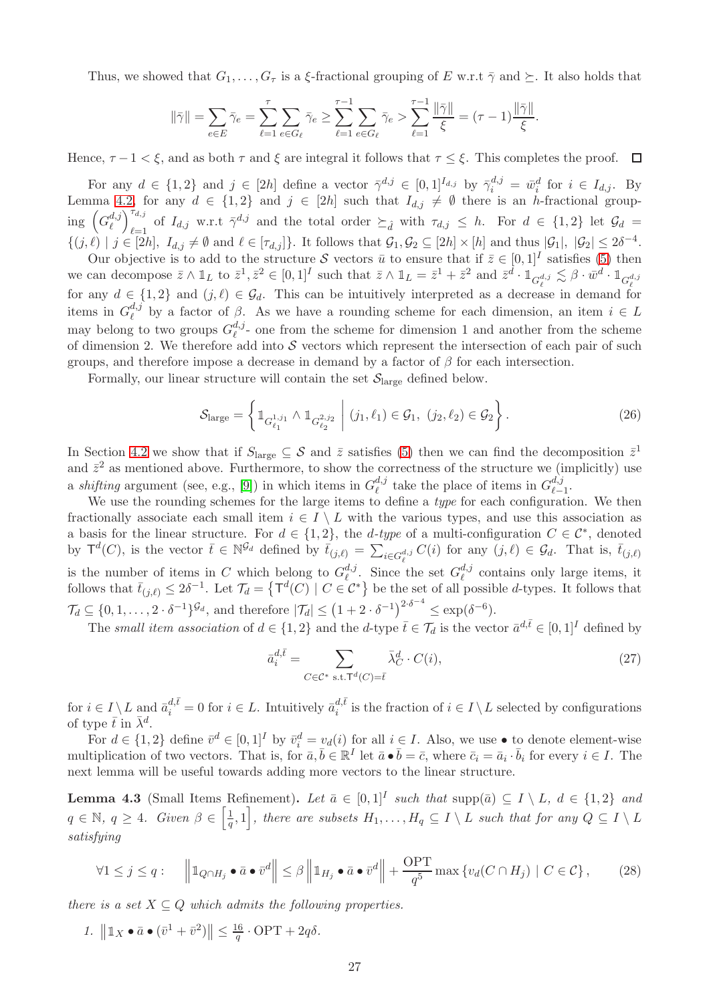Thus, we showed that  $G_1, \ldots, G_\tau$  is a ξ-fractional grouping of E w.r.t  $\bar{\gamma}$  and  $\succeq$ . It also holds that

$$
\|\bar{\gamma}\| = \sum_{e \in E} \bar{\gamma}_e = \sum_{\ell=1}^{\tau} \sum_{e \in G_{\ell}} \bar{\gamma}_e \ge \sum_{\ell=1}^{\tau-1} \sum_{e \in G_{\ell}} \bar{\gamma}_e > \sum_{\ell=1}^{\tau-1} \frac{\|\bar{\gamma}\|}{\xi} = (\tau - 1) \frac{\|\bar{\gamma}\|}{\xi}.
$$

Hence,  $\tau - 1 < \xi$ , and as both  $\tau$  and  $\xi$  are integral it follows that  $\tau \leq \xi$ . This completes the proof.  $\Box$ 

For any  $d \in \{1,2\}$  and  $j \in [2h]$  define a vector  $\bar{\gamma}^{d,j} \in [0,1]^{I_{d,j}}$  by  $\bar{\gamma}_i^{d,j} = \bar{w}_i^d$  for  $i \in I_{d,j}$ . By Lemma [4.2,](#page-27-2) for any  $d \in \{1, 2\}$  and  $j \in [2h]$  such that  $I_{d,j} \neq \emptyset$  there is an h-fractional grouping  $\left(G_{\ell}^{d,j}\right)$  $\binom{d,j}{\ell}^{\tau_{d,j}}_{\ell=1}$  $\tau_{d,j}^{a,j}$  of  $I_{d,j}$  w.r.t  $\bar{\gamma}^{d,j}$  and the total order  $\succeq_{\hat{d}}$  with  $\tau_{d,j} \leq h$ . For  $d \in \{1,2\}$  let  $\mathcal{G}_d =$  $\{(j,\ell) \mid j \in [2h], I_{d,j} \neq \emptyset \text{ and } \ell \in [\tau_{d,j}]\}.$  It follows that  $\mathcal{G}_1, \mathcal{G}_2 \subseteq [2h] \times [h]$  and thus  $|\mathcal{G}_1|, |\mathcal{G}_2| \leq 2\delta^{-4}.$ 

Our objective is to add to the structure S vectors  $\bar{u}$  to ensure that if  $\bar{z} \in [0,1]^I$  satisfies [\(5\)](#page-8-7) then we can decompose  $\bar{z} \wedge \mathbb{1}_L$  to  $\bar{z}^1, \bar{z}^2 \in [0,1]^I$  such that  $\bar{z} \wedge \mathbb{1}_L = \bar{z}^1 + \bar{z}^2$  and  $\bar{z}^d \cdot \mathbb{1}_{G_{\ell}^{d,j}} \lesssim \beta \cdot \bar{w}^d \cdot \mathbb{1}_{G_{\ell}^{d,j}}$ for any  $d \in \{1,2\}$  and  $(j,\ell) \in \mathcal{G}_d$ . This can be intuitively interpreted as a decrease in demand for items in  $G^{d,j}_{\ell}$  $\ell^{a,j}$  by a factor of  $\beta$ . As we have a rounding scheme for each dimension, an item  $i \in L$ may belong to two groups  $G_{\ell}^{d,j}$  $\ell^{a,j}$ - one from the scheme for dimension 1 and another from the scheme of dimension 2. We therefore add into  $S$  vectors which represent the intersection of each pair of such groups, and therefore impose a decrease in demand by a factor of  $\beta$  for each intersection.

Formally, our linear structure will contain the set  $\mathcal{S}_{\text{large}}$  defined below.

<span id="page-28-2"></span>
$$
S_{\text{large}} = \left\{ \mathbb{1}_{G_{\ell_1}^{1,j_1}} \wedge \mathbb{1}_{G_{\ell_2}^{2,j_2}} \middle| (j_1, \ell_1) \in \mathcal{G}_1, (j_2, \ell_2) \in \mathcal{G}_2 \right\}.
$$
 (26)

In Section [4.2](#page-29-0) we show that if  $S_{\text{large}} \subseteq \mathcal{S}$  and  $\bar{z}$  satisfies [\(5\)](#page-8-7) then we can find the decomposition  $\bar{z}^1$ and  $\bar{z}^2$  as mentioned above. Furthermore, to show the correctness of the structure we (implicitly) use a *shifting* argument (see, e.g., [\[9\]](#page-46-3)) in which items in  $G_{\ell}^{d,j}$  $\ell^{d,j}_{\ell}$  take the place of items in  $G_{\ell-}^{d,j}$  $_{\ell-1}^{a,j}$ .

We use the rounding schemes for the large items to define a type for each configuration. We then fractionally associate each small item  $i \in I \setminus L$  with the various types, and use this association as a basis for the linear structure. For  $d \in \{1,2\}$ , the *d-type* of a multi-configuration  $C \in \mathcal{C}^*$ , denoted by  $\mathsf{T}^d(C)$ , is the vector  $\overline{t} \in \mathbb{N}^{\mathcal{G}_d}$  defined by  $\overline{t}_{(j,\ell)} = \sum_{i \in G_{\ell}^{d,j}} C(i)$  for any  $(j,\ell) \in \mathcal{G}_d$ . That is,  $\overline{t}_{(j,\ell)}$ is the number of items in C which belong to  $G_{\ell}^{d,j}$  $\mathcal{L}_{\ell}^{d,j}$ . Since the set  $G_{\ell}^{d,j}$  $\ell^{a,j}$  contains only large items, it follows that  $\bar{t}_{(j,\ell)} \leq 2\delta^{-1}$ . Let  $\mathcal{T}_d = \{ \mathsf{T}^d(C) \mid C \in \mathcal{C}^* \}$  be the set of all possible *d*-types. It follows that  $\mathcal{T}_d \subseteq \{0, 1, \ldots, 2 \cdot \delta^{-1}\}^{\mathcal{G}_d}$ , and therefore  $|\mathcal{T}_d| \le (1 + 2 \cdot \delta^{-1})^{2 \cdot \delta^{-4}} \le \exp(\delta^{-6}).$ 

The small item association of  $d \in \{1,2\}$  and the d-type  $\bar{t} \in \mathcal{T}_d$  is the vector  $\bar{a}^{d,\bar{t}} \in [0,1]^I$  defined by

<span id="page-28-4"></span>
$$
\bar{a}_i^{d,\bar{t}} = \sum_{C \in \mathcal{C}^* \text{ s.t. } \mathsf{T}^d(C) = \bar{t}} \bar{\lambda}_C^d \cdot C(i),\tag{27}
$$

for  $i \in I \setminus L$  and  $\bar{a}_i^{d,\bar{t}} = 0$  for  $i \in L$ . Intuitively  $\bar{a}_i^{d,\bar{t}}$  $i_i^{a,t}$  is the fraction of  $i \in I \setminus L$  selected by configurations of type  $\bar{t}$  in  $\bar{\lambda}^d$ .

For  $d \in \{1,2\}$  define  $\bar{v}^d \in [0,1]^I$  by  $\bar{v}_i^d = v_d(i)$  for all  $i \in I$ . Also, we use  $\bullet$  to denote element-wise multiplication of two vectors. That is, for  $\bar{a}, \bar{b} \in \mathbb{R}^I$  let  $\bar{a} \cdot \bar{b} = \bar{c}$ , where  $\bar{c}_i = \bar{a}_i \cdot \bar{b}_i$  for every  $i \in I$ . The next lemma will be useful towards adding more vectors to the linear structure.

<span id="page-28-1"></span>**Lemma 4.3** (Small Items Refinement). Let  $\bar{a} \in [0,1]^I$  such that supp $(\bar{a}) \subseteq I \setminus L$ ,  $d \in \{1,2\}$  and  $q \in \mathbb{N}, q \geq 4.$  Given  $\beta \in \left[\frac{1}{q}\right]$  $\left\{\frac{1}{q},1\right\}$ , there are subsets  $H_1,\ldots,H_q\subseteq I\setminus L$  such that for any  $Q\subseteq I\setminus L$ satisfying

<span id="page-28-0"></span>
$$
\forall 1 \le j \le q: \quad \left\|1_{Q \cap H_j} \bullet \bar{a} \bullet \bar{v}^d\right\| \le \beta \left\|1_{H_j} \bullet \bar{a} \bullet \bar{v}^d\right\| + \frac{\text{OPT}}{q^5} \max\left\{v_d(C \cap H_j) \mid C \in \mathcal{C}\right\},\tag{28}
$$

<span id="page-28-3"></span>there is a set  $X \subseteq Q$  which admits the following properties.

1.  $\left\| \mathbb{1}_X \bullet \bar{a} \bullet (\bar{v}^1 + \bar{v}^2) \right\| \le \frac{16}{q} \cdot \text{OPT} + 2q\delta.$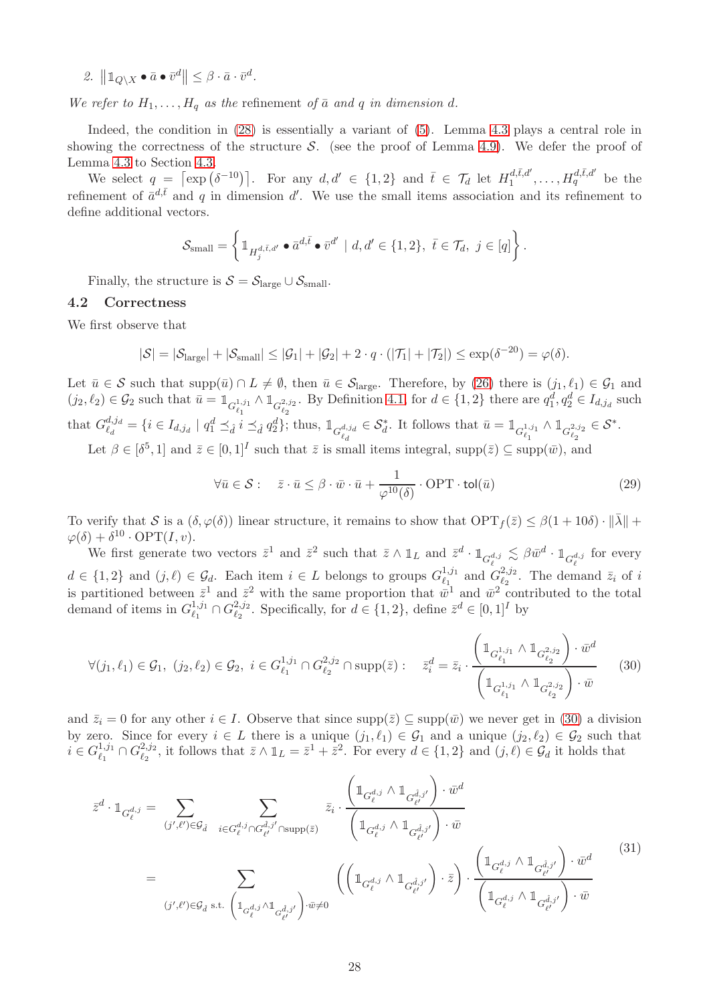<span id="page-29-4"></span>2.  $\left\|1_{Q\setminus X}\bullet\bar{a}\bullet\bar{v}^d\right\|\leq\beta\cdot\bar{a}\cdot\bar{v}^d.$ 

We refer to  $H_1, \ldots, H_q$  as the refinement of  $\bar{a}$  and  $q$  in dimension d.

Indeed, the condition in [\(28\)](#page-28-0) is essentially a variant of [\(5\)](#page-8-7). Lemma [4.3](#page-28-1) plays a central role in showing the correctness of the structure  $S$ . (see the proof of Lemma [4.9\)](#page-33-0). We defer the proof of Lemma [4.3](#page-28-1) to Section [4.3.](#page-35-0)

We select  $q = \left[\exp\left(\delta^{-10}\right)\right]$ . For any  $d, d' \in \{1, 2\}$  and  $\overline{t} \in \mathcal{T}_d$  let  $H_1^{d, \overline{t}, d'}$  $t_1^{d,\bar{t},d'},\ldots,H_q^{d,\bar{t},d'}$  be the refinement of  $\bar{a}^{d,\bar{t}}$  and q in dimension d'. We use the small items association and its refinement to define additional vectors.

$$
\mathcal{S}_{\text{small}} = \left\{ \mathbb{1}_{H^{d,\bar{t},d'}_{j}} \bullet \bar{a}^{d,\bar{t}} \bullet \bar{v}^{d'} \mid d, d' \in \{1,2\}, \ \bar{t} \in \mathcal{T}_{d}, \ j \in [q] \right\}.
$$

Finally, the structure is  $S = S_{\text{large}} \cup S_{\text{small}}$ .

#### <span id="page-29-0"></span>4.2 Correctness

We first observe that

$$
|\mathcal{S}| = |\mathcal{S}_{\text{large}}| + |\mathcal{S}_{\text{small}}| \leq |\mathcal{G}_1| + |\mathcal{G}_2| + 2 \cdot q \cdot (|\mathcal{T}_1| + |\mathcal{T}_2|) \leq \exp(\delta^{-20}) = \varphi(\delta).
$$

Let  $\bar{u} \in \mathcal{S}$  such that supp $(\bar{u}) \cap L \neq \emptyset$ , then  $\bar{u} \in \mathcal{S}_{\text{large}}$ . Therefore, by [\(26\)](#page-28-2) there is  $(j_1, \ell_1) \in \mathcal{G}_1$  and  $(j_2, \ell_2) \in \mathcal{G}_2$  such that  $\bar{u} = \mathbb{1}_{G_{\ell_1}^{1,j_1}}$  $\wedge \mathbb{1}_{G_{\ell_2}^{2,j_2}}$ . By Definition [4.1,](#page-27-3) for  $d \in \{1,2\}$  there are  $q_1^d, q_2^d \in I_{d,j_d}$  such that  $G_{\ell}^{d,j_d}$  $\ell_d^{d,j_d} = \{ i \in I_{d,j_d} \mid q_1^d \preceq_{\hat{d}} i \preceq_{\hat{d}} q_2^d \};$  thus,  $\mathbb{1}_{G_{\ell_d}^{d,j_d}}$  $\in \mathcal{S}_d^*$ . It follows that  $\bar{u} = \mathbb{1}_{G_{\ell_1}^{1,j_1}}$  $\wedge \mathop{1\mskip-4mu{\rm l}}\nolimits_{G_{\ell_2}^{2,j_2}}$  $\in \mathcal{S}^*$ .

Let  $\beta \in [\delta^5, 1]$  and  $\bar{z} \in [0, 1]^I$  such that  $\bar{z}$  is small items integral, supp $(\bar{z}) \subseteq \text{supp}(\bar{w})$ , and

<span id="page-29-2"></span>
$$
\forall \bar{u} \in \mathcal{S}: \quad \bar{z} \cdot \bar{u} \le \beta \cdot \bar{w} \cdot \bar{u} + \frac{1}{\varphi^{10}(\delta)} \cdot \text{OPT} \cdot \text{tol}(\bar{u}) \tag{29}
$$

To verify that S is a  $(\delta, \varphi(\delta))$  linear structure, it remains to show that  $\text{OPT}_f(\bar{z}) \leq \beta(1+10\delta) \cdot ||\bar{\lambda}|| +$  $\varphi(\delta) + \delta^{10} \cdot \text{OPT}(I, v).$ 

We first generate two vectors  $\bar{z}^1$  and  $\bar{z}^2$  such that  $\bar{z} \wedge \mathbb{1}_L$  and  $\bar{z}^d \cdot \mathbb{1}_{G_{\ell}^{d,j}} \lesssim \beta \bar{w}^d \cdot \mathbb{1}_{G_{\ell}^{d,j}}$  for every  $d \in \{1,2\}$  and  $(j,\ell) \in \mathcal{G}_d$ . Each item  $i \in L$  belongs to groups  $G_{\ell_1}^{1,j_1}$  and  $G_{\ell_2}^{2,j_2}$ . The dem  $\frac{1,j_1}{\ell_1}$  and  $G_{\ell_2}^{2,j_2}$  $\zeta_2^{2,j_2}$ . The demand  $\bar{z}_i$  of i is partitioned between  $\bar{z}^1$  and  $\bar{z}^2$  with the same proportion that  $\bar{w}^1$  and  $\bar{w}^2$  contributed to the total demand of items in  $G_{\ell_1}^{1,j_1}$  $_{\ell_1}^{1,j_1}\cap G_{\ell_2}^{2,j_2}$ <sup>2,j<sub>2</sub></sup>. Specifically, for  $d \in \{1,2\}$ , define  $\bar{z}^d \in [0,1]^I$  by

<span id="page-29-1"></span>
$$
\forall (j_1, \ell_1) \in \mathcal{G}_1, (j_2, \ell_2) \in \mathcal{G}_2, i \in G_{\ell_1}^{1, j_1} \cap G_{\ell_2}^{2, j_2} \cap \text{supp}(\bar{z}) : \quad \bar{z}_i^d = \bar{z}_i \cdot \frac{\left(1_{G_{\ell_1}^{1, j_1}} \wedge 1_{G_{\ell_2}^{2, j_2}}\right) \cdot \bar{w}^d}{\left(1_{G_{\ell_1}^{1, j_1}} \wedge 1_{G_{\ell_2}^{2, j_2}}\right) \cdot \bar{w}} \tag{30}
$$

and  $\bar{z}_i = 0$  for any other  $i \in I$ . Observe that since  $\text{supp}(\bar{z}) \subseteq \text{supp}(\bar{w})$  we never get in [\(30\)](#page-29-1) a division by zero. Since for every  $i \in L$  there is a unique  $(j_1, \ell_1) \in \mathcal{G}_1$  and a unique  $(j_2, \ell_2) \in \mathcal{G}_2$  such that  $i \in G_{\ell_1}^{1,j_1}$  $_{\ell_1}^{1,j_1}\cap G_{\ell_2}^{2,j_2}$ <sup>2,j<sub>2</sub></sup>, it follows that  $\bar{z} \wedge \mathbb{1}_L = \bar{z}^1 + \bar{z}^2$ . For every  $d \in \{1,2\}$  and  $(j, \ell) \in \mathcal{G}_d$  it holds that

<span id="page-29-3"></span>
$$
\bar{z}^{d} \cdot \mathbb{1}_{G_{\ell}^{d,j}} = \sum_{(j',\ell') \in \mathcal{G}_{\tilde{d}}} \sum_{i \in G_{\ell}^{d,j} \cap G_{\ell'}^{\tilde{d},j'} \cap \text{supp}(\bar{z})} \bar{z}_{i} \cdot \frac{\left(\mathbb{1}_{G_{\ell}^{d,j}} \wedge \mathbb{1}_{G_{\ell'}^{\tilde{d},j'}}\right) \cdot \bar{w}^{d}}{\left(\mathbb{1}_{G_{\ell}^{d,j}} \wedge \mathbb{1}_{G_{\ell'}^{\tilde{d},j'}}\right) \cdot \bar{w}}\right)
$$
\n
$$
= \sum_{(j',\ell') \in \mathcal{G}_{\tilde{d}}} \sum_{\text{s.t. } \left(\mathbb{1}_{G_{\ell}^{d,j}} \wedge \mathbb{1}_{G_{\ell'}^{\tilde{d},j'}}\right) \cdot \bar{w} \neq 0} \left(\left(\mathbb{1}_{G_{\ell}^{d,j}} \wedge \mathbb{1}_{G_{\ell'}^{\tilde{d},j'}}\right) \cdot \bar{z}\right) \cdot \frac{\left(\mathbb{1}_{G_{\ell'}^{d,j}} \wedge \mathbb{1}_{G_{\ell'}^{\tilde{d},j'}}\right) \cdot \bar{w}^{d}}{\left(\mathbb{1}_{G_{\ell'}^{d,j}} \wedge \mathbb{1}_{G_{\ell'}^{\tilde{d},j'}}\right) \cdot \bar{w}} \tag{31}
$$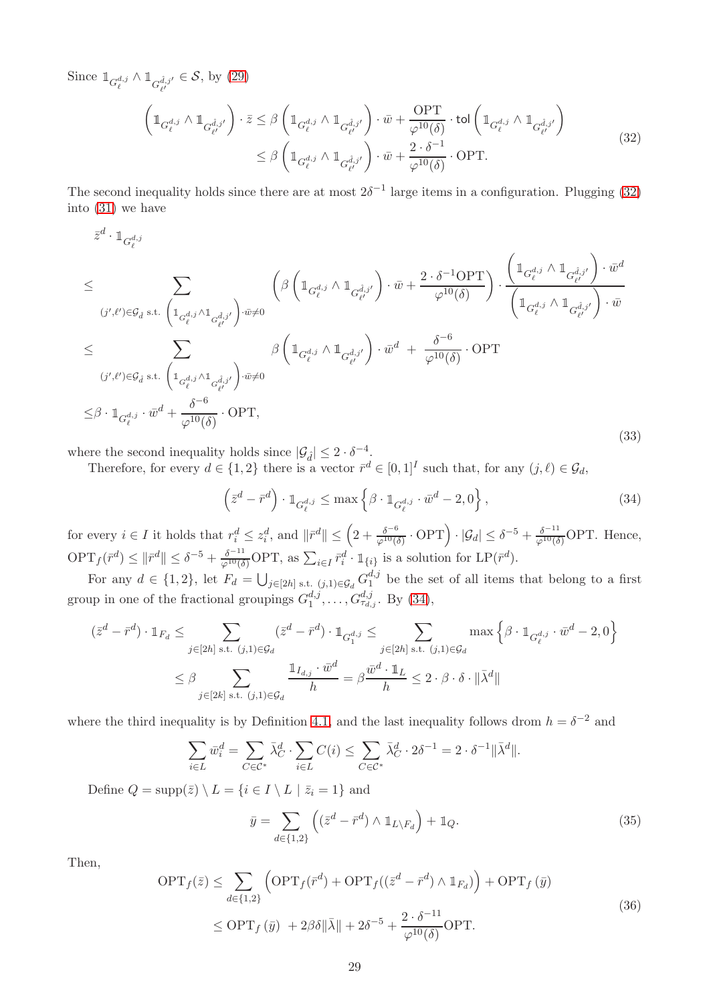Since  $\mathbb{1}_{G_{\ell}^{d,j}} \wedge \mathbb{1}_{G_{\ell'}^{{\hat{d},j'}}} \in \mathcal{S}$ , by [\(29\)](#page-29-2)

<span id="page-30-0"></span>
$$
\left(\mathbb{1}_{G_{\ell}^{d,j}} \wedge \mathbb{1}_{G_{\ell'}^{\hat{d},j'}}\right) \cdot \bar{z} \leq \beta \left(\mathbb{1}_{G_{\ell}^{d,j}} \wedge \mathbb{1}_{G_{\ell'}^{\hat{d},j'}}\right) \cdot \bar{w} + \frac{\text{OPT}}{\varphi^{10}(\delta)} \cdot \text{tol}\left(\mathbb{1}_{G_{\ell}^{d,j}} \wedge \mathbb{1}_{G_{\ell'}^{\hat{d},j'}}\right)
$$
\n
$$
\leq \beta \left(\mathbb{1}_{G_{\ell}^{d,j}} \wedge \mathbb{1}_{G_{\ell'}^{\hat{d},j'}}\right) \cdot \bar{w} + \frac{2 \cdot \delta^{-1}}{\varphi^{10}(\delta)} \cdot \text{OPT}.\tag{32}
$$

The second inequality holds since there are at most  $2\delta^{-1}$  large items in a configuration. Plugging [\(32\)](#page-30-0) into [\(31\)](#page-29-3) we have

$$
\overline{z}^{d} \cdot \mathbb{1}_{G_{\ell}^{d,j}} \n\leq \sum_{(j',\ell') \in \mathcal{G}_{\hat{d}}} \sum_{\text{s.t. } \left( \mathbb{1}_{G_{\ell}^{d,j}} \wedge \mathbb{1}_{G_{\ell'}^{d,j'}} \right) \cdot \overline{w} \neq 0} \left( \beta \left( \mathbb{1}_{G_{\ell}^{d,j}} \wedge \mathbb{1}_{G_{\ell'}^{{\hat{d},j'}}} \right) \cdot \overline{w} + \frac{2 \cdot \delta^{-1} \text{OPT}}{\varphi^{10}(\delta)} \right) \cdot \frac{\left( \mathbb{1}_{G_{\ell'}^{d,j}} \wedge \mathbb{1}_{G_{\ell'}^{\hat{d},j'}} \right) \cdot \overline{w}^{d}}{\left( \mathbb{1}_{G_{\ell'}^{d,j}} \wedge \mathbb{1}_{G_{\ell'}^{\hat{d},j'}} \right) \cdot \overline{w}} \n\leq \sum_{(j',\ell') \in \mathcal{G}_{\hat{d}}} \sum_{\text{s.t. } \left( \mathbb{1}_{G_{\ell'}^{d,j}} \wedge \mathbb{1}_{G_{\ell'}^{\hat{d},j'}} \right) \cdot \overline{w} \neq 0} \beta \left( \mathbb{1}_{G_{\ell'}^{d,j}} \wedge \mathbb{1}_{G_{\ell'}^{\hat{d},j'}} \right) \cdot \overline{w}^{d} + \frac{\delta^{-6}}{\varphi^{10}(\delta)} \cdot \text{OPT} \n\leq \beta \cdot \mathbb{1}_{G_{\ell'}^{d,j}} \cdot \overline{w}^{d} + \frac{\delta^{-6}}{\varphi^{10}(\delta)} \cdot \text{OPT},
$$
\n(33)

where the second inequality holds since  $|\mathcal{G}_{\hat{d}}| \leq 2 \cdot \delta^{-4}$ .

Therefore, for every  $d \in \{1,2\}$  there is a vector  $\bar{r}^d \in [0,1]^I$  such that, for any  $(j,\ell) \in \mathcal{G}_d$ ,

<span id="page-30-1"></span>
$$
\left(\bar{z}^d - \bar{r}^d\right) \cdot \mathbb{1}_{G_{\ell}^{d,j}} \le \max\left\{\beta \cdot \mathbb{1}_{G_{\ell}^{d,j}} \cdot \bar{w}^d - 2, 0\right\},\tag{34}
$$

for every  $i \in I$  it holds that  $r_i^d \leq z_i^d$ , and  $\|\bar{r}^d\| \leq \left(2 + \frac{\delta^{-6}}{\varphi^{10}(\delta)} \cdot \mathrm{OPT}\right) \cdot |\mathcal{G}_d| \leq \delta^{-5} + \frac{\delta^{-11}}{\varphi^{10}(\delta)} \mathrm{OPT}$ . Hence,  $\text{OPT}_f(\bar{r}^d) \leq \|\bar{r}^d\| \leq \delta^{-5} + \frac{\delta^{-11}}{\varphi^{10}(\delta)} \text{OPT}, \text{ as } \sum_{i \in I} \bar{r}_i^d \cdot \mathbb{1}_{\{i\}} \text{ is a solution for } \text{LP}(\bar{r}^d).$ 

For any  $d \in \{1, 2\}$ , let  $F_d = \bigcup_{j \in [2h] \text{ s.t. } (j,1) \in \mathcal{G}_d} G_1^{d,j}$  $_1^{a,j}$  be the set of all items that belong to a first group in one of the fractional groupings  $G_1^{d,j}$  $d_{1}^{d,j}, \ldots, G_{\tau_{d,j}}^{d,j}$ . By [\(34\)](#page-30-1),

$$
(\bar{z}^d - \bar{r}^d) \cdot \mathbb{1}_{F_d} \le \sum_{j \in [2h] \text{ s.t. } (j,1) \in \mathcal{G}_d} (\bar{z}^d - \bar{r}^d) \cdot \mathbb{1}_{G_1^{d,j}} \le \sum_{j \in [2h] \text{ s.t. } (j,1) \in \mathcal{G}_d} \max\left\{\beta \cdot \mathbb{1}_{G_\ell^{d,j}} \cdot \bar{w}^d - 2,0\right\}
$$

$$
\le \beta \sum_{j \in [2k] \text{ s.t. } (j,1) \in \mathcal{G}_d} \frac{\mathbb{1}_{I_{d,j}} \cdot \bar{w}^d}{h} = \beta \frac{\bar{w}^d \cdot \mathbb{1}_L}{h} \le 2 \cdot \beta \cdot \delta \cdot \|\bar{\lambda}^d\|
$$

where the third inequality is by Definition [4.1,](#page-27-3) and the last inequality follows drom  $h = \delta^{-2}$  and

$$
\sum_{i \in L} \bar{w}_i^d = \sum_{C \in \mathcal{C}^*} \bar{\lambda}_C^d \cdot \sum_{i \in L} C(i) \le \sum_{C \in \mathcal{C}^*} \bar{\lambda}_C^d \cdot 2\delta^{-1} = 2 \cdot \delta^{-1} ||\bar{\lambda}^d||.
$$

Define  $Q = \text{supp}(\bar{z}) \setminus L = \{i \in I \setminus L \mid \bar{z}_i = 1\}$  and

<span id="page-30-2"></span>
$$
\bar{y} = \sum_{d \in \{1,2\}} \left( (\bar{z}^d - \bar{r}^d) \wedge \mathbb{1}_{L \setminus F_d} \right) + \mathbb{1}_Q. \tag{35}
$$

Then,

<span id="page-30-3"></span>
$$
\begin{split} \text{OPT}_{f}(\bar{z}) &\leq \sum_{d\in\{1,2\}} \left( \text{OPT}_{f}(\bar{r}^{d}) + \text{OPT}_{f}((\bar{z}^{d} - \bar{r}^{d}) \wedge \mathbb{1}_{F_{d}}) \right) + \text{OPT}_{f}(\bar{y}) \\ &\leq \text{OPT}_{f}(\bar{y}) + 2\beta\delta \|\bar{\lambda}\| + 2\delta^{-5} + \frac{2 \cdot \delta^{-11}}{\varphi^{10}(\delta)} \text{OPT.} \end{split} \tag{36}
$$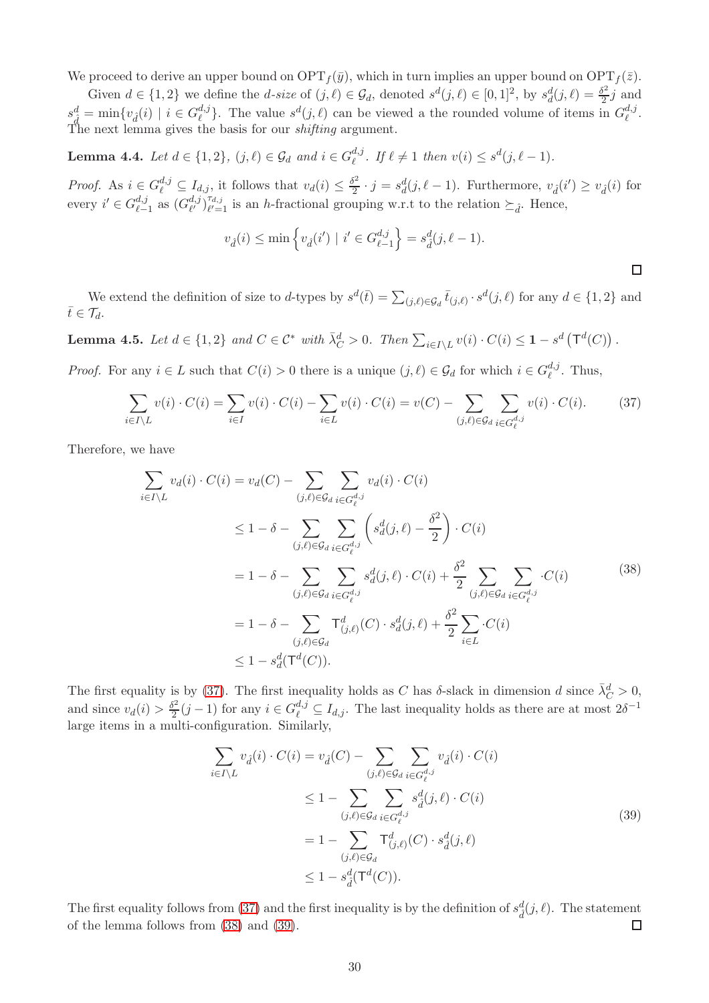We proceed to derive an upper bound on  $\text{OPT}_f(\bar{y})$ , which in turn implies an upper bound on  $\text{OPT}_f(\bar{z})$ .

Given  $d \in \{1,2\}$  we define the d-size of  $(j, \ell) \in \mathcal{G}_d$ , denoted  $s^d(j, \ell) \in [0,1]^2$ , by  $s_d^d(j, \ell) = \frac{\delta^2}{2}$  $\frac{y^2}{2}j$  and  $s_{\hat{d}}^d = \min \{ v_{\hat{d}}(i) \mid i \in G_{\ell}^{d,j} \}$  $\ell^{d,j}$ . The value  $s^d(j, \ell)$  can be viewed a the rounded volume of items in  $G_{\ell}^{d,j}$  $_{\ell}^{a,j}.$ The next lemma gives the basis for our *shifting* argument.

**Lemma 4.4.** Let  $d \in \{1,2\}$ ,  $(j, \ell) \in \mathcal{G}_d$  and  $i \in G_{\ell}^{d,j}$  $\ell^{d,j}$ . If  $\ell \neq 1$  then  $v(i) \leq s^d(j, \ell - 1)$ .

*Proof.* As  $i \in G_{\ell}^{d,j} \subseteq I_{d,j}$ , it follows that  $v_d(i) \leq \frac{\delta^2}{2}$  $\frac{\partial^2}{\partial^2} \cdot j = s_d^d(j, \ell - 1)$ . Furthermore,  $v_d(i') \ge v_d(i)$  for every  $i' \in G_{\ell}^{d,j}$  $\frac{d,j}{\ell-1}$  as  $(G_{\ell'}^{d,j})$  $\ell^{d,j}$   $\ell^{d,j}$   $\ell^{d,j}$  $\ell_{\ell=1}^{d,j}$  is an h-fractional grouping w.r.t to the relation  $\succeq_{\hat{d}}$ . Hence,

$$
v_{\hat{d}}(i) \le \min \left\{ v_{\hat{d}}(i') \mid i' \in G_{\ell-1}^{d,j} \right\} = s_{\hat{d}}^d(j, \ell - 1).
$$

 $\Box$ 

We extend the definition of size to d-types by  $s^d(\bar{t}) = \sum_{(j,\ell) \in \mathcal{G}_d} \bar{t}_{(j,\ell)} \cdot s^d(j,\ell)$  for any  $d \in \{1,2\}$  and  $\bar{t}\in\mathcal{T}_d$ .

<span id="page-31-3"></span>**Lemma 4.5.** Let  $d \in \{1,2\}$  and  $C \in \mathcal{C}^*$  with  $\overline{\lambda}_C^d > 0$ . Then  $\sum_{i \in I \setminus L} v(i) \cdot C(i) \leq 1 - s^d \left( \mathsf{T}^d(C) \right)$ .

*Proof.* For any  $i \in L$  such that  $C(i) > 0$  there is a unique  $(j, \ell) \in \mathcal{G}_d$  for which  $i \in G_{\ell}^{d,j}$  $_{\ell}^{a,j}$ . Thus,

<span id="page-31-0"></span>
$$
\sum_{i \in I \setminus L} v(i) \cdot C(i) = \sum_{i \in I} v(i) \cdot C(i) - \sum_{i \in L} v(i) \cdot C(i) = v(C) - \sum_{(j,\ell) \in \mathcal{G}_d} \sum_{i \in G_{\ell}^{d,j}} v(i) \cdot C(i). \tag{37}
$$

Therefore, we have

<span id="page-31-1"></span>
$$
\sum_{i \in I \setminus L} v_d(i) \cdot C(i) = v_d(C) - \sum_{(j,\ell) \in \mathcal{G}_d} \sum_{i \in G_{\ell}^{d,j}} v_d(i) \cdot C(i)
$$
\n
$$
\leq 1 - \delta - \sum_{(j,\ell) \in \mathcal{G}_d} \sum_{i \in G_{\ell}^{d,j}} \left( s_d^d(j,\ell) - \frac{\delta^2}{2} \right) \cdot C(i)
$$
\n
$$
= 1 - \delta - \sum_{(j,\ell) \in \mathcal{G}_d} \sum_{i \in G_{\ell}^{d,j}} s_d^d(j,\ell) \cdot C(i) + \frac{\delta^2}{2} \sum_{(j,\ell) \in \mathcal{G}_d} \sum_{i \in G_{\ell}^{d,j}} \cdot C(i)
$$
\n
$$
= 1 - \delta - \sum_{(j,\ell) \in \mathcal{G}_d} \mathsf{T}_{(j,\ell)}^d(C) \cdot s_d^d(j,\ell) + \frac{\delta^2}{2} \sum_{i \in L} \cdot C(i)
$$
\n
$$
\leq 1 - s_d^d(\mathsf{T}^d(C)).
$$
\n(38)

The first equality is by [\(37\)](#page-31-0). The first inequality holds as C has  $\delta$ -slack in dimension d since  $\bar{\lambda}_C^d > 0$ , and since  $v_d(i) > \frac{\delta^2}{2}$  $\frac{S^2}{2}(j-1)$  for any  $i \in G_{\ell}^{d,j} \subseteq I_{d,j}$ . The last inequality holds as there are at most  $2\delta^{-1}$ large items in a multi-configuration. Similarly,

<span id="page-31-2"></span>
$$
\sum_{i \in I \setminus L} v_{\hat{d}}(i) \cdot C(i) = v_{\hat{d}}(C) - \sum_{(j,\ell) \in \mathcal{G}_d} \sum_{i \in G_{\ell}^{d,j}} v_{\hat{d}}(i) \cdot C(i)
$$
\n
$$
\leq 1 - \sum_{(j,\ell) \in \mathcal{G}_d} \sum_{i \in G_{\ell}^{d,j}} s_{\hat{d}}^d(j,\ell) \cdot C(i)
$$
\n
$$
= 1 - \sum_{(j,\ell) \in \mathcal{G}_d} \mathsf{T}_{(j,\ell)}^d(C) \cdot s_{\hat{d}}^d(j,\ell)
$$
\n
$$
\leq 1 - s_{\hat{d}}^d(\mathsf{T}^d(C)).
$$
\n(39)

The first equality follows from [\(37\)](#page-31-0) and the first inequality is by the definition of  $s_d^d(j, \ell)$ . The statement of the lemma follows from [\(38\)](#page-31-1) and [\(39\)](#page-31-2).  $\Box$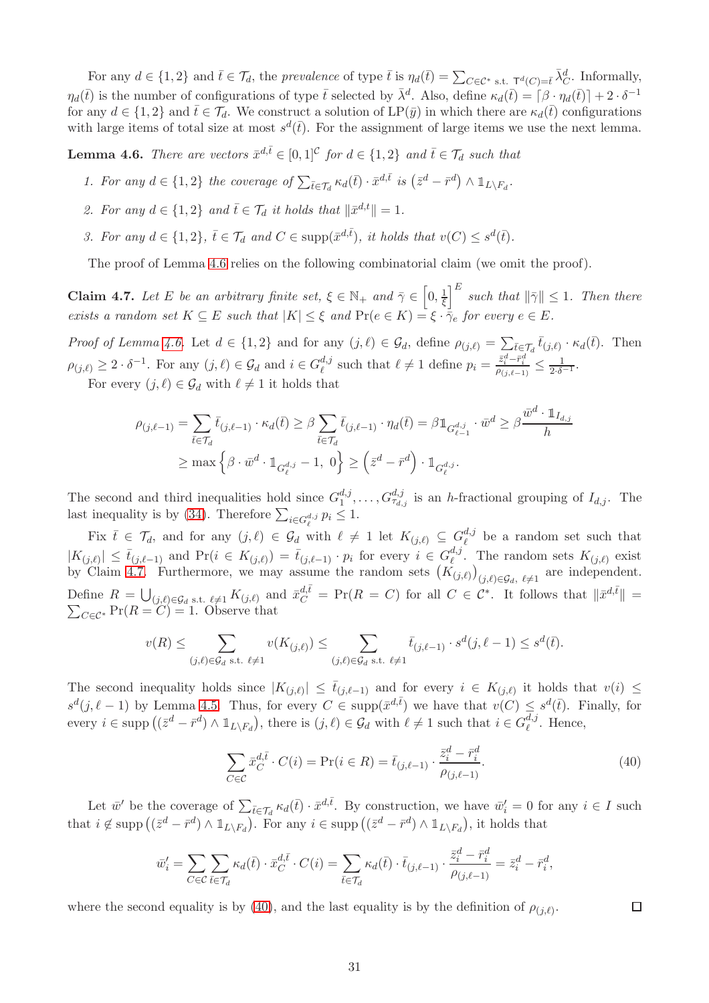For any  $d \in \{1,2\}$  and  $\bar{t} \in \mathcal{T}_d$ , the prevalence of type  $\bar{t}$  is  $\eta_d(\bar{t}) = \sum_{C \in \mathcal{C}^*} \epsilon_{s,t}$ .  $\tau^d(C) = \bar{t} \Lambda_C^d$ . Informally,  $\eta_d(\bar{t})$  is the number of configurations of type  $\bar{t}$  selected by  $\bar{\lambda}^d$ . Also, define  $\kappa_d(\bar{t}) = \lceil \beta \cdot \eta_d(\bar{t}) \rceil + 2 \cdot \delta^{-1}$ for any  $d \in \{1,2\}$  and  $\bar{t} \in \mathcal{T}_d$ . We construct a solution of  $\text{LP}(\bar{y})$  in which there are  $\kappa_d(\bar{t})$  configurations with large items of total size at most  $s^d(\bar{t})$ . For the assignment of large items we use the next lemma.

<span id="page-32-0"></span>**Lemma 4.6.** There are vectors  $\bar{x}^{d,\bar{t}} \in [0,1]^{\mathcal{C}}$  for  $d \in \{1,2\}$  and  $\bar{t} \in \mathcal{T}_d$  such that

- 1. For any  $d \in \{1,2\}$  the coverage of  $\sum_{\bar{t} \in \mathcal{T}_d} \kappa_d(\bar{t}) \cdot \bar{x}^{d,\bar{t}}$  is  $(\bar{z}^d \bar{r}^d) \wedge \mathbb{1}_{L \setminus F_d}$ .
- 2. For any  $d \in \{1,2\}$  and  $\overline{t} \in \mathcal{T}_d$  it holds that  $\|\overline{x}^{d,t}\| = 1$ .
- 3. For any  $d \in \{1,2\}$ ,  $\overline{t} \in \mathcal{T}_d$  and  $C \in \text{supp}(\overline{x}^{d,\overline{t}})$ , it holds that  $v(C) \leq s^d(\overline{t})$ .

The proof of Lemma [4.6](#page-32-0) relies on the following combinatorial claim (we omit the proof).

<span id="page-32-1"></span>**Claim 4.7.** Let E be an arbitrary finite set,  $\xi \in \mathbb{N}_+$  and  $\overline{\gamma} \in \left[0, \frac{1}{\xi}\right]$  $\frac{1}{\xi}$  such that  $\|\bar{\gamma}\| \leq 1$ . Then there exists a random set  $K \subseteq E$  such that  $|K| \leq \xi$  and  $Pr(e \in K) = \xi \cdot \overline{\gamma}_e$  for every  $e \in E$ .

Proof of Lemma [4.6.](#page-32-0) Let  $d \in \{1,2\}$  and for any  $(j, \ell) \in \mathcal{G}_d$ , define  $\rho_{(j,\ell)} = \sum_{\bar{t} \in \mathcal{T}_d} \bar{t}_{(j,\ell)} \cdot \kappa_d(\bar{t})$ . Then  $\rho_{(j,\ell)} \geq 2 \cdot \delta^{-1}$ . For any  $(j,\ell) \in \mathcal{G}_d$  and  $i \in G_{\ell}^{d,j}$  $\ell^{d,j}_{\ell}$  such that  $\ell \neq 1$  define  $p_i = \frac{\bar{z}_i^d - \bar{r}_i^d}{\rho_{(j,\ell-1)}} \leq \frac{1}{2 \cdot \delta^{-1}}$ .

For every  $(j, \ell) \in \mathcal{G}_d$  with  $\ell \neq 1$  it holds that

$$
\rho_{(j,\ell-1)} = \sum_{\bar{t}\in\mathcal{T}_d} \bar{t}_{(j,\ell-1)} \cdot \kappa_d(\bar{t}) \ge \beta \sum_{\bar{t}\in\mathcal{T}_d} \bar{t}_{(j,\ell-1)} \cdot \eta_d(\bar{t}) = \beta \mathbb{1}_{G_{\ell-1}^{d,j}} \cdot \bar{w}^d \ge \beta \frac{\bar{w}^d \cdot \mathbb{1}_{I_{d,j}}}{h}
$$

$$
\ge \max\left\{\beta \cdot \bar{w}^d \cdot \mathbb{1}_{G_{\ell}^{d,j}} - 1, 0\right\} \ge \left(\bar{z}^d - \bar{r}^d\right) \cdot \mathbb{1}_{G_{\ell}^{d,j}}.
$$

The second and third inequalities hold since  $G_1^{d,j}$  $a_{1}^{d,j}, \ldots, G_{\tau_{d,j}}^{d,j}$  is an h-fractional grouping of  $I_{d,j}$ . The last inequality is by [\(34\)](#page-30-1). Therefore  $\sum_{i \in G_{\ell}^{d,j}} p_i \leq 1$ .

Fix  $\bar{t} \in \mathcal{T}_d$ , and for any  $(j, \ell) \in \mathcal{G}_d$  with  $\ell \neq 1$  let  $K_{(j,\ell)} \subseteq G_{\ell}^{d,j}$  be a random set such that  $\ell$  $|K_{(j,\ell)}| \leq \bar{t}_{(j,\ell-1)}$  and  $\Pr(i \in K_{(j,\ell)}) = \bar{t}_{(j,\ell-1)} \cdot p_i$  for every  $i \in G_{\ell}^{d,j}$  $\ell^{a,j}$ . The random sets  $K_{(j,\ell)}$  exist by Claim [4.7.](#page-32-1) Furthermore, we may assume the random sets  $(K_{(j,\ell)})_{(j,\ell)\in\mathcal{G}_d, \ell\neq 1}$  are independent. Define  $R = \bigcup_{(j,\ell) \in \mathcal{G}_d} s.t. \ell \neq 1} K_{(j,\ell)}$  and  $\bar{x}_C^{d,\bar{t}} = \Pr(R = C)$  for all  $C \in \mathcal{C}^*$ . It follows that  $\|\bar{x}^{d,\bar{t}}\|$  $\sum$  $\Vert =$  $_{C \in \mathcal{C}^*}$  Pr( $R = C$ ) = 1. Observe that

$$
v(R) \leq \sum_{(j,\ell) \in \mathcal{G}_d \text{ s.t. } \ell \neq 1} v(K_{(j,\ell)}) \leq \sum_{(j,\ell) \in \mathcal{G}_d \text{ s.t. } \ell \neq 1} \bar{t}_{(j,\ell-1)} \cdot s^d(j,\ell-1) \leq s^d(\bar{t}).
$$

The second inequality holds since  $|K_{(j,\ell)}| \leq \bar{t}_{(j,\ell-1)}$  and for every  $i \in K_{(j,\ell)}$  it holds that  $v(i) \leq$  $s^d(j, \ell-1)$  by Lemma [4.5.](#page-31-3) Thus, for every  $C \in \text{supp}(\bar{x}^{d,\bar{t}})$  we have that  $v(C) \leq s^d(\bar{t})$ . Finally, for every  $i \in \text{supp} ((\bar{z}^d - \bar{r}^d) \wedge \mathbb{1}_{L \setminus F_d})$ , there is  $(j, \ell) \in \mathcal{G}_d$  with  $\ell \neq 1$  such that  $i \in G_{\ell}^{d,j}$  $_{\ell}^{a,j}$ . Hence,

<span id="page-32-2"></span>
$$
\sum_{C \in \mathcal{C}} \bar{x}_{C}^{d,\bar{t}} \cdot C(i) = \Pr(i \in R) = \bar{t}_{(j,\ell-1)} \cdot \frac{\bar{z}_{i}^{d} - \bar{r}_{i}^{d}}{\rho_{(j,\ell-1)}}.
$$
\n(40)

 $\Box$ 

Let  $\bar{w}'$  be the coverage of  $\sum_{\bar{t}\in\mathcal{T}_d} \kappa_d(\bar{t})\cdot \bar{x}^{d,\bar{t}}$ . By construction, we have  $\bar{w}'_i=0$  for any  $i\in I$  such that  $i \notin \text{supp} ((\bar{z}^d - \bar{r}^d) \wedge \mathbb{1}_{L \setminus F_d})$ . For any  $i \in \text{supp} ((\bar{z}^d - \bar{r}^d) \wedge \mathbb{1}_{L \setminus F_d})$ , it holds that

$$
\bar{w}'_i = \sum_{C \in \mathcal{C}} \sum_{\bar{t} \in \mathcal{T}_d} \kappa_d(\bar{t}) \cdot \bar{x}_C^{d, \bar{t}} \cdot C(i) = \sum_{\bar{t} \in \mathcal{T}_d} \kappa_d(\bar{t}) \cdot \bar{t}_{(j, \ell-1)} \cdot \frac{\bar{z}_i^d - \bar{r}_i^d}{\rho_{(j, \ell-1)}} = \bar{z}_i^d - \bar{r}_i^d,
$$

where the second equality is by [\(40\)](#page-32-2), and the last equality is by the definition of  $\rho_{(j,\ell)}$ .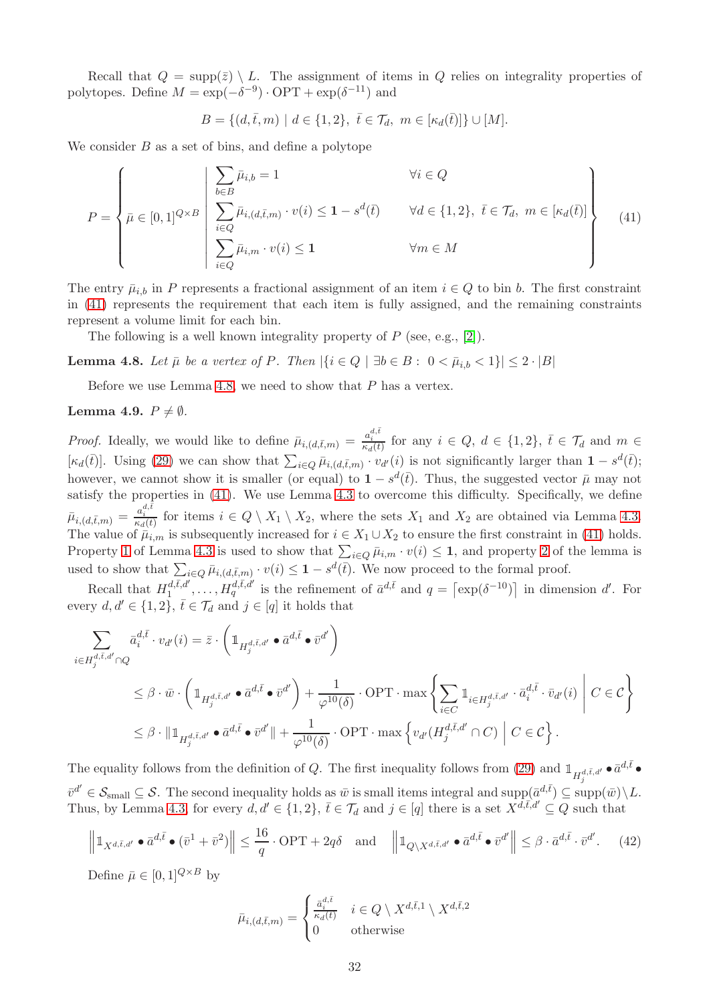Recall that  $Q = \text{supp}(\bar{z}) \setminus L$ . The assignment of items in Q relies on integrality properties of polytopes. Define  $M = \exp(-\delta^{-9}) \cdot \text{OPT} + \exp(\delta^{-11})$  and

$$
B = \{ (d, \bar{t}, m) \mid d \in \{1, 2\}, \ \bar{t} \in \mathcal{T}_d, \ m \in [\kappa_d(\bar{t})] \} \cup [M].
$$

We consider  $B$  as a set of bins, and define a polytope

<span id="page-33-1"></span>
$$
P = \left\{\bar{\mu} \in [0,1]^{Q \times B} \left| \begin{array}{l}\sum_{b \in B} \bar{\mu}_{i,b} = 1 & \forall i \in Q\\ \sum_{i \in Q} \bar{\mu}_{i,(d,\bar{t},m)} \cdot v(i) \le 1 - s^d(\bar{t}) & \forall d \in \{1,2\}, \ \bar{t} \in \mathcal{T}_d, \ m \in [\kappa_d(\bar{t})] \\ \sum_{i \in Q} \bar{\mu}_{i,m} \cdot v(i) \le 1 & \forall m \in M \end{array}\right\} \tag{41}
$$

The entry  $\bar{\mu}_{i,b}$  in P represents a fractional assignment of an item  $i \in Q$  to bin b. The first constraint in [\(41\)](#page-33-1) represents the requirement that each item is fully assigned, and the remaining constraints represent a volume limit for each bin.

The following is a well known integrality property of  $P$  (see, e.g., [\[2\]](#page-46-0)).

<span id="page-33-2"></span>Lemma 4.8. Let  $\bar{\mu}$  be a vertex of P. Then  $|\{i \in Q \mid \exists b \in B : 0 < \bar{\mu}_{i,b} < 1\}| \leq 2 \cdot |B|$ 

Before we use Lemma [4.8,](#page-33-2) we need to show that  $P$  has a vertex.

#### <span id="page-33-0"></span>Lemma 4.9.  $P \neq \emptyset$ .

*Proof.* Ideally, we would like to define  $\bar{\mu}_{i,(d,\bar{t},m)} = \frac{a_i^{d,\bar{t}}}{\kappa_d(\bar{t})}$  for any  $i \in Q, d \in \{1,2\}, \bar{t} \in \mathcal{T}_d$  and  $m \in \mathcal{T}_d$  $[\kappa_d(\bar{t})]$ . Using [\(29\)](#page-29-2) we can show that  $\sum_{i\in Q} \bar{\mu}_{i,(d,\bar{t},m)} \cdot v_{d'}(i)$  is not significantly larger than  $1 - s^d(\bar{t})$ ; however, we cannot show it is smaller (or equal) to  $1 - s^d(\bar{t})$ . Thus, the suggested vector  $\bar{\mu}$  may not satisfy the properties in [\(41\)](#page-33-1). We use Lemma [4.3](#page-28-1) to overcome this difficulty. Specifically, we define  $\bar{\mu}_{i,(d,\bar{t},m)} = \frac{a_i^{d,\bar{t}}}{\kappa_d(\bar{t})}$  for items  $i \in Q \setminus X_1 \setminus X_2$ , where the sets  $X_1$  and  $X_2$  are obtained via Lemma [4.3.](#page-28-1) The value of  $\bar{\mu}_{i,m}$  is subsequently increased for  $i \in X_1 \cup X_2$  to ensure the first constraint in [\(41\)](#page-33-1) holds. Property [1](#page-28-3) of Lemma [4.3](#page-28-1) is used to show that  $\sum_{i\in Q} \bar{\mu}_{i,m} \cdot v(i) \leq 1$ , and property [2](#page-29-4) of the lemma is used to show that  $\sum_{i\in Q} \bar{\mu}_{i,(d,\bar{t},m)} \cdot v(i) \leq 1 - s^d(\bar{t})$ . We now proceed to the formal proof.

Recall that  $H_1^{d,\bar{t},d'}$  $d,\bar{t},d',\ldots,H_q^{d,\bar{t},d'}$  is the refinement of  $\bar{a}^{d,\bar{t}}$  and  $q=\lfloor \exp(\delta^{-10}) \rfloor$  in dimension d'. For every  $d, d' \in \{1, 2\}, \bar{t} \in \mathcal{T}_d$  and  $j \in [q]$  it holds that

$$
\sum_{i \in H_j^{d,\bar{t},d'} \cap Q} \bar{a}_i^{d,\bar{t}} \cdot v_{d'}(i) = \bar{z} \cdot \left( \mathbb{1}_{H_j^{d,\bar{t},d'}} \bullet \bar{a}^{d,\bar{t}} \bullet \bar{v}^{d'} \right)
$$
\n
$$
\leq \beta \cdot \bar{w} \cdot \left( \mathbb{1}_{H_j^{d,\bar{t},d'}} \bullet \bar{a}^{d,\bar{t}} \bullet \bar{v}^{d'} \right) + \frac{1}{\varphi^{10}(\delta)} \cdot \text{OPT} \cdot \max \left\{ \sum_{i \in C} \mathbb{1}_{i \in H_j^{d,\bar{t},d'}} \cdot \bar{a}_i^{d,\bar{t}} \cdot \bar{v}_{d'}(i) \middle| C \in \mathcal{C} \right\}
$$
\n
$$
\leq \beta \cdot ||\mathbb{1}_{H_j^{d,\bar{t},d'}} \bullet \bar{a}^{d,\bar{t}} \bullet \bar{v}^{d'}|| + \frac{1}{\varphi^{10}(\delta)} \cdot \text{OPT} \cdot \max \left\{ v_{d'}(H_j^{d,\bar{t},d'} \cap C) \middle| C \in \mathcal{C} \right\}.
$$

The equality follows from the definition of Q. The first inequality follows from [\(29\)](#page-29-2) and  $\mathbb{1}_{H_j^{d,\bar{t},d'}} \bullet \bar{a}^{d,\bar{t}} \bullet$  $\bar{v}^{d'} \in \mathcal{S}_{\text{small}} \subseteq \mathcal{S}$ . The second inequality holds as  $\bar{w}$  is small items integral and  $\text{supp}(\bar{a}^{d,\bar{t}}) \subseteq \text{supp}(\bar{w}) \setminus L$ . Thus, by Lemma [4.3,](#page-28-1) for every  $d, d' \in \{1, 2\}, \bar{t} \in \mathcal{T}_d$  and  $j \in [q]$  there is a set  $X^{d, \bar{t}, d'} \subseteq Q$  such that

<span id="page-33-3"></span>
$$
\left\|1_{X^{d,\bar{t},d'}} \bullet \bar{a}^{d,\bar{t}} \bullet (\bar{v}^1 + \bar{v}^2)\right\| \le \frac{16}{q} \cdot \text{OPT} + 2q\delta \quad \text{and} \quad \left\|1_{Q \setminus X^{d,\bar{t},d'}} \bullet \bar{a}^{d,\bar{t}} \bullet \bar{v}^{d'}\right\| \le \beta \cdot \bar{a}^{d,\bar{t}} \cdot \bar{v}^{d'}.\tag{42}
$$

Define  $\bar{\mu} \in [0, 1]^{Q \times B}$  by

$$
\bar{\mu}_{i,(d,\bar{t},m)} = \begin{cases} \frac{\bar{a}_i^{d,\bar{t}}}{\kappa_d(\bar{t})} & i \in Q \setminus X^{d,\bar{t},1} \setminus X^{d,\bar{t},2} \\ 0 & \text{otherwise} \end{cases}
$$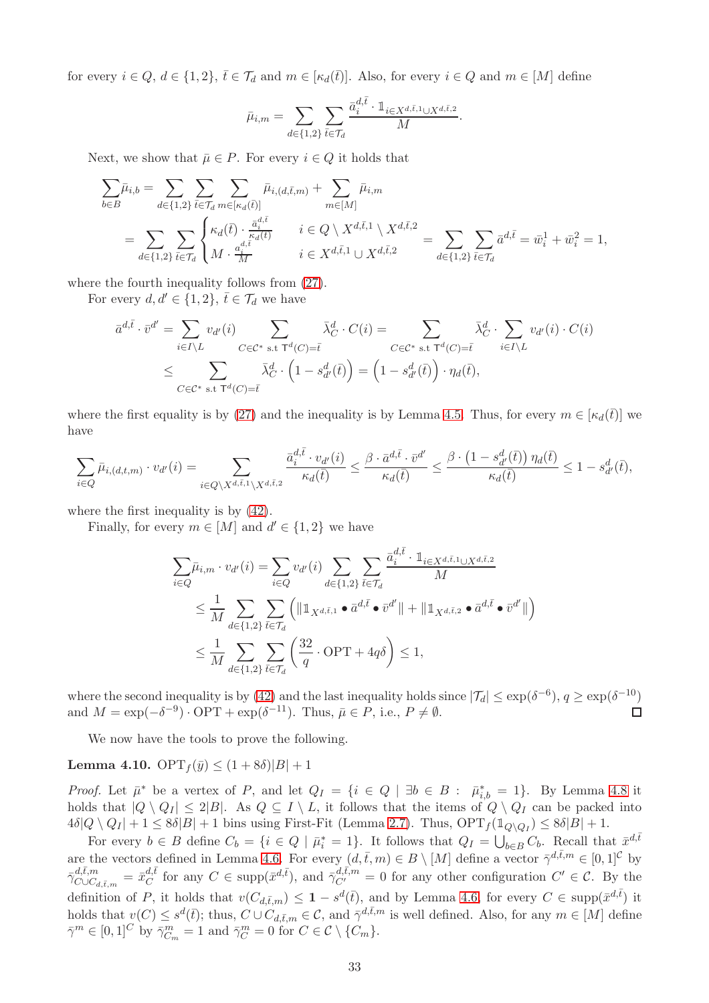for every  $i \in Q$ ,  $d \in \{1,2\}$ ,  $\overline{t} \in \mathcal{T}_d$  and  $m \in [\kappa_d(\overline{t})]$ . Also, for every  $i \in Q$  and  $m \in [M]$  define

$$
\bar{\mu}_{i,m} = \sum_{d \in \{1,2\}} \sum_{\bar{t} \in \mathcal{T}_d} \frac{\bar{a}_i^{d,\bar{t}} \cdot \mathbb{1}_{i \in X^{d,\bar{t},1} \cup X^{d,\bar{t},2}}}{M}.
$$

Next, we show that  $\bar{\mu} \in P$ . For every  $i \in Q$  it holds that

$$
\sum_{b \in B} \bar{\mu}_{i,b} = \sum_{d \in \{1,2\}} \sum_{\bar{t} \in \mathcal{T}_d} \sum_{m \in [\kappa_d(\bar{t})]} \bar{\mu}_{i,(d,\bar{t},m)} + \sum_{m \in [M]} \bar{\mu}_{i,m}
$$
\n
$$
= \sum_{d \in \{1,2\}} \sum_{\bar{t} \in \mathcal{T}_d} \begin{cases}\n\kappa_d(\bar{t}) \cdot \frac{\bar{a}_i^d \bar{t}}{\kappa_d(\bar{t})} & i \in Q \setminus X^{d,\bar{t},1} \setminus X^{d,\bar{t},2} \\
M \cdot \frac{a_i^d \bar{t}}{\bar{M}} & i \in X^{d,\bar{t},1} \cup X^{d,\bar{t},2} \\
i \in X^{d,\bar{t},1} \cup X^{d,\bar{t},2} & i \in [1,2], \bar{t} \in \mathcal{T}_d\n\end{cases} = \sum_{d \in \{1,2\}} \sum_{\bar{t} \in \mathcal{T}_d} \bar{a}^{d,\bar{t}} = \bar{w}_i^1 + \bar{w}_i^2 = 1,
$$

where the fourth inequality follows from [\(27\)](#page-28-4).

For every  $d, d' \in \{1, 2\}, \bar{t} \in \mathcal{T}_d$  we have

$$
\overline{a}^{d,\overline{t}} \cdot \overline{v}^{d'} = \sum_{i \in I \setminus L} v_{d'}(i) \sum_{C \in \mathcal{C}^* \text{ s.t } \mathsf{T}^d(C) = \overline{t}} \overline{\lambda}_C^d \cdot C(i) = \sum_{C \in \mathcal{C}^* \text{ s.t } \mathsf{T}^d(C) = \overline{t}} \overline{\lambda}_C^d \cdot \sum_{i \in I \setminus L} v_{d'}(i) \cdot C(i)
$$
\n
$$
\leq \sum_{C \in \mathcal{C}^* \text{ s.t } \mathsf{T}^d(C) = \overline{t}} \overline{\lambda}_C^d \cdot \left(1 - s_{d'}^d(\overline{t})\right) = \left(1 - s_{d'}^d(\overline{t})\right) \cdot \eta_d(\overline{t}),
$$

where the first equality is by [\(27\)](#page-28-4) and the inequality is by Lemma [4.5.](#page-31-3) Thus, for every  $m \in [\kappa_d(\bar{t})]$  we have

$$
\sum_{i \in Q} \bar{\mu}_{i,(d,t,m)} \cdot v_{d'}(i) = \sum_{i \in Q \setminus X^{d,\bar{t},1} \setminus X^{d,\bar{t},2}} \frac{\bar{a}_i^{d,\bar{t}} \cdot v_{d'}(i)}{\kappa_d(\bar{t})} \le \frac{\beta \cdot \bar{a}^{d,\bar{t}} \cdot \bar{v}^{d'}}{\kappa_d(\bar{t})} \le \frac{\beta \cdot (1 - s_{d'}^d(\bar{t})) \eta_d(\bar{t})}{\kappa_d(\bar{t})} \le 1 - s_{d'}^d(\bar{t}),
$$

where the first inequality is by  $(42)$ .

Finally, for every  $m \in [M]$  and  $d' \in \{1, 2\}$  we have

$$
\sum_{i \in Q} \bar{\mu}_{i,m} \cdot v_{d'}(i) = \sum_{i \in Q} v_{d'}(i) \sum_{d \in \{1,2\}} \sum_{\bar{t} \in \mathcal{T}_d} \frac{\bar{a}_i^{d,\bar{t}} \cdot \mathbb{1}_{i \in X^{d,\bar{t},1} \cup X^{d,\bar{t},2}}}{M}
$$
\n
$$
\leq \frac{1}{M} \sum_{d \in \{1,2\}} \sum_{\bar{t} \in \mathcal{T}_d} \left( \|\mathbb{1}_{X^{d,\bar{t},1}} \bullet \bar{a}^{d,\bar{t}} \bullet \bar{v}^{d'}\| + \|\mathbb{1}_{X^{d,\bar{t},2}} \bullet \bar{a}^{d,\bar{t}} \bullet \bar{v}^{d'}\| \right)
$$
\n
$$
\leq \frac{1}{M} \sum_{d \in \{1,2\}} \sum_{\bar{t} \in \mathcal{T}_d} \left( \frac{32}{q} \cdot \text{OPT} + 4q\delta \right) \leq 1,
$$

where the second inequality is by [\(42\)](#page-33-3) and the last inequality holds since  $|\mathcal{T}_d| \leq \exp(\delta^{-6}), q \geq \exp(\delta^{-10})$ and  $M = \exp(-\delta^{-9}) \cdot \text{OPT} + \exp(\delta^{-11})$ . Thus,  $\bar{\mu} \in P$ , i.e.,  $P \neq \emptyset$ .  $\Box$ 

We now have the tools to prove the following.

<span id="page-34-0"></span>**Lemma 4.10.** OPT $_{f}(\bar{y}) \leq (1 + 8\delta)|B| + 1$ 

*Proof.* Let  $\bar{\mu}^*$  be a vertex of P, and let  $Q_I = \{i \in Q \mid \exists b \in B : \bar{\mu}_{i,b}^* = 1\}$ . By Lemma [4.8](#page-33-2) it holds that  $|Q \setminus Q_I| \leq 2|B|$ . As  $Q \subseteq I \setminus L$ , it follows that the items of  $Q \setminus Q_I$  can be packed into  $4\delta|Q \setminus Q_I| + 1 \leq 8\delta|B| + 1$  bins using First-Fit (Lemma [2.7\)](#page-8-6). Thus,  $\text{OPT}_f(\mathbb{1}_{Q \setminus Q_I}) \leq 8\delta|B| + 1$ .

For every  $b \in B$  define  $C_b = \{i \in Q \mid \bar{\mu}_i^* = 1\}$ . It follows that  $Q_I = \bigcup_{b \in B} C_b$ . Recall that  $\bar{x}^{d,\bar{t}}$ are the vectors defined in Lemma [4.6.](#page-32-0) For every  $(d, \bar{t}, m) \in B \setminus [M]$  define a vector  $\bar{\gamma}^{d, \bar{t}, m} \in [0, 1]^{\mathcal{C}}$  by  $\bar{\gamma}_{C\cup C_{d,\bar{t},m}}^{d,\bar{t},m}=\bar{x}_{C}^{d,\bar{t}}$  $\alpha_C^{d,\bar{t}}$  for any  $C \in \text{supp}(\bar{x}^{d,\bar{t}})$ , and  $\bar{\gamma}_{C'}^{d,\bar{t},m} = 0$  for any other configuration  $C' \in \mathcal{C}$ . By the definition of P, it holds that  $v(C_{d,\bar{t},m}) \leq 1 - s^d(\bar{t})$ , and by Lemma [4.6,](#page-32-0) for every  $C \in \text{supp}(\bar{x}^{d,\bar{t}})$  it holds that  $v(C) \leq s^d(\bar{t})$ ; thus,  $C \cup C_{d,\bar{t},m} \in \mathcal{C}$ , and  $\bar{\gamma}^{d,\bar{t},m}$  is well defined. Also, for any  $m \in [M]$  define  $\bar{\gamma}^m \in [0,1]^C$  by  $\bar{\gamma}_{C_m}^m = 1$  and  $\bar{\gamma}_C^m = 0$  for  $C \in \mathcal{C} \setminus \{C_m\}.$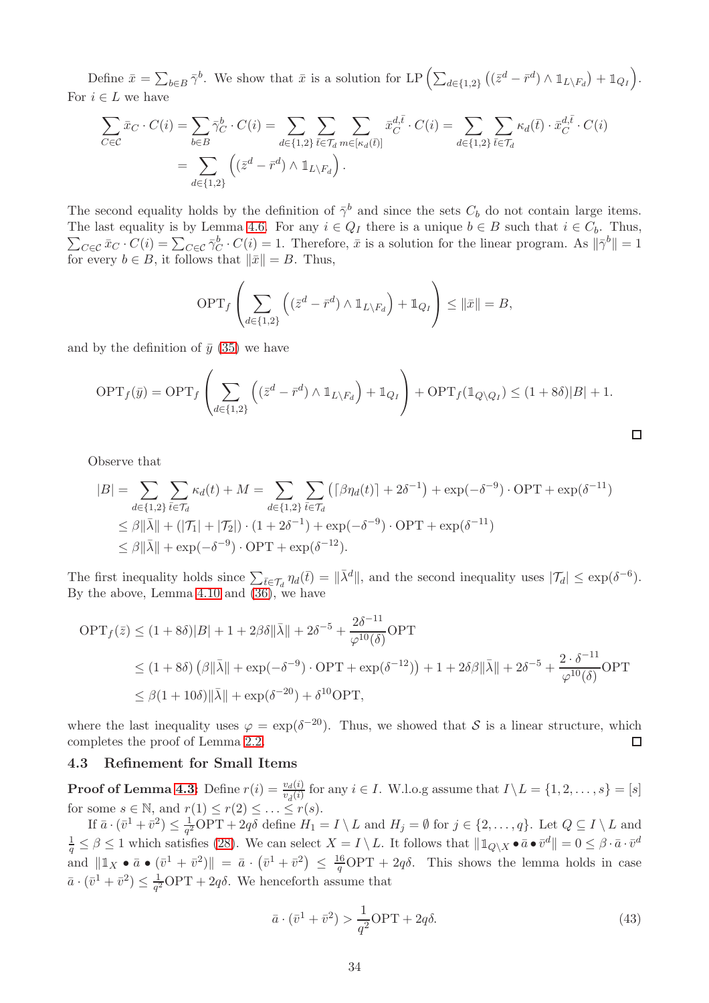Define  $\bar{x} = \sum_{b \in B} \bar{\gamma}^b$ . We show that  $\bar{x}$  is a solution for LP  $\left( \sum_{d \in \{1,2\}} \left( (\bar{z}^d - \bar{r}^d) \wedge \mathbb{1}_{L \setminus F_d} \right) + \mathbb{1}_{Q_I} \right)$ . For  $i \in L$  we have

$$
\sum_{C \in \mathcal{C}} \bar{x}_C \cdot C(i) = \sum_{b \in B} \bar{\gamma}_C^b \cdot C(i) = \sum_{d \in \{1,2\}} \sum_{\bar{t} \in \mathcal{T}_d} \sum_{m \in [\kappa_d(\bar{t})]} \bar{x}_C^{d, \bar{t}} \cdot C(i) = \sum_{d \in \{1,2\}} \sum_{\bar{t} \in \mathcal{T}_d} \kappa_d(\bar{t}) \cdot \bar{x}_C^{d, \bar{t}} \cdot C(i)
$$

$$
= \sum_{d \in \{1,2\}} \left( (\bar{z}^d - \bar{r}^d) \wedge \mathbb{1}_{L \setminus F_d} \right).
$$

The second equality holds by the definition of  $\bar{\gamma}^b$  and since the sets  $C_b$  do not contain large items.  $\sum_{C \in \mathcal{C}} \bar{x}_C \cdot C(i) = \sum_{C \in \mathcal{C}} \bar{\gamma}_C^b \cdot C(i) = 1$ . Therefore,  $\bar{x}$  is a solution for the linear program. As  $\|\bar{\gamma}^b\| = 1$ The last equality is by Lemma [4.6.](#page-32-0) For any  $i \in Q_I$  there is a unique  $b \in B$  such that  $i \in C_b$ . Thus, for every  $b \in B$ , it follows that  $\|\bar{x}\| = B$ . Thus,

$$
\text{OPT}_f\left(\sum_{d\in\{1,2\}}\left((\bar{z}^d-\bar{r}^d)\wedge \mathbb{1}_{L\setminus F_d}\right)+\mathbb{1}_{Q_I}\right)\leq \|\bar{x}\|=B,
$$

and by the definition of  $\bar{y}$  [\(35\)](#page-30-2) we have

$$
\text{OPT}_f(\bar{y}) = \text{OPT}_f \left( \sum_{d \in \{1,2\}} \left( (\bar{z}^d - \bar{r}^d) \wedge \mathbb{1}_{L \setminus F_d} \right) + \mathbb{1}_{Q_I} \right) + \text{OPT}_f(\mathbb{1}_{Q \setminus Q_I}) \le (1 + 8\delta)|B| + 1.
$$

Observe that

$$
|B| = \sum_{d \in \{1,2\}} \sum_{\bar{t} \in \mathcal{T}_d} \kappa_d(t) + M = \sum_{d \in \{1,2\}} \sum_{\bar{t} \in \mathcal{T}_d} \left( \lceil \beta \eta_d(t) \rceil + 2\delta^{-1} \right) + \exp(-\delta^{-9}) \cdot \text{OPT} + \exp(\delta^{-11})
$$
  
\$\leq \beta \|\bar{\lambda}\| + (|\mathcal{T}\_1| + |\mathcal{T}\_2|) \cdot (1 + 2\delta^{-1}) + \exp(-\delta^{-9}) \cdot \text{OPT} + \exp(\delta^{-11})\$  
\$\leq \beta \|\bar{\lambda}\| + \exp(-\delta^{-9}) \cdot \text{OPT} + \exp(\delta^{-12}).

The first inequality holds since  $\sum_{\bar{t}\in\mathcal{T}_d} \eta_d(\bar{t}) = ||\bar{\lambda}^d||$ , and the second inequality uses  $|\mathcal{T}_d| \le \exp(\delta^{-6})$ . By the above, Lemma [4.10](#page-34-0) and  $(36)$ , we have

$$
\begin{aligned} \text{OPT}_f(\bar{z}) &\le (1+8\delta)|B| + 1 + 2\beta\delta \|\bar{\lambda}\| + 2\delta^{-5} + \frac{2\delta^{-11}}{\varphi^{10}(\delta)} \text{OPT} \\ &\le (1+8\delta) \left(\beta \|\bar{\lambda}\| + \exp(-\delta^{-9}) \cdot \text{OPT} + \exp(\delta^{-12})\right) + 1 + 2\delta\beta \|\bar{\lambda}\| + 2\delta^{-5} + \frac{2 \cdot \delta^{-11}}{\varphi^{10}(\delta)} \text{OPT} \\ &\le \beta (1+10\delta) \|\bar{\lambda}\| + \exp(\delta^{-20}) + \delta^{10} \text{OPT}, \end{aligned}
$$

where the last inequality uses  $\varphi = \exp(\delta^{-20})$ . Thus, we showed that S is a linear structure, which completes the proof of Lemma [2.2.](#page-8-1)  $\Box$ 

#### <span id="page-35-0"></span>4.3 Refinement for Small Items

**Proof of Lemma [4.3:](#page-28-1)** Define  $r(i) = \frac{v_d(i)}{v_d(i)}$  for any  $i \in I$ . W.l.o.g assume that  $I \setminus L = \{1, 2, ..., s\} = [s]$ for some  $s \in \mathbb{N}$ , and  $r(1) \leq r(2) \leq \ldots \leq r(s)$ .

If  $\bar{a} \cdot (\bar{v}^1 + \bar{v}^2) \leq \frac{1}{q^2} \text{OPT} + 2q\delta$  define  $H_1 = I \setminus L$  and  $H_j = \emptyset$  for  $j \in \{2, ..., q\}$ . Let  $Q \subseteq I \setminus L$  and  $\frac{1}{q} \leq \beta \leq 1$  which satisfies [\(28\)](#page-28-0). We can select  $X = I \setminus L$ . It follows that  $\|\mathbb{1}_{Q \setminus X} \bullet \bar{a} \bullet \bar{v}^d\| = 0 \leq \beta \cdot \bar{a} \cdot \bar{v}^d$ and  $||\mathbb{1}_X \bullet \bar{a} \bullet (\bar{v}^1 + \bar{v}^2)|| = \bar{a} \cdot (\bar{v}^1 + \bar{v}^2) \leq \frac{16}{q} \text{OPT} + 2q \delta$ . This shows the lemma holds in case  $\bar{a} \cdot (\bar{v}^1 + \bar{v}^2) \leq \frac{1}{\sigma^2}$  $\frac{1}{q^2}$ OPT + 2 $q\delta$ . We henceforth assume that

<span id="page-35-1"></span>
$$
\bar{a} \cdot (\bar{v}^1 + \bar{v}^2) > \frac{1}{q^2} \text{OPT} + 2q\delta. \tag{43}
$$

 $\Box$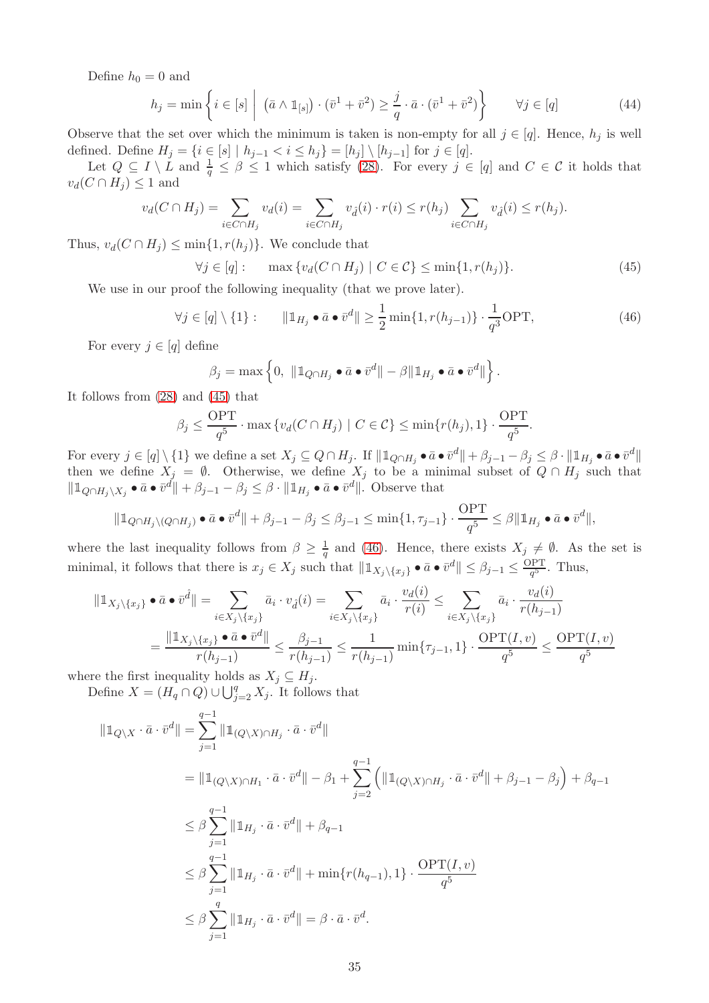Define  $h_0 = 0$  and

<span id="page-36-2"></span>
$$
h_j = \min\left\{i \in [s] \mid (\bar{a} \wedge \mathbb{1}_{[s]}) \cdot (\bar{v}^1 + \bar{v}^2) \ge \frac{j}{q} \cdot \bar{a} \cdot (\bar{v}^1 + \bar{v}^2) \right\} \qquad \forall j \in [q]
$$
\n
$$
(44)
$$

Observe that the set over which the minimum is taken is non-empty for all  $j \in [q]$ . Hence,  $h_j$  is well defined. Define  $H_j = \{i \in [s] \mid h_{j-1} < i \le h_j\} = [h_j] \setminus [h_{j-1}]$  for  $j \in [q]$ .

Let  $Q \subseteq I \setminus L$  and  $\frac{1}{q} \leq \beta \leq 1$  which satisfy [\(28\)](#page-28-0). For every  $j \in [q]$  and  $C \in \mathcal{C}$  it holds that  $v_d(C \cap H_i) \leq 1$  and

$$
v_d(C \cap H_j) = \sum_{i \in C \cap H_j} v_d(i) = \sum_{i \in C \cap H_j} v_{\hat{d}}(i) \cdot r(i) \le r(h_j) \sum_{i \in C \cap H_j} v_{\hat{d}}(i) \le r(h_j).
$$

Thus,  $v_d(C \cap H_j) \le \min\{1, r(h_j)\}\)$ . We conclude that

<span id="page-36-0"></span>
$$
\forall j \in [q]: \quad \max \left\{ v_d(C \cap H_j) \mid C \in \mathcal{C} \right\} \le \min\{1, r(h_j)\}. \tag{45}
$$

.

We use in our proof the following inequality (that we prove later).

<span id="page-36-1"></span>
$$
\forall j \in [q] \setminus \{1\}: \qquad \|\mathbb{1}_{H_j} \bullet \bar{a} \bullet \bar{v}^d\| \ge \frac{1}{2} \min\{1, r(h_{j-1})\} \cdot \frac{1}{q^3} \text{OPT},\tag{46}
$$

For every  $j \in [q]$  define

$$
\beta_j = \max \left\{ 0, \ \| \mathbb{1}_{Q \cap H_j} \bullet \bar{a} \bullet \bar{v}^d \| - \beta \| \mathbb{1}_{H_j} \bullet \bar{a} \bullet \bar{v}^d \| \right\}.
$$

It follows from [\(28\)](#page-28-0) and [\(45\)](#page-36-0) that

$$
\beta_j \le \frac{\text{OPT}}{q^5} \cdot \max \{ v_d(C \cap H_j) \mid C \in \mathcal{C} \} \le \min \{ r(h_j), 1 \} \cdot \frac{\text{OPT}}{q^5}
$$

For every  $j \in [q] \setminus \{1\}$  we define a set  $X_j \subseteq Q \cap H_j$ . If  $|| \mathbb{1}_{Q \cap H_j} \bullet \bar{a} \bullet \bar{v}^d || + \beta_{j-1} - \beta_j \leq \beta \cdot || \mathbb{1}_{H_j} \bullet \bar{a} \bullet \bar{v}^d ||$ then we define  $X_j = \emptyset$ . Otherwise, we define  $X_j$  to be a minimal subset of  $Q \cap H_j$  such that  $\|\mathbb{1}_{Q \cap H_j \setminus X_j} \bullet \bar{a} \bullet \bar{v}^d\| + \beta_{j-1} - \beta_j \leq \beta \cdot \|\mathbb{1}_{H_j} \bullet \bar{a} \bullet \bar{v}^d\|.$  Observe that

$$
\|\mathbb{1}_{Q\cap H_j\setminus (Q\cap H_j)}\bullet \bar{a}\bullet \bar{v}^d\|+\beta_{j-1}-\beta_j\leq \beta_{j-1}\leq \min\{1,\tau_{j-1}\}\cdot \frac{\text{OPT}}{q^5}\leq \beta\|\mathbb{1}_{H_j}\bullet \bar{a}\bullet \bar{v}^d\|,
$$

where the last inequality follows from  $\beta \geq \frac{1}{a}$  $\frac{1}{q}$  and [\(46\)](#page-36-1). Hence, there exists  $X_j \neq \emptyset$ . As the set is minimal, it follows that there is  $x_j \in X_j$  such that  $\|\mathbb{1}_{X_j \setminus \{x_j\}} \bullet \bar{a} \bullet \bar{v}^d\| \leq \beta_{j-1} \leq \frac{\text{OPT}}{q^5}$  $\frac{q^{5}}{q^{5}}$ . Thus,

$$
\|\mathbb{1}_{X_j \setminus \{x_j\}} \bullet \bar{a} \bullet \bar{v}^{\hat{d}}\| = \sum_{i \in X_j \setminus \{x_j\}} \bar{a}_i \cdot v_{\hat{d}}(i) = \sum_{i \in X_j \setminus \{x_j\}} \bar{a}_i \cdot \frac{v_d(i)}{r(i)} \le \sum_{i \in X_j \setminus \{x_j\}} \bar{a}_i \cdot \frac{v_d(i)}{r(h_{j-1})}
$$

$$
= \frac{\|\mathbb{1}_{X_j \setminus \{x_j\}} \bullet \bar{a} \bullet \bar{v}^{\hat{d}}\|}{r(h_{j-1})} \le \frac{\beta_{j-1}}{r(h_{j-1})} \le \frac{1}{r(h_{j-1})} \min\{\tau_{j-1}, 1\} \cdot \frac{\text{OPT}(I, v)}{q^5} \le \frac{\text{OPT}(I, v)}{q^5}
$$

where the first inequality holds as  $X_j \subseteq H_j$ .

Define  $X = (H_q \cap Q) \cup \bigcup_{j=2}^q X_j$ . It follows that

$$
\|\mathbb{1}_{Q\setminus X} \cdot \bar{a} \cdot \bar{v}^{d}\| = \sum_{j=1}^{q-1} \|\mathbb{1}_{(Q\setminus X)\cap H_{j}} \cdot \bar{a} \cdot \bar{v}^{d}\|
$$
  
\n
$$
= \|\mathbb{1}_{(Q\setminus X)\cap H_{1}} \cdot \bar{a} \cdot \bar{v}^{d}\| - \beta_{1} + \sum_{j=2}^{q-1} \left( \|\mathbb{1}_{(Q\setminus X)\cap H_{j}} \cdot \bar{a} \cdot \bar{v}^{d}\| + \beta_{j-1} - \beta_{j} \right) + \beta_{q-1}
$$
  
\n
$$
\leq \beta \sum_{j=1}^{q-1} \|\mathbb{1}_{H_{j}} \cdot \bar{a} \cdot \bar{v}^{d}\| + \beta_{q-1}
$$
  
\n
$$
\leq \beta \sum_{j=1}^{q-1} \|\mathbb{1}_{H_{j}} \cdot \bar{a} \cdot \bar{v}^{d}\| + \min\{r(h_{q-1}), 1\} \cdot \frac{\text{OPT}(I, v)}{q^{5}}
$$
  
\n
$$
\leq \beta \sum_{j=1}^{q} \|\mathbb{1}_{H_{j}} \cdot \bar{a} \cdot \bar{v}^{d}\| = \beta \cdot \bar{a} \cdot \bar{v}^{d}.
$$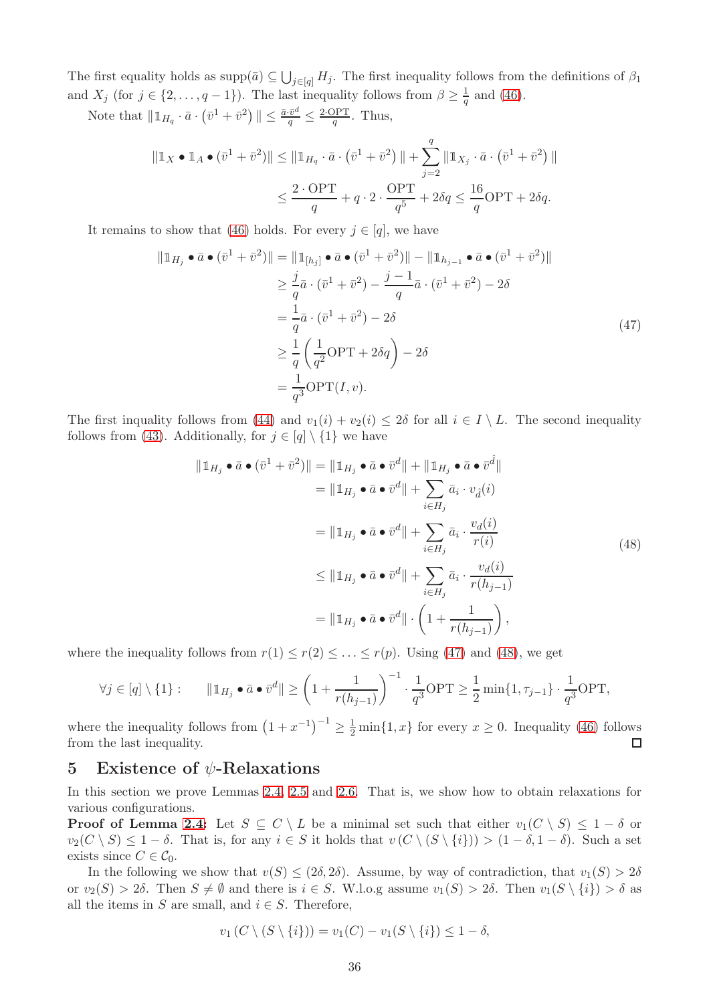The first equality holds as  $\text{supp}(\bar{a}) \subseteq \bigcup_{j \in [q]} H_j$ . The first inequality follows from the definitions of  $\beta_1$ and  $X_j$  (for  $j \in \{2, \ldots, q-1\}$ ). The last inequality follows from  $\beta \geq \frac{1}{q}$  $\frac{1}{q}$  and [\(46\)](#page-36-1).

Note that  $\|\mathbb{1}_{H_q} \cdot \bar{a} \cdot (\bar{v}^1 + \bar{v}^2)\| \le \frac{\bar{a} \cdot \bar{v}^d}{q} \le \frac{2 \cdot \text{OPT}}{q}$  $\frac{\partial PT}{q}$ . Thus,

$$
\|\mathbb{1}_X \bullet \mathbb{1}_A \bullet (\bar{v}^1 + \bar{v}^2)\| \le \|\mathbb{1}_{H_q} \cdot \bar{a} \cdot (\bar{v}^1 + \bar{v}^2)\| + \sum_{j=2}^q \|\mathbb{1}_{X_j} \cdot \bar{a} \cdot (\bar{v}^1 + \bar{v}^2)\|
$$
  

$$
\le \frac{2 \cdot \text{OPT}}{q} + q \cdot 2 \cdot \frac{\text{OPT}}{q^5} + 2\delta q \le \frac{16}{q} \text{OPT} + 2\delta q.
$$

It remains to show that [\(46\)](#page-36-1) holds. For every  $j \in [q]$ , we have

<span id="page-37-1"></span>
$$
\|\mathbb{1}_{H_j} \bullet \bar{a} \bullet (\bar{v}^1 + \bar{v}^2)\| = \|\mathbb{1}_{[h_j]} \bullet \bar{a} \bullet (\bar{v}^1 + \bar{v}^2)\| - \|\mathbb{1}_{h_{j-1}} \bullet \bar{a} \bullet (\bar{v}^1 + \bar{v}^2)\| \geq \frac{j}{q}\bar{a} \cdot (\bar{v}^1 + \bar{v}^2) - \frac{j-1}{q}\bar{a} \cdot (\bar{v}^1 + \bar{v}^2) - 2\delta = \frac{1}{q}\bar{a} \cdot (\bar{v}^1 + \bar{v}^2) - 2\delta \geq \frac{1}{q} \left(\frac{1}{q^2} \text{OPT} + 2\delta q\right) - 2\delta = \frac{1}{q^3} \text{OPT}(I, v).
$$
\n(47)

The first inquality follows from [\(44\)](#page-36-2) and  $v_1(i) + v_2(i) \leq 2\delta$  for all  $i \in I \setminus L$ . The second inequality follows from [\(43\)](#page-35-1). Additionally, for  $j \in [q] \setminus \{1\}$  we have

<span id="page-37-2"></span>
$$
\|\mathbb{1}_{H_j} \bullet \bar{a} \bullet (\bar{v}^1 + \bar{v}^2)\| = \|\mathbb{1}_{H_j} \bullet \bar{a} \bullet \bar{v}^d\| + \|\mathbb{1}_{H_j} \bullet \bar{a} \bullet \bar{v}^{\hat{d}}\|
$$
  
\n
$$
= \|\mathbb{1}_{H_j} \bullet \bar{a} \bullet \bar{v}^d\| + \sum_{i \in H_j} \bar{a}_i \cdot v_{\hat{d}}(i)
$$
  
\n
$$
= \|\mathbb{1}_{H_j} \bullet \bar{a} \bullet \bar{v}^d\| + \sum_{i \in H_j} \bar{a}_i \cdot \frac{v_d(i)}{r(i)}
$$
  
\n
$$
\leq \|\mathbb{1}_{H_j} \bullet \bar{a} \bullet \bar{v}^d\| + \sum_{i \in H_j} \bar{a}_i \cdot \frac{v_d(i)}{r(h_{j-1})}
$$
  
\n
$$
= \|\mathbb{1}_{H_j} \bullet \bar{a} \bullet \bar{v}^d\| \cdot \left(1 + \frac{1}{r(h_{j-1})}\right),
$$
  
\n(48)

where the inequality follows from  $r(1) \leq r(2) \leq \ldots \leq r(p)$ . Using [\(47\)](#page-37-1) and [\(48\)](#page-37-2), we get

$$
\forall j \in [q] \setminus \{1\}: \qquad \|\mathbb{1}_{H_j} \bullet \bar{a} \bullet \bar{v}^d\| \ge \left(1 + \frac{1}{r(h_{j-1})}\right)^{-1} \cdot \frac{1}{q^3} \text{OPT} \ge \frac{1}{2} \min\{1, \tau_{j-1}\} \cdot \frac{1}{q^3} \text{OPT},
$$

where the inequality follows from  $(1+x^{-1})^{-1} \geq \frac{1}{2} \min\{1,x\}$  for every  $x \geq 0$ . Inequality [\(46\)](#page-36-1) follows from the last inequality.

## <span id="page-37-0"></span>5 Existence of  $\psi$ -Relaxations

In this section we prove Lemmas [2.4,](#page-8-2) [2.5](#page-8-3) and [2.6.](#page-8-5) That is, we show how to obtain relaxations for various configurations.

**Proof of Lemma [2.4:](#page-8-2)** Let  $S \subseteq C \setminus L$  be a minimal set such that either  $v_1(C \setminus S) \leq 1 - \delta$  or  $v_2(C \setminus S) \leq 1 - \delta$ . That is, for any  $i \in S$  it holds that  $v(C \setminus (S \setminus \{i\})) > (1 - \delta, 1 - \delta)$ . Such a set exists since  $C \in \mathcal{C}_0$ .

In the following we show that  $v(S) < (2\delta, 2\delta)$ . Assume, by way of contradiction, that  $v_1(S) > 2\delta$ or  $v_2(S) > 2\delta$ . Then  $S \neq \emptyset$  and there is  $i \in S$ . W.l.o.g assume  $v_1(S) > 2\delta$ . Then  $v_1(S \setminus \{i\}) > \delta$  as all the items in S are small, and  $i \in S$ . Therefore,

$$
v_1(C \setminus (S \setminus \{i\})) = v_1(C) - v_1(S \setminus \{i\}) \le 1 - \delta,
$$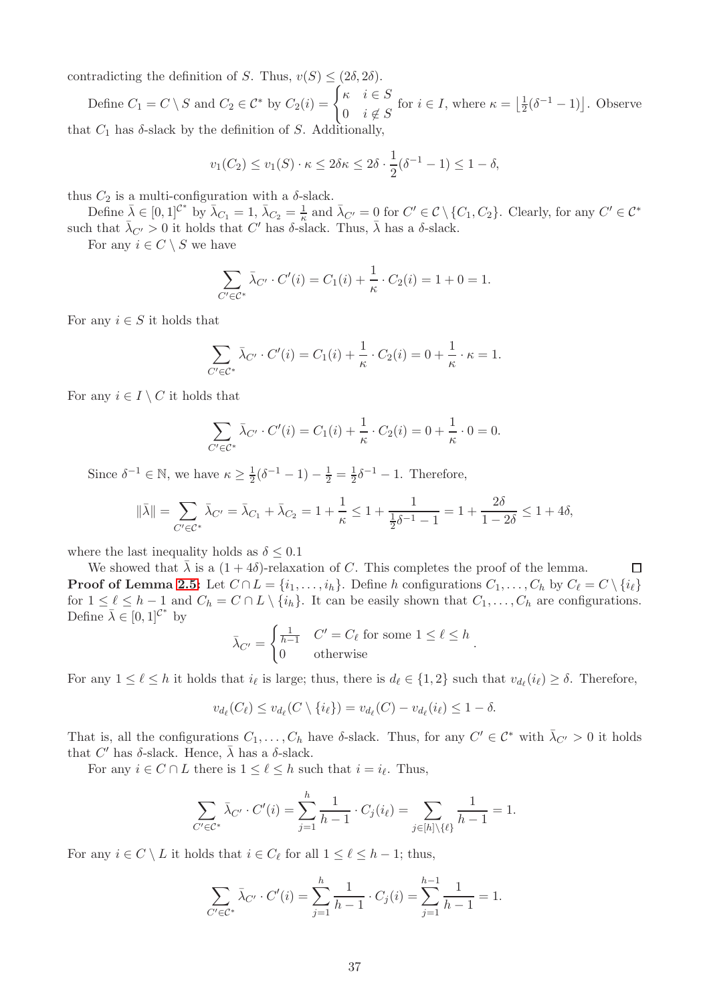contradicting the definition of S. Thus,  $v(S) \leq (2\delta, 2\delta)$ .

Define  $C_1 = C \setminus S$  and  $C_2 \in C^*$  by  $C_2(i) = \begin{cases} \kappa & i \in S \\ 0 & i \neq s \end{cases}$ 0  $i \notin S$ for  $i \in I$ , where  $\kappa = \left| \frac{1}{2} \right|$  $\frac{1}{2}(\delta^{-1}-1)\right]$ . Observe that  $C_1$  has  $\delta$ -slack by the definition of S. Additionally,

$$
v_1(C_2) \le v_1(S) \cdot \kappa \le 2\delta \kappa \le 2\delta \cdot \frac{1}{2}(\delta^{-1} - 1) \le 1 - \delta,
$$

thus  $C_2$  is a multi-configuration with a  $\delta$ -slack.

Define  $\bar{\lambda} \in [0,1]^{C^*}$  by  $\bar{\lambda}_{C_1} = 1$ ,  $\bar{\lambda}_{C_2} = \frac{1}{\kappa}$  and  $\bar{\lambda}_{C'} = 0$  for  $C' \in C \setminus \{C_1, C_2\}$ . Clearly, for any  $C' \in C^*$ such that  $\bar{\lambda}_{C'} > 0$  it holds that C' has  $\delta$ -slack. Thus,  $\bar{\lambda}$  has a  $\delta$ -slack.

For any  $i \in C \setminus S$  we have

$$
\sum_{C' \in \mathcal{C}^*} \bar{\lambda}_{C'} \cdot C'(i) = C_1(i) + \frac{1}{\kappa} \cdot C_2(i) = 1 + 0 = 1.
$$

For any  $i \in S$  it holds that

$$
\sum_{C' \in \mathcal{C}^*} \bar{\lambda}_{C'} \cdot C'(i) = C_1(i) + \frac{1}{\kappa} \cdot C_2(i) = 0 + \frac{1}{\kappa} \cdot \kappa = 1.
$$

For any  $i \in I \setminus C$  it holds that

$$
\sum_{C' \in \mathcal{C}^*} \bar{\lambda}_{C'} \cdot C'(i) = C_1(i) + \frac{1}{\kappa} \cdot C_2(i) = 0 + \frac{1}{\kappa} \cdot 0 = 0.
$$

Since  $\delta^{-1} \in \mathbb{N}$ , we have  $\kappa \ge \frac{1}{2}(\delta^{-1} - 1) - \frac{1}{2} = \frac{1}{2}\delta^{-1} - 1$ . Therefore,

$$
\|\bar{\lambda}\| = \sum_{C' \in \mathcal{C}^*} \bar{\lambda}_{C'} = \bar{\lambda}_{C_1} + \bar{\lambda}_{C_2} = 1 + \frac{1}{\kappa} \le 1 + \frac{1}{\frac{1}{2}\delta^{-1} - 1} = 1 + \frac{2\delta}{1 - 2\delta} \le 1 + 4\delta,
$$

where the last inequality holds as  $\delta \leq 0.1$ 

We showed that  $\bar{\lambda}$  is a  $(1+4\delta)$ -relaxation of C. This completes the proof of the lemma.  $\Box$ **Proof of Lemma [2.5:](#page-8-3)** Let  $C \cap L = \{i_1, \ldots, i_h\}$ . Define h configurations  $C_1, \ldots, C_h$  by  $C_\ell = C \setminus \{i_\ell\}$ for  $1 \leq \ell \leq h-1$  and  $C_h = C \cap L \setminus \{i_h\}$ . It can be easily shown that  $C_1, \ldots, C_h$  are configurations. Define  $\bar{\lambda} \in [0,1]^{\mathcal{C}^*}$  by

$$
\bar{\lambda}_{C'} = \begin{cases} \frac{1}{h-1} & C' = C_{\ell} \text{ for some } 1 \le \ell \le h \\ 0 & \text{otherwise} \end{cases}
$$

.

For any  $1 \leq \ell \leq h$  it holds that  $i_{\ell}$  is large; thus, there is  $d_{\ell} \in \{1,2\}$  such that  $v_{d_{\ell}}(i_{\ell}) \geq \delta$ . Therefore,

$$
v_{d_{\ell}}(C_{\ell}) \leq v_{d_{\ell}}(C \setminus \{i_{\ell}\}) = v_{d_{\ell}}(C) - v_{d_{\ell}}(i_{\ell}) \leq 1 - \delta.
$$

That is, all the configurations  $C_1, \ldots, C_h$  have  $\delta$ -slack. Thus, for any  $C' \in \mathcal{C}^*$  with  $\bar{\lambda}_{C'} > 0$  it holds that  $C'$  has  $\delta$ -slack. Hence,  $\bar{\lambda}$  has a  $\delta$ -slack.

For any  $i \in C \cap L$  there is  $1 \leq \ell \leq h$  such that  $i = i_{\ell}$ . Thus,

$$
\sum_{C' \in \mathcal{C}^*} \bar{\lambda}_{C'} \cdot C'(i) = \sum_{j=1}^h \frac{1}{h-1} \cdot C_j(i_\ell) = \sum_{j \in [h] \setminus \{\ell\}} \frac{1}{h-1} = 1.
$$

For any  $i \in C \setminus L$  it holds that  $i \in C_{\ell}$  for all  $1 \leq \ell \leq h-1$ ; thus,

$$
\sum_{C' \in \mathcal{C}^*} \bar{\lambda}_{C'} \cdot C'(i) = \sum_{j=1}^h \frac{1}{h-1} \cdot C_j(i) = \sum_{j=1}^{h-1} \frac{1}{h-1} = 1.
$$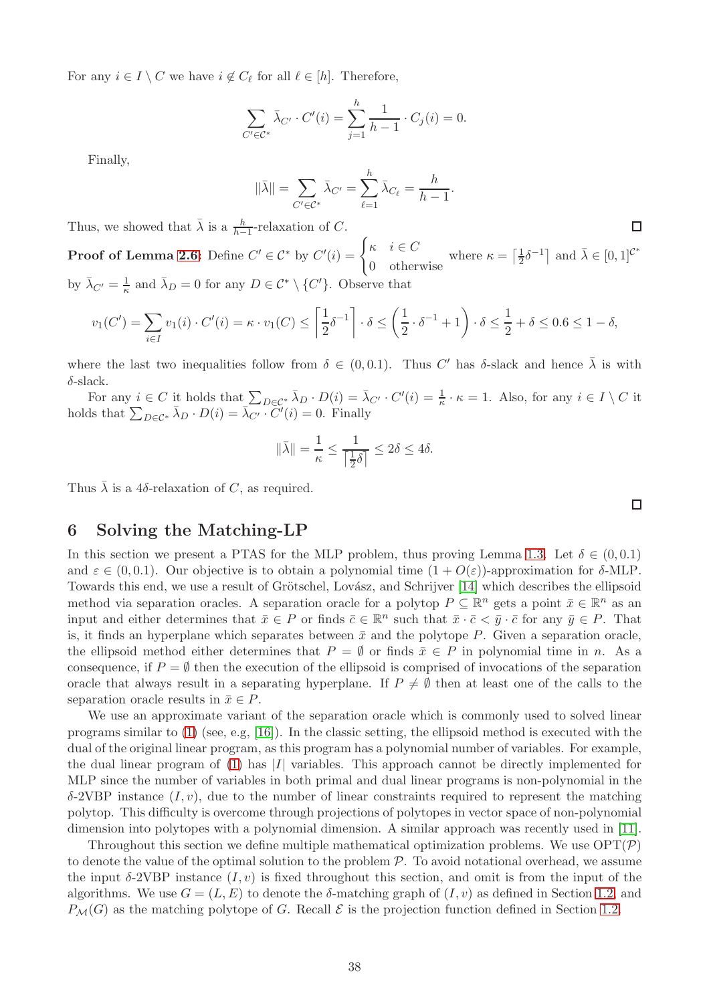For any  $i \in I \setminus C$  we have  $i \notin C_{\ell}$  for all  $\ell \in [h]$ . Therefore,

$$
\sum_{C' \in \mathcal{C}^*} \bar{\lambda}_{C'} \cdot C'(i) = \sum_{j=1}^h \frac{1}{h-1} \cdot C_j(i) = 0.
$$

Finally,

$$
\|\bar{\lambda}\| = \sum_{C' \in \mathcal{C}^*} \bar{\lambda}_{C'} = \sum_{\ell=1}^h \bar{\lambda}_{C_\ell} = \frac{h}{h-1}.
$$

Thus, we showed that  $\bar{\lambda}$  is a  $\frac{h}{h-1}$ -relaxation of C.  $h-1$ 

**Proof of Lemma [2.6:](#page-8-5)** Define  $C' \in C^*$  by  $C'(i) = \begin{cases} \kappa & i \in C \\ 0 & \mathbf{0} \end{cases}$ 0 otherwise where  $\kappa = \left[\frac{1}{2}\right]$  $\frac{1}{2}\delta^{-1}$  and  $\bar{\lambda} \in [0, 1]^{C^*}$ by  $\bar{\lambda}_{C'} = \frac{1}{\kappa}$  $\frac{1}{\kappa}$  and  $\bar{\lambda}_D = 0$  for any  $D \in C^* \setminus \{C'\}$ . Observe that

$$
v_1(C') = \sum_{i \in I} v_1(i) \cdot C'(i) = \kappa \cdot v_1(C) \le \left\lceil \frac{1}{2} \delta^{-1} \right\rceil \cdot \delta \le \left( \frac{1}{2} \cdot \delta^{-1} + 1 \right) \cdot \delta \le \frac{1}{2} + \delta \le 0.6 \le 1 - \delta,
$$

where the last two inequalities follow from  $\delta \in (0,0.1)$ . Thus C' has  $\delta$ -slack and hence  $\overline{\lambda}$  is with  $\delta$ -slack.

For any  $i \in C$  it holds that  $\sum_{D \in \mathcal{C}^*} \bar{\lambda}_D \cdot D(i) = \bar{\lambda}_{C'} \cdot C'(i) = \frac{1}{\kappa} \cdot \kappa = 1$ . Also, for any  $i \in I \setminus C$  it holds that  $\sum_{D \in \mathcal{C}^*} \bar{\lambda}_D \cdot D(i) = \bar{\lambda}_{C'} \cdot C'(i) = 0$ . Finally

$$
\|\bar{\lambda}\| = \frac{1}{\kappa} \le \frac{1}{\left\lceil \frac{1}{2}\delta \right\rceil} \le 2\delta \le 4\delta.
$$

<span id="page-39-0"></span>Thus  $\bar{\lambda}$  is a 4 $\delta$ -relaxation of C, as required.

## 6 Solving the Matching-LP

In this section we present a PTAS for the MLP problem, thus proving Lemma [1.3.](#page-6-2) Let  $\delta \in (0,0.1)$ and  $\varepsilon \in (0, 0.1)$ . Our objective is to obtain a polynomial time  $(1 + O(\varepsilon))$ -approximation for  $\delta$ -MLP. Towards this end, we use a result of Grötschel, Lovász, and Schrijver [\[14\]](#page-47-13) which describes the ellipsoid method via separation oracles. A separation oracle for a polytop  $P \subseteq \mathbb{R}^n$  gets a point  $\bar{x} \in \mathbb{R}^n$  as an input and either determines that  $\bar{x} \in P$  or finds  $\bar{c} \in \mathbb{R}^n$  such that  $\bar{x} \cdot \bar{c} \lt \bar{y} \cdot \bar{c}$  for any  $\bar{y} \in P$ . That is, it finds an hyperplane which separates between  $\bar{x}$  and the polytope P. Given a separation oracle, the ellipsoid method either determines that  $P = \emptyset$  or finds  $\bar{x} \in P$  in polynomial time in n. As a consequence, if  $P = \emptyset$  then the execution of the ellipsoid is comprised of invocations of the separation oracle that always result in a separating hyperplane. If  $P \neq \emptyset$  then at least one of the calls to the separation oracle results in  $\bar{x} \in P$ .

We use an approximate variant of the separation oracle which is commonly used to solved linear programs similar to  $(1)$  (see, e.g,  $[16]$ ). In the classic setting, the ellipsoid method is executed with the dual of the original linear program, as this program has a polynomial number of variables. For example, the dual linear program of [\(1\)](#page-3-3) has  $|I|$  variables. This approach cannot be directly implemented for MLP since the number of variables in both primal and dual linear programs is non-polynomial in the δ-2VBP instance (I, v), due to the number of linear constraints required to represent the matching polytop. This difficulty is overcome through projections of polytopes in vector space of non-polynomial dimension into polytopes with a polynomial dimension. A similar approach was recently used in [\[11\]](#page-46-12).

Throughout this section we define multiple mathematical optimization problems. We use  $\text{OPT}(\mathcal{P})$ to denote the value of the optimal solution to the problem  $P$ . To avoid notational overhead, we assume the input  $\delta$ -2VBP instance  $(I, v)$  is fixed throughout this section, and omit is from the input of the algorithms. We use  $G = (L, E)$  to denote the  $\delta$ -matching graph of  $(I, v)$  as defined in Section [1.2,](#page-3-0) and  $P_{\mathcal{M}}(G)$  as the matching polytope of G. Recall  $\mathcal E$  is the projection function defined in Section [1.2.](#page-3-0)

 $\Box$ 

 $\Box$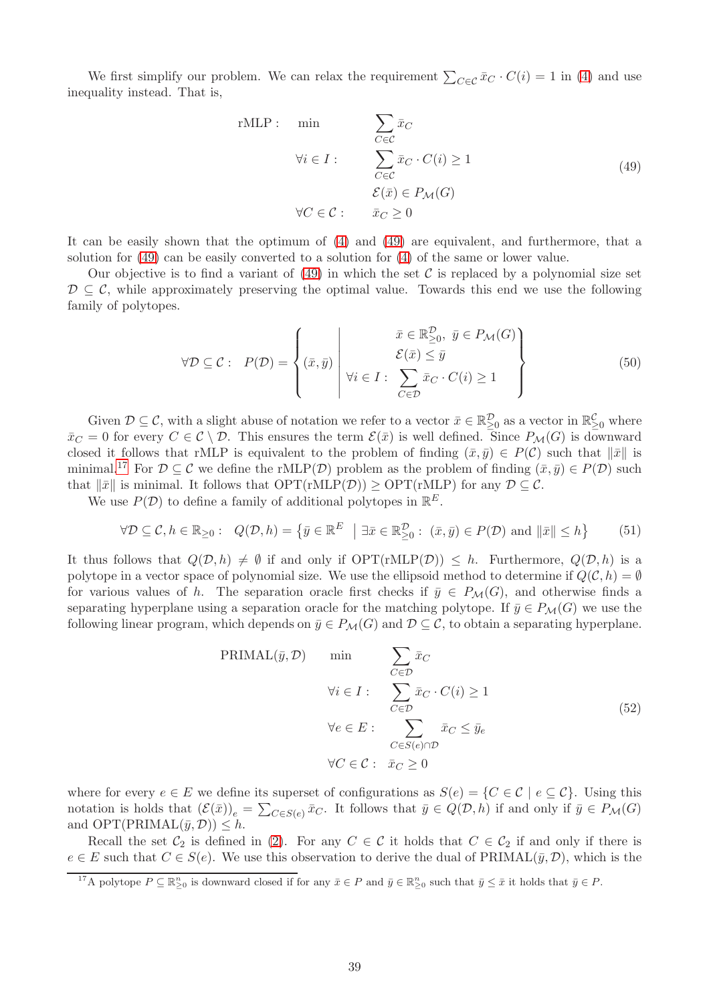We first simplify our problem. We can relax the requirement  $\sum_{C \in \mathcal{C}} \bar{x}_C \cdot C(i) = 1$  in [\(4\)](#page-5-1) and use inequality instead. That is,

<span id="page-40-0"></span>rMLP: min  
\n
$$
\sum_{C \in \mathcal{C}} \bar{x}_C
$$
\n
$$
\forall i \in I: \sum_{C \in \mathcal{C}} \bar{x}_C \cdot C(i) \ge 1
$$
\n
$$
\mathcal{E}(\bar{x}) \in P_{\mathcal{M}}(G)
$$
\n
$$
\forall C \in \mathcal{C}: \bar{x}_C \ge 0
$$
\n(49)

It can be easily shown that the optimum of [\(4\)](#page-5-1) and [\(49\)](#page-40-0) are equivalent, and furthermore, that a solution for [\(49\)](#page-40-0) can be easily converted to a solution for [\(4\)](#page-5-1) of the same or lower value.

Our objective is to find a variant of  $(49)$  in which the set C is replaced by a polynomial size set  $\mathcal{D} \subseteq \mathcal{C}$ , while approximately preserving the optimal value. Towards this end we use the following family of polytopes.

$$
\forall \mathcal{D} \subseteq \mathcal{C}: \ P(\mathcal{D}) = \left\{ (\bar{x}, \bar{y}) \middle| \begin{array}{c} \bar{x} \in \mathbb{R}_{\geq 0}^{\mathcal{D}}, \ \bar{y} \in P_{\mathcal{M}}(G) \\ \mathcal{E}(\bar{x}) \leq \bar{y} \\ \forall i \in I: \ \sum_{C \in \mathcal{D}} \bar{x}_C \cdot C(i) \geq 1 \end{array} \right\}
$$
(50)

Given  $\mathcal{D} \subseteq \mathcal{C}$ , with a slight abuse of notation we refer to a vector  $\bar{x} \in \mathbb{R}^{\mathcal{D}}_{\geq 0}$  as a vector in  $\mathbb{R}^{\mathcal{C}}_{\geq 0}$  where  $\bar{x}_C = 0$  for every  $C \in \mathcal{C} \setminus \mathcal{D}$ . This ensures the term  $\mathcal{E}(\bar{x})$  is well defined. Since  $P_{\mathcal{M}}(G)$  is downward closed it follows that rMLP is equivalent to the problem of finding  $(\bar{x}, \bar{y}) \in P(\mathcal{C})$  such that  $\|\bar{x}\|$  is minimal.<sup>[17](#page-40-1)</sup> For  $\mathcal{D} \subseteq \mathcal{C}$  we define the rMLP( $\mathcal{D}$ ) problem as the problem of finding  $(\bar{x}, \bar{y}) \in P(\mathcal{D})$  such that  $\|\bar{x}\|$  is minimal. It follows that  $\text{OPT}(\text{rMLP}(\mathcal{D})) \ge \text{OPT}(\text{rMLP})$  for any  $\mathcal{D} \subseteq \mathcal{C}$ .

We use  $P(\mathcal{D})$  to define a family of additional polytopes in  $\mathbb{R}^E$ .

<span id="page-40-2"></span>
$$
\forall \mathcal{D} \subseteq \mathcal{C}, h \in \mathbb{R}_{\geq 0}: \ Q(\mathcal{D}, h) = \left\{ \bar{y} \in \mathbb{R}^E \mid \exists \bar{x} \in \mathbb{R}_{\geq 0}^{\mathcal{D}} : (\bar{x}, \bar{y}) \in P(\mathcal{D}) \text{ and } ||\bar{x}|| \leq h \right\}
$$
(51)

It thus follows that  $Q(\mathcal{D}, h) \neq \emptyset$  if and only if  $\text{OPT}(rMLP(\mathcal{D})) \leq h$ . Furthermore,  $Q(\mathcal{D}, h)$  is a polytope in a vector space of polynomial size. We use the ellipsoid method to determine if  $Q(\mathcal{C}, h) = \emptyset$ for various values of h. The separation oracle first checks if  $\bar{y} \in P_{\mathcal{M}}(G)$ , and otherwise finds a separating hyperplane using a separation oracle for the matching polytope. If  $\bar{y} \in P_{\mathcal{M}}(G)$  we use the following linear program, which depends on  $\bar{y} \in P_{\mathcal{M}}(G)$  and  $\mathcal{D} \subseteq \mathcal{C}$ , to obtain a separating hyperplane.

$$
\text{PRIMAL}(\bar{y}, \mathcal{D}) \qquad \min \qquad \sum_{C \in \mathcal{D}} \bar{x}_C
$$
\n
$$
\forall i \in I : \qquad \sum_{C \in \mathcal{D}} \bar{x}_C \cdot C(i) \ge 1
$$
\n
$$
\forall e \in E : \qquad \sum_{C \in S(e) \cap \mathcal{D}} \bar{x}_C \le \bar{y}_e
$$
\n
$$
\forall C \in \mathcal{C} : \ \bar{x}_C \ge 0
$$
\n
$$
(52)
$$

where for every  $e \in E$  we define its superset of configurations as  $S(e) = \{C \in \mathcal{C} \mid e \subseteq \mathcal{C}\}\.$  Using this notation is holds that  $(\mathcal{E}(\bar{x}))_e = \sum_{C \in S(e)} \bar{x}_C$ . It follows that  $\bar{y} \in Q(\mathcal{D}, h)$  if and only if  $\bar{y} \in P_{\mathcal{M}}(G)$ and  $OPT(PRIMAL(\bar{y}, \mathcal{D})) \leq h$ .

Recall the set  $C_2$  is defined in [\(2\)](#page-4-5). For any  $C \in \mathcal{C}$  it holds that  $C \in C_2$  if and only if there is  $e \in E$  such that  $C \in S(e)$ . We use this observation to derive the dual of PRIMAL $(\bar{y}, \mathcal{D})$ , which is the

<span id="page-40-1"></span><sup>&</sup>lt;sup>17</sup>A polytope  $P \subseteq \mathbb{R}_{\geq 0}^n$  is downward closed if for any  $\bar{x} \in P$  and  $\bar{y} \in \mathbb{R}_{\geq 0}^n$  such that  $\bar{y} \leq \bar{x}$  it holds that  $\bar{y} \in P$ .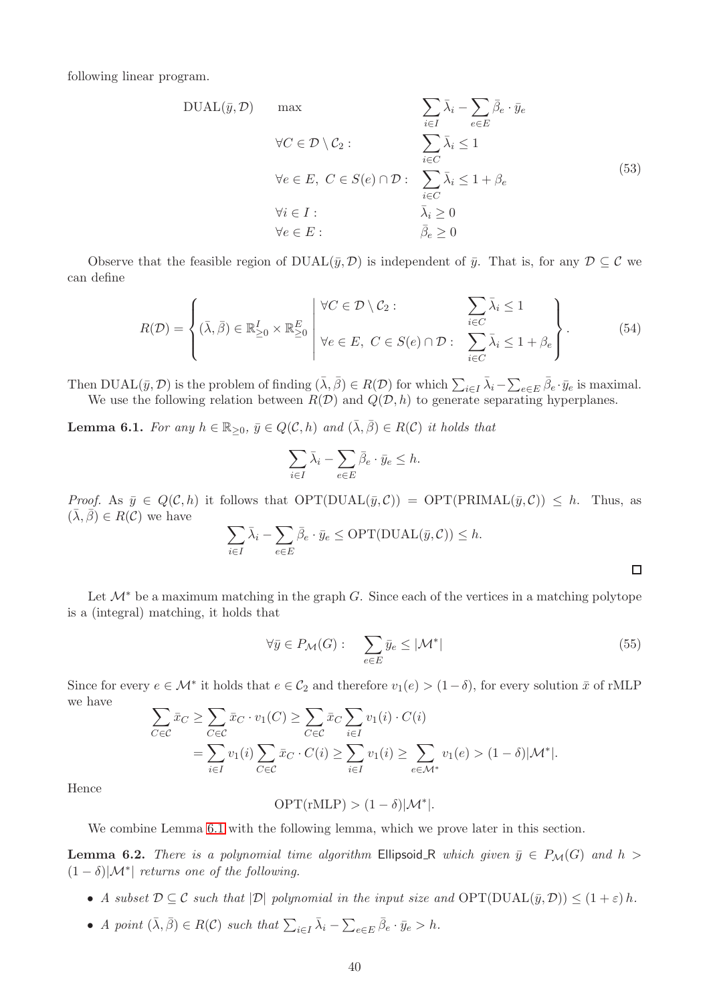following linear program.

$$
DUAL(\bar{y}, \mathcal{D}) \quad \text{max} \quad \sum_{i \in I} \bar{\lambda}_i - \sum_{e \in E} \bar{\beta}_e \cdot \bar{y}_e
$$
\n
$$
\forall C \in \mathcal{D} \setminus \mathcal{C}_2 : \quad \sum_{i \in C} \bar{\lambda}_i \le 1
$$
\n
$$
\forall e \in E, \ C \in S(e) \cap \mathcal{D} : \quad \sum_{i \in C} \bar{\lambda}_i \le 1 + \beta_e
$$
\n
$$
\forall i \in I : \quad \bar{\lambda}_i \ge 0
$$
\n
$$
\forall e \in E : \quad \bar{\beta}_e \ge 0
$$
\n(53)

Observe that the feasible region of  $DUAL(\bar{y}, \mathcal{D})$  is independent of  $\bar{y}$ . That is, for any  $\mathcal{D} \subseteq \mathcal{C}$  we can define

<span id="page-41-2"></span>
$$
R(\mathcal{D}) = \left\{ (\bar{\lambda}, \bar{\beta}) \in \mathbb{R}_{\geq 0}^I \times \mathbb{R}_{\geq 0}^E \middle| \forall C \in \mathcal{D} \setminus \mathcal{C}_2 : \sum_{i \in C} \bar{\lambda}_i \leq 1 \\ \forall e \in E, \ C \in S(e) \cap \mathcal{D} : \sum_{i \in C} \bar{\lambda}_i \leq 1 + \beta_e \right\}.
$$
 (54)

Then  $\text{DUAL}(\bar{y}, \mathcal{D})$  is the problem of finding  $(\bar{\lambda}, \bar{\beta}) \in R(\mathcal{D})$  for which  $\sum_{i \in I} \bar{\lambda}_i - \sum_{e \in E} \bar{\beta}_e \cdot \bar{y}_e$  is maximal. We use the following relation between  $R(\mathcal{D})$  and  $Q(\mathcal{D}, h)$  to generate separating hyperplanes.

<span id="page-41-0"></span>**Lemma 6.1.** For any  $h \in \mathbb{R}_{\geq 0}$ ,  $\bar{y} \in Q(\mathcal{C}, h)$  and  $(\bar{\lambda}, \bar{\beta}) \in R(\mathcal{C})$  it holds that

$$
\sum_{i \in I} \bar{\lambda}_i - \sum_{e \in E} \bar{\beta}_e \cdot \bar{y}_e \le h.
$$

*Proof.* As  $\bar{y} \in Q(C, h)$  it follows that  $OPT(DUAL(\bar{y}, C)) = OPT(PRIMAL(\bar{y}, C)) \leq h$ . Thus, as  $({\overline{\lambda}}, {\overline{\beta}}) \in R(C)$  we have

$$
\sum_{i \in I} \bar{\lambda}_i - \sum_{e \in E} \bar{\beta}_e \cdot \bar{y}_e \le \text{OPT}(\text{DUAL}(\bar{y}, C)) \le h.
$$

Let  $\mathcal{M}^*$  be a maximum matching in the graph G. Since each of the vertices in a matching polytope is a (integral) matching, it holds that

<span id="page-41-3"></span>
$$
\forall \bar{y} \in P_{\mathcal{M}}(G): \quad \sum_{e \in E} \bar{y}_e \le |\mathcal{M}^*| \tag{55}
$$

 $\Box$ 

Since for every  $e \in \mathcal{M}^*$  it holds that  $e \in \mathcal{C}_2$  and therefore  $v_1(e) > (1-\delta)$ , for every solution  $\bar{x}$  of rMLP we have

$$
\sum_{C \in \mathcal{C}} \bar{x}_C \ge \sum_{C \in \mathcal{C}} \bar{x}_C \cdot v_1(C) \ge \sum_{C \in \mathcal{C}} \bar{x}_C \sum_{i \in I} v_1(i) \cdot C(i)
$$
  
= 
$$
\sum_{i \in I} v_1(i) \sum_{C \in \mathcal{C}} \bar{x}_C \cdot C(i) \ge \sum_{i \in I} v_1(i) \ge \sum_{e \in \mathcal{M}^*} v_1(e) > (1 - \delta) |\mathcal{M}^*|.
$$

Hence

$$
\text{OPT}(\text{rMLP}) > (1 - \delta)|\mathcal{M}^*|.
$$

We combine Lemma [6.1](#page-41-0) with the following lemma, which we prove later in this section.

<span id="page-41-1"></span>**Lemma 6.2.** There is a polynomial time algorithm Ellipsoid R which given  $\bar{y} \in P_{\mathcal{M}}(G)$  and  $h >$  $(1 - \delta)|\mathcal{M}^*|$  returns one of the following.

- A subset  $D \subseteq \mathcal{C}$  such that  $|\mathcal{D}|$  polynomial in the input size and  $\text{OPT}(\text{DUAL}(\bar{y}, \mathcal{D})) \leq (1+\varepsilon) h$ .
- A point  $(\bar{\lambda}, \bar{\beta}) \in R(C)$  such that  $\sum_{i \in I} \bar{\lambda}_i \sum_{e \in E} \bar{\beta}_e \cdot \bar{y}_e > h$ .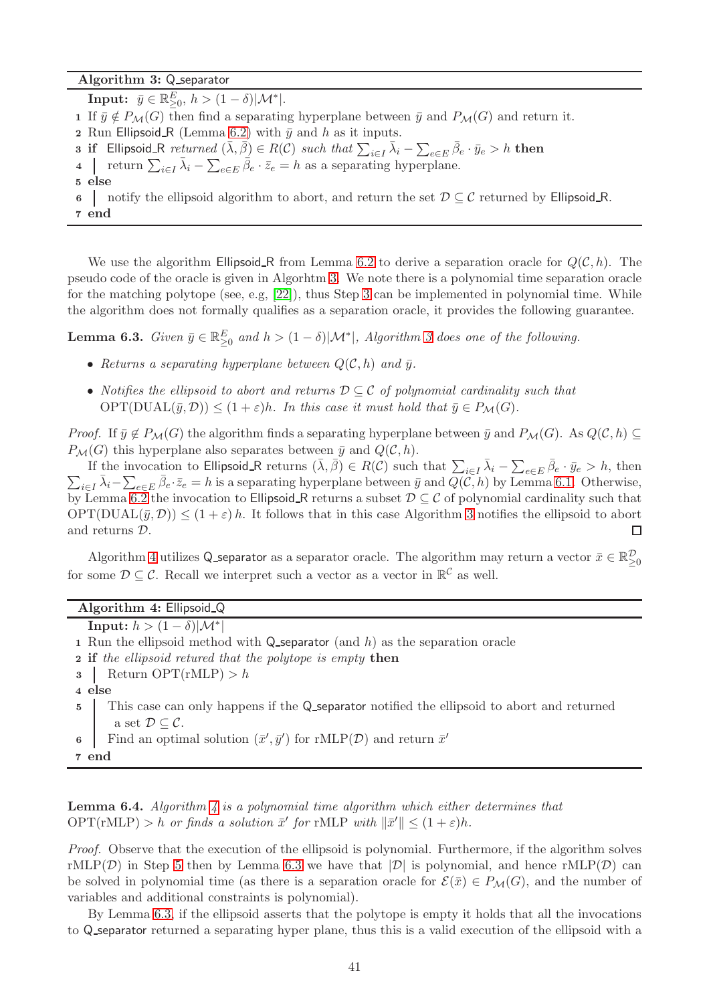Algorithm 3: Q separator

**Input:**  $\bar{y} \in \mathbb{R}_{\geq 0}^E$ ,  $h > (1 - \delta)|\mathcal{M}^*|$ . 1 If  $\bar{y} \notin P_{\mathcal{M}}(G)$  then find a separating hyperplane between  $\bar{y}$  and  $P_{\mathcal{M}}(G)$  and return it. 2 Run Ellipsoid R (Lemma [6.2\)](#page-41-1) with  $\bar{y}$  and h as it inputs. **3 if** Ellipsoid\_R returned  $(\bar{\lambda}, \bar{\beta}) \in R(C)$  such that  $\sum_{i \in I} \bar{\lambda}_i - \sum_{e \in E} \bar{\beta}_e \cdot \bar{y}_e > h$  then 4 Teturn  $\sum_{i\in I} \bar{\lambda}_i - \sum_{e\in E} \bar{\beta}_e \cdot \bar{z}_e = h$  as a separating hyperplane. 5 else 6 notify the ellipsoid algorithm to abort, and return the set  $D \subseteq \mathcal{C}$  returned by Ellipsoid R. 7 end

<span id="page-42-1"></span><span id="page-42-0"></span>We use the algorithm Ellipsoid R from Lemma [6.2](#page-41-1) to derive a separation oracle for  $Q(\mathcal{C}, h)$ . The pseudo code of the oracle is given in Algorhtm [3.](#page-42-0) We note there is a polynomial time separation oracle for the matching polytope (see, e.g,  $[22]$ ), thus Step [3](#page-42-1) can be implemented in polynomial time. While the algorithm does not formally qualifies as a separation oracle, it provides the following guarantee.

<span id="page-42-4"></span>**Lemma 6.3.** Given  $\bar{y} \in \mathbb{R}^E_{\geq 0}$  and  $h > (1 - \delta)|\mathcal{M}^*|$ , Algorithm [3](#page-42-0) does one of the following.

- Returns a separating hyperplane between  $Q(\mathcal{C}, h)$  and  $\bar{y}$ .
- Notifies the ellipsoid to abort and returns  $\mathcal{D} \subset \mathcal{C}$  of polynomial cardinality such that  $OPT(DUAL(\bar{y}, \mathcal{D})) \leq (1+\varepsilon)h$ . In this case it must hold that  $\bar{y} \in P_{\mathcal{M}}(G)$ .

*Proof.* If  $\bar{y} \notin P_{\mathcal{M}}(G)$  the algorithm finds a separating hyperplane between  $\bar{y}$  and  $P_{\mathcal{M}}(G)$ . As  $Q(\mathcal{C}, h) \subseteq$  $P_{\mathcal{M}}(G)$  this hyperplane also separates between  $\bar{y}$  and  $Q(\mathcal{C}, h)$ .

If the invocation to Ellipsoid R returns  $(\bar{\lambda}, \bar{\beta}) \in R(C)$  such that  $\sum_{i \in I} \bar{\lambda}_i - \sum_{e \in E} \bar{\beta}_e$ If the invocation to Ellipsoid R returns  $(\lambda, \beta) \in R(C)$  such that  $\sum_{i \in I} \lambda_i - \sum_{e \in E} \beta_e \cdot \bar{y}_e > h$ , then  $\sum_{i \in I} \bar{\lambda}_i - \sum_{e \in E} \bar{\beta}_e \cdot \bar{z}_e = h$  is a separating hyperplane between  $\bar{y}$  and  $Q(C, h)$  by Lemma [6.1.](#page-41-0) Oth by Lemma [6.2](#page-41-1) the invocation to Ellipsoid R returns a subset  $D \subseteq C$  of polynomial cardinality such that  $OPT(DUAL(\bar{y}, \mathcal{D})) \leq (1+\varepsilon) h$ . It follows that in this case Algorithm [3](#page-42-0) notifies the ellipsoid to abort and returns D.  $\Box$ 

Algorithm [4](#page-42-2) utilizes Q separator as a separator oracle. The algorithm may return a vector  $\bar{x} \in \mathbb{R}^{\mathcal{D}}_{\geq 0}$ for some  $\mathcal{D} \subseteq \mathcal{C}$ . Recall we interpret such a vector as a vector in  $\mathbb{R}^{\mathcal{C}}$  as well.

<span id="page-42-3"></span>

| Algorithm 4: Ellipsoid Q                                                                                        |  |  |  |  |  |
|-----------------------------------------------------------------------------------------------------------------|--|--|--|--|--|
| Input: $h > (1 - \delta)  \mathcal{M}^* $                                                                       |  |  |  |  |  |
| 1 Run the ellipsoid method with Q-separator (and $h$ ) as the separation oracle                                 |  |  |  |  |  |
| <b>2</b> if the ellipsoid retured that the polytope is empty then                                               |  |  |  |  |  |
| Return $OPT(rMLP) > h$<br>3                                                                                     |  |  |  |  |  |
| 4 else                                                                                                          |  |  |  |  |  |
| This case can only happens if the Q_separator notified the ellipsoid to abort and returned<br>$\bf{5}$          |  |  |  |  |  |
| a set $\mathcal{D} \subseteq \mathcal{C}.$                                                                      |  |  |  |  |  |
| Find an optimal solution $(\bar x', \bar y')$ for $\mathrm{rMLP}(\mathcal{D})$ and return $\bar x'$<br>$\bf{6}$ |  |  |  |  |  |
| 7 end                                                                                                           |  |  |  |  |  |

<span id="page-42-5"></span><span id="page-42-2"></span>**Lemma 6.4.** Algorithm  $\ddot{A}$  is a polynomial time algorithm which either determines that  $OPT(rMLP) > h$  or finds a solution  $\bar{x}'$  for rMLP with  $\|\bar{x}'\| \leq (1+\varepsilon)h$ .

Proof. Observe that the execution of the ellipsoid is polynomial. Furthermore, if the algorithm solves rMLP(D) in Step [5](#page-42-3) then by Lemma [6.3](#page-42-4) we have that  $|\mathcal{D}|$  is polynomial, and hence rMLP(D) can be solved in polynomial time (as there is a separation oracle for  $\mathcal{E}(\bar{x}) \in P_{\mathcal{M}}(G)$ , and the number of variables and additional constraints is polynomial).

By Lemma [6.3,](#page-42-4) if the ellipsoid asserts that the polytope is empty it holds that all the invocations to Q separator returned a separating hyper plane, thus this is a valid execution of the ellipsoid with a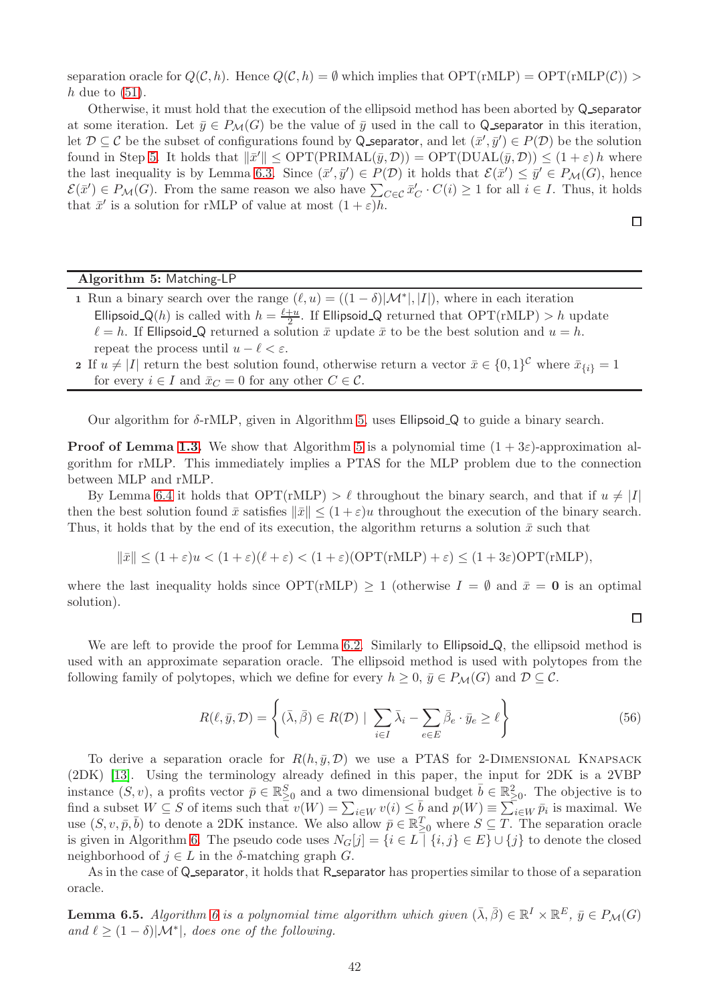separation oracle for  $Q(C, h)$ . Hence  $Q(C, h) = \emptyset$  which implies that  $\text{OPT}(\text{rMLP}) = \text{OPT}(\text{rMLP}(C)) >$ h due to  $(51)$ .

Otherwise, it must hold that the execution of the ellipsoid method has been aborted by Q\_separator at some iteration. Let  $\bar{y} \in P_{\mathcal{M}}(G)$  be the value of  $\bar{y}$  used in the call to Q separator in this iteration, let  $\mathcal{D} \subseteq \mathcal{C}$  be the subset of configurations found by Q separator, and let  $(\bar{x}', \bar{y}') \in P(\mathcal{D})$  be the solution found in Step [5.](#page-42-3) It holds that  $\|\bar{x}'\| \le \text{OPT}(\text{PRIMAL}(\bar{y}, \mathcal{D})) = \text{OPT}(\text{DUAL}(\bar{y}, \mathcal{D})) \le (1 + \varepsilon) h$  where the last inequality is by Lemma [6.3.](#page-42-4) Since  $(\bar{x}', \bar{y}') \in P(\mathcal{D})$  it holds that  $\mathcal{E}(\bar{x}') \leq \bar{y}' \in P_{\mathcal{M}}(G)$ , hence  $\mathcal{E}(\bar{x}') \in P_{\mathcal{M}}(G)$ . From the same reason we also have  $\sum_{C \in \mathcal{C}} \bar{x}'_C \cdot C(i) \geq 1$  for all  $i \in I$ . Thus, it holds that  $\bar{x}'$  is a solution for rMLP of value at most  $(1+\varepsilon)h$ .

 $\Box$ 

 $\Box$ 

#### Algorithm 5: Matching-LP

- 1 Run a binary search over the range  $(\ell, u) = ((1 \delta)|\mathcal{M}^*|, |I|)$ , where in each iteration Ellipsoid Q(h) is called with  $h = \frac{\ell+u}{2}$  $\frac{+u}{2}$ . If Ellipsoid<sub>-Q</sub> returned that  $\text{OPT}(\text{rMLP}) > h$  update  $\ell = h$ . If Ellipsoid Q returned a solution  $\bar{x}$  update  $\bar{x}$  to be the best solution and  $u = h$ . repeat the process until  $u - \ell < \varepsilon$ .
- <span id="page-43-0"></span>2 If  $u \neq |I|$  return the best solution found, otherwise return a vector  $\bar{x} \in \{0,1\}^{\mathcal{C}}$  where  $\bar{x}_{\{i\}} = 1$ for every  $i \in I$  and  $\bar{x}_C = 0$  for any other  $C \in \mathcal{C}$ .

Our algorithm for δ-rMLP, given in Algorithm [5,](#page-43-0) uses Ellipsoid Q to guide a binary search.

**Proof of Lemma [1.3.](#page-6-2)** We show that Algorithm [5](#page-43-0) is a polynomial time  $(1 + 3\varepsilon)$ -approximation algorithm for rMLP. This immediately implies a PTAS for the MLP problem due to the connection between MLP and rMLP.

By Lemma [6.4](#page-42-5) it holds that  $\text{OPT}(\text{rMLP}) > \ell$  throughout the binary search, and that if  $u \neq |I|$ then the best solution found  $\bar{x}$  satisfies  $\|\bar{x}\| \leq (1+\varepsilon)u$  throughout the execution of the binary search. Thus, it holds that by the end of its execution, the algorithm returns a solution  $\bar{x}$  such that

 $\|\bar{x}\| < (1+\varepsilon)u < (1+\varepsilon)(\ell+\varepsilon) < (1+\varepsilon)(\text{OPT}(r\text{MLP}) + \varepsilon) \leq (1+3\varepsilon)\text{OPT}(r\text{MLP}),$ 

where the last inequality holds since  $\text{OPT}(\text{rMLP}) \geq 1$  (otherwise  $I = \emptyset$  and  $\bar{x} = 0$  is an optimal solution).

We are left to provide the proof for Lemma [6.2.](#page-41-1) Similarly to Ellipsoid Q, the ellipsoid method is used with an approximate separation oracle. The ellipsoid method is used with polytopes from the following family of polytopes, which we define for every  $h \geq 0$ ,  $\bar{y} \in P_{\mathcal{M}}(G)$  and  $\mathcal{D} \subseteq \mathcal{C}$ .

<span id="page-43-1"></span>
$$
R(\ell, \bar{y}, \mathcal{D}) = \left\{ (\bar{\lambda}, \bar{\beta}) \in R(\mathcal{D}) \mid \sum_{i \in I} \bar{\lambda}_i - \sum_{e \in E} \bar{\beta}_e \cdot \bar{y}_e \ge \ell \right\}
$$
(56)

To derive a separation oracle for  $R(h, \bar{y}, \mathcal{D})$  we use a PTAS for 2-DIMENSIONAL KNAPSACK (2DK) [\[13\]](#page-47-14). Using the terminology already defined in this paper, the input for 2DK is a 2VBP instance  $(S, v)$ , a profits vector  $\bar{p} \in \mathbb{R}^S_{\geq 0}$  and a two dimensional budget  $\bar{b} \in \mathbb{R}^2_{\geq 0}$ . The objective is to find a subset  $W \subseteq S$  of items such that  $v(W) = \sum_{i \in W} v(i) \leq \overline{b}$  and  $p(W) \equiv \sum_{i \in W} \overline{p}_i$  is maximal. We use  $(S, v, \bar{p}, \bar{b})$  to denote a 2DK instance. We also allow  $\bar{p} \in \mathbb{R}_{\geq 0}^T$  where  $S \subseteq \overline{T}$ . The separation oracle is given in Algorithm [6.](#page-44-0) The pseudo code uses  $N_G[j] = \{i \in L \mid \{i, j\} \in E\} \cup \{j\}$  to denote the closed neighborhood of  $j \in L$  in the  $\delta$ -matching graph  $G$ .

As in the case of Q\_separator, it holds that R\_separator has properties similar to those of a separation oracle.

<span id="page-43-2"></span>**Lemma [6](#page-44-0).5.** Algorithm 6 is a polynomial time algorithm which given  $(\bar{\lambda}, \bar{\beta}) \in \mathbb{R}^I \times \mathbb{R}^E$ ,  $\bar{y} \in P_{\mathcal{M}}(G)$ and  $\ell \geq (1 - \delta)|\mathcal{M}^*|$ , does one of the following.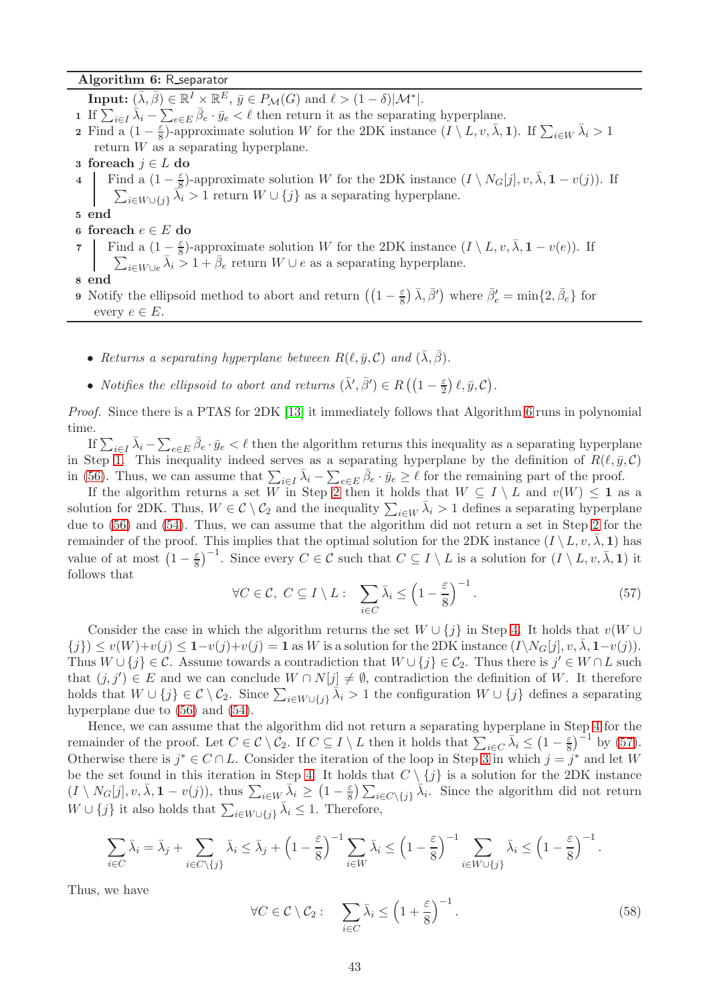#### Algorithm 6: R separator

<span id="page-44-5"></span><span id="page-44-3"></span><span id="page-44-2"></span><span id="page-44-1"></span>**Input:**  $(\bar{\lambda}, \bar{\beta}) \in \mathbb{R}^I \times \mathbb{R}^E$ ,  $\bar{y} \in P_{\mathcal{M}}(G)$  and  $\ell > (1 - \delta) |{\mathcal{M}}^*|$ . 1 If  $\sum_{i\in I} \bar{\lambda}_i - \sum_{e\in E} \bar{\beta}_e \cdot \bar{y}_e < \ell$  then return it as the separating hyperplane. **2** Find a  $(1-\frac{\varepsilon}{8})$ -approximate solution W for the 2DK instance  $(I \setminus L, v, \overline{\lambda}, 1)$ . If  $\sum_{i \in W} \overline{\lambda}_i > 1$ return  $W$  as a separating hyperplane. 3 foreach  $j \in L$  do 4 Find a  $(1-\frac{\varepsilon}{8})$  $\frac{\varepsilon}{8}$ )-approximate solution W for the 2DK instance  $(I \setminus N_G[j], v, \overline{\lambda}, \mathbf{1} - v(j))$ . If  $\sum_{i\in W\cup\{j\}}\widetilde{\lambda_i}>1$  return  $W\cup\{j\}$  as a separating hyperplane. 5 end 6 foreach  $e \in E$  do 7 Find a  $(1-\frac{\varepsilon}{8})$  $\frac{\varepsilon}{8}$ -approximate solution W for the 2DK instance  $(I \setminus L, v, \overline{\lambda}, \mathbf{1} - v(e)$ . If  $\sum_{i\in W\cup e} \bar{\lambda}_i > 1 + \bar{\beta}_e$  return  $W\cup e$  as a separating hyperplane.

<span id="page-44-7"></span><span id="page-44-6"></span>8 end

9 Notify the ellipsoid method to abort and return  $\left( \left(1 - \frac{\varepsilon}{8}\right)$  $(\frac{\varepsilon}{8}) \bar{\lambda}, \bar{\beta}'$  where  $\bar{\beta}'_e = \min\{2, \bar{\beta}_e\}$  for every  $e \in E$ .

- <span id="page-44-0"></span>• Returns a separating hyperplane between  $R(\ell, \bar{y}, \mathcal{C})$  and  $(\bar{\lambda}, \bar{\beta})$ .
- Notifies the ellipsoid to abort and returns  $(\bar{\lambda}', \bar{\beta}') \in R((1-\frac{\varepsilon}{2}))$  $\frac{\varepsilon}{2}$   $\ell$  ,  $\bar{y}$  ,  $\mathcal{C}$  ).

Proof. Since there is a PTAS for 2DK [\[13\]](#page-47-14) it immediately follows that Algorithm [6](#page-44-0) runs in polynomial time.

If  $\sum_{i\in I} \bar{\lambda}_i - \sum_{e\in E} \bar{\beta}_e \cdot \bar{y}_e < \ell$  then the algorithm returns this inequality as a separating hyperplane in Step [1.](#page-44-1) This inequality indeed serves as a separating hyperplane by the definition of  $R(\ell, \bar{y}, \mathcal{C})$ in [\(56\)](#page-43-1). Thus, we can assume that  $\sum_{i\in I} \bar{\lambda}_i - \sum_{e\in E} \bar{\beta}_e \cdot \bar{y}_e \geq \ell$  for the remaining part of the proof.

If the algorithm returns a set W in Step [2](#page-44-2) then it holds that  $W \subseteq I \setminus L$  and  $v(W) \leq 1$  as a solution for 2DK. Thus,  $W \in \mathcal{C} \setminus \mathcal{C}_2$  and the inequality  $\sum_{i \in W} \bar{\lambda}_i > 1$  defines a separating hyperplane due to [\(56\)](#page-43-1) and [\(54\)](#page-41-2). Thus, we can assume that the algorithm did not return a set in Step [2](#page-44-2) for the remainder of the proof. This implies that the optimal solution for the 2DK instance  $(I \setminus L, v, \overline{\lambda}, 1)$  has value of at most  $(1-\frac{\varepsilon}{8})^{-1}$ . Since every  $C \in \mathcal{C}$  such that  $C \subseteq I \setminus L$  is a solution for  $(I \setminus L, v, \overline{\lambda}, 1)$  it follows that

<span id="page-44-4"></span>
$$
\forall C \in \mathcal{C}, \ C \subseteq I \setminus L: \ \sum_{i \in C} \bar{\lambda}_i \le \left(1 - \frac{\varepsilon}{8}\right)^{-1}.
$$
 (57)

Consider the case in which the algorithm returns the set  $W \cup \{j\}$  in Step [4.](#page-44-3) It holds that  $v(W \cup$  ${j} \geq v(W)+v(j) \leq 1-v(j)+v(j) = 1$  as W is a solution for the 2DK instance  $(I\setminus N_G[j], v, \overline{\lambda}, 1-v(j)).$ Thus  $W \cup \{j\} \in \mathcal{C}$ . Assume towards a contradiction that  $W \cup \{j\} \in \mathcal{C}_2$ . Thus there is  $j' \in W \cap L$  such that  $(j, j') \in E$  and we can conclude  $W \cap N[j] \neq \emptyset$ , contradiction the definition of W. It therefore holds that  $W \cup \{j\} \in \mathcal{C} \setminus \mathcal{C}_2$ . Since  $\sum_{i \in W \cup \{j\}} \overline{\lambda}_i > 1$  the configuration  $W \cup \{j\}$  defines a separating hyperplane due to  $(56)$  and  $(54)$ .

Hence, we can assume that the algorithm did not return a separating hyperplane in Step [4](#page-44-3) for the remainder of the proof. Let  $C \in \mathcal{C} \setminus \overline{\mathcal{C}}_2$ . If  $C \subseteq I \setminus L$  then it holds that  $\sum_{i \in C} \overline{\lambda}_i \leq (1 - \frac{\varepsilon}{8})^{-1}$  by [\(57\)](#page-44-4). Otherwise there is  $j^* \in C \cap L$ . Consider the iteration of the loop in Step [3](#page-44-5) in which  $j = j^*$  and let W be the set found in this iteration in Step [4.](#page-44-3) It holds that  $C \setminus \{j\}$  is a solution for the 2DK instance  $(I \setminus N_G[j], v, \bar{\lambda}, \mathbf{1} - v(j)),$  thus  $\sum_{i \in W} \bar{\lambda}_i \geq (1 - \frac{\varepsilon}{8})$  $\frac{\varepsilon}{8}$ )  $\sum_{i \in C \setminus \{j\}} \overline{\lambda_i}$ . Since the algorithm did not return  $W \cup \{j\}$  it also holds that  $\sum_{i \in W \cup \{j\}} \bar{\lambda}_i \leq 1$ . Therefore,

$$
\sum_{i \in C} \bar{\lambda}_i = \bar{\lambda}_j + \sum_{i \in C \setminus \{j\}} \bar{\lambda}_i \le \bar{\lambda}_j + \left(1 - \frac{\varepsilon}{8}\right)^{-1} \sum_{i \in W} \bar{\lambda}_i \le \left(1 - \frac{\varepsilon}{8}\right)^{-1} \sum_{i \in W \cup \{j\}} \bar{\lambda}_i \le \left(1 - \frac{\varepsilon}{8}\right)^{-1}.
$$

Thus, we have

<span id="page-44-8"></span>
$$
\forall C \in \mathcal{C} \setminus \mathcal{C}_2: \quad \sum_{i \in C} \bar{\lambda}_i \le \left(1 + \frac{\varepsilon}{8}\right)^{-1}.\tag{58}
$$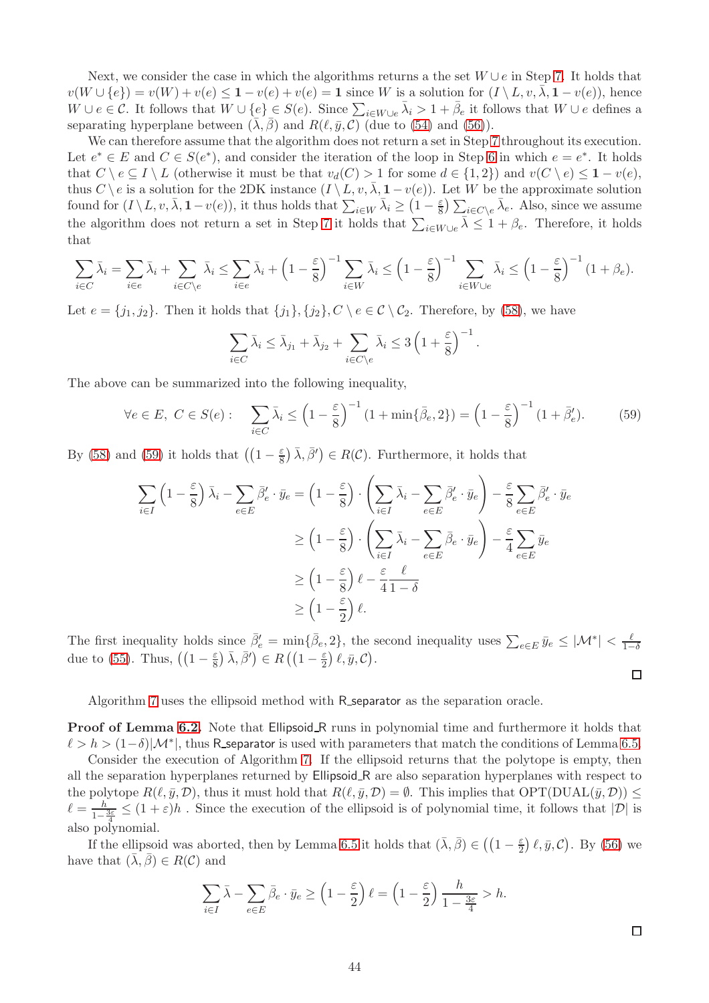Next, we consider the case in which the algorithms returns a the set  $W \cup e$  in Step [7.](#page-44-6) It holds that  $v(W \cup \{e\}) = v(W) + v(e) \leq 1 - v(e) + v(e) = 1$  since W is a solution for  $(I \setminus L, v, \overline{\lambda}, 1 - v(e))$ , hence  $W \cup e \in \mathcal{C}$ . It follows that  $W \cup \{e\} \in S(e)$ . Since  $\sum_{i \in W \cup e} \bar{\lambda}_i > 1 + \bar{\beta}_e$  it follows that  $W \cup e$  defines a separating hyperplane between  $(\bar{\lambda}, \bar{\beta})$  and  $R(\ell, \bar{y}, \mathcal{C})$  (due to [\(54\)](#page-41-2) and [\(56\)](#page-43-1)).

We can therefore assume that the algorithm does not return a set in Step [7](#page-44-6) throughout its execution. Let  $e^* \in E$  and  $C \in S(e^*)$ , and consider the iteration of the loop in Step [6](#page-44-7) in which  $e = e^*$ . It holds that  $C \setminus e \subseteq I \setminus L$  (otherwise it must be that  $v_d(C) > 1$  for some  $d \in \{1,2\}$ ) and  $v(C \setminus e) \leq 1 - v(e)$ , thus C \ e is a solution for the 2DK instance  $(I \setminus L, v, \overline{\lambda}, 1-v(e))$ . Let W be the approximate solution found for  $(I \setminus L, v, \bar{\lambda}, \mathbf{1} - v(e)$ , it thus holds that  $\sum_{i \in W} \bar{\lambda}_i \geq (1 - \frac{\varepsilon}{8})$  $\frac{\varepsilon}{8}$ )  $\sum_{i \in C \setminus e} \bar{\lambda}_e$ . Also, since we assume the algorithm does not return a set in Step [7](#page-44-6) it holds that  $\sum_{i\in W\cup e} \bar{\lambda} \leq 1 + \beta_e$ . Therefore, it holds that

$$
\sum_{i \in C} \bar{\lambda}_i = \sum_{i \in e} \bar{\lambda}_i + \sum_{i \in C \setminus e} \bar{\lambda}_i \le \sum_{i \in e} \bar{\lambda}_i + \left(1 - \frac{\varepsilon}{8}\right)^{-1} \sum_{i \in W} \bar{\lambda}_i \le \left(1 - \frac{\varepsilon}{8}\right)^{-1} \sum_{i \in W \cup e} \bar{\lambda}_i \le \left(1 - \frac{\varepsilon}{8}\right)^{-1} \left(1 + \beta_e\right).
$$

Let  $e = \{j_1, j_2\}$ . Then it holds that  $\{j_1\}, \{j_2\}, C \setminus e \in C \setminus C_2$ . Therefore, by [\(58\)](#page-44-8), we have

$$
\sum_{i \in C} \bar{\lambda}_i \le \bar{\lambda}_{j_1} + \bar{\lambda}_{j_2} + \sum_{i \in C \setminus e} \bar{\lambda}_i \le 3 \left( 1 + \frac{\varepsilon}{8} \right)^{-1}.
$$

The above can be summarized into the following inequality,

<span id="page-45-0"></span>
$$
\forall e \in E, C \in S(e): \quad \sum_{i \in C} \bar{\lambda}_i \le \left(1 - \frac{\varepsilon}{8}\right)^{-1} \left(1 + \min\{\bar{\beta}_e, 2\}\right) = \left(1 - \frac{\varepsilon}{8}\right)^{-1} \left(1 + \bar{\beta}'_e\right). \tag{59}
$$

By [\(58\)](#page-44-8) and [\(59\)](#page-45-0) it holds that  $\left( \left(1 - \frac{\varepsilon}{8}\right) \right)$  $(\frac{\varepsilon}{8}) \bar{\lambda}, \bar{\beta}'$   $\in R(C)$ . Furthermore, it holds that

$$
\sum_{i \in I} \left(1 - \frac{\varepsilon}{8}\right) \bar{\lambda}_i - \sum_{e \in E} \bar{\beta}'_e \cdot \bar{y}_e = \left(1 - \frac{\varepsilon}{8}\right) \cdot \left(\sum_{i \in I} \bar{\lambda}_i - \sum_{e \in E} \bar{\beta}'_e \cdot \bar{y}_e\right) - \frac{\varepsilon}{8} \sum_{e \in E} \bar{\beta}'_e \cdot \bar{y}_e
$$
\n
$$
\ge \left(1 - \frac{\varepsilon}{8}\right) \cdot \left(\sum_{i \in I} \bar{\lambda}_i - \sum_{e \in E} \bar{\beta}_e \cdot \bar{y}_e\right) - \frac{\varepsilon}{4} \sum_{e \in E} \bar{y}_e
$$
\n
$$
\ge \left(1 - \frac{\varepsilon}{8}\right) \ell - \frac{\varepsilon}{4} \frac{\ell}{1 - \delta}
$$
\n
$$
\ge \left(1 - \frac{\varepsilon}{2}\right) \ell.
$$

The first inequality holds since  $\bar{\beta}'_e = \min\{\bar{\beta}_e, 2\}$ , the second inequality uses  $\sum_{e \in E} \bar{y}_e \leq |\mathcal{M}^*| < \frac{\ell}{1-\ell}$  $1-\delta$ due to [\(55\)](#page-41-3). Thus,  $\left(\left(1-\frac{\varepsilon}{8}\right)\right)$  $(\frac{\varepsilon}{8})\bar{\lambda}, \bar{\beta}') \in R\left(\left(1 - \frac{\varepsilon}{2}\right)\right)$  $\frac{\varepsilon}{2}$   $\ell$  ,  $\bar{y}$  ,  $\mathcal{C}$  ).

Algorithm [7](#page-46-13) uses the ellipsoid method with R separator as the separation oracle.

**Proof of Lemma [6.2.](#page-41-1)** Note that Ellipsoid R runs in polynomial time and furthermore it holds that  $\ell > h > (1-\delta)|\mathcal{M}^*|$ , thus R\_separator is used with parameters that match the conditions of Lemma [6.5.](#page-43-2)

Consider the execution of Algorithm [7.](#page-46-13) If the ellipsoid returns that the polytope is empty, then all the separation hyperplanes returned by Ellipsoid R are also separation hyperplanes with respect to the polytope  $R(\ell, \bar{y}, \mathcal{D})$ , thus it must hold that  $R(\ell, \bar{y}, \mathcal{D}) = \emptyset$ . This implies that  $\text{OPT}(\text{DUAL}(\bar{y}, \mathcal{D})) \leq$  $\ell = \frac{h}{1-\frac{3\varepsilon}{\lambda}} \leq (1+\varepsilon)h$ . Since the execution of the ellipsoid is of polynomial time, it follows that  $|\mathcal{D}|$  is 4 also polynomial.

If the ellipsoid was aborted, then by Lemma [6.5](#page-43-2) it holds that  $(\bar{\lambda}, \bar{\beta}) \in \left( (1 - \frac{\varepsilon}{2}) \right)$  $(\frac{\varepsilon}{2}) \ell, \bar{y}, \mathcal{C}$ . By [\(56\)](#page-43-1) we have that  $(\bar{\lambda}, \bar{\beta}) \in R(C)$  and

$$
\sum_{i \in I} \bar{\lambda} - \sum_{e \in E} \bar{\beta}_e \cdot \bar{y}_e \ge \left(1 - \frac{\varepsilon}{2}\right) \ell = \left(1 - \frac{\varepsilon}{2}\right) \frac{h}{1 - \frac{3\varepsilon}{4}} > h.
$$

 $\Box$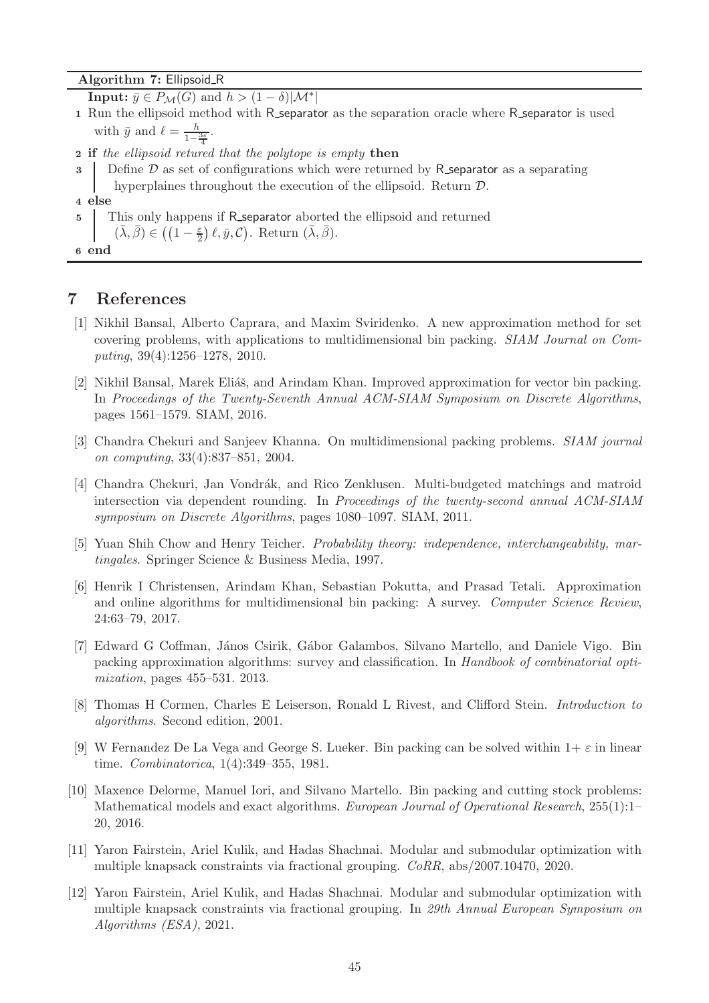#### Algorithm 7: Ellipsoid R

**Input:**  $\bar{y} \in P_{\mathcal{M}}(G)$  and  $h > (1 - \delta)|\mathcal{M}^*|$ 

1 Run the ellipsoid method with R\_separator as the separation oracle where R\_separator is used with  $\bar{y}$  and  $\ell = \frac{h}{1 - \frac{3\varepsilon}{4}}$ .

**2** if the ellipsoid retured that the polytope is empty then

Define  $\mathcal D$  as set of configurations which were returned by R separator as a separating hyperplaines throughout the execution of the ellipsoid. Return D.

5 This only happens if R separator aborted the ellipsoid and returned

 $(\bar{\lambda}, \bar{\beta}) \in \left( \left(1 - \frac{\varepsilon}{2}\right) \ell, \bar{y}, \mathcal{C}\right)$ . Return  $(\bar{\lambda}, \bar{\beta})$ .

<span id="page-46-13"></span>6 end

## <span id="page-46-7"></span><span id="page-46-2"></span>7 References

- [1] Nikhil Bansal, Alberto Caprara, and Maxim Sviridenko. A new approximation method for set covering problems, with applications to multidimensional bin packing. SIAM Journal on Computing, 39(4):1256–1278, 2010.
- <span id="page-46-0"></span>[2] Nikhil Bansal, Marek Eliáš, and Arindam Khan. Improved approximation for vector bin packing. In Proceedings of the Twenty-Seventh Annual ACM-SIAM Symposium on Discrete Algorithms, pages 1561–1579. SIAM, 2016.
- <span id="page-46-6"></span>[3] Chandra Chekuri and Sanjeev Khanna. On multidimensional packing problems. SIAM journal on computing, 33(4):837–851, 2004.
- <span id="page-46-9"></span>[4] Chandra Chekuri, Jan Vondrák, and Rico Zenklusen. Multi-budgeted matchings and matroid intersection via dependent rounding. In Proceedings of the twenty-second annual ACM-SIAM symposium on Discrete Algorithms, pages 1080–1097. SIAM, 2011.
- <span id="page-46-10"></span><span id="page-46-8"></span>[5] Yuan Shih Chow and Henry Teicher. Probability theory: independence, interchangeability, martingales. Springer Science & Business Media, 1997.
- [6] Henrik I Christensen, Arindam Khan, Sebastian Pokutta, and Prasad Tetali. Approximation and online algorithms for multidimensional bin packing: A survey. Computer Science Review, 24:63–79, 2017.
- <span id="page-46-4"></span>[7] Edward G Coffman, János Csirik, Gábor Galambos, Silvano Martello, and Daniele Vigo. Bin packing approximation algorithms: survey and classification. In Handbook of combinatorial optimization, pages 455–531. 2013.
- <span id="page-46-11"></span>[8] Thomas H Cormen, Charles E Leiserson, Ronald L Rivest, and Clifford Stein. Introduction to algorithms. Second edition, 2001.
- <span id="page-46-3"></span>[9] W Fernandez De La Vega and George S. Lueker. Bin packing can be solved within  $1+\varepsilon$  in linear time. Combinatorica, 1(4):349–355, 1981.
- <span id="page-46-5"></span>[10] Maxence Delorme, Manuel Iori, and Silvano Martello. Bin packing and cutting stock problems: Mathematical models and exact algorithms. European Journal of Operational Research, 255(1):1– 20, 2016.
- <span id="page-46-12"></span>[11] Yaron Fairstein, Ariel Kulik, and Hadas Shachnai. Modular and submodular optimization with multiple knapsack constraints via fractional grouping. CoRR, abs/2007.10470, 2020.
- <span id="page-46-1"></span>[12] Yaron Fairstein, Ariel Kulik, and Hadas Shachnai. Modular and submodular optimization with multiple knapsack constraints via fractional grouping. In 29th Annual European Symposium on Algorithms (ESA), 2021.

<sup>4</sup> else